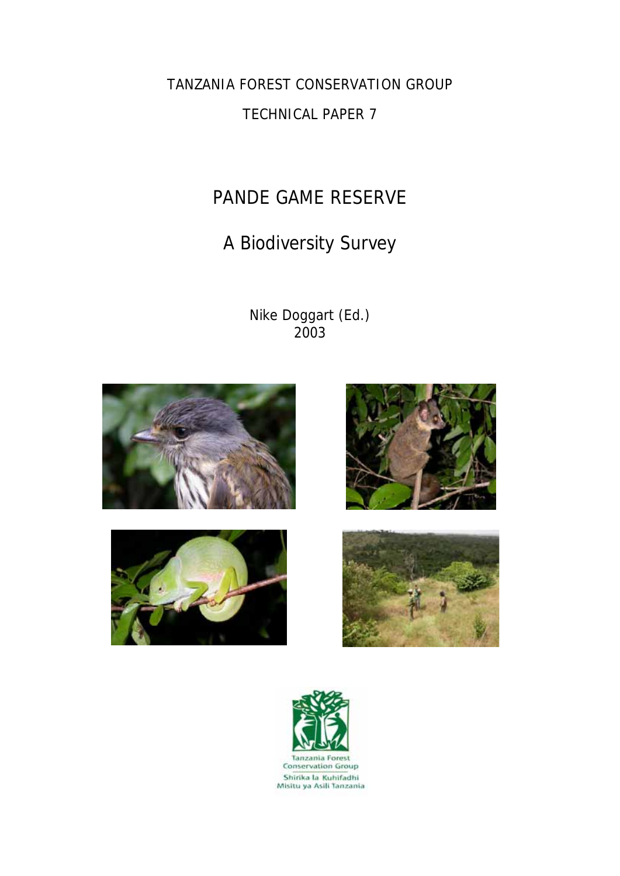TANZANIA FOREST CONSERVATION GROUP

## TECHNICAL PAPER 7

# PANDE GAME RESERVE

# A Biodiversity Survey

Nike Doggart (Ed.) 2003









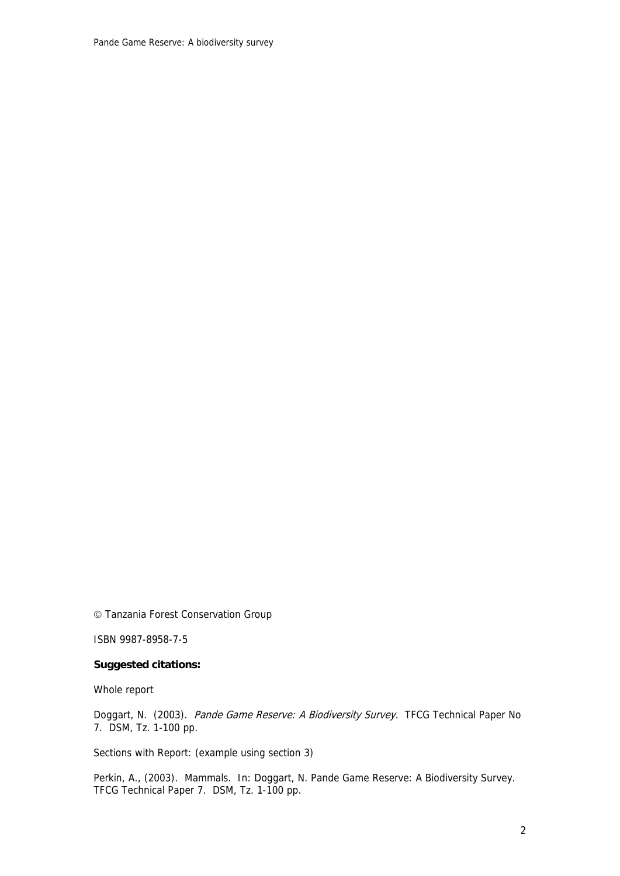Pande Game Reserve: A biodiversity survey

© Tanzania Forest Conservation Group

ISBN 9987-8958-7-5

#### **Suggested citations:**

Whole report

Doggart, N. (2003). Pande Game Reserve: A Biodiversity Survey. TFCG Technical Paper No 7. DSM, Tz. 1-100 pp.

Sections with Report: (example using section 3)

Perkin, A., (2003). Mammals. In: Doggart, N. Pande Game Reserve: A Biodiversity Survey. TFCG Technical Paper 7. DSM, Tz. 1-100 pp.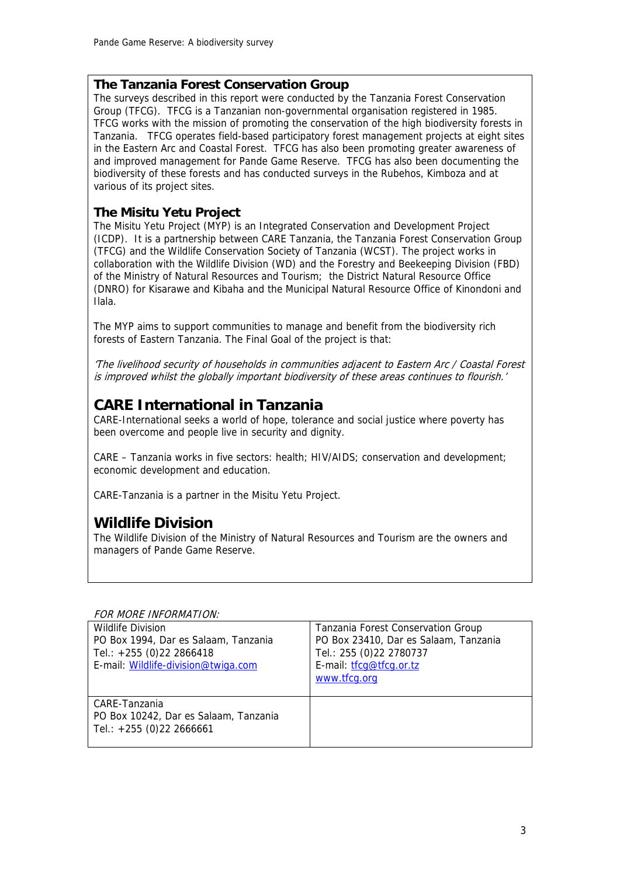## **The Tanzania Forest Conservation Group**

The surveys described in this report were conducted by the Tanzania Forest Conservation Group (TFCG). TFCG is a Tanzanian non-governmental organisation registered in 1985. TFCG works with the mission of promoting the conservation of the high biodiversity forests in Tanzania. TFCG operates field-based participatory forest management projects at eight sites in the Eastern Arc and Coastal Forest. TFCG has also been promoting greater awareness of and improved management for Pande Game Reserve. TFCG has also been documenting the biodiversity of these forests and has conducted surveys in the Rubehos, Kimboza and at various of its project sites.

## **The Misitu Yetu Project**

The Misitu Yetu Project (MYP) is an Integrated Conservation and Development Project (ICDP). It is a partnership between CARE Tanzania, the Tanzania Forest Conservation Group (TFCG) and the Wildlife Conservation Society of Tanzania (WCST). The project works in collaboration with the Wildlife Division (WD) and the Forestry and Beekeeping Division (FBD) of the Ministry of Natural Resources and Tourism; the District Natural Resource Office (DNRO) for Kisarawe and Kibaha and the Municipal Natural Resource Office of Kinondoni and Ilala.

The MYP aims to support communities to manage and benefit from the biodiversity rich forests of Eastern Tanzania. The Final Goal of the project is that:

'The livelihood security of households in communities adjacent to Eastern Arc / Coastal Forest is improved whilst the globally important biodiversity of these areas continues to flourish.'

## **CARE International in Tanzania**

CARE-International seeks a world of hope, tolerance and social justice where poverty has been overcome and people live in security and dignity.

CARE – Tanzania works in five sectors: health; HIV/AIDS; conservation and development; economic development and education.

CARE-Tanzania is a partner in the Misitu Yetu Project.

## **Wildlife Division**

The Wildlife Division of the Ministry of Natural Resources and Tourism are the owners and managers of Pande Game Reserve.

#### FOR MORE INFORMATION:

| <b>Wildlife Division</b><br>PO Box 1994, Dar es Salaam, Tanzania<br>Tel.: +255 (0)22 2866418<br>E-mail: Wildlife-division@twiga.com | Tanzania Forest Conservation Group<br>PO Box 23410, Dar es Salaam, Tanzania<br>Tel.: 255 (0) 22 2780737<br>E-mail: tfcq@tfcq.or.tz<br>www.tfcg.org |
|-------------------------------------------------------------------------------------------------------------------------------------|----------------------------------------------------------------------------------------------------------------------------------------------------|
| CARE-Tanzania<br>PO Box 10242, Dar es Salaam, Tanzania<br>Tel.: $+255$ (0)22 2666661                                                |                                                                                                                                                    |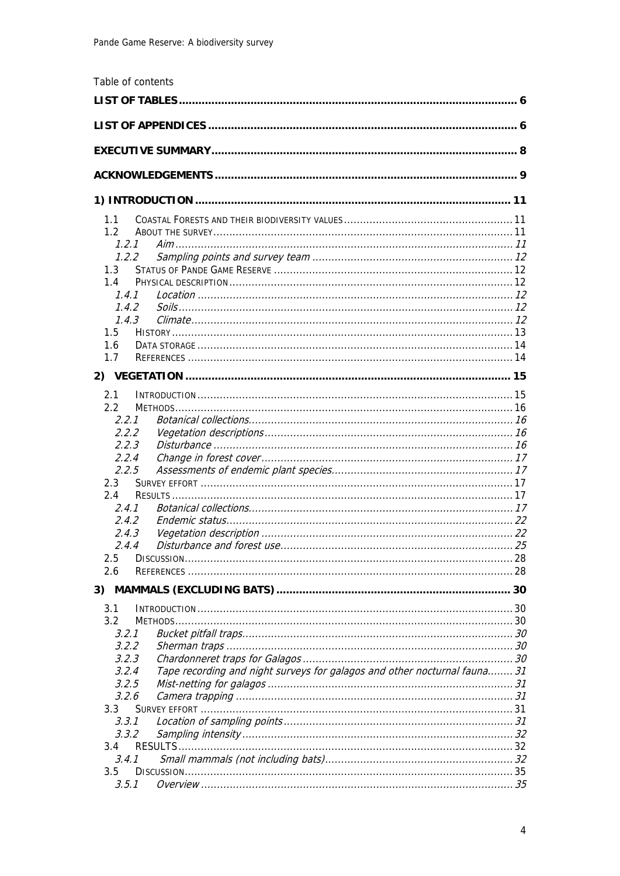|               | Table of contents                                                         |  |  |
|---------------|---------------------------------------------------------------------------|--|--|
|               |                                                                           |  |  |
|               |                                                                           |  |  |
|               |                                                                           |  |  |
|               |                                                                           |  |  |
|               |                                                                           |  |  |
|               |                                                                           |  |  |
| 1.1           |                                                                           |  |  |
| $1.2^{\circ}$ |                                                                           |  |  |
| 1.2.1         |                                                                           |  |  |
| 1.2.2         |                                                                           |  |  |
| 1.3           |                                                                           |  |  |
| 1.4           |                                                                           |  |  |
| 1.4.1         |                                                                           |  |  |
| 1.4.2         |                                                                           |  |  |
| 1.4.3         |                                                                           |  |  |
| 1.5           |                                                                           |  |  |
| 1.6           |                                                                           |  |  |
| 1.7           |                                                                           |  |  |
|               |                                                                           |  |  |
| 2.1           |                                                                           |  |  |
| $2.2^{\circ}$ |                                                                           |  |  |
| 2.2.1         |                                                                           |  |  |
| 2.2.2         |                                                                           |  |  |
| 2.2.3         |                                                                           |  |  |
| 2.2.4         |                                                                           |  |  |
| 2.2.5         |                                                                           |  |  |
| 2.3           |                                                                           |  |  |
| 2.4           |                                                                           |  |  |
| 2.4.1         |                                                                           |  |  |
| 2.4.2         |                                                                           |  |  |
| 2.4.3         |                                                                           |  |  |
| 2.4.4         |                                                                           |  |  |
| 2.5           |                                                                           |  |  |
| 2.6           |                                                                           |  |  |
|               |                                                                           |  |  |
| 3.1           |                                                                           |  |  |
| 3.2           |                                                                           |  |  |
| 3.2.1         |                                                                           |  |  |
| 3.2.2         |                                                                           |  |  |
| 3.2.3         |                                                                           |  |  |
| 3.2.4         | Tape recording and night surveys for galagos and other nocturnal fauna 31 |  |  |
| 3.2.5         |                                                                           |  |  |
| 3.2.6         |                                                                           |  |  |
| 3.3           |                                                                           |  |  |
| 3.3.1         |                                                                           |  |  |
| 3.3.2         |                                                                           |  |  |
| 3.4           |                                                                           |  |  |
| 3.4.1         |                                                                           |  |  |
| 3.5<br>3.5.1  |                                                                           |  |  |
|               |                                                                           |  |  |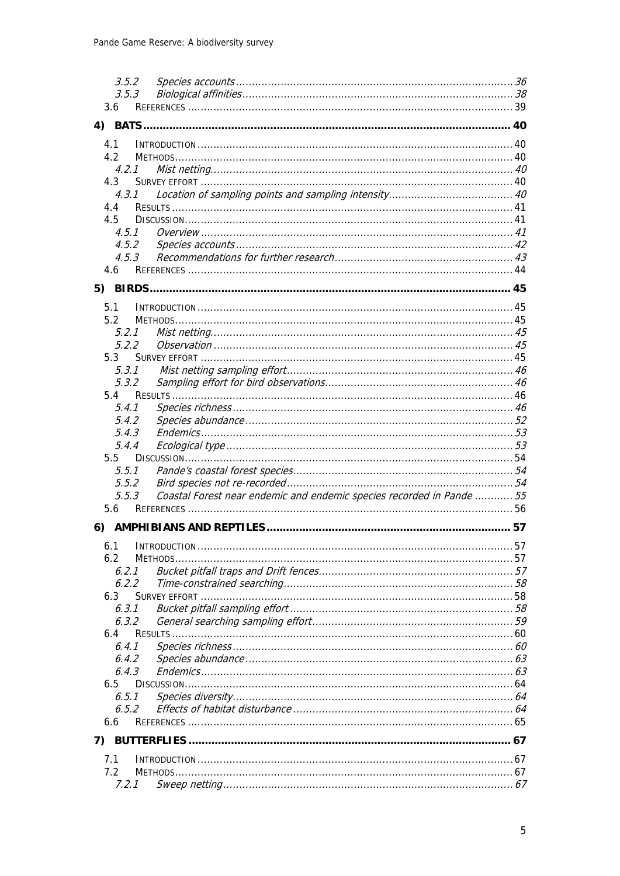|    | 3.5.2          |                                                                       |  |
|----|----------------|-----------------------------------------------------------------------|--|
|    | 3.5.3          |                                                                       |  |
|    | 3.6            |                                                                       |  |
| 4) |                |                                                                       |  |
|    | 4.1            |                                                                       |  |
|    | 4.2            |                                                                       |  |
|    | 4.2.1          |                                                                       |  |
|    | 4.3            |                                                                       |  |
|    | 4.3.1          |                                                                       |  |
|    | 4.4            |                                                                       |  |
|    | 4.5            |                                                                       |  |
|    | 4.5.1          |                                                                       |  |
|    | 4.5.2          |                                                                       |  |
|    | 4.5.3          |                                                                       |  |
|    | 4.6            |                                                                       |  |
| 5) |                |                                                                       |  |
|    |                |                                                                       |  |
|    | 5.1            |                                                                       |  |
|    | 5.2            |                                                                       |  |
|    | 5.2.1<br>5.2.2 |                                                                       |  |
|    | 5.3            |                                                                       |  |
|    | 5.3.1          |                                                                       |  |
|    | 5.3.2          |                                                                       |  |
|    | 5.4            |                                                                       |  |
|    | 5.4.1          |                                                                       |  |
|    | 5.4.2          |                                                                       |  |
|    | 5.4.3          |                                                                       |  |
|    | 5.4.4          |                                                                       |  |
|    | 5.5            |                                                                       |  |
|    | 5.5.1          |                                                                       |  |
|    | 5.5.2          |                                                                       |  |
|    | 5.5.3          | Coastal Forest near endemic and endemic species recorded in Pande  55 |  |
|    | 5.6            |                                                                       |  |
| 6) |                |                                                                       |  |
|    | 6.1            |                                                                       |  |
|    | 6.2            |                                                                       |  |
|    | 6.2.1          |                                                                       |  |
|    | 6.2.2          |                                                                       |  |
|    | 6.3            |                                                                       |  |
|    | 6.3.1          |                                                                       |  |
|    | 6.3.2          |                                                                       |  |
|    | 6.4            |                                                                       |  |
|    | 6.4.1          |                                                                       |  |
|    | 6.4.2          |                                                                       |  |
|    | 6.4.3          |                                                                       |  |
|    | 6.5            |                                                                       |  |
|    | 6.5.1          |                                                                       |  |
|    | 6.5.2          |                                                                       |  |
|    | 6.6            |                                                                       |  |
| 7) |                |                                                                       |  |
|    | 7.1            |                                                                       |  |
|    | 7.2            |                                                                       |  |
|    | 7.2.1          |                                                                       |  |
|    |                |                                                                       |  |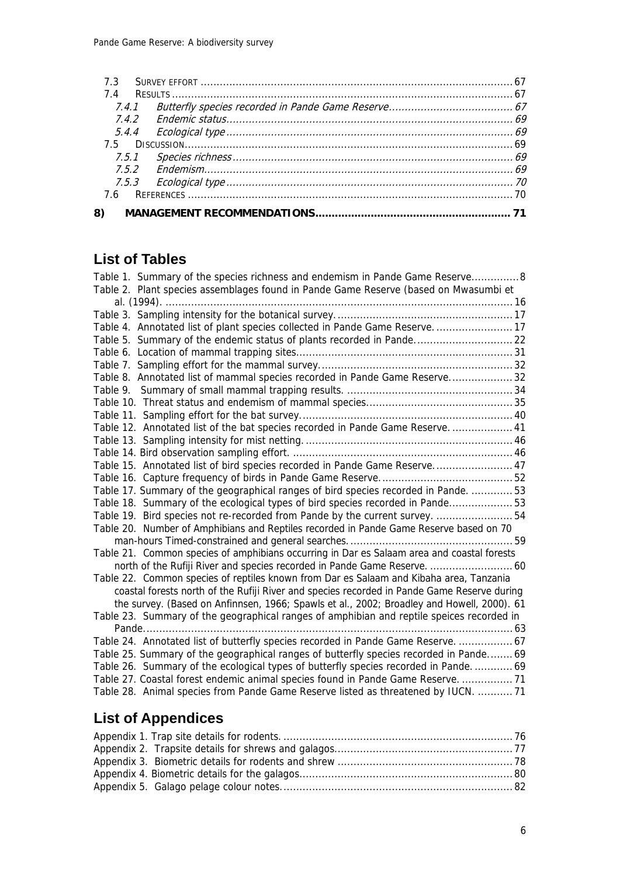## **List of Tables**

| Table 1. Summary of the species richness and endemism in Pande Game Reserve8                |
|---------------------------------------------------------------------------------------------|
| Table 2. Plant species assemblages found in Pande Game Reserve (based on Mwasumbi et        |
|                                                                                             |
|                                                                                             |
| Table 4. Annotated list of plant species collected in Pande Game Reserve 17                 |
| Table 5. Summary of the endemic status of plants recorded in Pande 22                       |
|                                                                                             |
|                                                                                             |
| Table 8. Annotated list of mammal species recorded in Pande Game Reserve 32                 |
|                                                                                             |
|                                                                                             |
|                                                                                             |
| Table 12. Annotated list of the bat species recorded in Pande Game Reserve.  41             |
|                                                                                             |
|                                                                                             |
| Table 15. Annotated list of bird species recorded in Pande Game Reserve 47                  |
|                                                                                             |
| Table 17. Summary of the geographical ranges of bird species recorded in Pande.  53         |
| Table 18. Summary of the ecological types of bird species recorded in Pande53               |
| Table 19. Bird species not re-recorded from Pande by the current survey.  54                |
| Table 20. Number of Amphibians and Reptiles recorded in Pande Game Reserve based on 70      |
|                                                                                             |
| Table 21. Common species of amphibians occurring in Dar es Salaam area and coastal forests  |
| north of the Rufiji River and species recorded in Pande Game Reserve.  60                   |
| Table 22. Common species of reptiles known from Dar es Salaam and Kibaha area, Tanzania     |
| coastal forests north of the Rufiji River and species recorded in Pande Game Reserve during |
| the survey. (Based on Anfinnsen, 1966; Spawls et al., 2002; Broadley and Howell, 2000). 61  |
| Table 23. Summary of the geographical ranges of amphibian and reptile speices recorded in   |
|                                                                                             |
| Table 24. Annotated list of butterfly species recorded in Pande Game Reserve.  67           |
| Table 25. Summary of the geographical ranges of butterfly species recorded in Pande 69      |
| Table 26. Summary of the ecological types of butterfly species recorded in Pande 69         |
| Table 27. Coastal forest endemic animal species found in Pande Game Reserve.  71            |
| Table 28. Animal species from Pande Game Reserve listed as threatened by IUCN.  71          |

# **List of Appendices**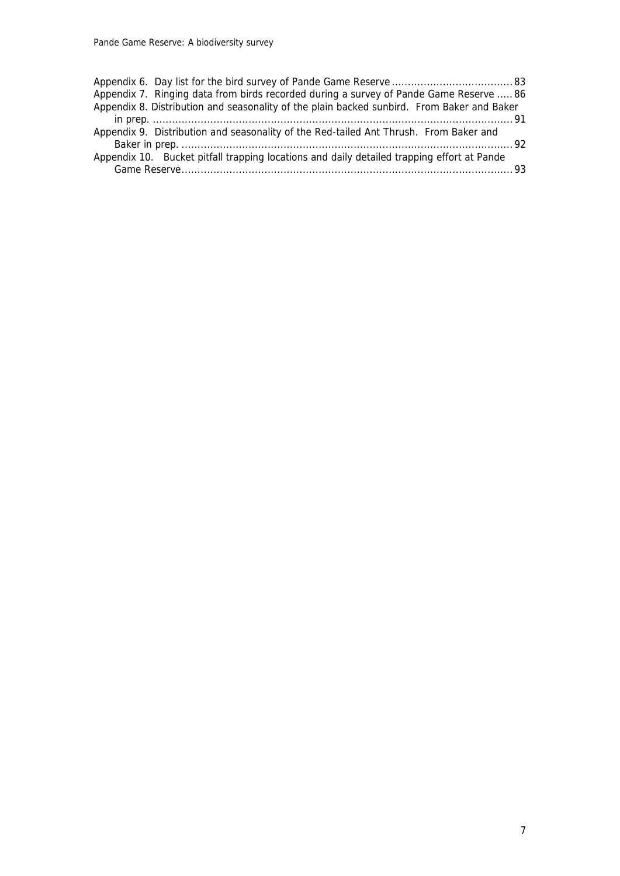| Appendix 7. Ringing data from birds recorded during a survey of Pande Game Reserve  86     |  |
|--------------------------------------------------------------------------------------------|--|
| Appendix 8. Distribution and seasonality of the plain backed sunbird. From Baker and Baker |  |
|                                                                                            |  |
| Appendix 9. Distribution and seasonality of the Red-tailed Ant Thrush. From Baker and      |  |
|                                                                                            |  |
| Appendix 10. Bucket pitfall trapping locations and daily detailed trapping effort at Pande |  |
|                                                                                            |  |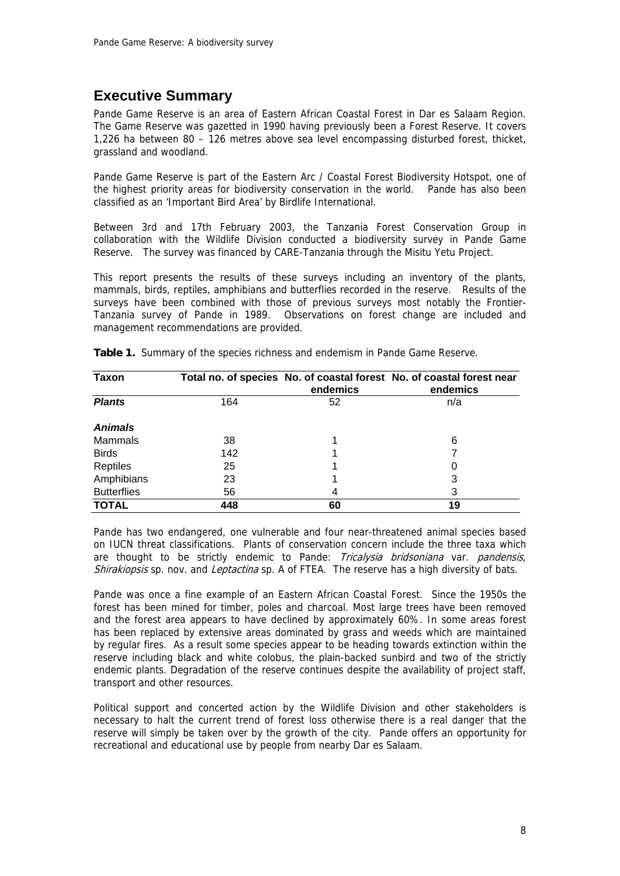## **Executive Summary**

Pande Game Reserve is an area of Eastern African Coastal Forest in Dar es Salaam Region. The Game Reserve was gazetted in 1990 having previously been a Forest Reserve. It covers 1,226 ha between 80 – 126 metres above sea level encompassing disturbed forest, thicket, grassland and woodland.

Pande Game Reserve is part of the Eastern Arc / Coastal Forest Biodiversity Hotspot, one of the highest priority areas for biodiversity conservation in the world. Pande has also been classified as an 'Important Bird Area' by Birdlife International.

Between 3rd and 17th February 2003, the Tanzania Forest Conservation Group in collaboration with the Wildlife Division conducted a biodiversity survey in Pande Game Reserve. The survey was financed by CARE-Tanzania through the Misitu Yetu Project.

This report presents the results of these surveys including an inventory of the plants, mammals, birds, reptiles, amphibians and butterflies recorded in the reserve. Results of the surveys have been combined with those of previous surveys most notably the Frontier-Tanzania survey of Pande in 1989. Observations on forest change are included and management recommendations are provided.

| <b>Taxon</b>       |     | endemics | Total no. of species No. of coastal forest No. of coastal forest near<br>endemics |
|--------------------|-----|----------|-----------------------------------------------------------------------------------|
| <b>Plants</b>      | 164 | 52       | n/a                                                                               |
| <b>Animals</b>     |     |          |                                                                                   |
| Mammals            | 38  |          | 6                                                                                 |
| <b>Birds</b>       | 142 |          |                                                                                   |
| Reptiles           | 25  |          |                                                                                   |
| Amphibians         | 23  |          | 3                                                                                 |
| <b>Butterflies</b> | 56  | 4        | 3                                                                                 |
| <b>TOTAL</b>       | 448 | 60       | 19                                                                                |

**Table 1.** Summary of the species richness and endemism in Pande Game Reserve.

Pande has two endangered, one vulnerable and four near-threatened animal species based on IUCN threat classifications. Plants of conservation concern include the three taxa which are thought to be strictly endemic to Pande: Tricalysia bridsoniana var. pandensis, Shirakiopsis sp. nov. and Leptactina sp. A of FTEA. The reserve has a high diversity of bats.

Pande was once a fine example of an Eastern African Coastal Forest. Since the 1950s the forest has been mined for timber, poles and charcoal. Most large trees have been removed and the forest area appears to have declined by approximately 60%. In some areas forest has been replaced by extensive areas dominated by grass and weeds which are maintained by regular fires. As a result some species appear to be heading towards extinction within the reserve including black and white colobus, the plain-backed sunbird and two of the strictly endemic plants. Degradation of the reserve continues despite the availability of project staff, transport and other resources.

Political support and concerted action by the Wildlife Division and other stakeholders is necessary to halt the current trend of forest loss otherwise there is a real danger that the reserve will simply be taken over by the growth of the city. Pande offers an opportunity for recreational and educational use by people from nearby Dar es Salaam.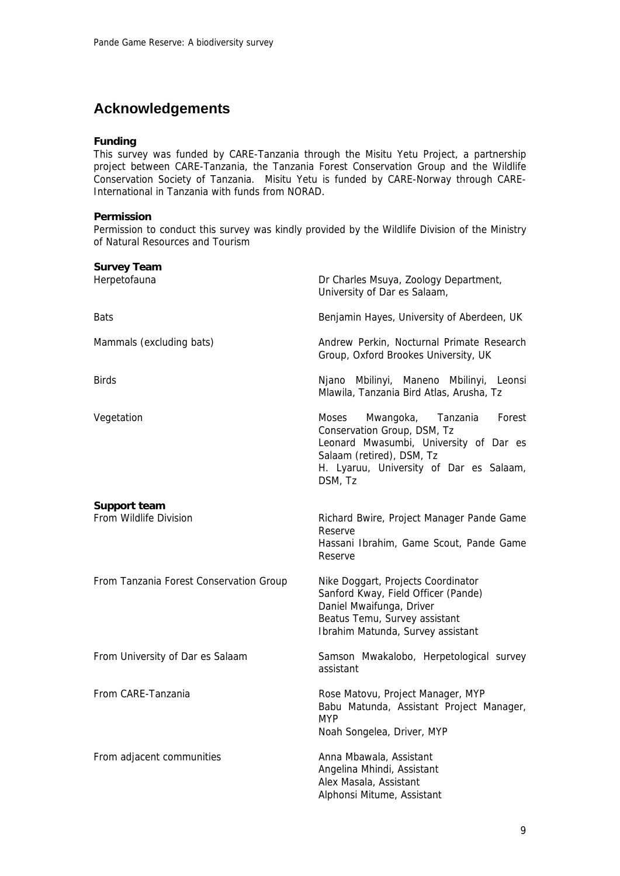## **Acknowledgements**

#### **Funding**

This survey was funded by CARE-Tanzania through the Misitu Yetu Project, a partnership project between CARE-Tanzania, the Tanzania Forest Conservation Group and the Wildlife Conservation Society of Tanzania. Misitu Yetu is funded by CARE-Norway through CARE-International in Tanzania with funds from NORAD.

#### **Permission**

Permission to conduct this survey was kindly provided by the Wildlife Division of the Ministry of Natural Resources and Tourism

| <b>Survey Team</b><br>Herpetofauna                                                                                                                                                                                 | Dr Charles Msuya, Zoology Department,<br>University of Dar es Salaam,                                                                                                       |  |  |
|--------------------------------------------------------------------------------------------------------------------------------------------------------------------------------------------------------------------|-----------------------------------------------------------------------------------------------------------------------------------------------------------------------------|--|--|
| Bats                                                                                                                                                                                                               | Benjamin Hayes, University of Aberdeen, UK                                                                                                                                  |  |  |
| Mammals (excluding bats)                                                                                                                                                                                           | Andrew Perkin, Nocturnal Primate Research<br>Group, Oxford Brookes University, UK                                                                                           |  |  |
| Birds                                                                                                                                                                                                              | Njano Mbilinyi, Maneno Mbilinyi, Leonsi<br>Mlawila, Tanzania Bird Atlas, Arusha, Tz                                                                                         |  |  |
| Vegetation<br>Moses<br>Mwangoka,<br>Tanzania<br>Forest<br>Conservation Group, DSM, Tz<br>Leonard Mwasumbi, University of Dar es<br>Salaam (retired), DSM, Tz<br>H. Lyaruu, University of Dar es Salaam,<br>DSM, Tz |                                                                                                                                                                             |  |  |
| <b>Support team</b><br>From Wildlife Division                                                                                                                                                                      | Richard Bwire, Project Manager Pande Game<br>Reserve<br>Hassani Ibrahim, Game Scout, Pande Game<br>Reserve                                                                  |  |  |
| From Tanzania Forest Conservation Group                                                                                                                                                                            | Nike Doggart, Projects Coordinator<br>Sanford Kway, Field Officer (Pande)<br>Daniel Mwaifunga, Driver<br>Beatus Temu, Survey assistant<br>Ibrahim Matunda, Survey assistant |  |  |
| From University of Dar es Salaam                                                                                                                                                                                   | Samson Mwakalobo, Herpetological survey<br>assistant                                                                                                                        |  |  |
| From CARE-Tanzania                                                                                                                                                                                                 | Rose Matovu, Project Manager, MYP<br>Babu Matunda, Assistant Project Manager,<br><b>MYP</b><br>Noah Songelea, Driver, MYP                                                   |  |  |
| From adjacent communities                                                                                                                                                                                          | Anna Mbawala, Assistant<br>Angelina Mhindi, Assistant<br>Alex Masala, Assistant<br>Alphonsi Mitume, Assistant                                                               |  |  |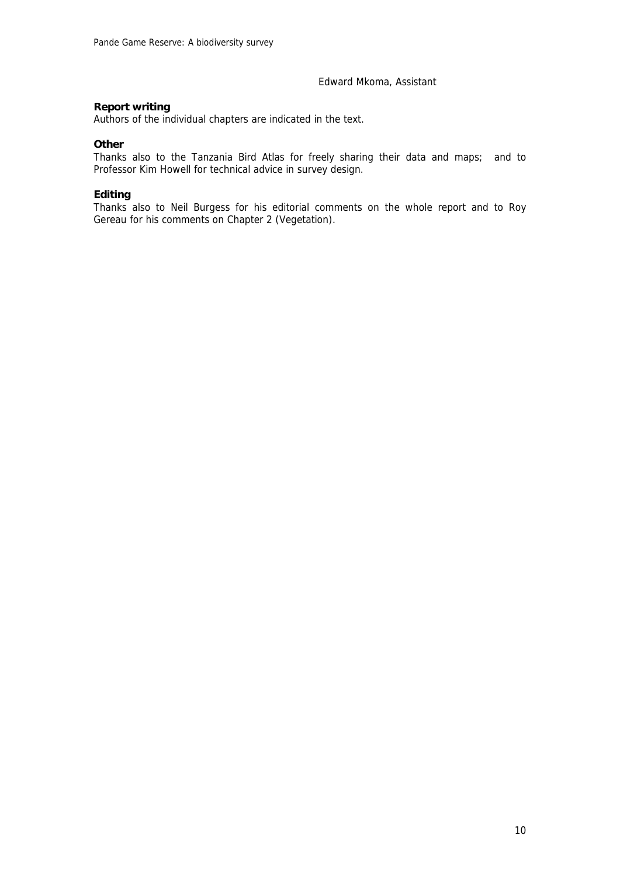#### Edward Mkoma, Assistant

#### **Report writing**

Authors of the individual chapters are indicated in the text.

#### **Other**

Thanks also to the Tanzania Bird Atlas for freely sharing their data and maps; and to Professor Kim Howell for technical advice in survey design.

#### **Editing**

Thanks also to Neil Burgess for his editorial comments on the whole report and to Roy Gereau for his comments on Chapter 2 (Vegetation).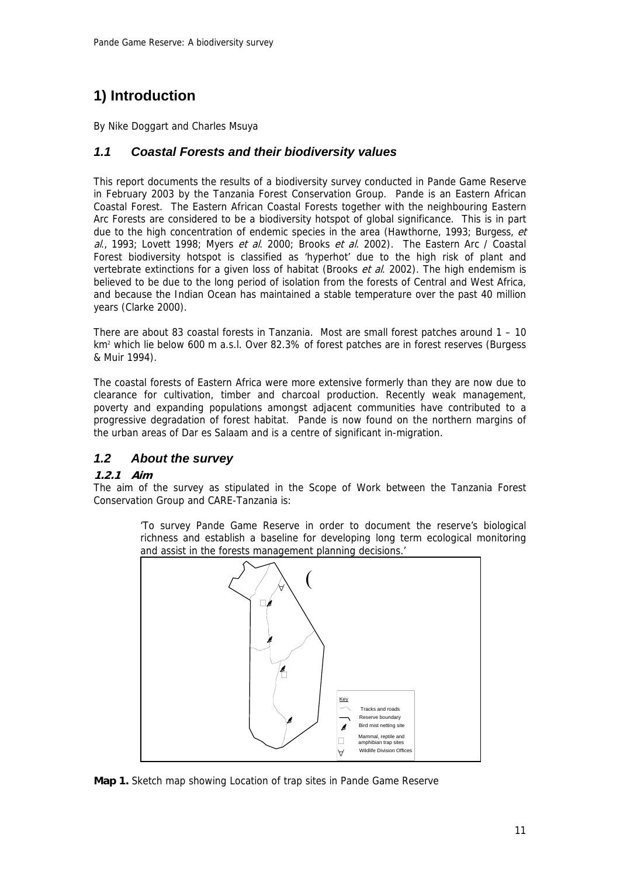## **1) Introduction**

By Nike Doggart and Charles Msuya

## *1.1 Coastal Forests and their biodiversity values*

This report documents the results of a biodiversity survey conducted in Pande Game Reserve in February 2003 by the Tanzania Forest Conservation Group. Pande is an Eastern African Coastal Forest. The Eastern African Coastal Forests together with the neighbouring Eastern Arc Forests are considered to be a biodiversity hotspot of global significance. This is in part due to the high concentration of endemic species in the area (Hawthorne, 1993; Burgess, et al., 1993; Lovett 1998; Myers et al. 2000; Brooks et al. 2002). The Eastern Arc / Coastal Forest biodiversity hotspot is classified as 'hyperhot' due to the high risk of plant and vertebrate extinctions for a given loss of habitat (Brooks *et al.* 2002). The high endemism is believed to be due to the long period of isolation from the forests of Central and West Africa, and because the Indian Ocean has maintained a stable temperature over the past 40 million years (Clarke 2000).

There are about 83 coastal forests in Tanzania. Most are small forest patches around 1 – 10 km<sup>2</sup> which lie below 600 m a.s.l. Over 82.3% of forest patches are in forest reserves (Burgess & Muir 1994).

The coastal forests of Eastern Africa were more extensive formerly than they are now due to clearance for cultivation, timber and charcoal production. Recently weak management, poverty and expanding populations amongst adjacent communities have contributed to a progressive degradation of forest habitat. Pande is now found on the northern margins of the urban areas of Dar es Salaam and is a centre of significant in-migration.

## *1.2 About the survey*

#### **1.2.1 Aim**

The aim of the survey as stipulated in the Scope of Work between the Tanzania Forest Conservation Group and CARE-Tanzania is:

> 'To survey Pande Game Reserve in order to document the reserve's biological richness and establish a baseline for developing long term ecological monitoring and assist in the forests management planning decisions.'



**Map 1.** Sketch map showing Location of trap sites in Pande Game Reserve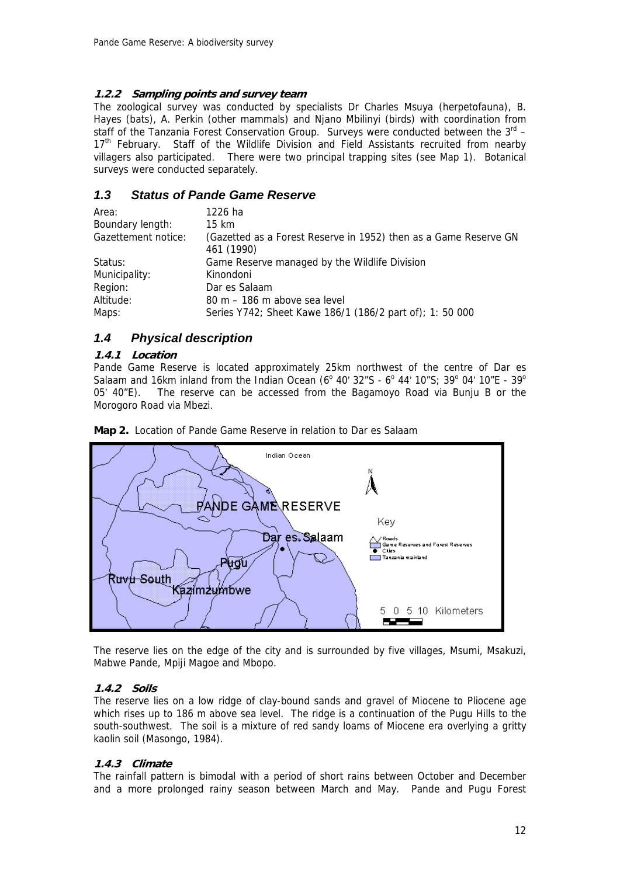#### **1.2.2 Sampling points and survey team**

The zoological survey was conducted by specialists Dr Charles Msuya (herpetofauna), B. Hayes (bats), A. Perkin (other mammals) and Njano Mbilinyi (birds) with coordination from staff of the Tanzania Forest Conservation Group. Surveys were conducted between the  $3^{rd}$  – 17<sup>th</sup> February. Staff of the Wildlife Division and Field Assistants recruited from nearby villagers also participated. There were two principal trapping sites (see Map 1). Botanical surveys were conducted separately.

### *1.3 Status of Pande Game Reserve*

| Area:               | 1226 ha                                                                        |
|---------------------|--------------------------------------------------------------------------------|
| Boundary length:    | 15 km                                                                          |
| Gazettement notice: | (Gazetted as a Forest Reserve in 1952) then as a Game Reserve GN<br>461 (1990) |
| Status:             | Game Reserve managed by the Wildlife Division                                  |
| Municipality:       | Kinondoni                                                                      |
| Region:             | Dar es Salaam                                                                  |
| Altitude:           | 80 m – 186 m above sea level                                                   |
| Maps:               | Series Y742; Sheet Kawe 186/1 (186/2 part of); 1: 50 000                       |

### *1.4 Physical description*

#### **1.4.1 Location**

Pande Game Reserve is located approximately 25km northwest of the centre of Dar es Salaam and 16km inland from the Indian Ocean (6<sup>o</sup> 40' 32"S - 6<sup>o</sup> 44' 10"S; 39<sup>o</sup> 04' 10"E - 39<sup>o</sup> 05' 40"E). The reserve can be accessed from the Bagamoyo Road via Bunju B or the Morogoro Road via Mbezi.



**Map 2.** Location of Pande Game Reserve in relation to Dar es Salaam

The reserve lies on the edge of the city and is surrounded by five villages, Msumi, Msakuzi, Mabwe Pande, Mpiji Magoe and Mbopo.

#### **1.4.2 Soils**

The reserve lies on a low ridge of clay-bound sands and gravel of Miocene to Pliocene age which rises up to 186 m above sea level. The ridge is a continuation of the Pugu Hills to the south-southwest. The soil is a mixture of red sandy loams of Miocene era overlying a gritty kaolin soil (Masongo, 1984).

#### **1.4.3 Climate**

The rainfall pattern is bimodal with a period of short rains between October and December and a more prolonged rainy season between March and May. Pande and Pugu Forest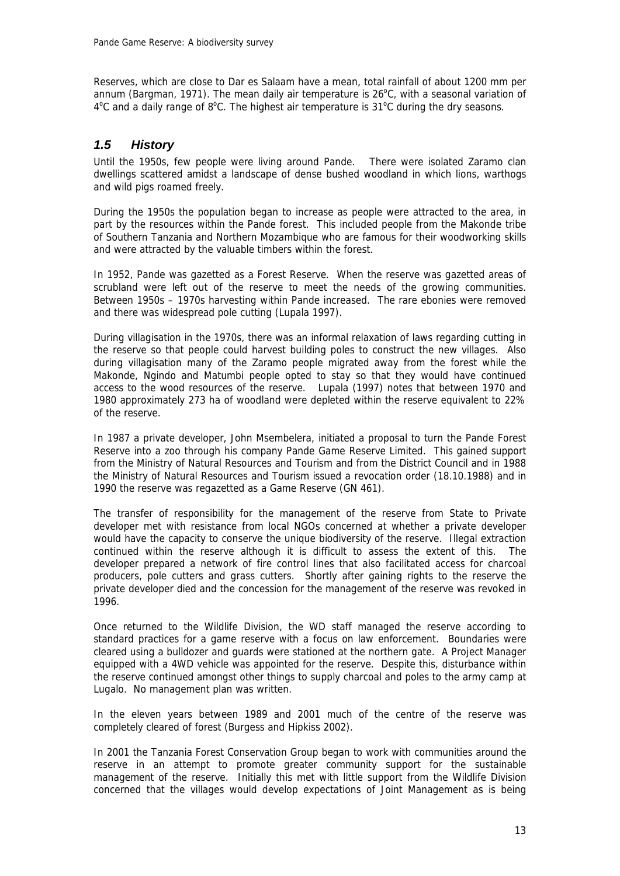Reserves, which are close to Dar es Salaam have a mean, total rainfall of about 1200 mm per annum (Bargman, 1971). The mean daily air temperature is  $26^{\circ}$ C, with a seasonal variation of  $4^{\circ}$ C and a daily range of  $8^{\circ}$ C. The highest air temperature is 31 $^{\circ}$ C during the dry seasons.

## *1.5 History*

Until the 1950s, few people were living around Pande. There were isolated Zaramo clan dwellings scattered amidst a landscape of dense bushed woodland in which lions, warthogs and wild pigs roamed freely.

During the 1950s the population began to increase as people were attracted to the area, in part by the resources within the Pande forest. This included people from the Makonde tribe of Southern Tanzania and Northern Mozambique who are famous for their woodworking skills and were attracted by the valuable timbers within the forest.

In 1952, Pande was gazetted as a Forest Reserve. When the reserve was gazetted areas of scrubland were left out of the reserve to meet the needs of the growing communities. Between 1950s – 1970s harvesting within Pande increased. The rare ebonies were removed and there was widespread pole cutting (Lupala 1997).

During villagisation in the 1970s, there was an informal relaxation of laws regarding cutting in the reserve so that people could harvest building poles to construct the new villages. Also during villagisation many of the Zaramo people migrated away from the forest while the Makonde, Ngindo and Matumbi people opted to stay so that they would have continued access to the wood resources of the reserve. Lupala (1997) notes that between 1970 and 1980 approximately 273 ha of woodland were depleted within the reserve equivalent to 22% of the reserve.

In 1987 a private developer, John Msembelera, initiated a proposal to turn the Pande Forest Reserve into a zoo through his company Pande Game Reserve Limited. This gained support from the Ministry of Natural Resources and Tourism and from the District Council and in 1988 the Ministry of Natural Resources and Tourism issued a revocation order (18.10.1988) and in 1990 the reserve was regazetted as a Game Reserve (GN 461).

The transfer of responsibility for the management of the reserve from State to Private developer met with resistance from local NGOs concerned at whether a private developer would have the capacity to conserve the unique biodiversity of the reserve. Illegal extraction continued within the reserve although it is difficult to assess the extent of this. The developer prepared a network of fire control lines that also facilitated access for charcoal producers, pole cutters and grass cutters. Shortly after gaining rights to the reserve the private developer died and the concession for the management of the reserve was revoked in 1996.

Once returned to the Wildlife Division, the WD staff managed the reserve according to standard practices for a game reserve with a focus on law enforcement. Boundaries were cleared using a bulldozer and guards were stationed at the northern gate. A Project Manager equipped with a 4WD vehicle was appointed for the reserve. Despite this, disturbance within the reserve continued amongst other things to supply charcoal and poles to the army camp at Lugalo. No management plan was written.

In the eleven years between 1989 and 2001 much of the centre of the reserve was completely cleared of forest (Burgess and Hipkiss 2002).

In 2001 the Tanzania Forest Conservation Group began to work with communities around the reserve in an attempt to promote greater community support for the sustainable management of the reserve. Initially this met with little support from the Wildlife Division concerned that the villages would develop expectations of Joint Management as is being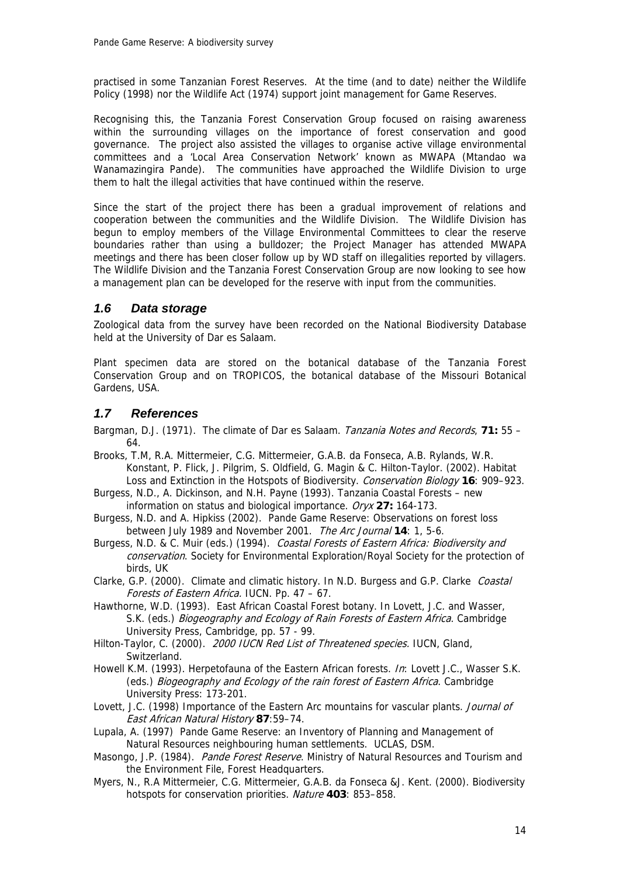practised in some Tanzanian Forest Reserves. At the time (and to date) neither the Wildlife Policy (1998) nor the Wildlife Act (1974) support joint management for Game Reserves.

Recognising this, the Tanzania Forest Conservation Group focused on raising awareness within the surrounding villages on the importance of forest conservation and good governance. The project also assisted the villages to organise active village environmental committees and a 'Local Area Conservation Network' known as MWAPA (Mtandao wa Wanamazingira Pande). The communities have approached the Wildlife Division to urge them to halt the illegal activities that have continued within the reserve.

Since the start of the project there has been a gradual improvement of relations and cooperation between the communities and the Wildlife Division. The Wildlife Division has begun to employ members of the Village Environmental Committees to clear the reserve boundaries rather than using a bulldozer; the Project Manager has attended MWAPA meetings and there has been closer follow up by WD staff on illegalities reported by villagers. The Wildlife Division and the Tanzania Forest Conservation Group are now looking to see how a management plan can be developed for the reserve with input from the communities.

## *1.6 Data storage*

Zoological data from the survey have been recorded on the National Biodiversity Database held at the University of Dar es Salaam.

Plant specimen data are stored on the botanical database of the Tanzania Forest Conservation Group and on TROPICOS, the botanical database of the Missouri Botanical Gardens, USA.

### *1.7 References*

Bargman, D.J. (1971). The climate of Dar es Salaam. Tanzania Notes and Records, **71:** 55 – 64.

- Brooks, T.M, R.A. Mittermeier, C.G. Mittermeier, G.A.B. da Fonseca, A.B. Rylands, W.R. Konstant, P. Flick, J. Pilgrim, S. Oldfield, G. Magin & C. Hilton-Taylor. (2002). Habitat Loss and Extinction in the Hotspots of Biodiversity. Conservation Biology **16**: 909–923.
- Burgess, N.D., A. Dickinson, and N.H. Payne (1993). Tanzania Coastal Forests new information on status and biological importance. Oryx **27:** 164-173.
- Burgess, N.D. and A. Hipkiss (2002). Pande Game Reserve: Observations on forest loss between July 1989 and November 2001. The Arc Journal **14**: 1, 5-6.
- Burgess, N.D. & C. Muir (eds.) (1994). Coastal Forests of Eastern Africa: Biodiversity and conservation. Society for Environmental Exploration/Royal Society for the protection of birds, UK
- Clarke, G.P. (2000). Climate and climatic history. In N.D. Burgess and G.P. Clarke *Coastal* Forests of Eastern Africa. IUCN. Pp. 47 – 67.
- Hawthorne, W.D. (1993). East African Coastal Forest botany. In Lovett, J.C. and Wasser, S.K. (eds.) Biogeography and Ecology of Rain Forests of Eastern Africa. Cambridge University Press, Cambridge, pp. 57 - 99.
- Hilton-Taylor, C. (2000). 2000 IUCN Red List of Threatened species. IUCN, Gland, Switzerland.
- Howell K.M. (1993). Herpetofauna of the Eastern African forests. In: Lovett J.C., Wasser S.K. (eds.) Biogeography and Ecology of the rain forest of Eastern Africa. Cambridge University Press: 173-201.
- Lovett, J.C. (1998) Importance of the Eastern Arc mountains for vascular plants. Journal of East African Natural History **87**:59–74.
- Lupala, A. (1997) Pande Game Reserve: an Inventory of Planning and Management of Natural Resources neighbouring human settlements. UCLAS, DSM.
- Masongo, J.P. (1984). Pande Forest Reserve. Ministry of Natural Resources and Tourism and the Environment File, Forest Headquarters.
- Myers, N., R.A Mittermeier, C.G. Mittermeier, G.A.B. da Fonseca &J. Kent. (2000). Biodiversity hotspots for conservation priorities. Nature **403**: 853–858.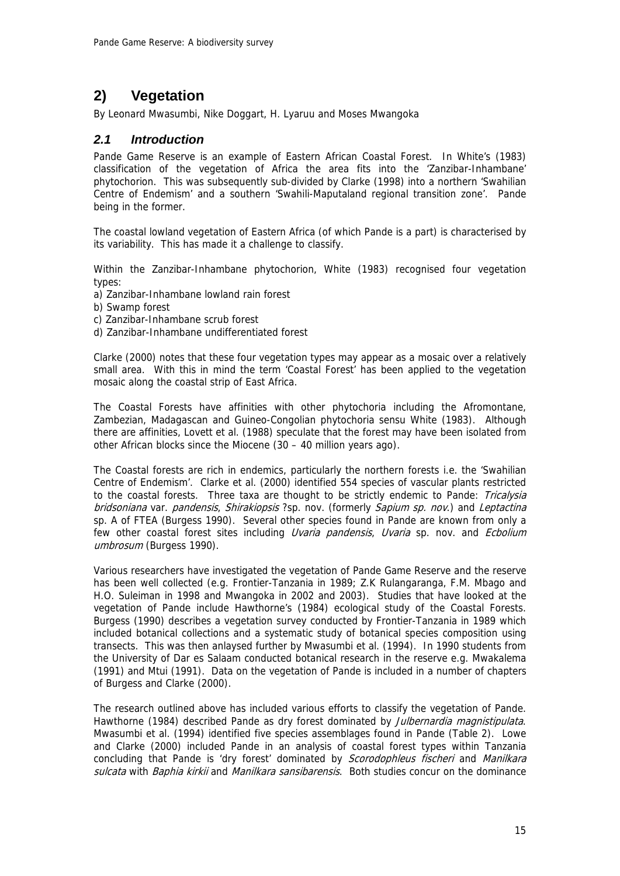## **2) Vegetation**

By Leonard Mwasumbi, Nike Doggart, H. Lyaruu and Moses Mwangoka

## *2.1 Introduction*

Pande Game Reserve is an example of Eastern African Coastal Forest. In White's (1983) classification of the vegetation of Africa the area fits into the 'Zanzibar-Inhambane' phytochorion. This was subsequently sub-divided by Clarke (1998) into a northern 'Swahilian Centre of Endemism' and a southern 'Swahili-Maputaland regional transition zone'. Pande being in the former.

The coastal lowland vegetation of Eastern Africa (of which Pande is a part) is characterised by its variability. This has made it a challenge to classify.

Within the Zanzibar-Inhambane phytochorion, White (1983) recognised four vegetation types:

- a) Zanzibar-Inhambane lowland rain forest
- b) Swamp forest
- c) Zanzibar-Inhambane scrub forest
- d) Zanzibar-Inhambane undifferentiated forest

Clarke (2000) notes that these four vegetation types may appear as a mosaic over a relatively small area. With this in mind the term 'Coastal Forest' has been applied to the vegetation mosaic along the coastal strip of East Africa.

The Coastal Forests have affinities with other phytochoria including the Afromontane, Zambezian, Madagascan and Guineo-Congolian phytochoria sensu White (1983). Although there are affinities, Lovett et al. (1988) speculate that the forest may have been isolated from other African blocks since the Miocene (30 – 40 million years ago).

The Coastal forests are rich in endemics, particularly the northern forests i.e. the 'Swahilian Centre of Endemism'. Clarke et al. (2000) identified 554 species of vascular plants restricted to the coastal forests. Three taxa are thought to be strictly endemic to Pande: Tricalysia bridsoniana var. pandensis, Shirakiopsis ?sp. nov. (formerly Sapium sp. nov.) and Leptactina sp. A of FTEA (Burgess 1990). Several other species found in Pande are known from only a few other coastal forest sites including *Uvaria pandensis, Uvaria* sp. nov. and *Ecbolium* umbrosum (Burgess 1990).

Various researchers have investigated the vegetation of Pande Game Reserve and the reserve has been well collected (e.g. Frontier-Tanzania in 1989; Z.K Rulangaranga, F.M. Mbago and H.O. Suleiman in 1998 and Mwangoka in 2002 and 2003). Studies that have looked at the vegetation of Pande include Hawthorne's (1984) ecological study of the Coastal Forests. Burgess (1990) describes a vegetation survey conducted by Frontier-Tanzania in 1989 which included botanical collections and a systematic study of botanical species composition using transects. This was then anlaysed further by Mwasumbi et al. (1994). In 1990 students from the University of Dar es Salaam conducted botanical research in the reserve e.g. Mwakalema (1991) and Mtui (1991). Data on the vegetation of Pande is included in a number of chapters of Burgess and Clarke (2000).

The research outlined above has included various efforts to classify the vegetation of Pande. Hawthorne (1984) described Pande as dry forest dominated by *Julbernardia magnistipulata*. Mwasumbi et al. (1994) identified five species assemblages found in Pande (Table 2). Lowe and Clarke (2000) included Pande in an analysis of coastal forest types within Tanzania concluding that Pande is 'dry forest' dominated by *Scorodophleus fischeri* and Manilkara sulcata with Baphia kirkii and Manilkara sansibarensis. Both studies concur on the dominance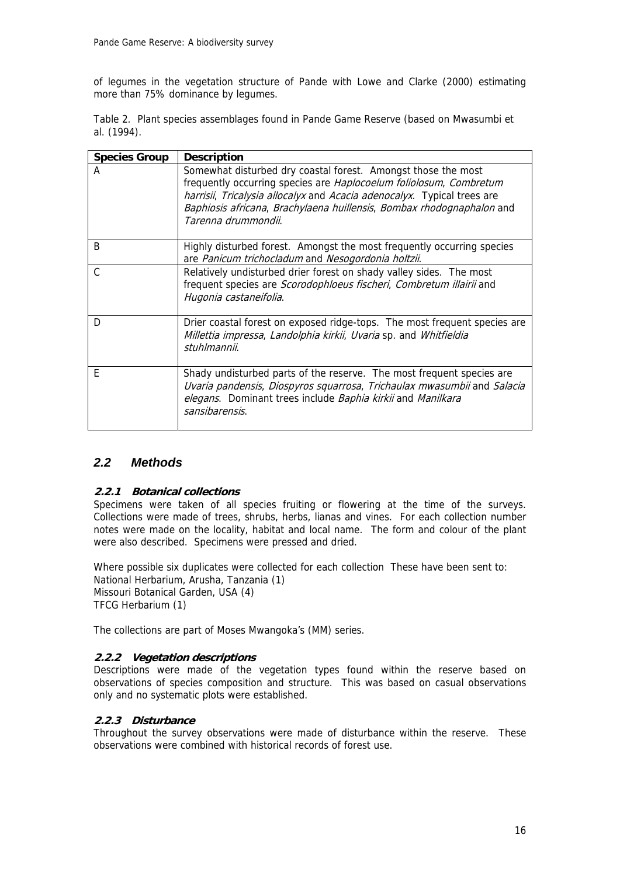of legumes in the vegetation structure of Pande with Lowe and Clarke (2000) estimating more than 75% dominance by legumes.

Table 2. Plant species assemblages found in Pande Game Reserve (based on Mwasumbi et al. (1994).

| <b>Species Group</b> | <b>Description</b>                                                                                                                                                                                                                                                                                             |
|----------------------|----------------------------------------------------------------------------------------------------------------------------------------------------------------------------------------------------------------------------------------------------------------------------------------------------------------|
| А                    | Somewhat disturbed dry coastal forest. Amongst those the most<br>frequently occurring species are Haplocoelum foliolosum, Combretum<br>harrisii, Tricalysia allocalyx and Acacia adenocalyx. Typical trees are<br>Baphiosis africana, Brachylaena huillensis, Bombax rhodognaphalon and<br>Tarenna drummondii. |
| B                    | Highly disturbed forest. Amongst the most frequently occurring species<br>are Panicum trichocladum and Nesogordonia holtzii.                                                                                                                                                                                   |
| C                    | Relatively undisturbed drier forest on shady valley sides. The most<br>frequent species are Scorodophloeus fischeri, Combretum illairii and<br>Hugonia castaneifolia.                                                                                                                                          |
| D                    | Drier coastal forest on exposed ridge-tops. The most frequent species are<br>Millettia impressa, Landolphia kirkii, Uvaria sp. and Whitfieldia<br>stuhlmannii.                                                                                                                                                 |
| F                    | Shady undisturbed parts of the reserve. The most frequent species are<br>Uvaria pandensis, Diospyros squarrosa, Trichaulax mwasumbii and Salacia<br>elegans. Dominant trees include Baphia kirkii and Manilkara<br>sansibarensis.                                                                              |

## *2.2 Methods*

#### **2.2.1 Botanical collections**

Specimens were taken of all species fruiting or flowering at the time of the surveys. Collections were made of trees, shrubs, herbs, lianas and vines. For each collection number notes were made on the locality, habitat and local name. The form and colour of the plant were also described. Specimens were pressed and dried.

Where possible six duplicates were collected for each collection These have been sent to: National Herbarium, Arusha, Tanzania (1) Missouri Botanical Garden, USA (4) TFCG Herbarium (1)

The collections are part of Moses Mwangoka's (MM) series.

#### **2.2.2 Vegetation descriptions**

Descriptions were made of the vegetation types found within the reserve based on observations of species composition and structure. This was based on casual observations only and no systematic plots were established.

#### **2.2.3 Disturbance**

Throughout the survey observations were made of disturbance within the reserve. These observations were combined with historical records of forest use.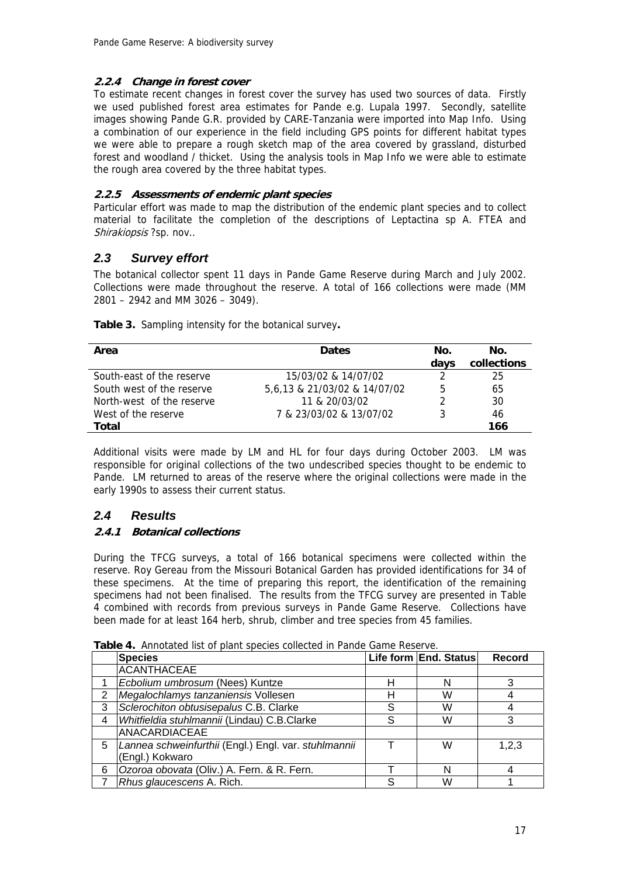#### **2.2.4 Change in forest cover**

To estimate recent changes in forest cover the survey has used two sources of data. Firstly we used published forest area estimates for Pande e.g. Lupala 1997. Secondly, satellite images showing Pande G.R. provided by CARE-Tanzania were imported into Map Info. Using a combination of our experience in the field including GPS points for different habitat types we were able to prepare a rough sketch map of the area covered by grassland, disturbed forest and woodland / thicket. Using the analysis tools in Map Info we were able to estimate the rough area covered by the three habitat types.

#### **2.2.5 Assessments of endemic plant species**

Particular effort was made to map the distribution of the endemic plant species and to collect material to facilitate the completion of the descriptions of Leptactina sp A. FTEA and Shirakiopsis ?sp. nov..

## *2.3 Survey effort*

The botanical collector spent 11 days in Pande Game Reserve during March and July 2002. Collections were made throughout the reserve. A total of 166 collections were made (MM 2801 – 2942 and MM 3026 – 3049).

| Area                      | <b>Dates</b>                 | No.  | No.         |
|---------------------------|------------------------------|------|-------------|
|                           |                              | davs | collections |
| South-east of the reserve | 15/03/02 & 14/07/02          |      | 25          |
| South west of the reserve | 5,6,13 & 21/03/02 & 14/07/02 | 5    | 65          |
| North-west of the reserve | 11 & 20/03/02                |      | 30          |
| West of the reserve       | 7 & 23/03/02 & 13/07/02      |      | 46          |
| Total                     |                              |      | 166         |

**Table 3.** Sampling intensity for the botanical survey**.** 

Additional visits were made by LM and HL for four days during October 2003. LM was responsible for original collections of the two undescribed species thought to be endemic to Pande. LM returned to areas of the reserve where the original collections were made in the early 1990s to assess their current status.

## *2.4 Results*

#### **2.4.1 Botanical collections**

During the TFCG surveys, a total of 166 botanical specimens were collected within the reserve. Roy Gereau from the Missouri Botanical Garden has provided identifications for 34 of these specimens. At the time of preparing this report, the identification of the remaining specimens had not been finalised. The results from the TFCG survey are presented in Table 4 combined with records from previous surveys in Pande Game Reserve. Collections have been made for at least 164 herb, shrub, climber and tree species from 45 families.

|   | <b>FORIC</b> 4. THIRDIGLOG IST OF MOTIL SPOCIOS COILCOLOG IFFICITION COMPICTIVOSCHIOT |   |                       |               |
|---|---------------------------------------------------------------------------------------|---|-----------------------|---------------|
|   | <b>Species</b>                                                                        |   | Life form End. Status | <b>Record</b> |
|   | ACANTHACEAE                                                                           |   |                       |               |
|   | Ecbolium umbrosum (Nees) Kuntze                                                       |   | N                     |               |
| 2 | Megalochlamys tanzaniensis Vollesen                                                   |   | W                     |               |
| 3 | Sclerochiton obtusisepalus C.B. Clarke                                                |   | W                     |               |
| 4 | Whitfieldia stuhlmannii (Lindau) C.B.Clarke                                           | ς | W                     |               |
|   | ANACARDIACEAE                                                                         |   |                       |               |
| 5 | Lannea schweinfurthii (Engl.) Engl. var. stuhlmannii                                  |   | W                     | 1,2,3         |
|   | (Engl.) Kokwaro                                                                       |   |                       |               |
| 6 | Ozoroa obovata (Oliv.) A. Fern. & R. Fern.                                            |   | N                     |               |
|   | Rhus glaucescens A. Rich.                                                             | c | W                     |               |

**Table 4.** Annotated list of plant species collected in Pande Game Reserve.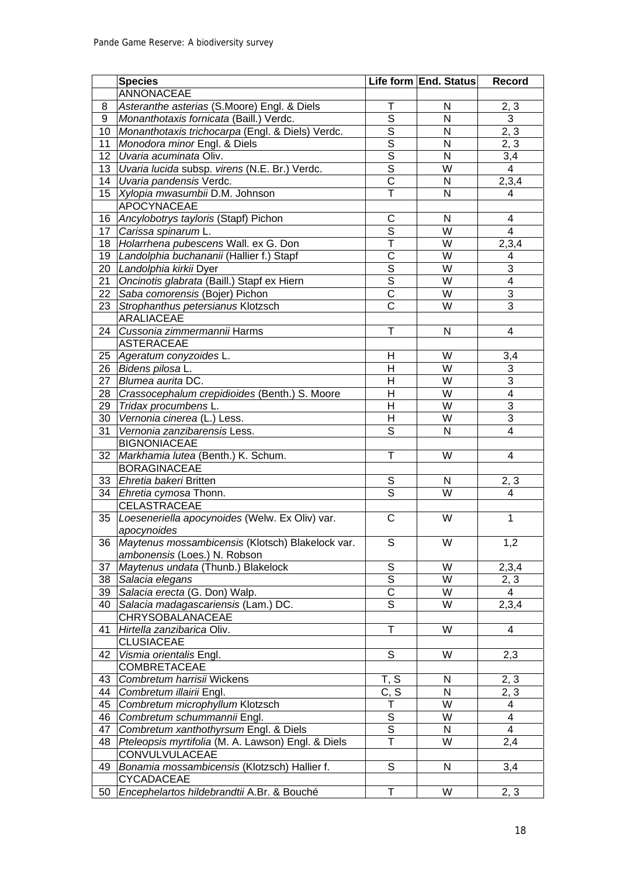|                 | <b>Species</b>                                     |                                        | Life form End. Status   | <b>Record</b>           |
|-----------------|----------------------------------------------------|----------------------------------------|-------------------------|-------------------------|
|                 | ANNONACEAE                                         |                                        |                         |                         |
| 8               | Asteranthe asterias (S.Moore) Engl. & Diels        | T                                      | N                       | 2, 3                    |
| 9               | Monanthotaxis fornicata (Baill.) Verdc.            | $\overline{\mathsf{s}}$                | $\overline{\mathsf{N}}$ | $\overline{3}$          |
| 10              | Monanthotaxis trichocarpa (Engl. & Diels) Verdc.   | $\overline{\mathsf{s}}$                | N                       | 2, 3                    |
| 11              | Monodora minor Engl. & Diels                       | $\overline{\mathsf{s}}$                | N                       | 2, 3                    |
| 12              | Uvaria acuminata Oliv.                             | $\overline{\mathsf{s}}$                | N                       |                         |
| 13              | Uvaria lucida subsp. virens (N.E. Br.) Verdc.      | $\overline{s}$                         | $\overline{\mathsf{W}}$ | $\frac{3,4}{4}$         |
|                 | 14 Uvaria pandensis Verdc.                         | $\overline{\text{c}}$                  | N                       | 2,3,4                   |
| 15 <sub>1</sub> | Xylopia mwasumbii D.M. Johnson                     | T                                      | N                       | 4                       |
|                 | <b>APOCYNACEAE</b>                                 |                                        |                         |                         |
| 16              | Ancylobotrys tayloris (Stapf) Pichon               | $\overline{C}$                         | N                       | 4                       |
|                 | 17 Carissa spinarum L.                             | $\overline{\mathsf{s}}$                | $\overline{\mathsf{W}}$ | $\overline{4}$          |
| 18              | Holarrhena pubescens Wall. ex G. Don               | $\overline{\mathsf{T}}$                | $\overline{\mathsf{W}}$ | 2,3,4                   |
| 19              | Landolphia buchananii (Hallier f.) Stapf           | $\overline{\text{c}}$                  | $\overline{\mathsf{W}}$ | $\overline{\mathbf{4}}$ |
|                 | 20 Landolphia kirkii Dyer                          | $\overline{\mathsf{s}}$                | $\overline{W}$          | $\overline{3}$          |
| 21              | Oncinotis glabrata (Baill.) Stapf ex Hiern         | $\overline{\mathsf{s}}$                | $\overline{W}$          | $\overline{4}$          |
| 22              | Saba comorensis (Bojer) Pichon                     | $\overline{\text{c}}$                  | $\overline{W}$          | $\overline{3}$          |
| 23              | Strophanthus petersianus Klotzsch                  | $\overline{\text{C}}$                  | $\overline{W}$          | $\overline{3}$          |
|                 | ARALIACEAE                                         |                                        |                         |                         |
| 24              | Cussonia zimmermannii Harms                        | T                                      | N                       | $\overline{\mathbf{4}}$ |
|                 | <b>ASTERACEAE</b>                                  |                                        |                         |                         |
|                 | 25 Ageratum conyzoides L.                          | Η                                      | W                       | 3,4                     |
|                 | 26 Bidens pilosa L.                                | $\overline{\mathsf{H}}$                | $\overline{\mathsf{W}}$ | $\overline{3}$          |
| 27              | Blumea aurita DC.                                  | $\overline{\mathsf{H}}$                | $\overline{\mathsf{W}}$ | $\overline{3}$          |
|                 | 28   Crassocephalum crepidioides (Benth.) S. Moore | $\overline{H}$                         | $\overline{\mathsf{W}}$ | $\overline{4}$          |
|                 | 29 Tridax procumbens L.                            | $\overline{\mathsf{H}}$                | $\overline{\mathsf{W}}$ | $\overline{3}$          |
|                 | 30 Vernonia cinerea (L.) Less.                     | $\overline{H}$                         | $\overline{\mathsf{W}}$ | $\overline{3}$          |
| 31              | Vernonia zanzibarensis Less.                       | $\overline{\mathsf{s}}$                | $\overline{\mathsf{N}}$ | $\overline{4}$          |
|                 | <b>BIGNONIACEAE</b>                                |                                        |                         |                         |
| 32              | Markhamia lutea (Benth.) K. Schum.                 | Ŧ                                      | W                       | $\overline{\mathbf{4}}$ |
|                 | <b>BORAGINACEAE</b>                                |                                        |                         |                         |
| 33              | Ehretia bakeri Britten                             | $\overline{s}$                         | N                       |                         |
| 34              | Ehretia cymosa Thonn.                              | $\overline{\mathsf{s}}$                | $\overline{\mathsf{W}}$ | 2, 3<br>$\overline{4}$  |
|                 | <b>CELASTRACEAE</b>                                |                                        |                         |                         |
| 35              | Loeseneriella apocynoides (Welw. Ex Oliv) var.     | $\overline{C}$                         | W                       | $\mathbf{1}$            |
|                 | apocynoides                                        |                                        |                         |                         |
| $\overline{36}$ | Maytenus mossambicensis (Klotsch) Blakelock var.   | $\overline{s}$                         | $\overline{\mathsf{W}}$ | 1,2                     |
|                 | ambonensis (Loes.) N. Robson                       |                                        |                         |                         |
| 37              | Maytenus undata (Thunb.) Blakelock                 | $\mathsf S$                            | W                       | 2,3,4                   |
| 38              | Salacia elegans                                    | $\overline{S}$                         | W                       | 2, 3                    |
| 39              | Salacia erecta (G. Don) Walp.                      | $\overline{\text{C}}$                  | W                       | $\overline{4}$          |
| 40              | Salacia madagascariensis (Lam.) DC.                | $\overline{s}$                         | W                       | 2,3,4                   |
|                 | CHRYSOBALANACEAE                                   |                                        |                         |                         |
| 41              | Hirtella zanzibarica Oliv.                         | T                                      | W                       | 4                       |
|                 | <b>CLUSIACEAE</b>                                  |                                        |                         |                         |
| 42              | Vismia orientalis Engl.                            | S                                      | W                       |                         |
|                 | <b>COMBRETACEAE</b>                                |                                        |                         | 2,3                     |
|                 |                                                    |                                        |                         |                         |
| 43              | Combretum harrisii Wickens                         | T, S                                   | N                       | 2, 3                    |
| 44              | Combretum illairii Engl.                           | C, S                                   | $\mathsf{N}$<br>W       | 2, 3                    |
| 45              | Combretum microphyllum Klotzsch                    | т                                      | W                       | 4                       |
| 46              | Combretum schummannii Engl.                        | $\mathsf S$<br>$\overline{\mathsf{s}}$ |                         | $\overline{4}$          |
| 47              | Combretum xanthothyrsum Engl. & Diels              | $\overline{\mathsf{T}}$                | $\mathsf{N}$<br>W       | $\overline{4}$          |
| 48              | Pteleopsis myrtifolia (M. A. Lawson) Engl. & Diels |                                        |                         | 2,4                     |
|                 | CONVULVULACEAE                                     |                                        |                         |                         |
| 49              | Bonamia mossambicensis (Klotzsch) Hallier f.       | S                                      | N                       | 3,4                     |
|                 | <b>CYCADACEAE</b>                                  |                                        |                         |                         |
| 50              | Encephelartos hildebrandtii A.Br. & Bouché         | $\mathsf T$                            | W                       | 2, 3                    |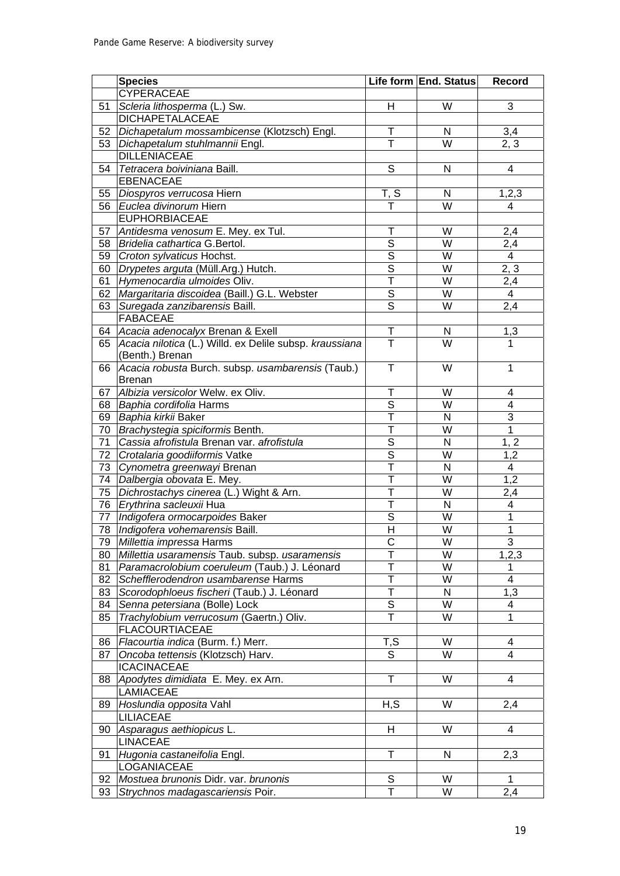|          | <b>Species</b>                                          |                         | Life form End. Status   | Record         |
|----------|---------------------------------------------------------|-------------------------|-------------------------|----------------|
|          | <b>CYPERACEAE</b>                                       |                         |                         |                |
| 51       | Scleria lithosperma (L.) Sw.                            | H                       | W                       | $\mathbf{3}$   |
|          | <b>DICHAPETALACEAE</b>                                  |                         |                         |                |
| 52       | Dichapetalum mossambicense (Klotzsch) Engl.             | T                       | N                       | 3,4            |
| 53       | Dichapetalum stuhlmannii Engl.                          | $\overline{\mathsf{T}}$ | $\overline{\mathsf{W}}$ | 2, 3           |
|          | <b>DILLENIACEAE</b>                                     |                         |                         |                |
| 54       | Tetracera boiviniana Baill.                             | $\overline{s}$          | N                       | $\overline{4}$ |
|          | <b>EBENACEAE</b>                                        |                         |                         |                |
| 55       | Diospyros verrucosa Hiern                               | T, S                    | N                       | 1, 2, 3        |
| 56       | Euclea divinorum Hiern                                  |                         | $\overline{\mathsf{W}}$ | $\overline{4}$ |
|          | <b>EUPHORBIACEAE</b>                                    |                         |                         |                |
|          | 57 Antidesma venosum E. Mey. ex Tul.                    | T                       | W                       | 2,4            |
|          | 58 Bridelia cathartica G. Bertol.                       | $\overline{\mathsf{s}}$ | $\overline{\mathsf{W}}$ | 2,4            |
|          | 59 Croton sylvaticus Hochst.                            | $\overline{\mathsf{s}}$ | $\overline{\mathsf{W}}$ | $\overline{4}$ |
|          | 60   Drypetes arguta (Müll.Arg.) Hutch.                 | $\overline{s}$          | $\overline{\mathsf{W}}$ | 2, 3           |
| 61       | Hymenocardia ulmoides Oliv.                             | $\overline{\mathsf{T}}$ | $\overline{\mathsf{W}}$ | 2,4            |
| 62       | Margaritaria discoidea (Baill.) G.L. Webster            | $\overline{\mathsf{s}}$ | $\overline{\mathsf{W}}$ | $\overline{4}$ |
| 63       | Suregada zanzibarensis Baill.                           | $\overline{\mathsf{s}}$ | $\overline{\mathsf{W}}$ | 2,4            |
|          | <b>FABACEAE</b>                                         |                         |                         |                |
| 64       | Acacia adenocalyx Brenan & Exell                        | $\overline{\mathsf{T}}$ | ${\sf N}$               | 1,3            |
| 65       | Acacia nilotica (L.) Willd. ex Delile subsp. kraussiana | $\overline{\top}$       | $\overline{\mathsf{W}}$ | 1              |
|          | (Benth.) Brenan                                         |                         |                         |                |
| 66       | Acacia robusta Burch. subsp. usambarensis (Taub.)       | $\mathsf{T}$            | W                       | $\mathbf{1}$   |
|          | <b>Brenan</b>                                           |                         |                         |                |
| 67       | Albizia versicolor Welw. ex Oliv.                       | T                       | W                       | 4              |
|          | 68 Baphia cordifolia Harms                              | S                       | W                       | $\overline{4}$ |
| 69       | Baphia kirkii Baker                                     | T                       | N                       | 3              |
| 70       | Brachystegia spiciformis Benth.                         | $\mathsf{T}$            | W                       | $\mathbf{1}$   |
| 71       | Cassia afrofistula Brenan var. afrofistula              | S                       | N                       | 1, 2           |
| 72       | Crotalaria goodiiformis Vatke                           | $\overline{s}$          | W                       | 1,2            |
| 73       | Cynometra greenwayi Brenan                              | T                       | N                       | $\overline{4}$ |
|          | 74 Dalbergia obovata E. Mey.                            | $\mathsf{T}$            | W                       | 1,2            |
|          | 75   Dichrostachys cinerea (L.) Wight & Arn.            | T                       | W                       | 2,4            |
|          | 76 Erythrina sacleuxii Hua                              | T                       | N                       | $\overline{4}$ |
|          | 77   Indigofera ormocarpoides Baker                     | S                       | W                       | $\mathbf{1}$   |
|          | 78   Indigofera vohemarensis Baill.                     | $\overline{H}$          | W                       | $\mathbf{1}$   |
|          | 79 Millettia impressa Harms                             | $\overline{C}$          | $\overline{\mathsf{W}}$ | $\mathbf{3}$   |
| 80       | Millettia usaramensis Taub. subsp. usaramensis          | т                       | W                       | 1,2,3          |
| 81       | Paramacrolobium coeruleum (Taub.) J. Léonard            | T                       | W                       | 1              |
| 82       | Schefflerodendron usambarense Harms                     | T                       | W                       | $\overline{4}$ |
| 83       | Scorodophloeus fischeri (Taub.) J. Léonard              | T                       | N                       | 1,3            |
| 84       | Senna petersiana (Bolle) Lock                           | S                       | W                       | 4              |
| 85       | Trachylobium verrucosum (Gaertn.) Oliv.                 | T                       | W                       | $\mathbf{1}$   |
|          | <b>FLACOURTIACEAE</b>                                   |                         |                         |                |
| 86       | Flacourtia indica (Burm. f.) Merr.                      | T, S                    | W                       | 4              |
| 87       | Oncoba tettensis (Klotzsch) Harv.                       | S                       | W                       | $\overline{4}$ |
|          | <b>ICACINACEAE</b>                                      |                         |                         |                |
| 88       | Apodytes dimidiata E. Mey. ex Arn.                      | $\mathsf{T}$            | W                       | 4              |
|          | LAMIACEAE                                               |                         |                         |                |
| 89       | Hoslundia opposita Vahl                                 | H, S                    | W                       | 2,4            |
|          | <b>LILIACEAE</b>                                        |                         |                         |                |
| 90       | Asparagus aethiopicus L.                                | H                       | W                       | 4              |
|          | <b>LINACEAE</b>                                         | T                       |                         |                |
| 91       | Hugonia castaneifolia Engl.                             |                         | N                       | 2,3            |
|          | LOGANIACEAE<br>Mostuea brunonis Didr. var. brunonis     | S                       | W                       | $\mathbf{1}$   |
| 92<br>93 |                                                         | T                       | W                       |                |
|          | Strychnos madagascariensis Poir.                        |                         |                         | 2,4            |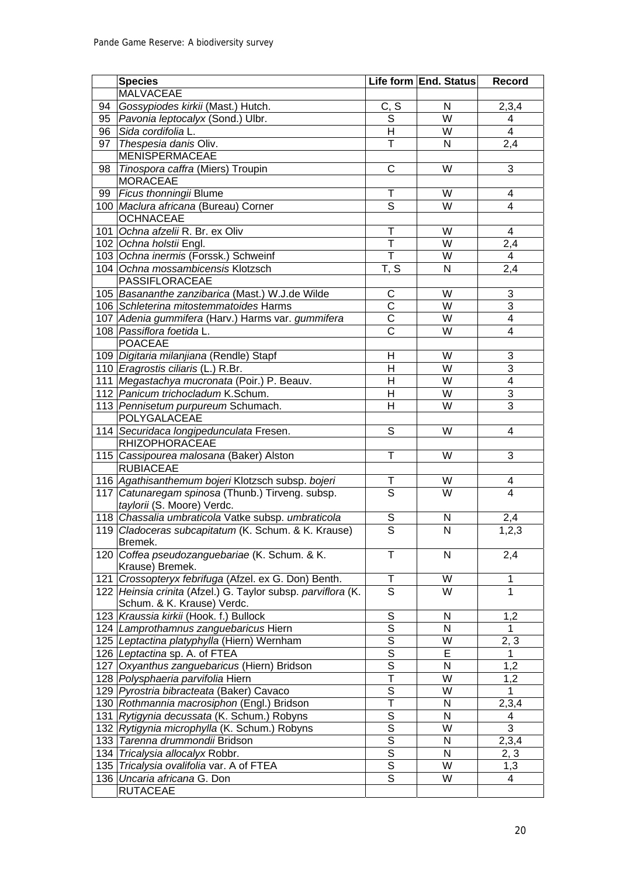|    | <b>Species</b>                                               |                         | Life form End. Status   | Record                  |
|----|--------------------------------------------------------------|-------------------------|-------------------------|-------------------------|
|    | <b>MALVACEAE</b>                                             |                         |                         |                         |
| 94 | Gossypiodes kirkii (Mast.) Hutch.                            | <u>C, S</u>             | N                       | 2,3,4                   |
|    | 95   Pavonia leptocalyx (Sond.) Ulbr.                        | $\overline{\mathsf{s}}$ | $\overline{W}$          | $\overline{4}$          |
|    | 96 Sida cordifolia L.                                        | $\overline{\mathsf{H}}$ | $\overline{\mathsf{W}}$ | $\overline{4}$          |
| 97 | Thespesia danis Oliv.                                        | Ŧ                       | $\overline{\mathsf{N}}$ | 2,4                     |
|    | <b>MENISPERMACEAE</b>                                        |                         |                         |                         |
| 98 | Tinospora caffra (Miers) Troupin                             | $\overline{\text{c}}$   | W                       | $\overline{3}$          |
|    | <b>MORACEAE</b>                                              |                         |                         |                         |
| 99 | Ficus thonningii Blume                                       | T                       | W                       | $\overline{4}$          |
|    | 100 Maclura africana (Bureau) Corner                         | $\overline{\mathsf{s}}$ | $\overline{\mathsf{W}}$ | $\overline{4}$          |
|    | <b>OCHNACEAE</b>                                             |                         |                         |                         |
|    | 101 Ochna afzelii R. Br. ex Oliv                             | T                       | W                       | $\overline{4}$          |
|    | 102 Ochna holstii Engl.                                      | Ŧ                       | $\overline{\mathsf{W}}$ | 2,4                     |
|    | 103 Ochna inermis (Forssk.) Schweinf                         | $\overline{\mathsf{T}}$ | W                       | $\overline{4}$          |
|    | 104 Ochna mossambicensis Klotzsch                            | T, S                    | $\overline{\mathsf{N}}$ | 2,4                     |
|    | <b>PASSIFLORACEAE</b>                                        |                         |                         |                         |
|    | 105 Basananthe zanzibarica (Mast.) W.J.de Wilde              | $\overline{C}$          | W                       | $\overline{3}$          |
|    | 106 Schleterina mitostemmatoides Harms                       | $\overline{\text{c}}$   | $\overline{\mathsf{W}}$ | $\overline{3}$          |
|    | 107 Adenia gummifera (Harv.) Harms var. gummifera            | $\overline{\text{c}}$   | $\overline{\mathsf{W}}$ | $\overline{4}$          |
|    | 108 Passiflora foetida L.                                    | $\overline{\text{c}}$   | $\overline{\mathsf{W}}$ | $\overline{4}$          |
|    | <b>POACEAE</b>                                               |                         |                         |                         |
|    | 109 Digitaria milanjiana (Rendle) Stapf                      | H                       | W                       | $\overline{3}$          |
|    | 110 <i>Eragrostis ciliaris</i> (L.) R.Br.                    | $\overline{\mathsf{H}}$ | $\overline{\mathsf{W}}$ | $\overline{3}$          |
|    | 111 Megastachya mucronata (Poir.) P. Beauv.                  | $\overline{\mathsf{H}}$ | $\overline{\mathsf{W}}$ | $\overline{4}$          |
|    | 112 Panicum trichocladum K.Schum.                            | $\overline{H}$          | $\overline{\mathsf{W}}$ | $\overline{3}$          |
|    | 113 Pennisetum purpureum Schumach.                           | $\overline{\mathsf{H}}$ | $\overline{\mathsf{W}}$ | $\overline{3}$          |
|    | POLYGALACEAE                                                 |                         |                         |                         |
|    | 114   Securidaca longipedunculata Fresen.                    | $\overline{s}$          | $\overline{\mathsf{W}}$ | $\overline{4}$          |
|    | <b>RHIZOPHORACEAE</b>                                        |                         |                         |                         |
|    | 115   Cassipourea malosana (Baker) Alston                    | Ŧ                       | W                       | $\overline{3}$          |
|    | <b>RUBIACEAE</b>                                             |                         |                         |                         |
|    | 116 Agathisanthemum bojeri Klotzsch subsp. bojeri            | T                       | W                       | $\overline{\mathbf{4}}$ |
|    | 117 Catunaregam spinosa (Thunb.) Tirveng. subsp.             | $\overline{\mathsf{s}}$ | $\overline{\mathsf{W}}$ | $\overline{4}$          |
|    | taylorii (S. Moore) Verdc.                                   |                         |                         |                         |
|    | 118 Chassalia umbraticola Vatke subsp. umbraticola           |                         | N                       | 2,4                     |
|    | 119   Cladoceras subcapitatum (K. Schum. & K. Krause)        | $rac{S}{S}$             | $\overline{N}$          | 1,2,3                   |
|    | Bremek.                                                      |                         |                         |                         |
|    | 120 Coffea pseudozanguebariae (K. Schum. & K.                | Τ                       | N                       | 2,4                     |
|    | Krause) Bremek.                                              |                         |                         |                         |
|    | 121   Crossopteryx febrifuga (Afzel. ex G. Don) Benth.       | T                       | W                       | $\mathbf{1}$            |
|    | 122 Heinsia crinita (Afzel.) G. Taylor subsp. parviflora (K. | $\overline{\mathsf{s}}$ | $\overline{\mathsf{W}}$ | 1                       |
|    | Schum. & K. Krause) Verdc.                                   |                         |                         |                         |
|    | 123 Kraussia kirkii (Hook. f.) Bullock                       | S                       | N                       | 1,2                     |
|    | 124 Lamprothamnus zanguebaricus Hiern                        | $\overline{s}$          | N                       | 1                       |
|    | 125   Leptactina platyphylla (Hiern) Wernham                 | $\overline{s}$          | W                       | 2, 3                    |
|    | 126 Leptactina sp. A. of FTEA                                | $\overline{s}$          | Е                       | 1.                      |
|    | 127   Oxyanthus zanguebaricus (Hiern) Bridson                | $\overline{s}$          | $\mathsf{N}$            | 1,2                     |
|    | 128 <i>Polysphaeria parvifolia</i> Hiern                     | $\overline{\mathsf{T}}$ | W                       | 1,2                     |
|    | 129 Pyrostria bibracteata (Baker) Cavaco                     | $\overline{s}$          | W                       | 1                       |
|    | 130 Rothmannia macrosiphon (Engl.) Bridson                   | $\overline{\mathsf{T}}$ | $\mathsf{N}$            | 2,3,4                   |
|    | 131 Rytigynia decussata (K. Schum.) Robyns                   | $\overline{s}$          | $\mathsf{N}$            | 4                       |
|    | 132 Rytigynia microphylla (K. Schum.) Robyns                 | $\overline{s}$          | W                       | 3                       |
|    | 133 Tarenna drummondii Bridson                               | $\overline{s}$          | $\mathsf{N}$            | 2,3,4                   |
|    | 134 Tricalysia allocalyx Robbr.                              | $\overline{s}$          | $\mathsf{N}$            | 2, 3                    |
|    | 135 Tricalysia ovalifolia var. A of FTEA                     | $\overline{s}$          | W                       | 1,3                     |
|    | 136   Uncaria africana G. Don                                | S                       | W                       | 4                       |
|    | <b>RUTACEAE</b>                                              |                         |                         |                         |
|    |                                                              |                         |                         |                         |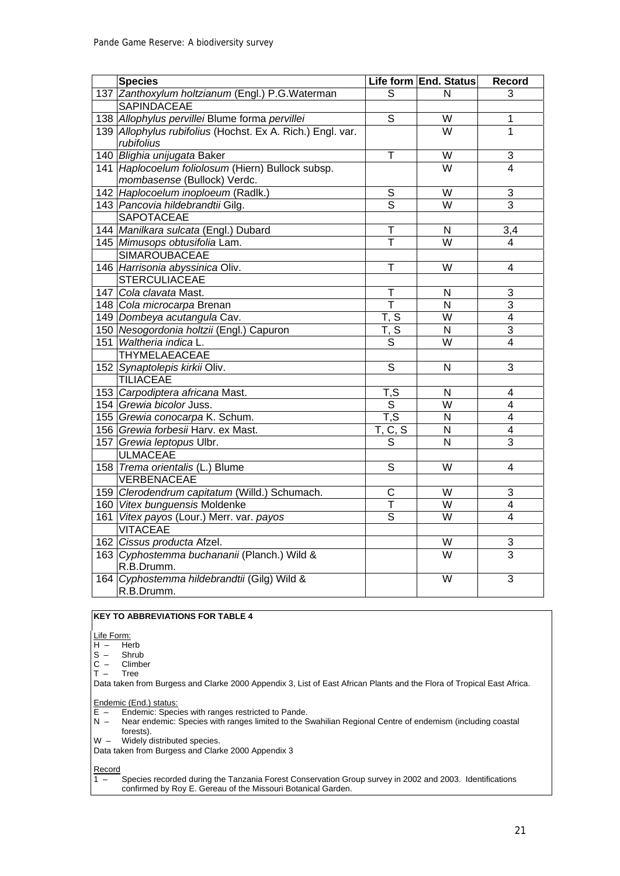| <b>Species</b>                                             |                                     | Life form End. Status   | Record                   |
|------------------------------------------------------------|-------------------------------------|-------------------------|--------------------------|
| 137 Zanthoxylum holtzianum (Engl.) P.G. Waterman           | S                                   | N                       | 3                        |
| <b>SAPINDACEAE</b>                                         |                                     |                         |                          |
| 138 Allophylus pervillei Blume forma pervillei             | $\overline{s}$                      | W                       | 1                        |
| 139 Allophylus rubifolius (Hochst. Ex A. Rich.) Engl. var. |                                     | $\overline{W}$          | $\mathbf{1}$             |
| rubifolius                                                 |                                     |                         |                          |
| 140 Blighia unijugata Baker                                | $\mathsf T$                         | W                       | $\sqrt{3}$               |
| 141 Haplocoelum foliolosum (Hiern) Bullock subsp.          |                                     | W                       | 4                        |
| mombasense (Bullock) Verdc.                                |                                     |                         |                          |
| 142 Haplocoelum inoploeum (Radlk.)                         | S                                   | $\overline{\mathsf{W}}$ | $\overline{3}$           |
| 143 Pancovia hildebrandtii Gilg.                           | $\overline{\mathsf{s}}$             | $\overline{W}$          | $\overline{3}$           |
| <b>SAPOTACEAE</b>                                          |                                     |                         |                          |
| 144 Manilkara sulcata (Engl.) Dubard                       | $\overline{\mathsf{T}}$             | N                       | 3,4                      |
| 145 Mimusops obtusifolia Lam.                              | T                                   | $\overline{W}$          | 4                        |
| <b>SIMAROUBACEAE</b>                                       |                                     |                         |                          |
| 146 Harrisonia abyssinica Oliv.                            | $\overline{\mathsf{T}}$             | $\overline{\mathsf{W}}$ | $\overline{\mathbf{4}}$  |
| <b>STERCULIACEAE</b>                                       |                                     |                         |                          |
| 147 Cola clavata Mast.                                     | Т                                   | N                       | 3                        |
| 148 Cola microcarpa Brenan                                 | $\overline{\mathsf{T}}$             | $\overline{N}$          | $\overline{3}$           |
| 149 Dombeya acutangula Cav.                                | $\overline{\mathsf{T}}, \mathsf{S}$ | $\overline{W}$          | $\overline{4}$           |
| 150 Nesogordonia holtzii (Engl.) Capuron                   | $\overline{\mathsf{T}}, \mathsf{S}$ | $\overline{N}$          | $\overline{3}$           |
| 151 Waltheria indica L.                                    | S                                   | W                       | 4                        |
| THYMELAEACEAE                                              |                                     |                         |                          |
| 152 Synaptolepis kirkii Oliv.                              | $\overline{s}$                      | $\mathsf{N}$            | $\overline{3}$           |
| <b>TILIACEAE</b>                                           |                                     |                         |                          |
| 153 Carpodiptera africana Mast.                            | T, S                                | $\mathsf{N}$            | 4                        |
| 154 Grewia bicolor Juss.                                   | $\overline{s}$                      | W                       | $\overline{\mathcal{A}}$ |
| 155 Grewia conocarpa K. Schum.                             | T, S                                | N                       | $\overline{\mathbf{4}}$  |
| 156 Grewia forbesii Harv. ex Mast.                         | T, C, S                             | $\overline{\mathsf{N}}$ | $\overline{4}$           |
| 157 Grewia leptopus Ulbr.                                  | S                                   | $\overline{N}$          | $\overline{3}$           |
| <b>ULMACEAE</b>                                            |                                     |                         |                          |
| 158 Trema orientalis (L.) Blume                            | S                                   | W                       | 4                        |
| VERBENACEAE                                                |                                     |                         |                          |
| 159 Clerodendrum capitatum (Willd.) Schumach.              | C                                   | W                       | 3                        |
| 160 Vitex bunguensis Moldenke                              | $\overline{\mathsf{T}}$             | W                       | 4                        |
| 161 Vitex payos (Lour.) Merr. var. payos                   | $\overline{s}$                      | W                       | $\overline{4}$           |
| <b>VITACEAE</b>                                            |                                     |                         |                          |
| 162 Cissus producta Afzel.                                 |                                     | W                       | 3                        |
| 163 Cyphostemma buchananii (Planch.) Wild &                |                                     | W                       | $\overline{3}$           |
| R.B.Drumm.                                                 |                                     |                         |                          |
| 164 Cyphostemma hildebrandtii (Gilg) Wild &                |                                     | $\overline{\mathsf{W}}$ | $\overline{3}$           |
| R.B.Drumm.                                                 |                                     |                         |                          |

#### **KEY TO ABBREVIATIONS FOR TABLE 4**

 $H - He$ <br>  $S - Sh$  $H$ <sub>erb</sub>

 $S -$ Shrub<br>C – Climbe

- C Climber<br>T Tree
- T Tree

Data taken from Burgess and Clarke 2000 Appendix 3, List of East African Plants and the Flora of Tropical East Africa.

Endemic (End.) status:

- E Endemic: Species with ranges restricted to Pande.
- N Near endemic: Species with ranges limited to the Swahilian Regional Centre of endemism (including coastal forests).
- W Widely distributed species.
- Data taken from Burgess and Clarke 2000 Appendix 3

 $\frac{\text{Record}}{1 - }$ 1 – Species recorded during the Tanzania Forest Conservation Group survey in 2002 and 2003. Identifications confirmed by Roy E. Gereau of the Missouri Botanical Garden.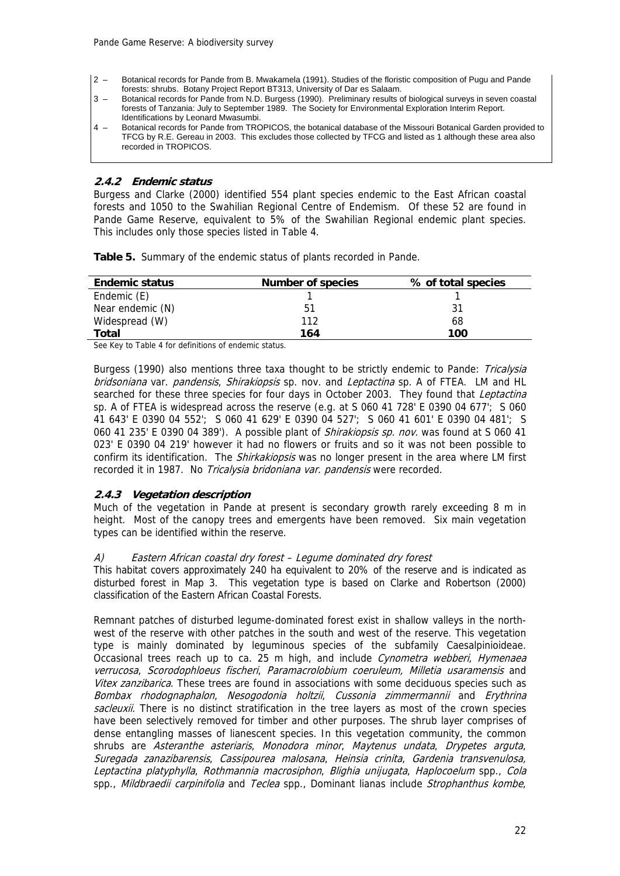- 2 Botanical records for Pande from B. Mwakamela (1991). Studies of the floristic composition of Pugu and Pande forests: shrubs. Botany Project Report BT313, University of Dar es Salaam.
- 3 Botanical records for Pande from N.D. Burgess (1990). Preliminary results of biological surveys in seven coastal forests of Tanzania: July to September 1989. The Society for Environmental Exploration Interim Report. Identifications by Leonard Mwasumbi.
- 4 Botanical records for Pande from TROPICOS, the botanical database of the Missouri Botanical Garden provided to TFCG by R.E. Gereau in 2003. This excludes those collected by TFCG and listed as 1 although these area also recorded in TROPICOS.

#### **2.4.2 Endemic status**

Burgess and Clarke (2000) identified 554 plant species endemic to the East African coastal forests and 1050 to the Swahilian Regional Centre of Endemism. Of these 52 are found in Pande Game Reserve, equivalent to 5% of the Swahilian Regional endemic plant species. This includes only those species listed in Table 4.

**Table 5.** Summary of the endemic status of plants recorded in Pande.

| <b>Endemic status</b> | <b>Number of species</b> | % of total species |
|-----------------------|--------------------------|--------------------|
| Endemic (E)           |                          |                    |
| Near endemic (N)      | 51                       | 31                 |
| Widespread (W)        | 112                      | 68                 |
| Total                 | 164                      | 100                |

See Key to Table 4 for definitions of endemic status.

Burgess (1990) also mentions three taxa thought to be strictly endemic to Pande: Tricalysia bridsoniana var. pandensis, Shirakiopsis sp. nov. and Leptactina sp. A of FTEA. LM and HL searched for these three species for four days in October 2003. They found that Leptactina sp. A of FTEA is widespread across the reserve (e.g. at S 060 41 728' E 0390 04 677'; S 060 41 643' E 0390 04 552'; S 060 41 629' E 0390 04 527'; S 060 41 601' E 0390 04 481'; S 060 41 235' E 0390 04 389'). A possible plant of *Shirakiopsis sp. nov.* was found at S 060 41 023' E 0390 04 219' however it had no flowers or fruits and so it was not been possible to confirm its identification. The Shirkakiopsis was no longer present in the area where LM first recorded it in 1987. No Tricalysia bridoniana var. pandensis were recorded.

#### **2.4.3 Vegetation description**

Much of the vegetation in Pande at present is secondary growth rarely exceeding 8 m in height. Most of the canopy trees and emergents have been removed. Six main vegetation types can be identified within the reserve.

#### A) Eastern African coastal dry forest – Legume dominated dry forest

This habitat covers approximately 240 ha equivalent to 20% of the reserve and is indicated as disturbed forest in Map 3. This vegetation type is based on Clarke and Robertson (2000) classification of the Eastern African Coastal Forests.

Remnant patches of disturbed legume-dominated forest exist in shallow valleys in the northwest of the reserve with other patches in the south and west of the reserve. This vegetation type is mainly dominated by leguminous species of the subfamily Caesalpinioideae. Occasional trees reach up to ca. 25 m high, and include *Cynometra webberi*, *Hymenaea* verrucosa, Scorodophloeus fischeri, Paramacrolobium coeruleum, Milletia usaramensis and Vitex zanzibarica. These trees are found in associations with some deciduous species such as Bombax rhodognaphalon, Nesogodonia holtzii, Cussonia zimmermannii and Erythrina sacleuxii. There is no distinct stratification in the tree layers as most of the crown species have been selectively removed for timber and other purposes. The shrub layer comprises of dense entangling masses of lianescent species. In this vegetation community, the common shrubs are Asteranthe asteriaris, Monodora minor, Maytenus undata, Drypetes arguta, Suregada zanazibarensis, Cassipourea malosana, Heinsia crinita, Gardenia transvenulosa, Leptactina platyphylla, Rothmannia macrosiphon, Blighia unijugata, Haplocoelum spp., Cola spp., *Mildbraedii carpinifolia* and *Teclea* spp., Dominant lianas include *Strophanthus kombe*,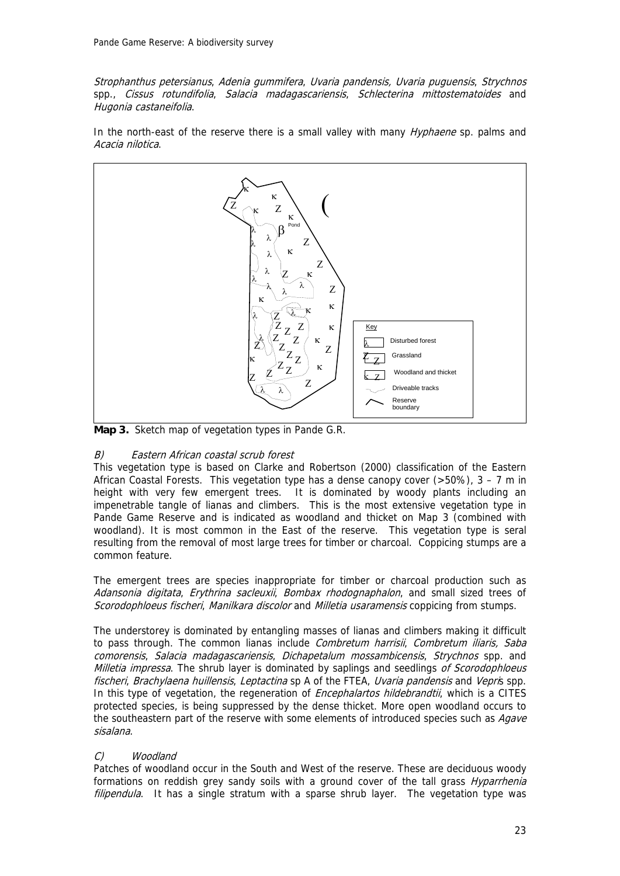Strophanthus petersianus, Adenia gummifera, Uvaria pandensis, Uvaria puguensis, Strychnos spp., Cissus rotundifolia, Salacia madagascariensis, Schlecterina mittostematoides and Hugonia castaneifolia.

In the north-east of the reserve there is a small valley with many *Hyphaene* sp. palms and Acacia nilotica.



**Map 3.** Sketch map of vegetation types in Pande G.R.

#### B) Eastern African coastal scrub forest

This vegetation type is based on Clarke and Robertson (2000) classification of the Eastern African Coastal Forests. This vegetation type has a dense canopy cover  $(>50\%)$ , 3 – 7 m in height with very few emergent trees. It is dominated by woody plants including an impenetrable tangle of lianas and climbers. This is the most extensive vegetation type in Pande Game Reserve and is indicated as woodland and thicket on Map 3 (combined with woodland). It is most common in the East of the reserve. This vegetation type is seral resulting from the removal of most large trees for timber or charcoal. Coppicing stumps are a common feature.

The emergent trees are species inappropriate for timber or charcoal production such as Adansonia digitata, Erythrina sacleuxii, Bombax rhodognaphalon, and small sized trees of Scorodophloeus fischeri, Manilkara discolor and Milletia usaramensis coppicing from stumps.

The understorey is dominated by entangling masses of lianas and climbers making it difficult to pass through. The common lianas include *Combretum harrisii*, *Combretum iliaris, Saba* comorensis, Salacia madagascariensis, Dichapetalum mossambicensis, Strychnos spp. and Milletia impressa. The shrub layer is dominated by saplings and seedlings of Scorodophloeus fischeri, Brachylaena huillensis, Leptactina sp A of the FTEA, Uvaria pandensis and Vepris spp. In this type of vegetation, the regeneration of *Encephalartos hildebrandtii*, which is a CITES protected species, is being suppressed by the dense thicket. More open woodland occurs to the southeastern part of the reserve with some elements of introduced species such as Agave sisalana.

#### C) Woodland

Patches of woodland occur in the South and West of the reserve. These are deciduous woody formations on reddish grey sandy soils with a ground cover of the tall grass *Hyparrhenia* filipendula. It has a single stratum with a sparse shrub layer. The vegetation type was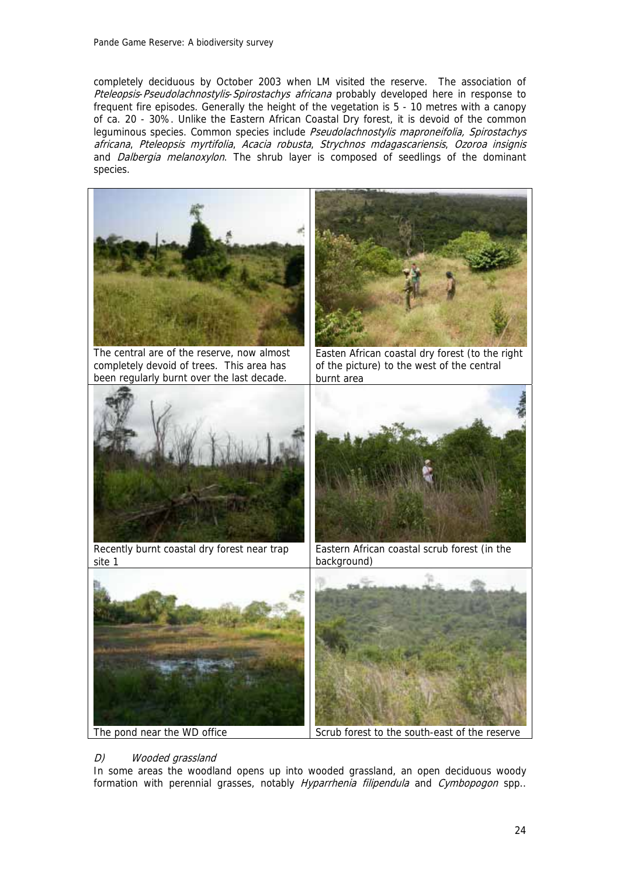completely deciduous by October 2003 when LM visited the reserve. The association of Pteleopsis-Pseudolachnostylis-Spirostachys africana probably developed here in response to frequent fire episodes. Generally the height of the vegetation is 5 - 10 metres with a canopy of ca. 20 - 30%. Unlike the Eastern African Coastal Dry forest, it is devoid of the common leguminous species. Common species include Pseudolachnostylis maproneifolia, Spirostachys africana, Pteleopsis myrtifolia, Acacia robusta, Strychnos mdagascariensis, Ozoroa insignis and *Dalbergia melanoxylon*. The shrub layer is composed of seedlings of the dominant species.



The pond near the WD office Scrub forest to the south-east of the reserve

## D) Wooded grassland

In some areas the woodland opens up into wooded grassland, an open deciduous woody formation with perennial grasses, notably Hyparrhenia filipendula and Cymbopogon spp.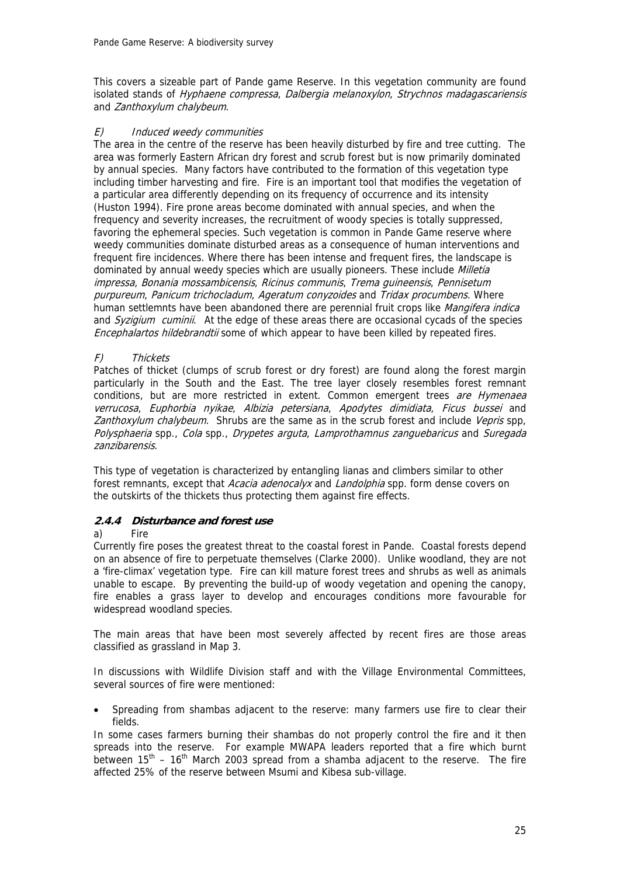This covers a sizeable part of Pande game Reserve. In this vegetation community are found isolated stands of Hyphaene compressa, Dalbergia melanoxylon, Strychnos madagascariensis and Zanthoxylum chalybeum.

#### E) Induced weedy communities

The area in the centre of the reserve has been heavily disturbed by fire and tree cutting. The area was formerly Eastern African dry forest and scrub forest but is now primarily dominated by annual species. Many factors have contributed to the formation of this vegetation type including timber harvesting and fire. Fire is an important tool that modifies the vegetation of a particular area differently depending on its frequency of occurrence and its intensity (Huston 1994). Fire prone areas become dominated with annual species, and when the frequency and severity increases, the recruitment of woody species is totally suppressed, favoring the ephemeral species. Such vegetation is common in Pande Game reserve where weedy communities dominate disturbed areas as a consequence of human interventions and frequent fire incidences. Where there has been intense and frequent fires, the landscape is dominated by annual weedy species which are usually pioneers. These include Milletia impressa, Bonania mossambicensis, Ricinus communis, Trema guineensis, Pennisetum purpureum, Panicum trichocladum, Ageratum conyzoides and Tridax procumbens. Where human settlemnts have been abandoned there are perennial fruit crops like Mangifera indica and Syzigium cuminii. At the edge of these areas there are occasional cycads of the species Encephalartos hildebrandtii some of which appear to have been killed by repeated fires.

#### F) Thickets

Patches of thicket (clumps of scrub forest or dry forest) are found along the forest margin particularly in the South and the East. The tree layer closely resembles forest remnant conditions, but are more restricted in extent. Common emergent trees are Hymenaea verrucosa, Euphorbia nyikae, Albizia petersiana, Apodytes dimidiata, Ficus bussei and Zanthoxylum chalybeum. Shrubs are the same as in the scrub forest and include Vepris spp, Polysphaeria spp., Cola spp., Drypetes arguta, Lamprothamnus zanguebaricus and Suregada zanzibarensis.

This type of vegetation is characterized by entangling lianas and climbers similar to other forest remnants, except that Acacia adenocalyx and Landolphia spp. form dense covers on the outskirts of the thickets thus protecting them against fire effects.

#### **2.4.4 Disturbance and forest use**

#### a) Fire

Currently fire poses the greatest threat to the coastal forest in Pande. Coastal forests depend on an absence of fire to perpetuate themselves (Clarke 2000). Unlike woodland, they are not a 'fire-climax' vegetation type. Fire can kill mature forest trees and shrubs as well as animals unable to escape. By preventing the build-up of woody vegetation and opening the canopy, fire enables a grass layer to develop and encourages conditions more favourable for widespread woodland species.

The main areas that have been most severely affected by recent fires are those areas classified as grassland in Map 3.

In discussions with Wildlife Division staff and with the Village Environmental Committees, several sources of fire were mentioned:

Spreading from shambas adjacent to the reserve: many farmers use fire to clear their fields.

In some cases farmers burning their shambas do not properly control the fire and it then spreads into the reserve. For example MWAPA leaders reported that a fire which burnt between  $15<sup>th</sup> - 16<sup>th</sup>$  March 2003 spread from a shamba adjacent to the reserve. The fire affected 25% of the reserve between Msumi and Kibesa sub-village.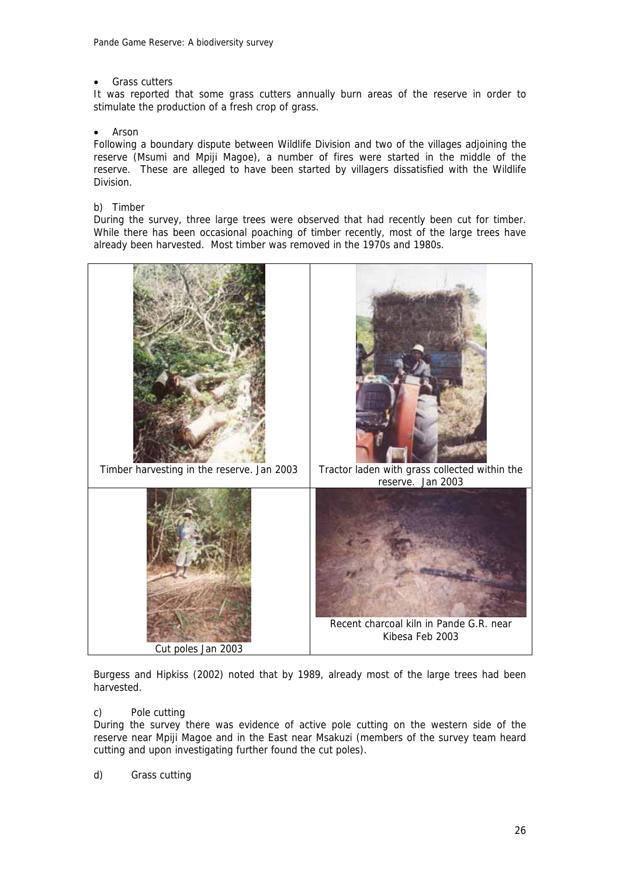#### Grass cutters

It was reported that some grass cutters annually burn areas of the reserve in order to stimulate the production of a fresh crop of grass.

#### • Arson

Following a boundary dispute between Wildlife Division and two of the villages adjoining the reserve (Msumi and Mpiji Magoe), a number of fires were started in the middle of the reserve. These are alleged to have been started by villagers dissatisfied with the Wildlife Division.

#### b) Timber

During the survey, three large trees were observed that had recently been cut for timber. While there has been occasional poaching of timber recently, most of the large trees have already been harvested. Most timber was removed in the 1970s and 1980s.



Burgess and Hipkiss (2002) noted that by 1989, already most of the large trees had been harvested.

#### c) Pole cutting

During the survey there was evidence of active pole cutting on the western side of the reserve near Mpiji Magoe and in the East near Msakuzi (members of the survey team heard cutting and upon investigating further found the cut poles).

d) Grass cutting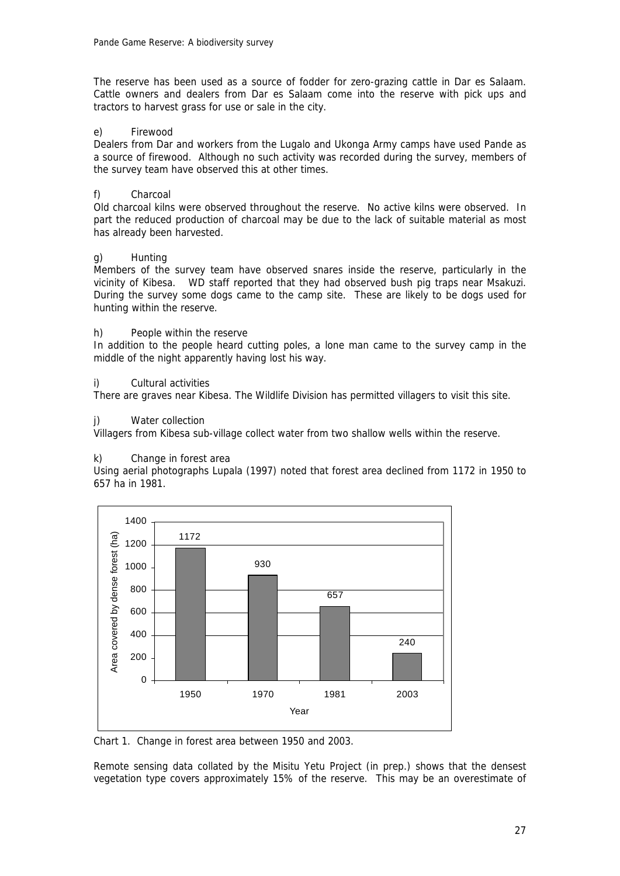The reserve has been used as a source of fodder for zero-grazing cattle in Dar es Salaam. Cattle owners and dealers from Dar es Salaam come into the reserve with pick ups and tractors to harvest grass for use or sale in the city.

#### e) Firewood

Dealers from Dar and workers from the Lugalo and Ukonga Army camps have used Pande as a source of firewood. Although no such activity was recorded during the survey, members of the survey team have observed this at other times.

#### f) Charcoal

Old charcoal kilns were observed throughout the reserve. No active kilns were observed. In part the reduced production of charcoal may be due to the lack of suitable material as most has already been harvested.

#### g) Hunting

Members of the survey team have observed snares inside the reserve, particularly in the vicinity of Kibesa. WD staff reported that they had observed bush pig traps near Msakuzi. During the survey some dogs came to the camp site. These are likely to be dogs used for hunting within the reserve.

#### h) People within the reserve

In addition to the people heard cutting poles, a lone man came to the survey camp in the middle of the night apparently having lost his way.

#### i) Cultural activities

There are graves near Kibesa. The Wildlife Division has permitted villagers to visit this site.

#### j) Water collection

Villagers from Kibesa sub-village collect water from two shallow wells within the reserve.

#### k) Change in forest area

Using aerial photographs Lupala (1997) noted that forest area declined from 1172 in 1950 to 657 ha in 1981.



Chart 1. Change in forest area between 1950 and 2003.

Remote sensing data collated by the Misitu Yetu Project (in prep.) shows that the densest vegetation type covers approximately 15% of the reserve. This may be an overestimate of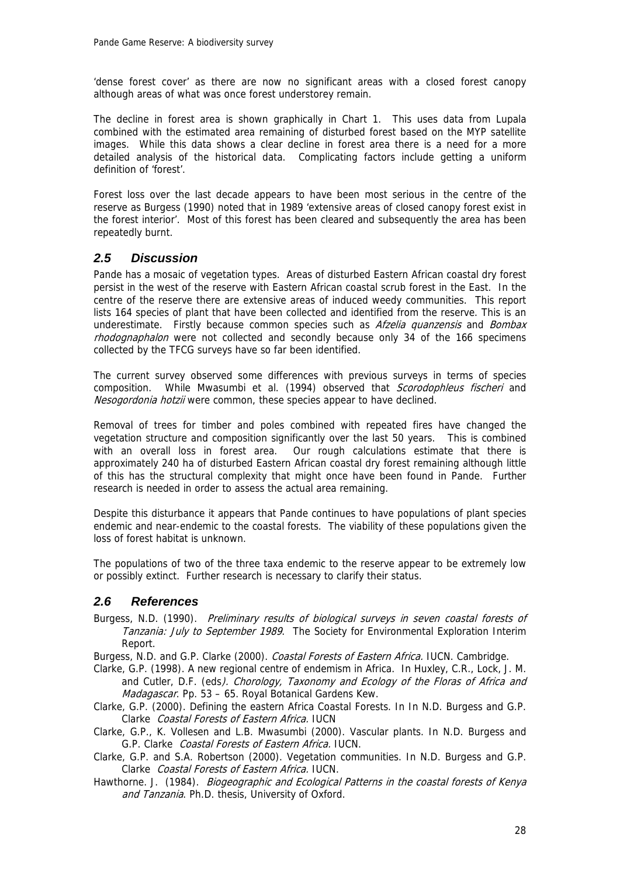'dense forest cover' as there are now no significant areas with a closed forest canopy although areas of what was once forest understorey remain.

The decline in forest area is shown graphically in Chart 1. This uses data from Lupala combined with the estimated area remaining of disturbed forest based on the MYP satellite images. While this data shows a clear decline in forest area there is a need for a more detailed analysis of the historical data. Complicating factors include getting a uniform definition of 'forest'.

Forest loss over the last decade appears to have been most serious in the centre of the reserve as Burgess (1990) noted that in 1989 'extensive areas of closed canopy forest exist in the forest interior'. Most of this forest has been cleared and subsequently the area has been repeatedly burnt.

### *2.5 Discussion*

Pande has a mosaic of vegetation types. Areas of disturbed Eastern African coastal dry forest persist in the west of the reserve with Eastern African coastal scrub forest in the East. In the centre of the reserve there are extensive areas of induced weedy communities. This report lists 164 species of plant that have been collected and identified from the reserve. This is an underestimate. Firstly because common species such as *Afzelia quanzensis* and *Bombax* rhodognaphalon were not collected and secondly because only 34 of the 166 specimens collected by the TFCG surveys have so far been identified.

The current survey observed some differences with previous surveys in terms of species composition. While Mwasumbi et al. (1994) observed that *Scorodophleus fischeri* and Nesogordonia hotzii were common, these species appear to have declined.

Removal of trees for timber and poles combined with repeated fires have changed the vegetation structure and composition significantly over the last 50 years. This is combined with an overall loss in forest area. Our rough calculations estimate that there is approximately 240 ha of disturbed Eastern African coastal dry forest remaining although little of this has the structural complexity that might once have been found in Pande. Further research is needed in order to assess the actual area remaining.

Despite this disturbance it appears that Pande continues to have populations of plant species endemic and near-endemic to the coastal forests. The viability of these populations given the loss of forest habitat is unknown.

The populations of two of the three taxa endemic to the reserve appear to be extremely low or possibly extinct. Further research is necessary to clarify their status.

#### *2.6 References*

Burgess, N.D. (1990). Preliminary results of biological surveys in seven coastal forests of Tanzania: July to September 1989. The Society for Environmental Exploration Interim Report.

Burgess, N.D. and G.P. Clarke (2000). Coastal Forests of Eastern Africa. IUCN. Cambridge.

- Clarke, G.P. (1998). A new regional centre of endemism in Africa. In Huxley, C.R., Lock, J. M. and Cutler, D.F. (eds). Chorology, Taxonomy and Ecology of the Floras of Africa and Madagascar. Pp. 53 - 65. Royal Botanical Gardens Kew.
- Clarke, G.P. (2000). Defining the eastern Africa Coastal Forests. In In N.D. Burgess and G.P. Clarke Coastal Forests of Eastern Africa. IUCN

Clarke, G.P., K. Vollesen and L.B. Mwasumbi (2000). Vascular plants. In N.D. Burgess and G.P. Clarke Coastal Forests of Eastern Africa. IUCN.

Clarke, G.P. and S.A. Robertson (2000). Vegetation communities. In N.D. Burgess and G.P. Clarke Coastal Forests of Eastern Africa. IUCN.

Hawthorne. J. (1984). Biogeographic and Ecological Patterns in the coastal forests of Kenya and Tanzania. Ph.D. thesis, University of Oxford.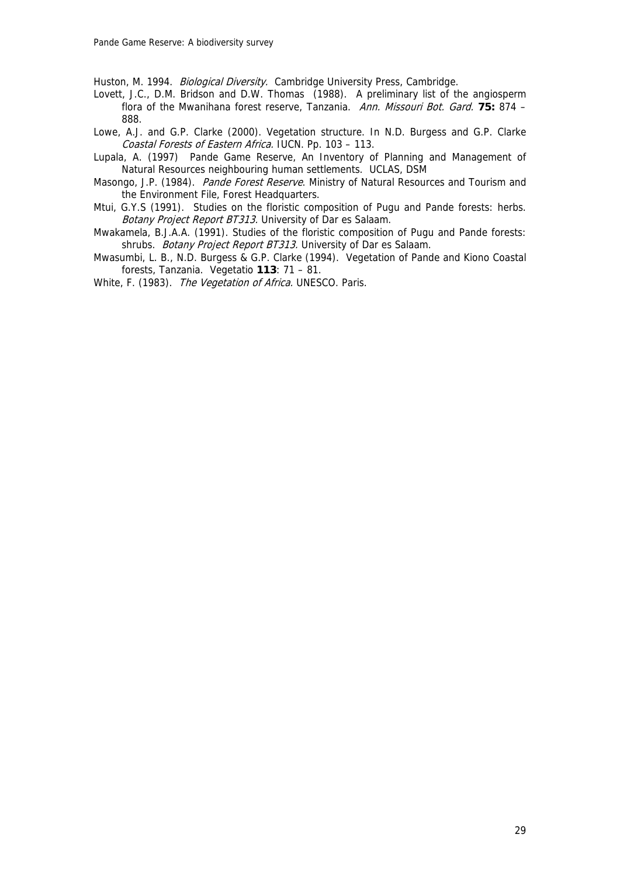Huston, M. 1994. Biological Diversity. Cambridge University Press, Cambridge.

Lovett, J.C., D.M. Bridson and D.W. Thomas (1988). A preliminary list of the angiosperm flora of the Mwanihana forest reserve, Tanzania. Ann. Missouri Bot. Gard. **75:** 874 – 888.

Lowe, A.J. and G.P. Clarke (2000). Vegetation structure. In N.D. Burgess and G.P. Clarke Coastal Forests of Eastern Africa. IUCN. Pp. 103 – 113.

Lupala, A. (1997) Pande Game Reserve, An Inventory of Planning and Management of Natural Resources neighbouring human settlements. UCLAS, DSM

Masongo, J.P. (1984). Pande Forest Reserve. Ministry of Natural Resources and Tourism and the Environment File, Forest Headquarters.

Mtui, G.Y.S (1991). Studies on the floristic composition of Pugu and Pande forests: herbs. Botany Project Report BT313. University of Dar es Salaam.

Mwakamela, B.J.A.A. (1991). Studies of the floristic composition of Pugu and Pande forests: shrubs. Botany Project Report BT313. University of Dar es Salaam.

Mwasumbi, L. B., N.D. Burgess & G.P. Clarke (1994). Vegetation of Pande and Kiono Coastal forests, Tanzania. Vegetatio **113**: 71 – 81.

White, F. (1983). The Vegetation of Africa. UNESCO. Paris.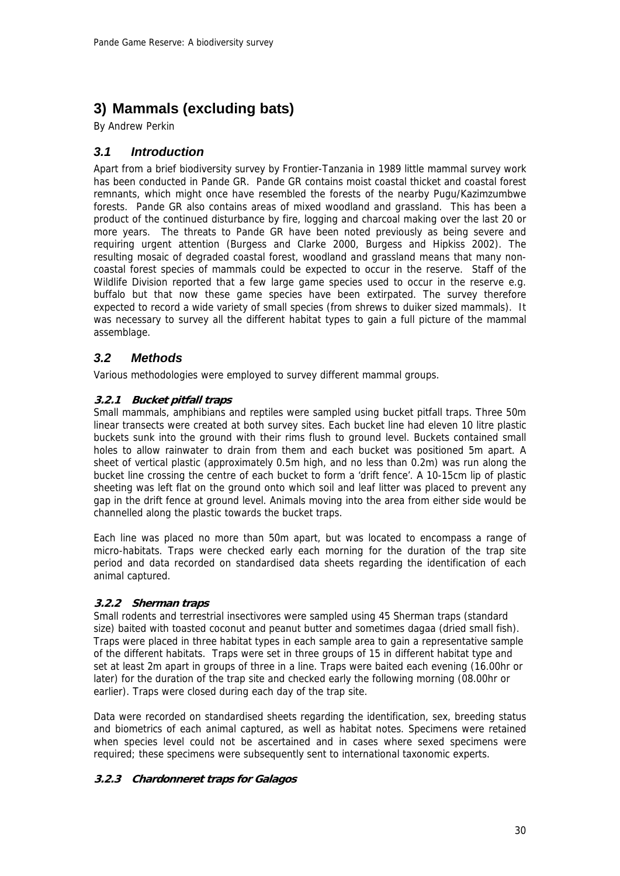## **3) Mammals (excluding bats)**

By Andrew Perkin

## *3.1 Introduction*

Apart from a brief biodiversity survey by Frontier-Tanzania in 1989 little mammal survey work has been conducted in Pande GR. Pande GR contains moist coastal thicket and coastal forest remnants, which might once have resembled the forests of the nearby Pugu/Kazimzumbwe forests. Pande GR also contains areas of mixed woodland and grassland. This has been a product of the continued disturbance by fire, logging and charcoal making over the last 20 or more years. The threats to Pande GR have been noted previously as being severe and requiring urgent attention (Burgess and Clarke 2000, Burgess and Hipkiss 2002). The resulting mosaic of degraded coastal forest, woodland and grassland means that many noncoastal forest species of mammals could be expected to occur in the reserve. Staff of the Wildlife Division reported that a few large game species used to occur in the reserve e.g. buffalo but that now these game species have been extirpated. The survey therefore expected to record a wide variety of small species (from shrews to duiker sized mammals). It was necessary to survey all the different habitat types to gain a full picture of the mammal assemblage.

## *3.2 Methods*

Various methodologies were employed to survey different mammal groups.

#### **3.2.1 Bucket pitfall traps**

Small mammals, amphibians and reptiles were sampled using bucket pitfall traps. Three 50m linear transects were created at both survey sites. Each bucket line had eleven 10 litre plastic buckets sunk into the ground with their rims flush to ground level. Buckets contained small holes to allow rainwater to drain from them and each bucket was positioned 5m apart. A sheet of vertical plastic (approximately 0.5m high, and no less than 0.2m) was run along the bucket line crossing the centre of each bucket to form a 'drift fence'. A 10-15cm lip of plastic sheeting was left flat on the ground onto which soil and leaf litter was placed to prevent any gap in the drift fence at ground level. Animals moving into the area from either side would be channelled along the plastic towards the bucket traps.

Each line was placed no more than 50m apart, but was located to encompass a range of micro-habitats. Traps were checked early each morning for the duration of the trap site period and data recorded on standardised data sheets regarding the identification of each animal captured.

#### **3.2.2 Sherman traps**

Small rodents and terrestrial insectivores were sampled using 45 Sherman traps (standard size) baited with toasted coconut and peanut butter and sometimes dagaa (dried small fish). Traps were placed in three habitat types in each sample area to gain a representative sample of the different habitats. Traps were set in three groups of 15 in different habitat type and set at least 2m apart in groups of three in a line. Traps were baited each evening (16.00hr or later) for the duration of the trap site and checked early the following morning (08.00hr or earlier). Traps were closed during each day of the trap site.

Data were recorded on standardised sheets regarding the identification, sex, breeding status and biometrics of each animal captured, as well as habitat notes. Specimens were retained when species level could not be ascertained and in cases where sexed specimens were required; these specimens were subsequently sent to international taxonomic experts.

#### **3.2.3 Chardonneret traps for Galagos**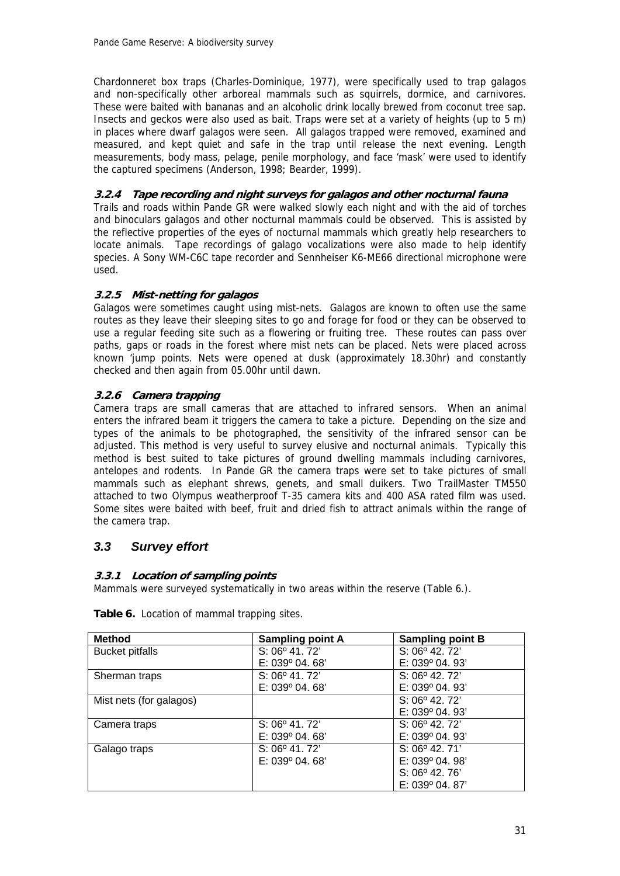Chardonneret box traps (Charles-Dominique, 1977), were specifically used to trap galagos and non-specifically other arboreal mammals such as squirrels, dormice, and carnivores. These were baited with bananas and an alcoholic drink locally brewed from coconut tree sap. Insects and geckos were also used as bait. Traps were set at a variety of heights (up to 5 m) in places where dwarf galagos were seen. All galagos trapped were removed, examined and measured, and kept quiet and safe in the trap until release the next evening. Length measurements, body mass, pelage, penile morphology, and face 'mask' were used to identify the captured specimens (Anderson, 1998; Bearder, 1999).

#### **3.2.4 Tape recording and night surveys for galagos and other nocturnal fauna**

Trails and roads within Pande GR were walked slowly each night and with the aid of torches and binoculars galagos and other nocturnal mammals could be observed. This is assisted by the reflective properties of the eyes of nocturnal mammals which greatly help researchers to locate animals. Tape recordings of galago vocalizations were also made to help identify species. A Sony WM-C6C tape recorder and Sennheiser K6-ME66 directional microphone were used.

#### **3.2.5 Mist-netting for galagos**

Galagos were sometimes caught using mist-nets. Galagos are known to often use the same routes as they leave their sleeping sites to go and forage for food or they can be observed to use a regular feeding site such as a flowering or fruiting tree. These routes can pass over paths, gaps or roads in the forest where mist nets can be placed. Nets were placed across known 'jump points. Nets were opened at dusk (approximately 18.30hr) and constantly checked and then again from 05.00hr until dawn.

#### **3.2.6 Camera trapping**

Camera traps are small cameras that are attached to infrared sensors. When an animal enters the infrared beam it triggers the camera to take a picture. Depending on the size and types of the animals to be photographed, the sensitivity of the infrared sensor can be adjusted. This method is very useful to survey elusive and nocturnal animals. Typically this method is best suited to take pictures of ground dwelling mammals including carnivores, antelopes and rodents. In Pande GR the camera traps were set to take pictures of small mammals such as elephant shrews, genets, and small duikers. Two TrailMaster TM550 attached to two Olympus weatherproof T-35 camera kits and 400 ASA rated film was used. Some sites were baited with beef, fruit and dried fish to attract animals within the range of the camera trap.

## *3.3 Survey effort*

#### **3.3.1 Location of sampling points**

Mammals were surveyed systematically in two areas within the reserve (Table 6.).

| <b>Method</b>           | <b>Sampling point A</b> | <b>Sampling point B</b> |
|-------------------------|-------------------------|-------------------------|
| <b>Bucket pitfalls</b>  | S: 06° 41.72'           | $S: 06^{\circ}$ 42. 72' |
|                         | E: 039° 04. 68'         | $E: 039^{\circ} 04.93'$ |
| Sherman traps           | $S: 06^{\circ}$ 41, 72' | $S: 06^{\circ}$ 42.72'  |
|                         | $E: 039^{\circ} 04.68'$ | $E: 039^{\circ} 04.93'$ |
| Mist nets (for galagos) |                         | $S: 06^{\circ}$ 42.72'  |
|                         |                         | $E: 039^{\circ} 04.93'$ |
| Camera traps            | S: 06° 41.72'           | $S: 06^{\circ}$ 42.72'  |
|                         | $E: 039^{\circ} 04.68'$ | $E: 039^{\circ} 04.93'$ |
| Galago traps            | $S: 06^{\circ} 41.72'$  | $S: 06^{\circ}$ 42.71'  |
|                         | $E: 039^{\circ} 04.68'$ | $E: 039^{\circ} 04.98'$ |
|                         |                         | $S: 06^{\circ}$ 42.76'  |
|                         |                         | $E: 039^{\circ} 04.87'$ |

**Table 6.** Location of mammal trapping sites.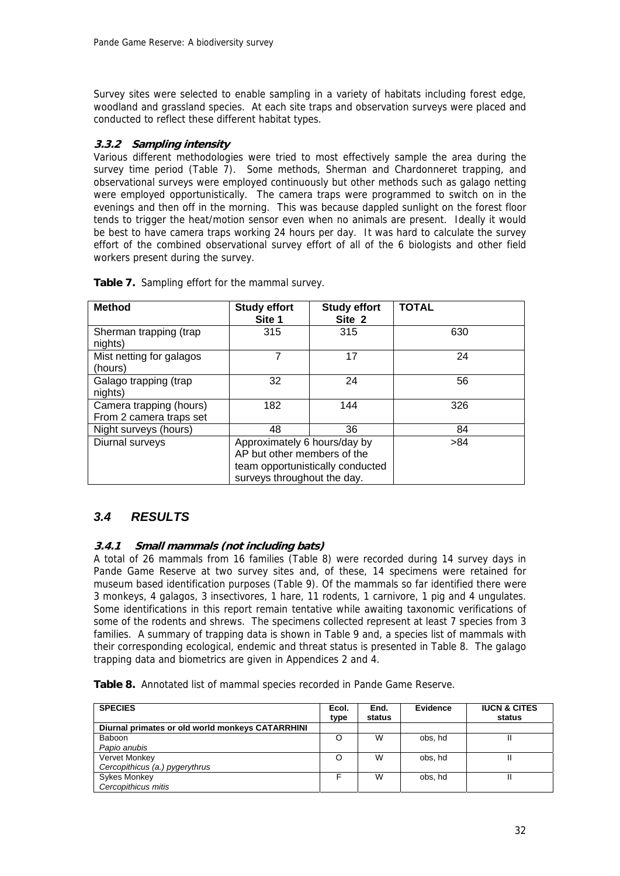Survey sites were selected to enable sampling in a variety of habitats including forest edge, woodland and grassland species. At each site traps and observation surveys were placed and conducted to reflect these different habitat types.

#### **3.3.2 Sampling intensity**

Various different methodologies were tried to most effectively sample the area during the survey time period (Table 7). Some methods, Sherman and Chardonneret trapping, and observational surveys were employed continuously but other methods such as galago netting were employed opportunistically. The camera traps were programmed to switch on in the evenings and then off in the morning. This was because dappled sunlight on the forest floor tends to trigger the heat/motion sensor even when no animals are present. Ideally it would be best to have camera traps working 24 hours per day. It was hard to calculate the survey effort of the combined observational survey effort of all of the 6 biologists and other field workers present during the survey.

| <b>Method</b>                                      | <b>Study effort</b><br>Site 1                                                                                                  | <b>Study effort</b><br>Site 2 | <b>TOTAL</b> |
|----------------------------------------------------|--------------------------------------------------------------------------------------------------------------------------------|-------------------------------|--------------|
| Sherman trapping (trap<br>nights)                  | 315                                                                                                                            | 315                           | 630          |
| Mist netting for galagos<br>(hours)                | 7                                                                                                                              | 17                            | 24           |
| Galago trapping (trap<br>nights)                   | 32                                                                                                                             | 24                            | 56           |
| Camera trapping (hours)<br>From 2 camera traps set | 182                                                                                                                            | 144                           | 326          |
| Night surveys (hours)                              | 48                                                                                                                             | 36                            | 84           |
| Diurnal surveys                                    | Approximately 6 hours/day by<br>AP but other members of the<br>team opportunistically conducted<br>surveys throughout the day. |                               | >84          |

**Table 7.** Sampling effort for the mammal survey.

## *3.4 RESULTS*

#### **3.4.1 Small mammals (not including bats)**

A total of 26 mammals from 16 families (Table 8) were recorded during 14 survey days in Pande Game Reserve at two survey sites and, of these, 14 specimens were retained for museum based identification purposes (Table 9). Of the mammals so far identified there were 3 monkeys, 4 galagos, 3 insectivores, 1 hare, 11 rodents, 1 carnivore, 1 pig and 4 ungulates. Some identifications in this report remain tentative while awaiting taxonomic verifications of some of the rodents and shrews. The specimens collected represent at least 7 species from 3 families. A summary of trapping data is shown in Table 9 and, a species list of mammals with their corresponding ecological, endemic and threat status is presented in Table 8. The galago trapping data and biometrics are given in Appendices 2 and 4.

**Table 8.** Annotated list of mammal species recorded in Pande Game Reserve.

| <b>SPECIES</b>                                   | Ecol.<br>type | End.<br>status | Evidence | <b>IUCN &amp; CITES</b><br>status |
|--------------------------------------------------|---------------|----------------|----------|-----------------------------------|
| Diurnal primates or old world monkeys CATARRHINI |               |                |          |                                   |
| Baboon                                           | O             | W              | obs, hd  |                                   |
| Papio anubis                                     |               |                |          |                                   |
| Vervet Monkey                                    | O             | W              | obs, hd  |                                   |
| Cercopithicus (a.) pygerythrus                   |               |                |          |                                   |
| <b>Sykes Monkey</b>                              |               | W              | obs, hd  |                                   |
| Cercopithicus mitis                              |               |                |          |                                   |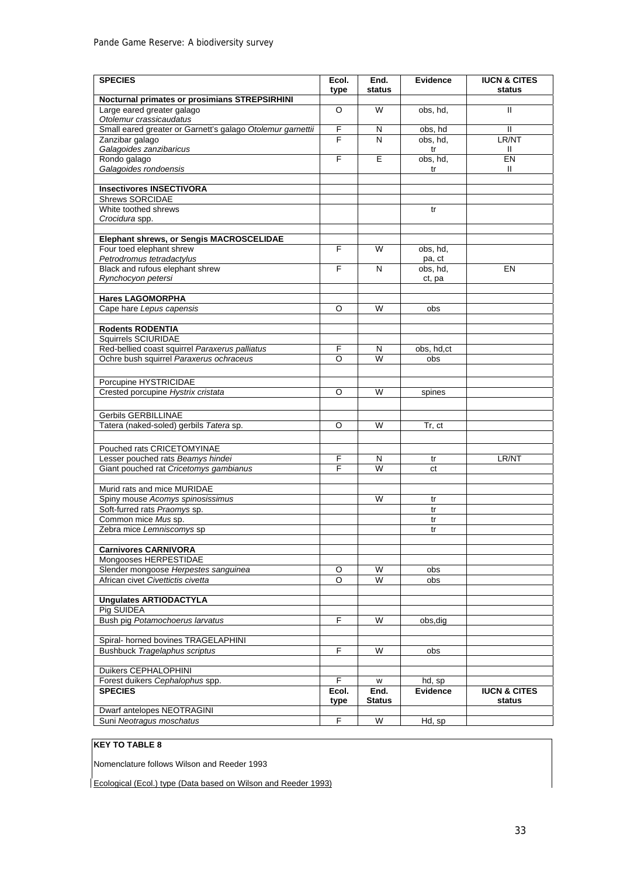| <b>SPECIES</b>                                              | Ecol.          | End.<br>status | <b>Evidence</b> | <b>IUCN &amp; CITES</b><br>status |
|-------------------------------------------------------------|----------------|----------------|-----------------|-----------------------------------|
| Nocturnal primates or prosimians STREPSIRHINI               | type           |                |                 |                                   |
| Large eared greater galago                                  | $\overline{O}$ | W              | obs, hd,        | $\mathsf{II}$                     |
| Otolemur crassicaudatus                                     |                |                |                 |                                   |
| Small eared greater or Garnett's galago Otolemur garnettii  | $\overline{F}$ | N              | obs, hd         | $\mathbf{H}$                      |
| Zanzibar galago                                             | F              | N              | obs, hd,        | LR/NT                             |
| Galagoides zanzibaricus<br>Rondo galago                     | F              | E              | tr<br>obs, hd,  | Ш<br>EN                           |
| Galagoides rondoensis                                       |                |                | tr              | Ш                                 |
|                                                             |                |                |                 |                                   |
| <b>Insectivores INSECTIVORA</b>                             |                |                |                 |                                   |
| <b>Shrews SORCIDAE</b>                                      |                |                |                 |                                   |
| White toothed shrews                                        |                |                | tr              |                                   |
| Crocidura spp.                                              |                |                |                 |                                   |
| Elephant shrews, or Sengis MACROSCELIDAE                    |                |                |                 |                                   |
| Four toed elephant shrew                                    | F              | W              | obs, hd,        |                                   |
| Petrodromus tetradactylus                                   |                |                | pa, ct          |                                   |
| Black and rufous elephant shrew                             | $\mathsf{F}$   | N              | obs, hd,        | EN                                |
| Rynchocyon petersi                                          |                |                | ct, pa          |                                   |
| <b>Hares LAGOMORPHA</b>                                     |                |                |                 |                                   |
| Cape hare Lepus capensis                                    | O              | W              | obs             |                                   |
|                                                             |                |                |                 |                                   |
| <b>Rodents RODENTIA</b>                                     |                |                |                 |                                   |
| Squirrels SCIURIDAE                                         |                |                |                 |                                   |
| Red-bellied coast squirrel Paraxerus palliatus              | F              | N              | obs, hd,ct      |                                   |
| Ochre bush squirrel Paraxerus ochraceus                     | O              | W              | obs             |                                   |
|                                                             |                |                |                 |                                   |
| Porcupine HYSTRICIDAE<br>Crested porcupine Hystrix cristata | O              | W              |                 |                                   |
|                                                             |                |                | spines          |                                   |
| Gerbils GERBILLINAE                                         |                |                |                 |                                   |
| Tatera (naked-soled) gerbils Tatera sp.                     | O              | W              | Tr, ct          |                                   |
|                                                             |                |                |                 |                                   |
| Pouched rats CRICETOMYINAE                                  |                |                |                 |                                   |
| Lesser pouched rats Beamys hindei                           | F              | N              | tr              | LR/NT                             |
| Giant pouched rat Cricetomys gambianus                      | F              | W              | ct              |                                   |
|                                                             |                |                |                 |                                   |
| Murid rats and mice MURIDAE                                 |                |                |                 |                                   |
| Spiny mouse Acomys spinosissimus                            |                | W              | tr              |                                   |
| Soft-furred rats Praomys sp.<br>Common mice Mus sp.         |                |                | tr<br>tr        |                                   |
| Zebra mice Lemniscomys sp                                   |                |                | tr              |                                   |
|                                                             |                |                |                 |                                   |
| <b>Carnivores CARNIVORA</b>                                 |                |                |                 |                                   |
| Mongooses HERPESTIDAE                                       |                |                |                 |                                   |
| Slender mongoose Herpestes sanguinea                        | O              | W              | obs             |                                   |
| African civet Civettictis civetta                           | O              | W              | obs             |                                   |
| <b>Unquiates ARTIODACTYLA</b>                               |                |                |                 |                                   |
| Pig SUIDEA                                                  |                |                |                 |                                   |
| Bush pig Potamochoerus larvatus                             | F.             | W              | obs, dig        |                                   |
|                                                             |                |                |                 |                                   |
| Spiral- horned bovines TRAGELAPHINI                         |                |                |                 |                                   |
| Bushbuck Tragelaphus scriptus                               | F              | W              | obs             |                                   |
| Duikers CEPHALOPHINI                                        |                |                |                 |                                   |
| Forest duikers Cephalophus spp.                             | F              | w              | hd, sp          |                                   |
| <b>SPECIES</b>                                              | Ecol.          | End.           | <b>Evidence</b> | <b>IUCN &amp; CITES</b>           |
|                                                             | type           | <b>Status</b>  |                 | status                            |
| Dwarf antelopes NEOTRAGINI                                  |                |                |                 |                                   |
| Suni Neotragus moschatus                                    | $\overline{F}$ | W              | Hd, sp          |                                   |

#### **KEY TO TABLE 8**

Nomenclature follows Wilson and Reeder 1993

Ecological (Ecol.) type (Data based on Wilson and Reeder 1993)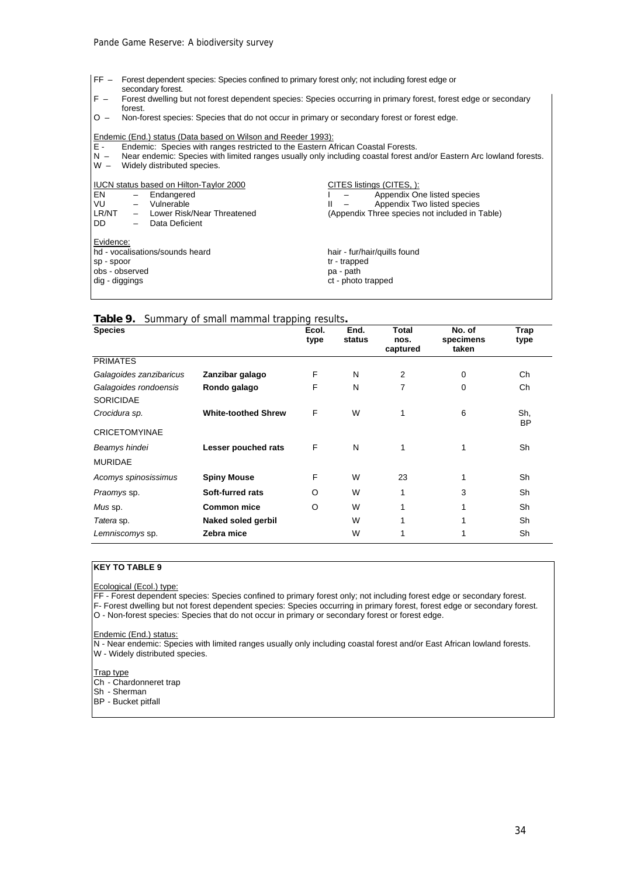- FF Forest dependent species: Species confined to primary forest only; not including forest edge or
- secondary forest.
- F Forest dwelling but not forest dependent species: Species occurring in primary forest, forest edge or secondary forest.
- O Non-forest species: Species that do not occur in primary or secondary forest or forest edge.

Endemic (End.) status (Data based on Wilson and Reeder 1993):<br>E - Endemic: Species with ranges restricted to the Eastern A

- E Endemic: Species with ranges restricted to the Eastern African Coastal Forests.
- N Near endemic: Species with limited ranges usually only including coastal forest and/or Eastern Arc lowland forests. W – Widely distributed species.

|                | <b>IUCN</b> status based on Hilton-Taylor 2000 | CITES listings (CITES, ):                      |
|----------------|------------------------------------------------|------------------------------------------------|
| I EN           | $-$ Endangered                                 | Appendix One listed species                    |
| I VU           | Vulnerable<br>$-$                              | Appendix Two listed species<br>Ш               |
| LR/NT          | Lower Risk/Near Threatened<br>$-$              | (Appendix Three species not included in Table) |
| I DD           | Data Deficient<br>$-$                          |                                                |
| Evidence:      |                                                |                                                |
|                | hd - vocalisations/sounds heard                | hair - fur/hair/guills found                   |
| sp - spoor     |                                                | tr - trapped                                   |
| obs - observed |                                                | pa - path                                      |
| dig - diggings |                                                | ct - photo trapped                             |

| Table 9. Summary of small mammal trapping results. |  |  |  |
|----------------------------------------------------|--|--|--|
|                                                    |  |  |  |

| <b>Species</b>                            |                            | Ecol.<br>type | End.<br>status | Total<br>nos.<br>captured | No. of<br>specimens<br>taken | Trap<br>type     |
|-------------------------------------------|----------------------------|---------------|----------------|---------------------------|------------------------------|------------------|
| <b>PRIMATES</b>                           |                            |               |                |                           |                              |                  |
| Galagoides zanzibaricus                   | Zanzibar galago            | F             | N              | 2                         | $\mathbf 0$                  | Ch               |
| Galagoides rondoensis<br><b>SORICIDAE</b> | Rondo galago               | F             | N              | 7                         | 0                            | Ch               |
| Crocidura sp.                             | <b>White-toothed Shrew</b> | F             | W              | 1                         | 6                            | Sh.<br><b>BP</b> |
| <b>CRICETOMYINAE</b>                      |                            |               |                |                           |                              |                  |
| Beamys hindei                             | Lesser pouched rats        | F             | N              | 1                         | 1                            | Sh               |
| <b>MURIDAE</b>                            |                            |               |                |                           |                              |                  |
| Acomys spinosissimus                      | <b>Spiny Mouse</b>         | F             | W              | 23                        | 1                            | Sh               |
| Praomys sp.                               | Soft-furred rats           | O             | W              | 1                         | 3                            | Sh               |
| Mus sp.                                   | <b>Common mice</b>         | O             | W              | 1                         |                              | Sh               |
| Tatera sp.                                | Naked soled gerbil         |               | W              |                           |                              | Sh               |
| Lemniscomys sp.                           | Zebra mice                 |               | W              |                           |                              | Sh               |

#### **KEY TO TABLE 9**

Ecological (Ecol.) type:

FF - Forest dependent species: Species confined to primary forest only; not including forest edge or secondary forest. F- Forest dwelling but not forest dependent species: Species occurring in primary forest, forest edge or secondary forest.

O - Non-forest species: Species that do not occur in primary or secondary forest or forest edge.

Endemic (End.) status:

N - Near endemic: Species with limited ranges usually only including coastal forest and/or East African lowland forests.

W - Widely distributed species.

**Trap type** 

Ch - Chardonneret trap

Sh - Sherman

BP - Bucket pitfall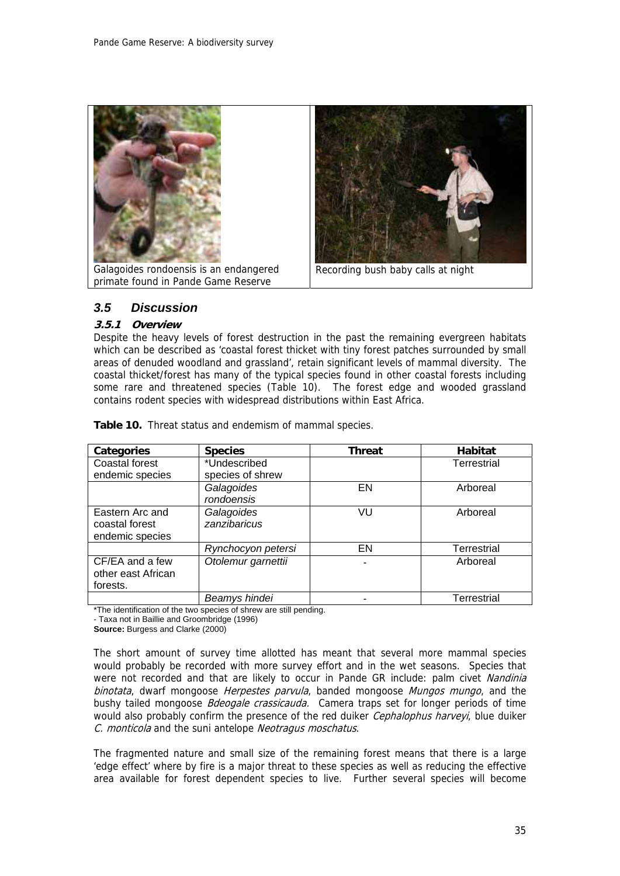

### *3.5 Discussion*

#### **3.5.1 Overview**

Despite the heavy levels of forest destruction in the past the remaining evergreen habitats which can be described as 'coastal forest thicket with tiny forest patches surrounded by small areas of denuded woodland and grassland', retain significant levels of mammal diversity. The coastal thicket/forest has many of the typical species found in other coastal forests including some rare and threatened species (Table 10). The forest edge and wooded grassland contains rodent species with widespread distributions within East Africa.

| <b>Categories</b>                                    | <b>Species</b>             | <b>Threat</b> | Habitat            |
|------------------------------------------------------|----------------------------|---------------|--------------------|
| <b>Coastal forest</b>                                | *Undescribed               |               | <b>Terrestrial</b> |
| endemic species                                      | species of shrew           |               |                    |
|                                                      | Galagoides<br>rondoensis   | EN            | Arboreal           |
| Eastern Arc and<br>coastal forest<br>endemic species | Galagoides<br>zanzibaricus | VU            | Arboreal           |
|                                                      | Rynchocyon petersi         | EN            | Terrestrial        |
| CF/EA and a few<br>other east African<br>forests.    | Otolemur garnettii         |               | Arboreal           |
|                                                      | Beamys hindei              |               | Terrestrial        |

**Table 10.** Threat status and endemism of mammal species.

\*The identification of the two species of shrew are still pending. - Taxa not in Baillie and Groombridge (1996)

**Source:** Burgess and Clarke (2000)

The short amount of survey time allotted has meant that several more mammal species would probably be recorded with more survey effort and in the wet seasons. Species that were not recorded and that are likely to occur in Pande GR include: palm civet Nandinia binotata, dwarf mongoose *Herpestes parvula*, banded mongoose *Mungos mungo*, and the bushy tailed mongoose *Bdeogale crassicauda*. Camera traps set for longer periods of time would also probably confirm the presence of the red duiker *Cephalophus harveyi*, blue duiker C. monticola and the suni antelope Neotragus moschatus.

The fragmented nature and small size of the remaining forest means that there is a large 'edge effect' where by fire is a major threat to these species as well as reducing the effective area available for forest dependent species to live. Further several species will become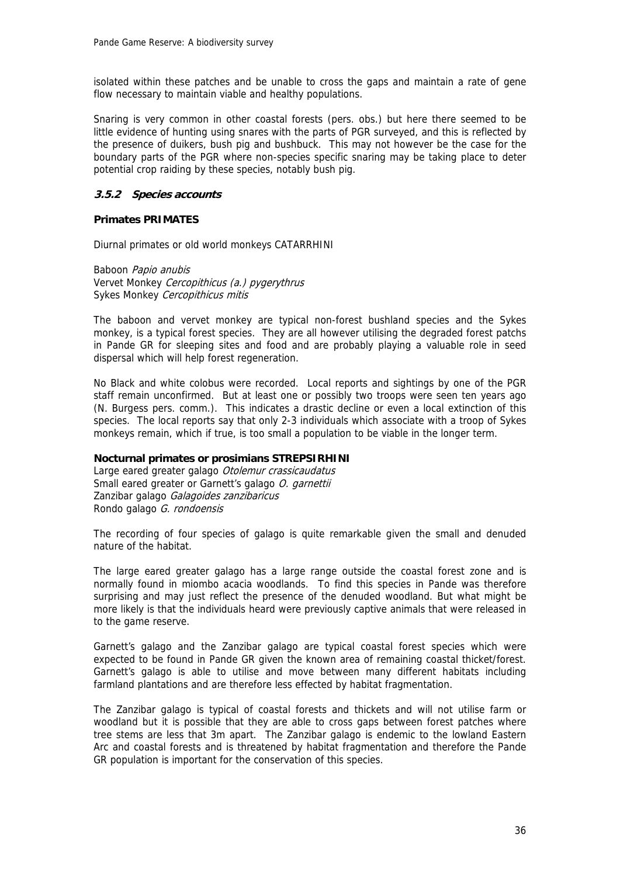isolated within these patches and be unable to cross the gaps and maintain a rate of gene flow necessary to maintain viable and healthy populations.

Snaring is very common in other coastal forests (pers. obs.) but here there seemed to be little evidence of hunting using snares with the parts of PGR surveyed, and this is reflected by the presence of duikers, bush pig and bushbuck. This may not however be the case for the boundary parts of the PGR where non-species specific snaring may be taking place to deter potential crop raiding by these species, notably bush pig.

#### **3.5.2 Species accounts**

#### **Primates PRIMATES**

Diurnal primates or old world monkeys CATARRHINI

Baboon Papio anubis Vervet Monkey Cercopithicus (a.) pygerythrus Sykes Monkey Cercopithicus mitis

The baboon and vervet monkey are typical non-forest bushland species and the Sykes monkey, is a typical forest species. They are all however utilising the degraded forest patchs in Pande GR for sleeping sites and food and are probably playing a valuable role in seed dispersal which will help forest regeneration.

No Black and white colobus were recorded. Local reports and sightings by one of the PGR staff remain unconfirmed. But at least one or possibly two troops were seen ten years ago (N. Burgess pers. comm.). This indicates a drastic decline or even a local extinction of this species. The local reports say that only 2-3 individuals which associate with a troop of Sykes monkeys remain, which if true, is too small a population to be viable in the longer term.

#### **Nocturnal primates or prosimians STREPSIRHINI**

Large eared greater galago Otolemur crassicaudatus Small eared greater or Garnett's galago O. garnettii Zanzibar galago Galagoides zanzibaricus Rondo galago G. rondoensis

The recording of four species of galago is quite remarkable given the small and denuded nature of the habitat.

The large eared greater galago has a large range outside the coastal forest zone and is normally found in miombo acacia woodlands. To find this species in Pande was therefore surprising and may just reflect the presence of the denuded woodland. But what might be more likely is that the individuals heard were previously captive animals that were released in to the game reserve.

Garnett's galago and the Zanzibar galago are typical coastal forest species which were expected to be found in Pande GR given the known area of remaining coastal thicket/forest. Garnett's galago is able to utilise and move between many different habitats including farmland plantations and are therefore less effected by habitat fragmentation.

The Zanzibar galago is typical of coastal forests and thickets and will not utilise farm or woodland but it is possible that they are able to cross gaps between forest patches where tree stems are less that 3m apart. The Zanzibar galago is endemic to the lowland Eastern Arc and coastal forests and is threatened by habitat fragmentation and therefore the Pande GR population is important for the conservation of this species.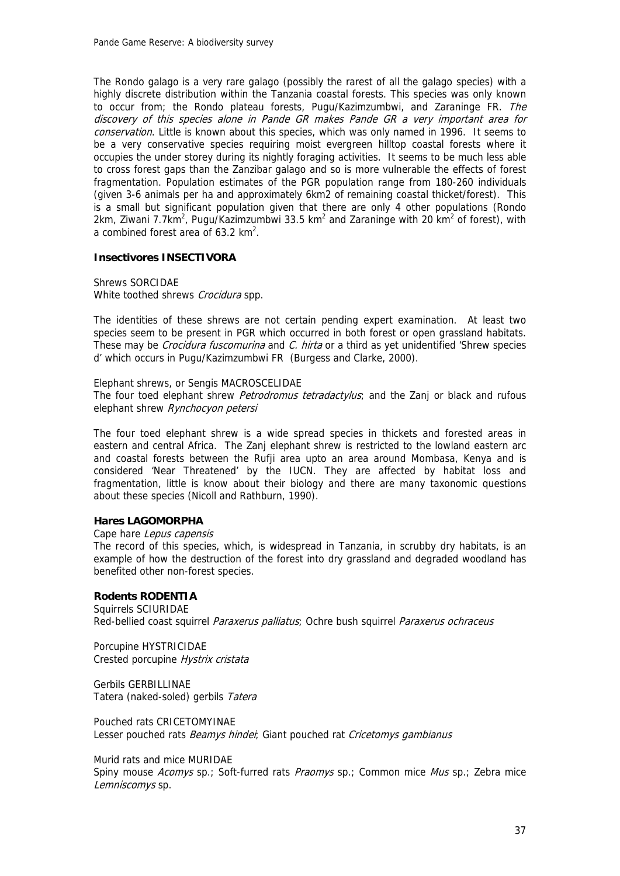The Rondo galago is a very rare galago (possibly the rarest of all the galago species) with a highly discrete distribution within the Tanzania coastal forests. This species was only known to occur from; the Rondo plateau forests, Pugu/Kazimzumbwi, and Zaraninge FR. The discovery of this species alone in Pande GR makes Pande GR a very important area for conservation. Little is known about this species, which was only named in 1996. It seems to be a very conservative species requiring moist evergreen hilltop coastal forests where it occupies the under storey during its nightly foraging activities. It seems to be much less able to cross forest gaps than the Zanzibar galago and so is more vulnerable the effects of forest fragmentation. Population estimates of the PGR population range from 180-260 individuals (given 3-6 animals per ha and approximately 6km2 of remaining coastal thicket/forest). This is a small but significant population given that there are only 4 other populations (Rondo  $2km$ , Ziwani 7.7km<sup>2</sup>, Pugu/Kazimzumbwi 33.5 km<sup>2</sup> and Zaraninge with 20 km<sup>2</sup> of forest), with a combined forest area of  $63.2 \text{ km}^2$ .

#### **Insectivores INSECTIVORA**

Shrews SORCIDAE White toothed shrews Crocidura spp.

The identities of these shrews are not certain pending expert examination. At least two species seem to be present in PGR which occurred in both forest or open grassland habitats. These may be *Crocidura fuscomurina* and *C. hirta* or a third as yet unidentified 'Shrew species d' which occurs in Pugu/Kazimzumbwi FR (Burgess and Clarke, 2000).

#### Elephant shrews, or Sengis MACROSCELIDAE

The four toed elephant shrew *Petrodromus tetradactylus*; and the Zanj or black and rufous elephant shrew Rynchocyon petersi

The four toed elephant shrew is a wide spread species in thickets and forested areas in eastern and central Africa. The Zanj elephant shrew is restricted to the lowland eastern arc and coastal forests between the Rufji area upto an area around Mombasa, Kenya and is considered 'Near Threatened' by the IUCN. They are affected by habitat loss and fragmentation, little is know about their biology and there are many taxonomic questions about these species (Nicoll and Rathburn, 1990).

#### **Hares LAGOMORPHA**

#### Cape hare Lepus capensis

The record of this species, which, is widespread in Tanzania, in scrubby dry habitats, is an example of how the destruction of the forest into dry grassland and degraded woodland has benefited other non-forest species.

#### **Rodents RODENTIA**

Squirrels SCIURIDAE Red-bellied coast squirrel Paraxerus palliatus; Ochre bush squirrel Paraxerus ochraceus

Porcupine HYSTRICIDAE Crested porcupine Hystrix cristata

Gerbils GERBILLINAE Tatera (naked-soled) gerbils Tatera

Pouched rats CRICETOMYINAE Lesser pouched rats Beamys hinder; Giant pouched rat Cricetomys gambianus

Murid rats and mice MURIDAE Spiny mouse Acomys sp.; Soft-furred rats Praomys sp.; Common mice Mus sp.; Zebra mice Lemniscomys sp.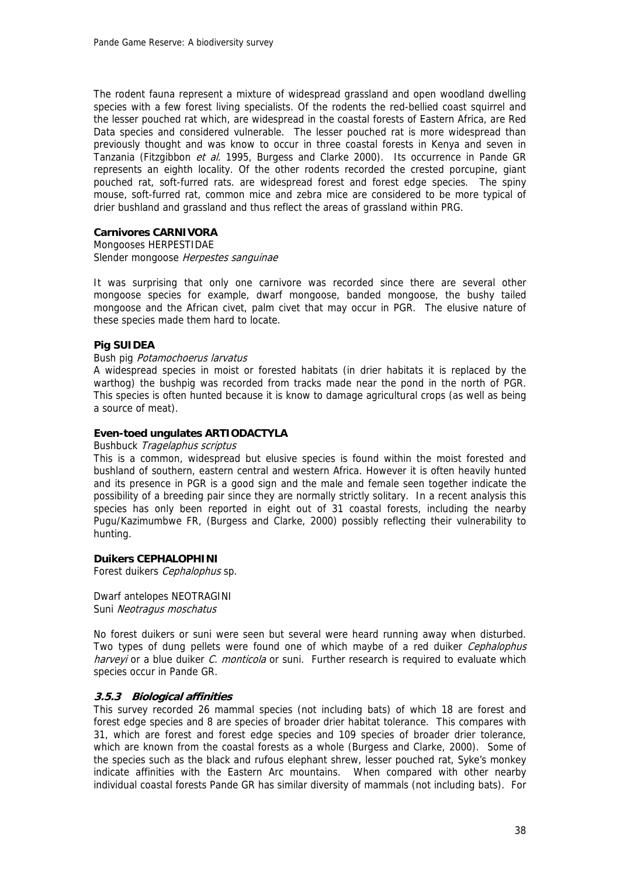The rodent fauna represent a mixture of widespread grassland and open woodland dwelling species with a few forest living specialists. Of the rodents the red-bellied coast squirrel and the lesser pouched rat which, are widespread in the coastal forests of Eastern Africa, are Red Data species and considered vulnerable. The lesser pouched rat is more widespread than previously thought and was know to occur in three coastal forests in Kenya and seven in Tanzania (Fitzgibbon et al. 1995, Burgess and Clarke 2000). Its occurrence in Pande GR represents an eighth locality. Of the other rodents recorded the crested porcupine, giant pouched rat, soft-furred rats. are widespread forest and forest edge species. The spiny mouse, soft-furred rat, common mice and zebra mice are considered to be more typical of drier bushland and grassland and thus reflect the areas of grassland within PRG.

#### **Carnivores CARNIVORA**

Mongooses HERPESTIDAE Slender mongoose Herpestes sanguinae

It was surprising that only one carnivore was recorded since there are several other mongoose species for example, dwarf mongoose, banded mongoose, the bushy tailed mongoose and the African civet, palm civet that may occur in PGR. The elusive nature of these species made them hard to locate.

#### **Pig SUIDEA**

#### Bush pig Potamochoerus larvatus

A widespread species in moist or forested habitats (in drier habitats it is replaced by the warthog) the bushpig was recorded from tracks made near the pond in the north of PGR. This species is often hunted because it is know to damage agricultural crops (as well as being a source of meat).

#### **Even-toed ungulates ARTIODACTYLA**

#### Bushbuck Tragelaphus scriptus

This is a common, widespread but elusive species is found within the moist forested and bushland of southern, eastern central and western Africa. However it is often heavily hunted and its presence in PGR is a good sign and the male and female seen together indicate the possibility of a breeding pair since they are normally strictly solitary. In a recent analysis this species has only been reported in eight out of 31 coastal forests, including the nearby Pugu/Kazimumbwe FR, (Burgess and Clarke, 2000) possibly reflecting their vulnerability to hunting.

#### **Duikers CEPHALOPHINI**

Forest duikers Cephalophus sp.

Dwarf antelopes NEOTRAGINI Suni Neotragus moschatus

No forest duikers or suni were seen but several were heard running away when disturbed. Two types of dung pellets were found one of which maybe of a red duiker *Cephalophus* harveyi or a blue duiker C. monticola or suni. Further research is required to evaluate which species occur in Pande GR.

#### **3.5.3 Biological affinities**

This survey recorded 26 mammal species (not including bats) of which 18 are forest and forest edge species and 8 are species of broader drier habitat tolerance. This compares with 31, which are forest and forest edge species and 109 species of broader drier tolerance, which are known from the coastal forests as a whole (Burgess and Clarke, 2000). Some of the species such as the black and rufous elephant shrew, lesser pouched rat, Syke's monkey indicate affinities with the Eastern Arc mountains. When compared with other nearby individual coastal forests Pande GR has similar diversity of mammals (not including bats). For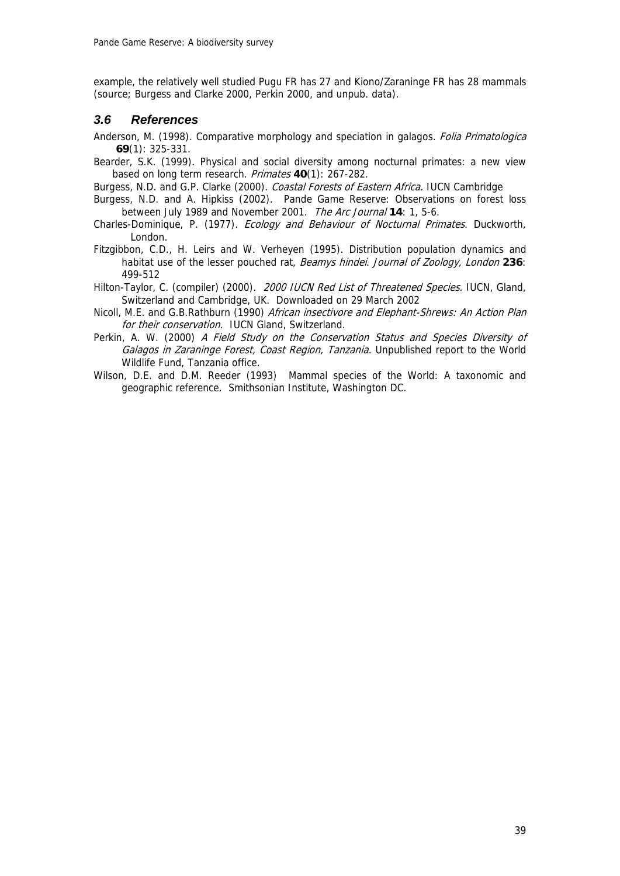example, the relatively well studied Pugu FR has 27 and Kiono/Zaraninge FR has 28 mammals (source; Burgess and Clarke 2000, Perkin 2000, and unpub. data).

## *3.6 References*

- Anderson, M. (1998). Comparative morphology and speciation in galagos. *Folia Primatologica* **69**(1): 325-331.
- Bearder, S.K. (1999). Physical and social diversity among nocturnal primates: a new view based on long term research. Primates **40**(1): 267-282.

Burgess, N.D. and G.P. Clarke (2000). Coastal Forests of Eastern Africa. IUCN Cambridge

- Burgess, N.D. and A. Hipkiss (2002). Pande Game Reserve: Observations on forest loss between July 1989 and November 2001. The Arc Journal **14**: 1, 5-6.
- Charles-Dominique, P. (1977). Ecology and Behaviour of Nocturnal Primates. Duckworth, London.
- Fitzgibbon, C.D., H. Leirs and W. Verheyen (1995). Distribution population dynamics and habitat use of the lesser pouched rat, Beamys hindei. Journal of Zoology, London **236**: 499-512
- Hilton-Taylor, C. (compiler) (2000). 2000 IUCN Red List of Threatened Species. IUCN, Gland, Switzerland and Cambridge, UK. Downloaded on 29 March 2002
- Nicoll, M.E. and G.B.Rathburn (1990) African insectivore and Elephant-Shrews: An Action Plan for their conservation. IUCN Gland, Switzerland.
- Perkin, A. W. (2000) A Field Study on the Conservation Status and Species Diversity of Galagos in Zaraninge Forest, Coast Region, Tanzania. Unpublished report to the World Wildlife Fund, Tanzania office.
- Wilson, D.E. and D.M. Reeder (1993) Mammal species of the World: A taxonomic and geographic reference. Smithsonian Institute, Washington DC.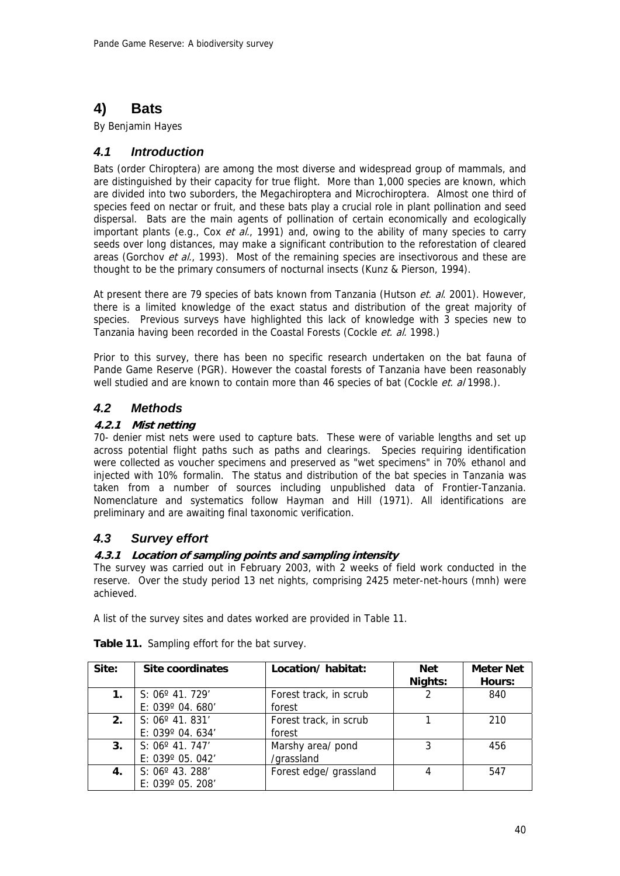# **4) Bats**

By Benjamin Hayes

## *4.1 Introduction*

Bats (order Chiroptera) are among the most diverse and widespread group of mammals, and are distinguished by their capacity for true flight. More than 1,000 species are known, which are divided into two suborders, the Megachiroptera and Microchiroptera. Almost one third of species feed on nectar or fruit, and these bats play a crucial role in plant pollination and seed dispersal. Bats are the main agents of pollination of certain economically and ecologically important plants (e.g., Cox et al., 1991) and, owing to the ability of many species to carry seeds over long distances, may make a significant contribution to the reforestation of cleared areas (Gorchov et al., 1993). Most of the remaining species are insectivorous and these are thought to be the primary consumers of nocturnal insects (Kunz & Pierson, 1994).

At present there are 79 species of bats known from Tanzania (Hutson et. al. 2001). However, there is a limited knowledge of the exact status and distribution of the great majority of species. Previous surveys have highlighted this lack of knowledge with 3 species new to Tanzania having been recorded in the Coastal Forests (Cockle et. al. 1998.)

Prior to this survey, there has been no specific research undertaken on the bat fauna of Pande Game Reserve (PGR). However the coastal forests of Tanzania have been reasonably well studied and are known to contain more than 46 species of bat (Cockle *et. al* 1998.).

## *4.2 Methods*

## **4.2.1 Mist netting**

70- denier mist nets were used to capture bats. These were of variable lengths and set up across potential flight paths such as paths and clearings. Species requiring identification were collected as voucher specimens and preserved as "wet specimens" in 70% ethanol and injected with 10% formalin. The status and distribution of the bat species in Tanzania was taken from a number of sources including unpublished data of Frontier-Tanzania. Nomenclature and systematics follow Hayman and Hill (1971). All identifications are preliminary and are awaiting final taxonomic verification.

## *4.3 Survey effort*

## **4.3.1 Location of sampling points and sampling intensity**

The survey was carried out in February 2003, with 2 weeks of field work conducted in the reserve. Over the study period 13 net nights, comprising 2425 meter-net-hours (mnh) were achieved.

A list of the survey sites and dates worked are provided in Table 11.

| Site: | Site coordinates                                      | Location/habitat:                | Net<br>Nights: | <b>Meter Net</b><br>Hours: |
|-------|-------------------------------------------------------|----------------------------------|----------------|----------------------------|
| 1.    | $S: 06^{\circ}$ 41. 729'<br>E: $039^{\circ}$ 04. 680' | Forest track, in scrub<br>forest |                | 840                        |
| 2.    | $S: 06^{\circ}$ 41. 831'<br>E: $039^{\circ}$ 04. 634' | Forest track, in scrub<br>forest |                | 210                        |
| 3.    | $S: 06^{\circ}$ 41. 747'<br>E: 039° 05. 042'          | Marshy area/ pond<br>/grassland  | 3              | 456                        |
| 4.    | $S: 06^{\circ}$ 43. 288'<br>E: 039° 05. 208'          | Forest edge/ grassland           |                | 547                        |

**Table 11.** Sampling effort for the bat survey.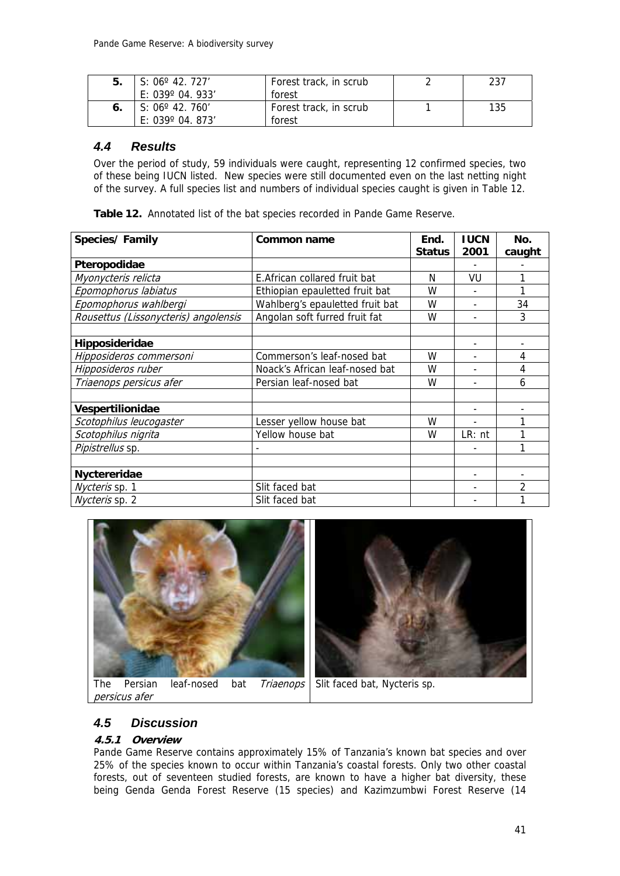| 5. | S: $06^{\circ}$ 42. 727'<br>E: $039^{\circ}$ 04, 933' | Forest track, in scrub<br>forest | 237 |
|----|-------------------------------------------------------|----------------------------------|-----|
|    | S: $06^{\circ}$ 42. 760'<br>E: 039° 04. 873′          | Forest track, in scrub<br>forest | 135 |

## *4.4 Results*

Over the period of study, 59 individuals were caught, representing 12 confirmed species, two of these being IUCN listed. New species were still documented even on the last netting night of the survey. A full species list and numbers of individual species caught is given in Table 12.

**Table 12.** Annotated list of the bat species recorded in Pande Game Reserve.

| Species/Family                       | Common name                     | End.<br><b>Status</b> | <b>IUCN</b><br>2001      | No.    |
|--------------------------------------|---------------------------------|-----------------------|--------------------------|--------|
|                                      |                                 |                       |                          | caught |
| Pteropodidae                         |                                 |                       |                          |        |
| Myonycteris relicta                  | E. African collared fruit bat   | N                     | VU                       | 1      |
| Epomophorus labiatus                 | Ethiopian epauletted fruit bat  | W                     |                          | 1      |
| Epomophorus wahlbergi                | Wahlberg's epauletted fruit bat | W                     | $\overline{\phantom{a}}$ | 34     |
| Rousettus (Lissonycteris) angolensis | Angolan soft furred fruit fat   | W                     |                          | 3      |
| Hipposideridae                       |                                 |                       |                          |        |
| Hipposideros commersoni              | Commerson's leaf-nosed bat      | W                     |                          | 4      |
| Hipposideros ruber                   | Noack's African leaf-nosed bat  | W                     |                          | 4      |
| Triaenops persicus afer              | Persian leaf-nosed bat          | W                     |                          | 6      |
| Vespertilionidae                     |                                 |                       |                          | ٠      |
| Scotophilus leucogaster              | Lesser yellow house bat         | W                     |                          | 1      |
| Scotophilus nigrita                  | Yellow house bat                | W                     | $LR:$ nt                 | 1      |
| Pipistrellus sp.                     |                                 |                       |                          | 1      |
|                                      |                                 |                       |                          |        |
| Nyctereridae                         |                                 |                       |                          |        |
| Nycteris sp. 1                       | Slit faced bat                  |                       |                          | 2      |
| Nycteris sp. 2                       | Slit faced bat                  |                       |                          | 1      |





persicus afer

# *4.5 Discussion*

## **4.5.1 Overview**

Pande Game Reserve contains approximately 15% of Tanzania's known bat species and over 25% of the species known to occur within Tanzania's coastal forests. Only two other coastal forests, out of seventeen studied forests, are known to have a higher bat diversity, these being Genda Genda Forest Reserve (15 species) and Kazimzumbwi Forest Reserve (14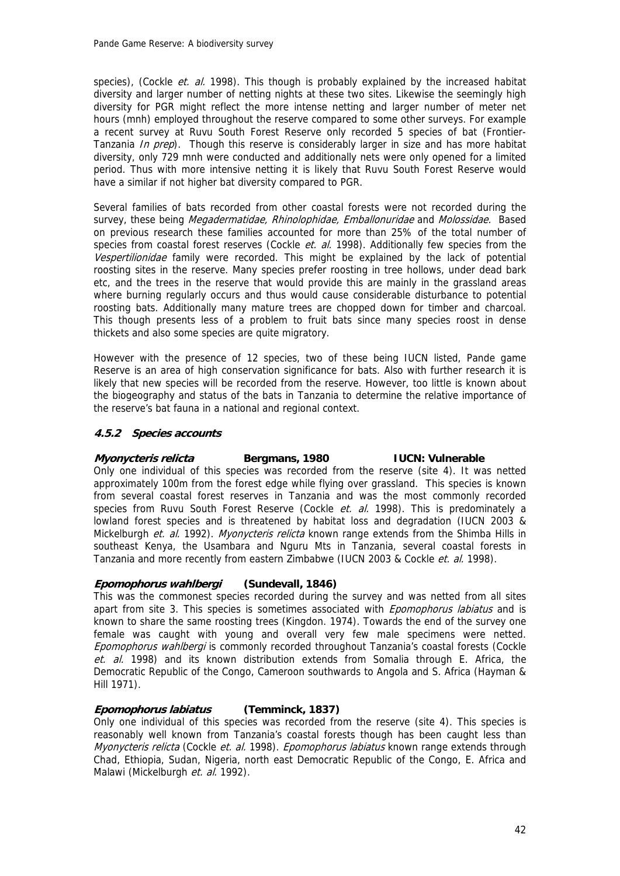species), (Cockle *et. al.* 1998). This though is probably explained by the increased habitat diversity and larger number of netting nights at these two sites. Likewise the seemingly high diversity for PGR might reflect the more intense netting and larger number of meter net hours (mnh) employed throughout the reserve compared to some other surveys. For example a recent survey at Ruvu South Forest Reserve only recorded 5 species of bat (Frontier-Tanzania *In prep*). Though this reserve is considerably larger in size and has more habitat diversity, only 729 mnh were conducted and additionally nets were only opened for a limited period. Thus with more intensive netting it is likely that Ruvu South Forest Reserve would have a similar if not higher bat diversity compared to PGR.

Several families of bats recorded from other coastal forests were not recorded during the survey, these being Megadermatidae, Rhinolophidae, Emballonuridae and Molossidae. Based on previous research these families accounted for more than 25% of the total number of species from coastal forest reserves (Cockle  $et.$  al. 1998). Additionally few species from the Vespertilionidae family were recorded. This might be explained by the lack of potential roosting sites in the reserve. Many species prefer roosting in tree hollows, under dead bark etc, and the trees in the reserve that would provide this are mainly in the grassland areas where burning regularly occurs and thus would cause considerable disturbance to potential roosting bats. Additionally many mature trees are chopped down for timber and charcoal. This though presents less of a problem to fruit bats since many species roost in dense thickets and also some species are quite migratory.

However with the presence of 12 species, two of these being IUCN listed, Pande game Reserve is an area of high conservation significance for bats. Also with further research it is likely that new species will be recorded from the reserve. However, too little is known about the biogeography and status of the bats in Tanzania to determine the relative importance of the reserve's bat fauna in a national and regional context.

### **4.5.2 Species accounts**

### **Myonycteris relicta Bergmans, 1980 IUCN: Vulnerable**

Only one individual of this species was recorded from the reserve (site 4). It was netted approximately 100m from the forest edge while flying over grassland. This species is known from several coastal forest reserves in Tanzania and was the most commonly recorded species from Ruvu South Forest Reserve (Cockle et. al. 1998). This is predominately a lowland forest species and is threatened by habitat loss and degradation (IUCN 2003 & Mickelburgh et. al. 1992). Myonycteris relicta known range extends from the Shimba Hills in southeast Kenya, the Usambara and Nguru Mts in Tanzania, several coastal forests in Tanzania and more recently from eastern Zimbabwe (IUCN 2003 & Cockle et. al. 1998).

#### **Epomophorus wahlbergi (Sundevall, 1846)**

This was the commonest species recorded during the survey and was netted from all sites apart from site 3. This species is sometimes associated with *Epomophorus labiatus* and is known to share the same roosting trees (Kingdon. 1974). Towards the end of the survey one female was caught with young and overall very few male specimens were netted. Epomophorus wahlbergi is commonly recorded throughout Tanzania's coastal forests (Cockle et. al. 1998) and its known distribution extends from Somalia through E. Africa, the Democratic Republic of the Congo, Cameroon southwards to Angola and S. Africa (Hayman & Hill 1971).

### **Epomophorus labiatus (Temminck, 1837)**

Only one individual of this species was recorded from the reserve (site 4). This species is reasonably well known from Tanzania's coastal forests though has been caught less than *Myonycteris relicta* (Cockle *et. al.* 1998). *Epomophorus labiatus* known range extends through Chad, Ethiopia, Sudan, Nigeria, north east Democratic Republic of the Congo, E. Africa and Malawi (Mickelburgh et. al. 1992).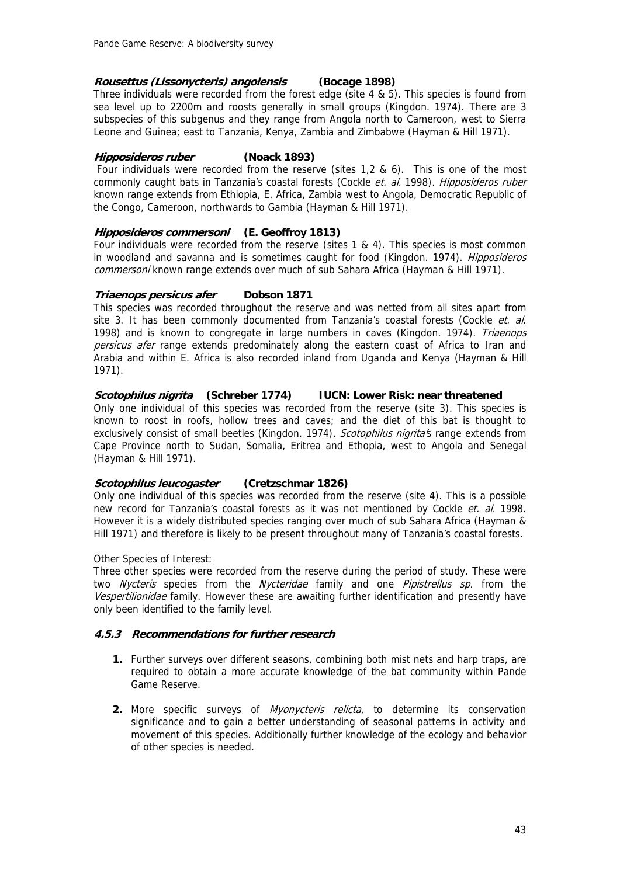## **Rousettus (Lissonycteris) angolensis (Bocage 1898)**

Three individuals were recorded from the forest edge (site 4 & 5). This species is found from sea level up to 2200m and roosts generally in small groups (Kingdon. 1974). There are 3 subspecies of this subgenus and they range from Angola north to Cameroon, west to Sierra Leone and Guinea; east to Tanzania, Kenya, Zambia and Zimbabwe (Hayman & Hill 1971).

## **Hipposideros ruber (Noack 1893)**

 Four individuals were recorded from the reserve (sites 1,2 & 6). This is one of the most commonly caught bats in Tanzania's coastal forests (Cockle et. al. 1998). Hipposideros ruber known range extends from Ethiopia, E. Africa, Zambia west to Angola, Democratic Republic of the Congo, Cameroon, northwards to Gambia (Hayman & Hill 1971).

## **Hipposideros commersoni (E. Geoffroy 1813)**

Four individuals were recorded from the reserve (sites 1 & 4). This species is most common in woodland and savanna and is sometimes caught for food (Kingdon. 1974). Hipposideros commersoni known range extends over much of sub Sahara Africa (Hayman & Hill 1971).

## **Triaenops persicus afer Dobson 1871**

This species was recorded throughout the reserve and was netted from all sites apart from site 3. It has been commonly documented from Tanzania's coastal forests (Cockle et. al. 1998) and is known to congregate in large numbers in caves (Kingdon, 1974). Triaenops persicus afer range extends predominately along the eastern coast of Africa to Iran and Arabia and within E. Africa is also recorded inland from Uganda and Kenya (Hayman & Hill 1971).

## **Scotophilus nigrita (Schreber 1774) IUCN: Lower Risk: near threatened**

Only one individual of this species was recorded from the reserve (site 3). This species is known to roost in roofs, hollow trees and caves; and the diet of this bat is thought to exclusively consist of small beetles (Kingdon. 1974). Scotophilus nigrita's range extends from Cape Province north to Sudan, Somalia, Eritrea and Ethopia, west to Angola and Senegal (Hayman & Hill 1971).

## **Scotophilus leucogaster (Cretzschmar 1826)**

Only one individual of this species was recorded from the reserve (site 4). This is a possible new record for Tanzania's coastal forests as it was not mentioned by Cockle *et. al.* 1998. However it is a widely distributed species ranging over much of sub Sahara Africa (Hayman & Hill 1971) and therefore is likely to be present throughout many of Tanzania's coastal forests.

### Other Species of Interest:

Three other species were recorded from the reserve during the period of study. These were two *Nycteris* species from the *Nycteridae* family and one *Pipistrellus sp.* from the Vespertilionidae family. However these are awaiting further identification and presently have only been identified to the family level.

### **4.5.3 Recommendations for further research**

- **1.** Further surveys over different seasons, combining both mist nets and harp traps, are required to obtain a more accurate knowledge of the bat community within Pande Game Reserve.
- **2.** More specific surveys of *Myonycteris relicta*, to determine its conservation significance and to gain a better understanding of seasonal patterns in activity and movement of this species. Additionally further knowledge of the ecology and behavior of other species is needed.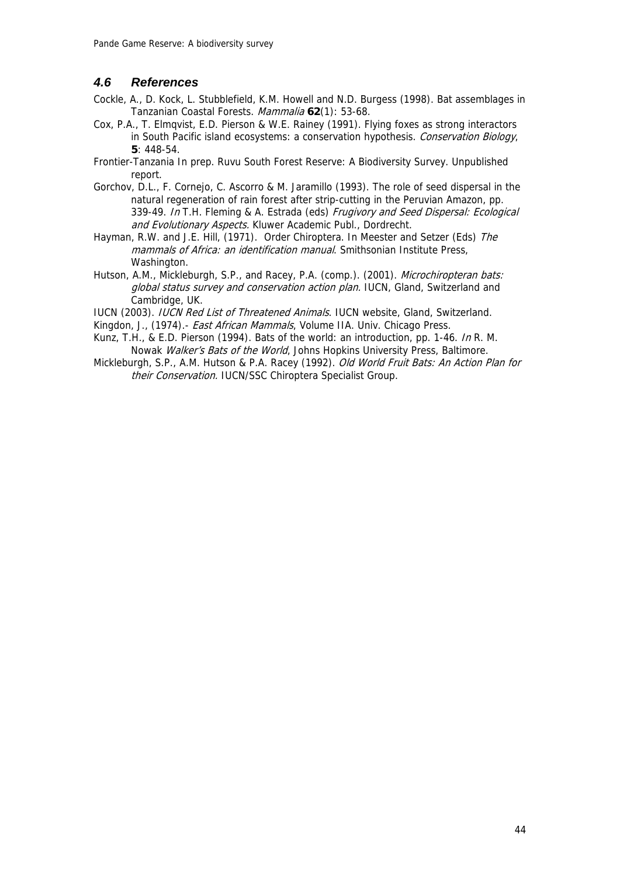## *4.6 References*

- Cockle, A., D. Kock, L. Stubblefield, K.M. Howell and N.D. Burgess (1998). Bat assemblages in Tanzanian Coastal Forests. Mammalia **62**(1): 53-68.
- Cox, P.A., T. Elmqvist, E.D. Pierson & W.E. Rainey (1991). Flying foxes as strong interactors in South Pacific island ecosystems: a conservation hypothesis. Conservation Biology, **5**: 448-54.
- Frontier-Tanzania In prep. Ruvu South Forest Reserve: A Biodiversity Survey. Unpublished report.
- Gorchov, D.L., F. Cornejo, C. Ascorro & M. Jaramillo (1993). The role of seed dispersal in the natural regeneration of rain forest after strip-cutting in the Peruvian Amazon, pp. 339-49. In T.H. Fleming & A. Estrada (eds) Frugivory and Seed Dispersal: Ecological and Evolutionary Aspects. Kluwer Academic Publ., Dordrecht.
- Hayman, R.W. and J.E. Hill, (1971). Order Chiroptera. In Meester and Setzer (Eds) The mammals of Africa: an identification manual. Smithsonian Institute Press, Washington.
- Hutson, A.M., Mickleburgh, S.P., and Racey, P.A. (comp.). (2001). Microchiropteran bats: global status survey and conservation action plan. IUCN, Gland, Switzerland and Cambridge, UK.

IUCN (2003). IUCN Red List of Threatened Animals. IUCN website, Gland, Switzerland.

- Kingdon, J., (1974).- *East African Mammals*, Volume IIA. Univ. Chicago Press.
- Kunz, T.H., & E.D. Pierson (1994). Bats of the world: an introduction, pp. 1-46. In R. M. Nowak *Walker's Bats of the World*, Johns Hopkins University Press, Baltimore.
- Mickleburgh, S.P., A.M. Hutson & P.A. Racey (1992). Old World Fruit Bats: An Action Plan for their Conservation. IUCN/SSC Chiroptera Specialist Group.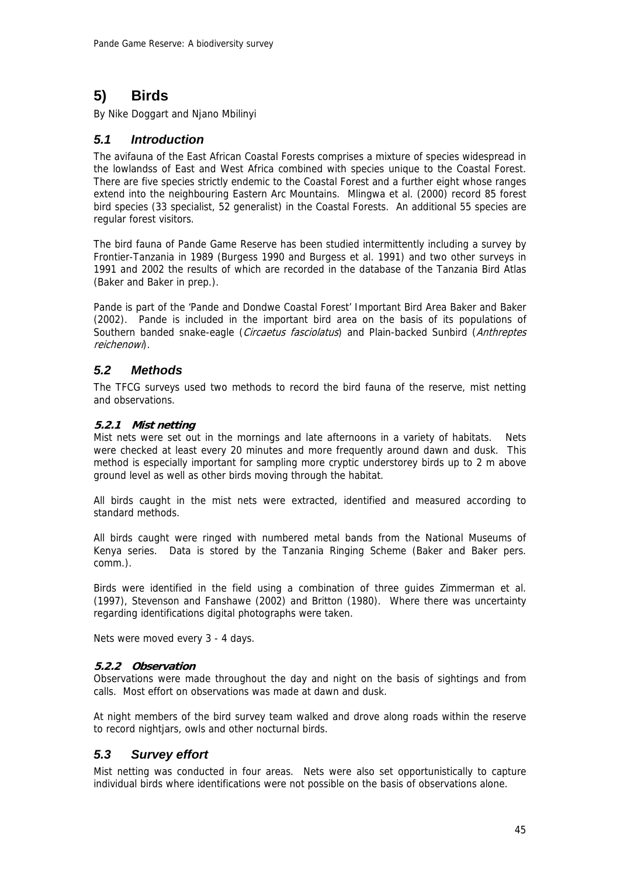# **5) Birds**

By Nike Doggart and Njano Mbilinyi

## *5.1 Introduction*

The avifauna of the East African Coastal Forests comprises a mixture of species widespread in the lowlandss of East and West Africa combined with species unique to the Coastal Forest. There are five species strictly endemic to the Coastal Forest and a further eight whose ranges extend into the neighbouring Eastern Arc Mountains. Mlingwa et al. (2000) record 85 forest bird species (33 specialist, 52 generalist) in the Coastal Forests. An additional 55 species are regular forest visitors.

The bird fauna of Pande Game Reserve has been studied intermittently including a survey by Frontier-Tanzania in 1989 (Burgess 1990 and Burgess et al. 1991) and two other surveys in 1991 and 2002 the results of which are recorded in the database of the Tanzania Bird Atlas (Baker and Baker in prep.).

Pande is part of the 'Pande and Dondwe Coastal Forest' Important Bird Area Baker and Baker (2002). Pande is included in the important bird area on the basis of its populations of Southern banded snake-eagle (Circaetus fasciolatus) and Plain-backed Sunbird (Anthreptes reichenowi).

## *5.2 Methods*

The TFCG surveys used two methods to record the bird fauna of the reserve, mist netting and observations.

## **5.2.1 Mist netting**

Mist nets were set out in the mornings and late afternoons in a variety of habitats. Nets were checked at least every 20 minutes and more frequently around dawn and dusk. This method is especially important for sampling more cryptic understorey birds up to 2 m above ground level as well as other birds moving through the habitat.

All birds caught in the mist nets were extracted, identified and measured according to standard methods.

All birds caught were ringed with numbered metal bands from the National Museums of Kenya series. Data is stored by the Tanzania Ringing Scheme (Baker and Baker pers. comm.).

Birds were identified in the field using a combination of three guides Zimmerman et al. (1997), Stevenson and Fanshawe (2002) and Britton (1980). Where there was uncertainty regarding identifications digital photographs were taken.

Nets were moved every 3 - 4 days.

### **5.2.2 Observation**

Observations were made throughout the day and night on the basis of sightings and from calls. Most effort on observations was made at dawn and dusk.

At night members of the bird survey team walked and drove along roads within the reserve to record nightjars, owls and other nocturnal birds.

## *5.3 Survey effort*

Mist netting was conducted in four areas. Nets were also set opportunistically to capture individual birds where identifications were not possible on the basis of observations alone.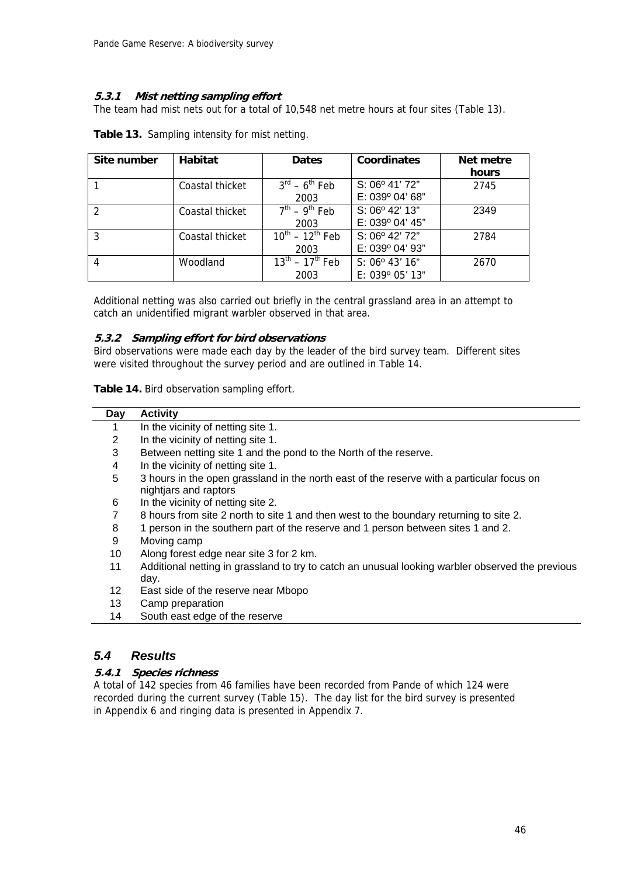## **5.3.1 Mist netting sampling effort**

The team had mist nets out for a total of 10,548 net metre hours at four sites (Table 13).

| Site number | <b>Habitat</b>  | <b>Dates</b>                        | Coordinates             | Net metre |
|-------------|-----------------|-------------------------------------|-------------------------|-----------|
|             |                 |                                     |                         | hours     |
|             | Coastal thicket | $3^{\text{rd}} - 6^{\text{th}}$ Feb | S: 06° 41' 72"          | 2745      |
|             |                 | 2003                                | E: 039° 04' 68"         |           |
|             | Coastal thicket | $7th - 9th$ Feb                     | $S: 06^{\circ}$ 42' 13" | 2349      |
|             |                 | 2003                                | E: 039° 04' 45"         |           |
| 3           | Coastal thicket | $10^{th} - 12^{th}$ Feb             | S: 06° 42' 72"          | 2784      |
|             |                 | 2003                                | E: 039° 04' 93"         |           |
|             | Woodland        | $13^{th} - 17^{th}$ Feb             | S: 06° 43' 16"          | 2670      |
|             |                 | 2003                                | E: 039º 05' 13"         |           |

**Table 13.** Sampling intensity for mist netting.

Additional netting was also carried out briefly in the central grassland area in an attempt to catch an unidentified migrant warbler observed in that area.

### **5.3.2 Sampling effort for bird observations**

Bird observations were made each day by the leader of the bird survey team. Different sites were visited throughout the survey period and are outlined in Table 14.

**Table 14.** Bird observation sampling effort.

| Day | <b>Activity</b>                                                                                                    |
|-----|--------------------------------------------------------------------------------------------------------------------|
|     | In the vicinity of netting site 1.                                                                                 |
| 2   | In the vicinity of netting site 1.                                                                                 |
| 3   | Between netting site 1 and the pond to the North of the reserve.                                                   |
| 4   | In the vicinity of netting site 1.                                                                                 |
| 5   | 3 hours in the open grassland in the north east of the reserve with a particular focus on<br>nightjars and raptors |
| 6   | In the vicinity of netting site 2.                                                                                 |
| 7   | 8 hours from site 2 north to site 1 and then west to the boundary returning to site 2.                             |
| 8   | 1 person in the southern part of the reserve and 1 person between sites 1 and 2.                                   |
| 9   | Moving camp                                                                                                        |
| 10  | Along forest edge near site 3 for 2 km.                                                                            |
| 11  | Additional netting in grassland to try to catch an unusual looking warbler observed the previous<br>day.           |
| 12  | East side of the reserve near Mbopo                                                                                |
| 13  | Camp preparation                                                                                                   |
| 14  | South east edge of the reserve                                                                                     |
|     |                                                                                                                    |

## *5.4 Results*

## **5.4.1 Species richness**

A total of 142 species from 46 families have been recorded from Pande of which 124 were recorded during the current survey (Table 15). The day list for the bird survey is presented in Appendix 6 and ringing data is presented in Appendix 7.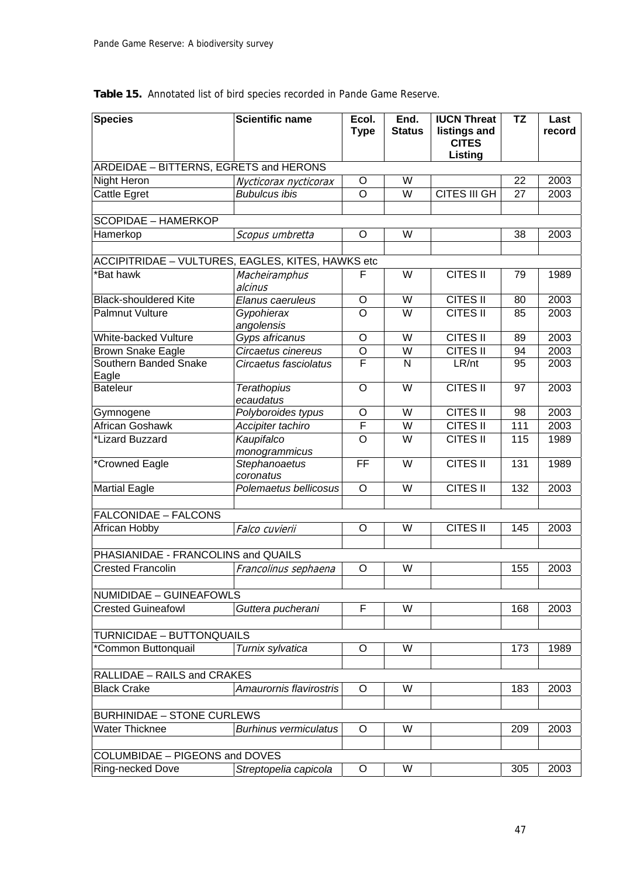| <b>Species</b>                                    | <b>Scientific name</b>          | Ecol.<br><b>Type</b>    | End.<br><b>Status</b> | <b>IUCN Threat</b><br>listings and<br><b>CITES</b><br>Listing | <b>TZ</b> | Last<br>record |
|---------------------------------------------------|---------------------------------|-------------------------|-----------------------|---------------------------------------------------------------|-----------|----------------|
| ARDEIDAE - BITTERNS, EGRETS and HERONS            |                                 |                         |                       |                                                               |           |                |
| Night Heron                                       | Nycticorax nycticorax           | O                       | W                     |                                                               | 22        | 2003           |
| <b>Cattle Egret</b>                               | <b>Bubulcus ibis</b>            | $\overline{O}$          | W                     | <b>CITES III GH</b>                                           | 27        | 2003           |
|                                                   |                                 |                         |                       |                                                               |           |                |
| <b>SCOPIDAE - HAMERKOP</b>                        |                                 |                         |                       |                                                               |           |                |
| Hamerkop                                          | Scopus umbretta                 | $\circ$                 | W                     |                                                               | 38        | 2003           |
|                                                   |                                 |                         |                       |                                                               |           |                |
| ACCIPITRIDAE - VULTURES, EAGLES, KITES, HAWKS etc |                                 |                         |                       |                                                               |           |                |
| *Bat hawk                                         | Macheiramphus                   | F                       | W                     | <b>CITES II</b>                                               | 79        | 1989           |
|                                                   | alcinus                         |                         |                       |                                                               |           |                |
| <b>Black-shouldered Kite</b>                      | Elanus caeruleus                | O                       | W                     | <b>CITES II</b>                                               | 80        | 2003           |
| <b>Palmnut Vulture</b>                            | Gypohierax                      | $\overline{O}$          | W                     | <b>CITES II</b>                                               | 85        | 2003           |
|                                                   | angolensis                      |                         |                       |                                                               |           |                |
| White-backed Vulture                              | Gyps africanus                  | $\circ$                 | $\overline{W}$        | <b>CITES II</b>                                               | 89        | 2003           |
| <b>Brown Snake Eagle</b>                          | Circaetus cinereus              | O                       | W                     | CITES II                                                      | 94        | 2003           |
| Southern Banded Snake                             | Circaetus fasciolatus           | $\overline{\mathsf{F}}$ | $\mathsf{N}$          | LR/nt                                                         | 95        | 2003           |
| Eagle                                             |                                 |                         |                       |                                                               |           |                |
| <b>Bateleur</b>                                   | <b>Terathopius</b><br>ecaudatus | $\circ$                 | W                     | <b>CITES II</b>                                               | 97        | 2003           |
| Gymnogene                                         | Polyboroides typus              | $\circ$                 | W                     | CITES II                                                      | 98        | 2003           |
| <b>African Goshawk</b>                            | Accipiter tachiro               | F                       | W                     | <b>CITES II</b>                                               | 111       | 2003           |
| *Lizard Buzzard                                   | Kaupifalco                      | $\circ$                 | W                     | <b>CITES II</b>                                               | 115       | 1989           |
|                                                   | monogrammicus                   |                         |                       |                                                               |           |                |
| *Crowned Eagle                                    | Stephanoaetus                   | FF                      | W                     | <b>CITES II</b>                                               | 131       | 1989           |
|                                                   | coronatus                       |                         |                       |                                                               |           |                |
| <b>Martial Eagle</b>                              | Polemaetus bellicosus           | $\circ$                 | W                     | <b>CITES II</b>                                               | 132       | 2003           |
|                                                   |                                 |                         |                       |                                                               |           |                |
| <b>FALCONIDAE - FALCONS</b>                       |                                 |                         |                       |                                                               |           |                |
| African Hobby                                     | Falco cuvierii                  | $\circ$                 | W                     | <b>CITES II</b>                                               | 145       | 2003           |
|                                                   |                                 |                         |                       |                                                               |           |                |
| PHASIANIDAE - FRANCOLINS and QUAILS               |                                 |                         |                       |                                                               |           |                |
| <b>Crested Francolin</b>                          | Francolinus sephaena            | $\circ$                 | W                     |                                                               | 155       | 2003           |
|                                                   |                                 |                         |                       |                                                               |           |                |
| <b>NUMIDIDAE - GUINEAFOWLS</b>                    |                                 |                         |                       |                                                               |           |                |
| <b>Crested Guineafowl</b>                         | Guttera pucherani               | F                       | W                     |                                                               | 168       | 2003           |
|                                                   |                                 |                         |                       |                                                               |           |                |
| <b>TURNICIDAE - BUTTONQUAILS</b>                  |                                 |                         |                       |                                                               |           |                |
| *Common Buttonquail                               | Turnix sylvatica                | O                       | W                     |                                                               | 173       | 1989           |
|                                                   |                                 |                         |                       |                                                               |           |                |
| RALLIDAE - RAILS and CRAKES                       |                                 |                         |                       |                                                               |           |                |
| <b>Black Crake</b>                                | Amaurornis flavirostris         | O                       | W                     |                                                               | 183       | 2003           |
|                                                   |                                 |                         |                       |                                                               |           |                |
| <b>BURHINIDAE - STONE CURLEWS</b>                 |                                 |                         |                       |                                                               |           |                |
| <b>Water Thicknee</b>                             | <b>Burhinus vermiculatus</b>    | O                       | W                     |                                                               | 209       | 2003           |
|                                                   |                                 |                         |                       |                                                               |           |                |
| COLUMBIDAE - PIGEONS and DOVES                    |                                 |                         |                       |                                                               |           |                |
| Ring-necked Dove                                  | Streptopelia capicola           | O                       | W                     |                                                               | 305       | 2003           |

**Table 15.** Annotated list of bird species recorded in Pande Game Reserve.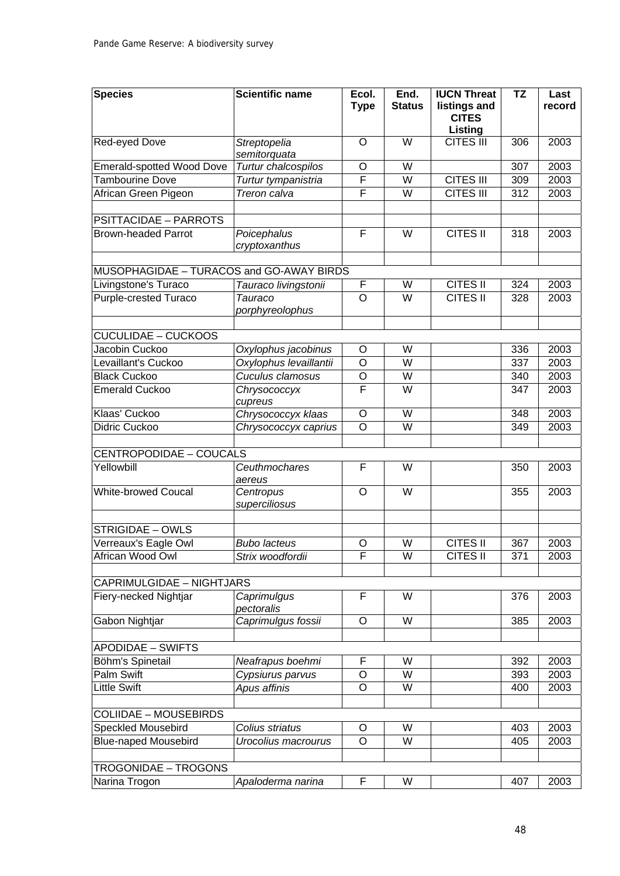| <b>Species</b>                           | <b>Scientific name</b>       | Ecol.              | End.                    | <b>IUCN Threat</b>           | <b>TZ</b>         | Last   |
|------------------------------------------|------------------------------|--------------------|-------------------------|------------------------------|-------------------|--------|
|                                          |                              | <b>Type</b>        | <b>Status</b>           | listings and<br><b>CITES</b> |                   | record |
|                                          |                              |                    |                         | Listing                      |                   |        |
| Red-eyed Dove                            | Streptopelia<br>semitorquata | O                  | W                       | <b>CITES III</b>             | 306               | 2003   |
| <b>Emerald-spotted Wood Dove</b>         | Turtur chalcospilos          | O                  | $\overline{W}$          |                              | 307               | 2003   |
| <b>Tambourine Dove</b>                   | Turtur tympanistria          | F                  | W                       | <b>CITES III</b>             | 309               | 2003   |
| African Green Pigeon                     | Treron calva                 | F                  | W                       | <b>CITES III</b>             | 312               | 2003   |
|                                          |                              |                    |                         |                              |                   |        |
| <b>PSITTACIDAE - PARROTS</b>             |                              |                    |                         |                              |                   |        |
| <b>Brown-headed Parrot</b>               | Poicephalus                  | F                  | W                       | CITES II                     | $\overline{3}$ 18 | 2003   |
|                                          | cryptoxanthus                |                    |                         |                              |                   |        |
|                                          |                              |                    |                         |                              |                   |        |
| MUSOPHAGIDAE - TURACOS and GO-AWAY BIRDS |                              |                    |                         |                              |                   |        |
| Livingstone's Turaco                     | Tauraco livingstonii         | F                  | W                       | <b>CITES II</b>              | 324               | 2003   |
| <b>Purple-crested Turaco</b>             | Tauraco                      | $\overline{O}$     | $\overline{\mathsf{W}}$ | <b>CITES II</b>              | 328               | 2003   |
|                                          | porphyreolophus              |                    |                         |                              |                   |        |
| <b>CUCULIDAE - CUCKOOS</b>               |                              |                    |                         |                              |                   |        |
| Jacobin Cuckoo                           | Oxylophus jacobinus          | O                  | W                       |                              | 336               | 2003   |
| Levaillant's Cuckoo                      | Oxylophus levaillantii       | $\overline{\rm o}$ | W                       |                              | 337               | 2003   |
| <b>Black Cuckoo</b>                      | Cuculus clamosus             | O                  | W                       |                              | 340               | 2003   |
| <b>Emerald Cuckoo</b>                    | Chrysococcyx                 | F                  | W                       |                              | 347               | 2003   |
|                                          | cupreus                      |                    |                         |                              |                   |        |
| Klaas' Cuckoo                            | Chrysococcyx klaas           | O                  | W                       |                              | 348               | 2003   |
| <b>Didric Cuckoo</b>                     | Chrysococcyx caprius         | $\overline{\rm o}$ | $\overline{\mathsf{W}}$ |                              | 349               | 2003   |
|                                          |                              |                    |                         |                              |                   |        |
| CENTROPODIDAE - COUCALS                  |                              |                    |                         |                              |                   |        |
| Yellowbill                               | Ceuthmochares<br>aereus      | F                  | W                       |                              | 350               | 2003   |
| <b>White-browed Coucal</b>               | Centropus                    | $\circ$            | $\overline{\mathsf{W}}$ |                              | 355               | 2003   |
|                                          | superciliosus                |                    |                         |                              |                   |        |
| <b>STRIGIDAE - OWLS</b>                  |                              |                    |                         |                              |                   |        |
| Verreaux's Eagle Owl                     | <b>Bubo lacteus</b>          | $\circ$            | W                       | <b>CITES II</b>              | 367               | 2003   |
| African Wood Owl                         | Strix woodfordii             | F                  | W                       | <b>CITES II</b>              | 371               | 2003   |
|                                          |                              |                    |                         |                              |                   |        |
| <b>CAPRIMULGIDAE - NIGHTJARS</b>         |                              |                    |                         |                              |                   |        |
| Fiery-necked Nightjar                    | Caprimulgus                  | F                  | W                       |                              | 376               | 2003   |
|                                          | pectoralis                   |                    |                         |                              |                   |        |
| Gabon Nightjar                           | Caprimulgus fossii           | $\circ$            | $\overline{W}$          |                              | 385               | 2003   |
|                                          |                              |                    |                         |                              |                   |        |
| <b>APODIDAE - SWIFTS</b>                 |                              |                    |                         |                              |                   |        |
| Böhm's Spinetail                         | Neafrapus boehmi             | F                  | W                       |                              | 392               | 2003   |
| <b>Palm Swift</b>                        | Cypsiurus parvus             | O                  | W                       |                              | 393               | 2003   |
| <b>Little Swift</b>                      | Apus affinis                 | $\circ$            | W                       |                              | 400               | 2003   |
|                                          |                              |                    |                         |                              |                   |        |
| <b>COLIIDAE - MOUSEBIRDS</b>             |                              |                    |                         |                              |                   |        |
| <b>Speckled Mousebird</b>                | Colius striatus              | O                  | W                       |                              | 403               | 2003   |
| <b>Blue-naped Mousebird</b>              | Urocolius macrourus          | $\circ$            | W                       |                              | 405               | 2003   |
|                                          |                              |                    |                         |                              |                   |        |
| <b>TROGONIDAE - TROGONS</b>              |                              |                    |                         |                              |                   |        |
| Narina Trogon                            | Apaloderma narina            | F                  | W                       |                              | 407               | 2003   |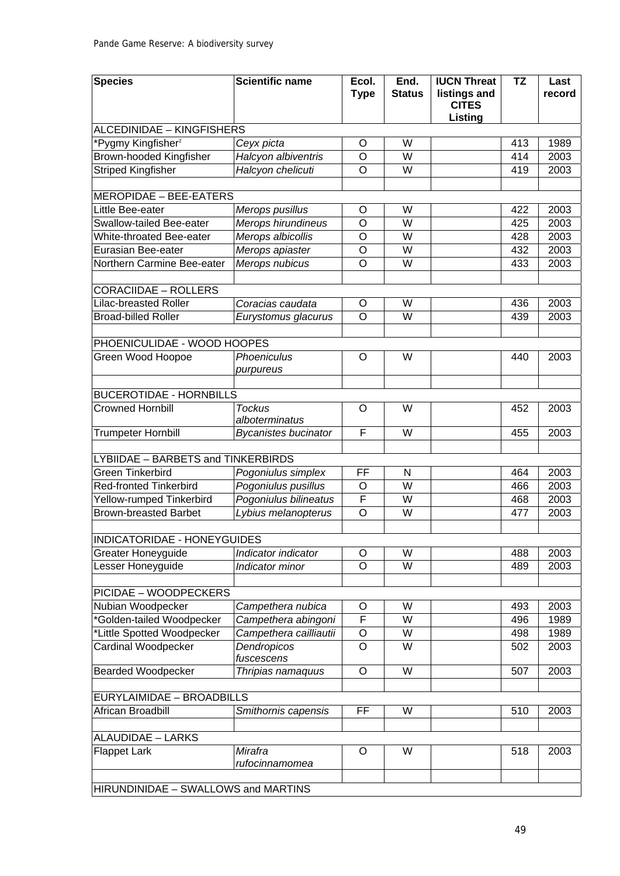| <b>Species</b>                      | <b>Scientific name</b>          | Ecol.<br><b>Type</b> | End.<br><b>Status</b> | <b>IUCN Threat</b><br>listings and<br><b>CITES</b><br>Listing | <b>TZ</b> | Last<br>record |
|-------------------------------------|---------------------------------|----------------------|-----------------------|---------------------------------------------------------------|-----------|----------------|
| ALCEDINIDAE - KINGFISHERS           |                                 |                      |                       |                                                               |           |                |
| *Pygmy Kingfisher <sup>2</sup>      | Ceyx picta                      | O                    | W                     |                                                               | 413       | 1989           |
| Brown-hooded Kingfisher             | Halcyon albiventris             | $\circ$              | W                     |                                                               | 414       | 2003           |
| <b>Striped Kingfisher</b>           | Halcyon chelicuti               | $\circ$              | W                     |                                                               | 419       | 2003           |
|                                     |                                 |                      |                       |                                                               |           |                |
| <b>MEROPIDAE - BEE-EATERS</b>       |                                 |                      |                       |                                                               |           |                |
| Little Bee-eater                    | Merops pusillus                 | $\circ$              | W                     |                                                               | 422       | 2003           |
| Swallow-tailed Bee-eater            | Merops hirundineus              | $\overline{O}$       | W                     |                                                               | 425       | 2003           |
| White-throated Bee-eater            | Merops albicollis               | O                    | W                     |                                                               | 428       | 2003           |
| Eurasian Bee-eater                  | Merops apiaster                 | $\circ$              | W                     |                                                               | 432       | 2003           |
| Northern Carmine Bee-eater          | Merops nubicus                  | $\overline{O}$       | W                     |                                                               | 433       | 2003           |
|                                     |                                 |                      |                       |                                                               |           |                |
| <b>CORACIIDAE - ROLLERS</b>         |                                 |                      |                       |                                                               |           |                |
| <b>Lilac-breasted Roller</b>        | Coracias caudata                | $\circ$              | W                     |                                                               | 436       | 2003           |
| <b>Broad-billed Roller</b>          | Eurystomus glacurus             | $\overline{O}$       | W                     |                                                               | 439       | 2003           |
|                                     |                                 |                      |                       |                                                               |           |                |
| PHOENICULIDAE - WOOD HOOPES         |                                 |                      |                       |                                                               |           |                |
| Green Wood Hoopoe                   | Phoeniculus<br>purpureus        | $\circ$              | W                     |                                                               | 440       | 2003           |
| <b>BUCEROTIDAE - HORNBILLS</b>      |                                 |                      |                       |                                                               |           |                |
| <b>Crowned Hornbill</b>             | <b>Tockus</b><br>alboterminatus | $\circ$              | W                     |                                                               | 452       | 2003           |
| <b>Trumpeter Hornbill</b>           | <b>Bycanistes bucinator</b>     | F                    | W                     |                                                               | 455       | 2003           |
|                                     |                                 |                      |                       |                                                               |           |                |
| LYBIIDAE - BARBETS and TINKERBIRDS  |                                 |                      |                       |                                                               |           |                |
| <b>Green Tinkerbird</b>             | Pogoniulus simplex              | FF                   | $\mathsf{N}$          |                                                               | 464       | 2003           |
| <b>Red-fronted Tinkerbird</b>       | Pogoniulus pusillus             | $\circ$              | W                     |                                                               | 466       | 2003           |
| Yellow-rumped Tinkerbird            | Pogoniulus bilineatus           | F                    | W                     |                                                               | 468       | 2003           |
| <b>Brown-breasted Barbet</b>        | Lybius melanopterus             | $\overline{O}$       | W                     |                                                               | 477       | 2003           |
|                                     |                                 |                      |                       |                                                               |           |                |
| <b>INDICATORIDAE - HONEYGUIDES</b>  |                                 |                      |                       |                                                               |           |                |
| Greater Honeyguide                  | Indicator indicator             | $\circ$              | W                     |                                                               | 488       | 2003           |
| Lesser Honeyguide                   | Indicator minor                 | $\overline{O}$       | W                     |                                                               | 489       | 2003           |
|                                     |                                 |                      |                       |                                                               |           |                |
| <b>PICIDAE - WOODPECKERS</b>        |                                 |                      |                       |                                                               |           |                |
| Nubian Woodpecker                   | Campethera nubica               | O                    | W                     |                                                               | 493       | 2003           |
| *Golden-tailed Woodpecker           | Campethera abingoni             | F                    | W                     |                                                               | 496       | 1989           |
| *Little Spotted Woodpecker          | Campethera cailliautii          | $\mathsf O$          | W                     |                                                               | 498       | 1989           |
| <b>Cardinal Woodpecker</b>          | Dendropicos<br>fuscescens       | $\overline{O}$       | W                     |                                                               | 502       | 2003           |
| <b>Bearded Woodpecker</b>           | Thripias namaquus               | $\circ$              | W                     |                                                               | 507       | 2003           |
| EURYLAIMIDAE - BROADBILLS           |                                 |                      |                       |                                                               |           |                |
| African Broadbill                   |                                 | FF                   | W                     |                                                               | 510       | 2003           |
|                                     | Smithornis capensis             |                      |                       |                                                               |           |                |
| <b>ALAUDIDAE - LARKS</b>            |                                 |                      |                       |                                                               |           |                |
| <b>Flappet Lark</b>                 | Mirafra<br>rufocinnamomea       | $\circ$              | W                     |                                                               | 518       | 2003           |
| HIRUNDINIDAE - SWALLOWS and MARTINS |                                 |                      |                       |                                                               |           |                |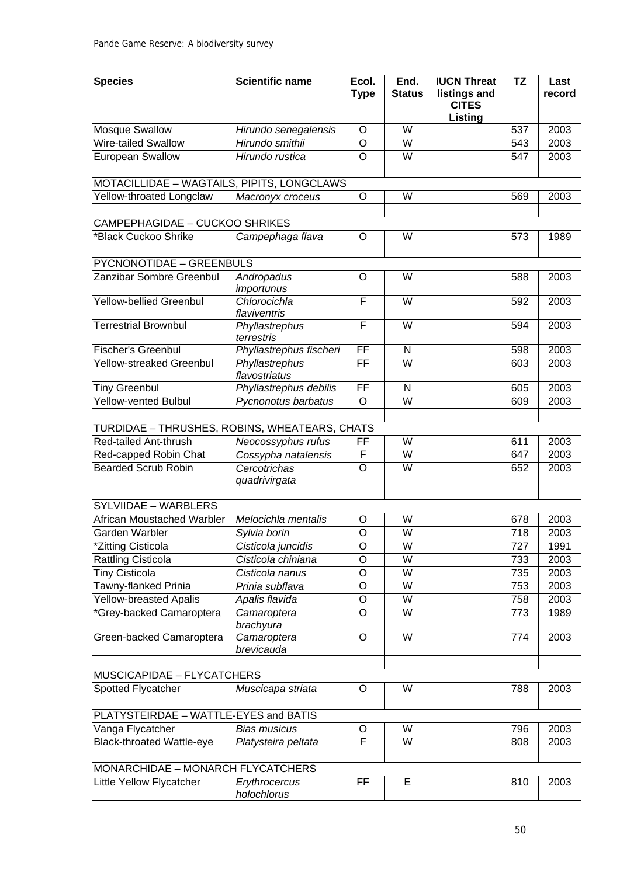| <b>Species</b>                                | <b>Scientific name</b>        | Ecol.<br><b>Type</b>     | End.<br><b>Status</b>   | <b>IUCN Threat</b><br>listings and<br><b>CITES</b><br>Listing | <b>TZ</b> | Last<br>record |
|-----------------------------------------------|-------------------------------|--------------------------|-------------------------|---------------------------------------------------------------|-----------|----------------|
| <b>Mosque Swallow</b>                         | Hirundo senegalensis          | $\circ$                  | $\overline{W}$          |                                                               | 537       | 2003           |
| <b>Wire-tailed Swallow</b>                    | Hirundo smithii               | $\overline{\mathsf{o}}$  | W                       |                                                               | 543       | 2003           |
| <b>European Swallow</b>                       | Hirundo rustica               | $\circ$                  | W                       |                                                               | 547       | 2003           |
|                                               |                               |                          |                         |                                                               |           |                |
| MOTACILLIDAE - WAGTAILS, PIPITS, LONGCLAWS    |                               |                          |                         |                                                               |           |                |
| Yellow-throated Longclaw                      | Macronyx croceus              | $\circ$                  | W                       |                                                               | 569       | 2003           |
|                                               |                               |                          |                         |                                                               |           |                |
| <b>CAMPEPHAGIDAE - CUCKOO SHRIKES</b>         |                               |                          |                         |                                                               |           |                |
| *Black Cuckoo Shrike                          | Campephaga flava              | $\circ$                  | W                       |                                                               | 573       | 1989           |
|                                               |                               |                          |                         |                                                               |           |                |
| PYCNONOTIDAE - GREENBULS                      |                               |                          |                         |                                                               |           |                |
| Zanzibar Sombre Greenbul                      | Andropadus                    | $\circ$                  | W                       |                                                               | 588       | 2003           |
| <b>Yellow-bellied Greenbul</b>                | importunus<br>Chlorocichla    | F                        | W                       |                                                               | 592       | 2003           |
|                                               | flaviventris                  |                          |                         |                                                               |           |                |
| <b>Terrestrial Brownbul</b>                   | Phyllastrephus<br>terrestris  | F                        | W                       |                                                               | 594       | 2003           |
| <b>Fischer's Greenbul</b>                     | Phyllastrephus fischeri       | FF                       | N                       |                                                               | 598       | 2003           |
| <b>Yellow-streaked Greenbul</b>               | Phyllastrephus                | $\overline{\mathsf{FF}}$ | $\overline{\mathsf{W}}$ |                                                               | 603       | 2003           |
|                                               | flavostriatus                 |                          |                         |                                                               |           |                |
| <b>Tiny Greenbul</b>                          | Phyllastrephus debilis        | $\overline{FF}$          | ${\sf N}$               |                                                               | 605       | 2003           |
| <b>Yellow-vented Bulbul</b>                   | Pycnonotus barbatus           | $\overline{O}$           | $\overline{\mathsf{W}}$ |                                                               | 609       | 2003           |
|                                               |                               |                          |                         |                                                               |           |                |
| TURDIDAE - THRUSHES, ROBINS, WHEATEARS, CHATS |                               |                          |                         |                                                               |           |                |
| Red-tailed Ant-thrush                         | Neocossyphus rufus            | FF                       | W                       |                                                               | 611       | 2003           |
| Red-capped Robin Chat                         | Cossypha natalensis           | F                        | W                       |                                                               | 647       | 2003           |
| <b>Bearded Scrub Robin</b>                    | Cercotrichas<br>quadrivirgata | $\overline{O}$           | $\overline{W}$          |                                                               | 652       | 2003           |
| SYLVIIDAE - WARBLERS                          |                               |                          |                         |                                                               |           |                |
| African Moustached Warbler                    | Melocichla mentalis           | O                        | W                       |                                                               | 678       | 2003           |
| Garden Warbler                                | Sylvia borin                  | $\overline{O}$           | W                       |                                                               | 718       | 2003           |
| *Zitting Cisticola                            | Cisticola juncidis            | O                        | W                       |                                                               | 727       | 1991           |
| <b>Rattling Cisticola</b>                     | Cisticola chiniana            | $\overline{O}$           | W                       |                                                               | 733       | 2003           |
| <b>Tiny Cisticola</b>                         | Cisticola nanus               | $\circ$                  | W                       |                                                               | 735       | 2003           |
| Tawny-flanked Prinia                          | Prinia subflava               | $\circ$                  | W                       |                                                               | 753       | 2003           |
| Yellow-breasted Apalis                        | Apalis flavida                | $\circ$                  | W                       |                                                               | 758       | 2003           |
| *Grey-backed Camaroptera                      | Camaroptera                   | O                        | W                       |                                                               | 773       | 1989           |
|                                               | brachyura                     |                          |                         |                                                               |           |                |
| Green-backed Camaroptera                      | Camaroptera<br>brevicauda     | O                        | W                       |                                                               | 774       | 2003           |
|                                               |                               |                          |                         |                                                               |           |                |
| MUSCICAPIDAE - FLYCATCHERS                    |                               |                          |                         |                                                               |           |                |
| Spotted Flycatcher                            | Muscicapa striata             | $\circ$                  | W                       |                                                               | 788       | 2003           |
|                                               |                               |                          |                         |                                                               |           |                |
| PLATYSTEIRDAE - WATTLE-EYES and BATIS         |                               |                          |                         |                                                               |           |                |
| Vanga Flycatcher                              | <b>Bias musicus</b>           | O                        | W                       |                                                               | 796       | 2003           |
| <b>Black-throated Wattle-eye</b>              | Platysteira peltata           | F                        | W                       |                                                               | 808       | 2003           |
| MONARCHIDAE - MONARCH FLYCATCHERS             |                               |                          |                         |                                                               |           |                |
| Little Yellow Flycatcher                      | Erythrocercus                 | FF.                      | E                       |                                                               | 810       | 2003           |
|                                               | holochlorus                   |                          |                         |                                                               |           |                |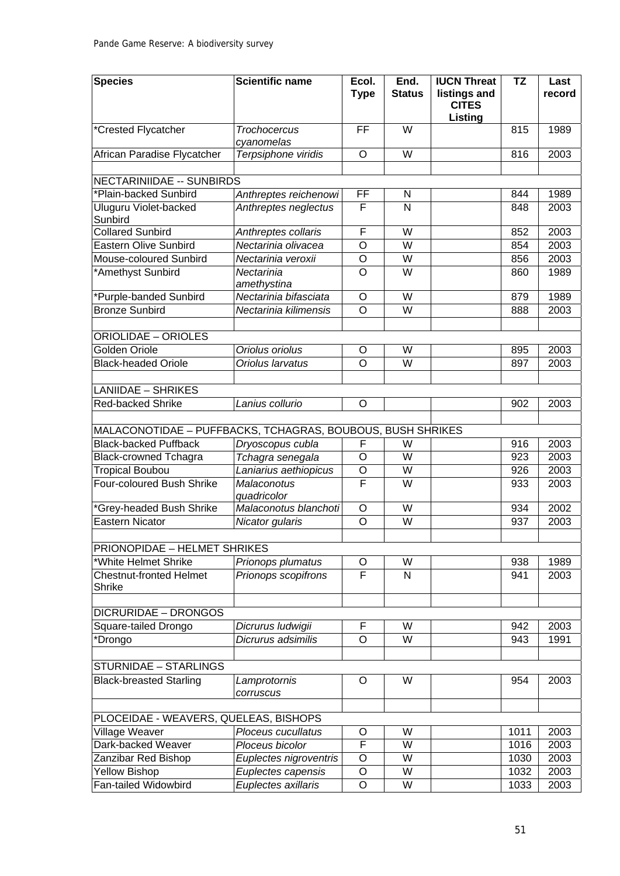| <b>Species</b>                                             | <b>Scientific name</b> | Ecol.              | End.                    | <b>IUCN Threat</b>           | <b>TZ</b> | Last   |
|------------------------------------------------------------|------------------------|--------------------|-------------------------|------------------------------|-----------|--------|
|                                                            |                        | <b>Type</b>        | <b>Status</b>           | listings and<br><b>CITES</b> |           | record |
|                                                            |                        |                    |                         | Listing                      |           |        |
| *Crested Flycatcher                                        | Trochocercus           | $\overline{FF}$    | $\overline{W}$          |                              | 815       | 1989   |
|                                                            | cyanomelas             |                    |                         |                              |           |        |
| African Paradise Flycatcher                                | Terpsiphone viridis    | $\circ$            | W                       |                              | 816       | 2003   |
|                                                            |                        |                    |                         |                              |           |        |
| <b>NECTARINIIDAE -- SUNBIRDS</b><br>*Plain-backed Sunbird  | Anthreptes reichenowi  | FF                 |                         |                              | 844       | 1989   |
| <b>Uluguru Violet-backed</b>                               | Anthreptes neglectus   | F                  | N<br>$\mathsf{N}$       |                              | 848       | 2003   |
| Sunbird                                                    |                        |                    |                         |                              |           |        |
| <b>Collared Sunbird</b>                                    | Anthreptes collaris    | F                  | W                       |                              | 852       | 2003   |
| <b>Eastern Olive Sunbird</b>                               | Nectarinia olivacea    | $\circ$            | W                       |                              | 854       | 2003   |
| Mouse-coloured Sunbird                                     | Nectarinia veroxii     | $\overline{\rm o}$ | W                       |                              | 856       | 2003   |
| *Amethyst Sunbird                                          | Nectarinia             | $\overline{\rm o}$ | W                       |                              | 860       | 1989   |
|                                                            | amethystina            |                    |                         |                              |           |        |
| *Purple-banded Sunbird                                     | Nectarinia bifasciata  | $\circ$            | $\overline{W}$          |                              | 879       | 1989   |
| <b>Bronze Sunbird</b>                                      | Nectarinia kilimensis  | $\overline{\circ}$ | W                       |                              | 888       | 2003   |
|                                                            |                        |                    |                         |                              |           |        |
| <b>ORIOLIDAE - ORIOLES</b>                                 |                        |                    |                         |                              |           |        |
| <b>Golden Oriole</b>                                       | Oriolus oriolus        | O                  | W                       |                              | 895       | 2003   |
| <b>Black-headed Oriole</b>                                 | Oriolus larvatus       | $\overline{O}$     | W                       |                              | 897       | 2003   |
| <b>LANIIDAE - SHRIKES</b>                                  |                        |                    |                         |                              |           |        |
| <b>Red-backed Shrike</b>                                   | Lanius collurio        | $\overline{O}$     |                         |                              | 902       | 2003   |
|                                                            |                        |                    |                         |                              |           |        |
| MALACONOTIDAE - PUFFBACKS, TCHAGRAS, BOUBOUS, BUSH SHRIKES |                        |                    |                         |                              |           |        |
| <b>Black-backed Puffback</b>                               | Dryoscopus cubla       | F                  | W                       |                              | 916       | 2003   |
| <b>Black-crowned Tchagra</b>                               | Tchagra senegala       | $\overline{0}$     | W                       |                              | 923       | 2003   |
| <b>Tropical Boubou</b>                                     | Laniarius aethiopicus  | O                  | W                       |                              | 926       | 2003   |
| Four-coloured Bush Shrike                                  | <b>Malaconotus</b>     | F                  | $\overline{\mathsf{W}}$ |                              | 933       | 2003   |
|                                                            | quadricolor            |                    |                         |                              |           |        |
| *Grey-headed Bush Shrike                                   | Malaconotus blanchoti  | $\circ$            | W                       |                              | 934       | 2002   |
| <b>Eastern Nicator</b>                                     | Nicator gularis        | O                  | W                       |                              | 937       | 2003   |
|                                                            |                        |                    |                         |                              |           |        |
| PRIONOPIDAE - HELMET SHRIKES                               |                        |                    |                         |                              |           |        |
| *White Helmet Shrike                                       | Prionops plumatus      | O                  | W                       |                              | 938       | 1989   |
| <b>Chestnut-fronted Helmet</b>                             | Prionops scopifrons    | F                  | $\mathsf{N}$            |                              | 941       | 2003   |
| Shrike                                                     |                        |                    |                         |                              |           |        |
| <b>DICRURIDAE - DRONGOS</b>                                |                        |                    |                         |                              |           |        |
| Square-tailed Drongo                                       | Dicrurus ludwigii      | F                  | W                       |                              | 942       | 2003   |
| *Drongo                                                    | Dicrurus adsimilis     | $\circ$            | W                       |                              | 943       | 1991   |
|                                                            |                        |                    |                         |                              |           |        |
| STURNIDAE - STARLINGS                                      |                        |                    |                         |                              |           |        |
| <b>Black-breasted Starling</b>                             | Lamprotornis           | O                  | W                       |                              | 954       | 2003   |
|                                                            | corruscus              |                    |                         |                              |           |        |
|                                                            |                        |                    |                         |                              |           |        |
| PLOCEIDAE - WEAVERS, QUELEAS, BISHOPS                      |                        |                    |                         |                              |           |        |
| Village Weaver                                             | Ploceus cucullatus     | O                  | W                       |                              | 1011      | 2003   |
| Dark-backed Weaver                                         | Ploceus bicolor        | F                  | W                       |                              | 1016      | 2003   |
| Zanzibar Red Bishop                                        | Euplectes nigroventris | $\overline{O}$     | W                       |                              | 1030      | 2003   |
| <b>Yellow Bishop</b>                                       | Euplectes capensis     | $\overline{0}$     | W                       |                              | 1032      | 2003   |
| Fan-tailed Widowbird                                       | Euplectes axillaris    | $\overline{O}$     | W                       |                              | 1033      | 2003   |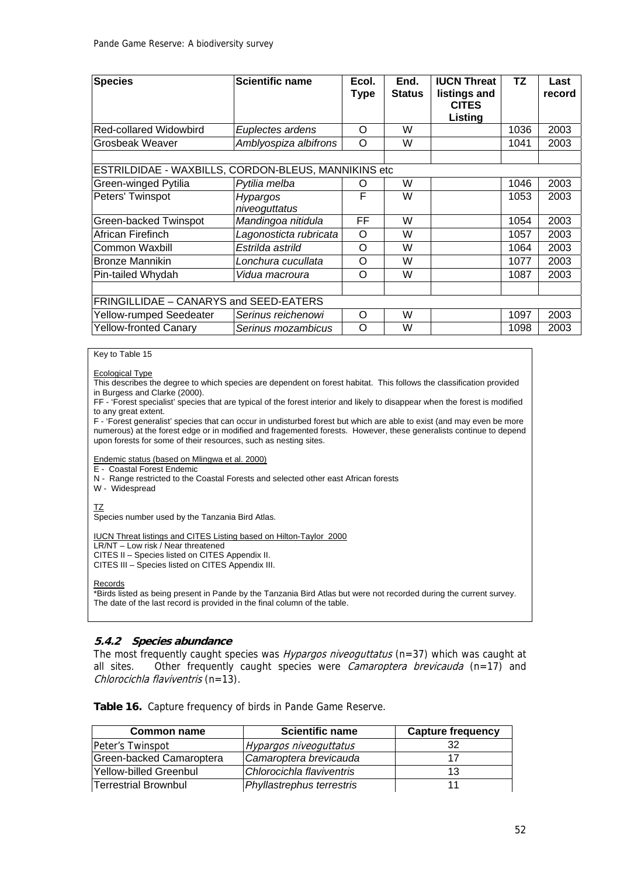| <b>Species</b>                                      | <b>Scientific name</b>           | Ecol.<br><b>Type</b> | End.<br><b>Status</b> | <b>IUCN Threat</b><br>listings and<br><b>CITES</b><br><b>Listing</b> | TZ   | Last<br>record |
|-----------------------------------------------------|----------------------------------|----------------------|-----------------------|----------------------------------------------------------------------|------|----------------|
| <b>Red-collared Widowbird</b>                       | Euplectes ardens                 | O                    | W                     |                                                                      | 1036 | 2003           |
| Grosbeak Weaver                                     | Amblyospiza albifrons            | $\Omega$             | W                     |                                                                      | 1041 | 2003           |
|                                                     |                                  |                      |                       |                                                                      |      |                |
| ESTRILDIDAE - WAXBILLS, CORDON-BLEUS, MANNIKINS etc |                                  |                      |                       |                                                                      |      |                |
| Green-winged Pytilia                                | Pytilia melba                    | O                    | W                     |                                                                      | 1046 | 2003           |
| Peters' Twinspot                                    | <b>Hypargos</b><br>niveoguttatus | F                    | W                     |                                                                      | 1053 | 2003           |
| Green-backed Twinspot                               | Mandingoa nitidula               | FF                   | W                     |                                                                      | 1054 | 2003           |
| African Firefinch                                   | Lagonosticta rubricata           | O                    | W                     |                                                                      | 1057 | 2003           |
| Common Waxbill                                      | Estrilda astrild                 | O                    | W                     |                                                                      | 1064 | 2003           |
| <b>Bronze Mannikin</b>                              | Lonchura cucullata               | O                    | W                     |                                                                      | 1077 | 2003           |
| Pin-tailed Whydah                                   | Vidua macroura                   | Ω                    | W                     |                                                                      | 1087 | 2003           |
|                                                     |                                  |                      |                       |                                                                      |      |                |
| FRINGILLIDAE - CANARYS and SEED-EATERS              |                                  |                      |                       |                                                                      |      |                |
| Yellow-rumped Seedeater                             | Serinus reichenowi               | $\Omega$             | W                     |                                                                      | 1097 | 2003           |
| <b>Yellow-fronted Canary</b>                        | Serinus mozambicus               | Ω                    | W                     |                                                                      | 1098 | 2003           |

#### Key to Table 15

Ecological Type

This describes the degree to which species are dependent on forest habitat. This follows the classification provided in Burgess and Clarke (2000).

FF - 'Forest specialist' species that are typical of the forest interior and likely to disappear when the forest is modified to any great extent.

F - 'Forest generalist' species that can occur in undisturbed forest but which are able to exist (and may even be more numerous) at the forest edge or in modified and fragemented forests. However, these generalists continue to depend upon forests for some of their resources, such as nesting sites.

Endemic status (based on Mlingwa et al. 2000)

E - Coastal Forest Endemic

N - Range restricted to the Coastal Forests and selected other east African forests

W - Widespread

TZ

Species number used by the Tanzania Bird Atlas.

IUCN Threat listings and CITES Listing based on Hilton-Taylor 2000

LR/NT – Low risk / Near threatened

CITES II – Species listed on CITES Appendix II.

CITES III – Species listed on CITES Appendix III.

Records

\*Birds listed as being present in Pande by the Tanzania Bird Atlas but were not recorded during the current survey. The date of the last record is provided in the final column of the table.

#### **5.4.2 Species abundance**

The most frequently caught species was *Hypargos niveoguttatus* (n=37) which was caught at all sites. Other frequently caught species were *Camaroptera brevicauda* ( $n=17$ ) and Chlorocichla flaviventris (n=13).

|  | Table 16. Capture frequency of birds in Pande Game Reserve. |  |
|--|-------------------------------------------------------------|--|
|--|-------------------------------------------------------------|--|

| <b>Common name</b>       | <b>Scientific name</b>    | Capture frequency |
|--------------------------|---------------------------|-------------------|
| Peter's Twinspot         | Hypargos niveoguttatus    | 32                |
| Green-backed Camaroptera | Camaroptera brevicauda    |                   |
| Yellow-billed Greenbul   | Chlorocichla flaviventris | 13                |
| Terrestrial Brownbul     | Phyllastrephus terrestris |                   |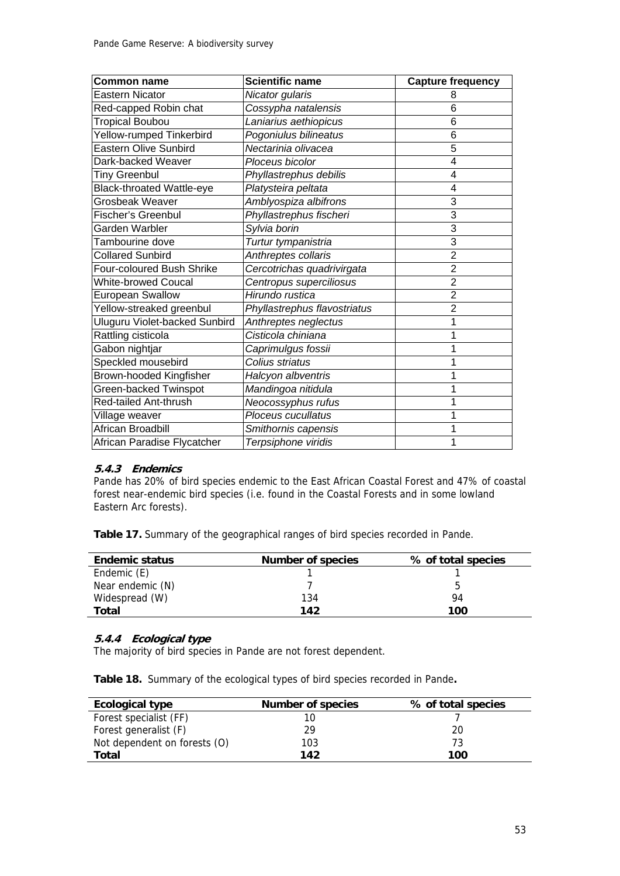| <b>Common name</b>               | <b>Scientific name</b>       | <b>Capture frequency</b> |
|----------------------------------|------------------------------|--------------------------|
| <b>Eastern Nicator</b>           | Nicator gularis              | 8                        |
| Red-capped Robin chat            | Cossypha natalensis          | 6                        |
| <b>Tropical Boubou</b>           | Laniarius aethiopicus        | 6                        |
| <b>Yellow-rumped Tinkerbird</b>  | Pogoniulus bilineatus        | 6                        |
| <b>Eastern Olive Sunbird</b>     | Nectarinia olivacea          | 5                        |
| Dark-backed Weaver               | Ploceus bicolor              | $\overline{4}$           |
| <b>Tiny Greenbul</b>             | Phyllastrephus debilis       | 4                        |
| <b>Black-throated Wattle-eye</b> | Platysteira peltata          | 4                        |
| <b>Grosbeak Weaver</b>           | Amblyospiza albifrons        | 3                        |
| <b>Fischer's Greenbul</b>        | Phyllastrephus fischeri      | 3                        |
| Garden Warbler                   | Sylvia borin                 | 3                        |
| Tambourine dove                  | Turtur tympanistria          | $\overline{3}$           |
| <b>Collared Sunbird</b>          | Anthreptes collaris          | $\overline{2}$           |
| Four-coloured Bush Shrike        | Cercotrichas quadrivirgata   | $\overline{2}$           |
| <b>White-browed Coucal</b>       | Centropus superciliosus      | $\overline{2}$           |
| European Swallow                 | Hirundo rustica              | $\overline{2}$           |
| Yellow-streaked greenbul         | Phyllastrephus flavostriatus | $\overline{2}$           |
| Uluguru Violet-backed Sunbird    | Anthreptes neglectus         | 1                        |
| Rattling cisticola               | Cisticola chiniana           |                          |
| Gabon nightjar                   | Caprimulgus fossii           |                          |
| Speckled mousebird               | Colius striatus              |                          |
| <b>Brown-hooded Kingfisher</b>   | Halcyon albventris           |                          |
| Green-backed Twinspot            | Mandingoa nitidula           |                          |
| Red-tailed Ant-thrush            | Neocossyphus rufus           | 1                        |
| Village weaver                   | Ploceus cucullatus           |                          |
| African Broadbill                | Smithornis capensis          |                          |
| African Paradise Flycatcher      | Terpsiphone viridis          | 1                        |

### **5.4.3 Endemics**

Pande has 20% of bird species endemic to the East African Coastal Forest and 47% of coastal forest near-endemic bird species (i.e. found in the Coastal Forests and in some lowland Eastern Arc forests).

**Table 17.** Summary of the geographical ranges of bird species recorded in Pande.

| <b>Endemic status</b> | <b>Number of species</b> | % of total species |
|-----------------------|--------------------------|--------------------|
| Endemic (E)           |                          |                    |
| Near endemic (N)      |                          | b                  |
| Widespread (W)        | 134                      | 94                 |
| Total                 | 142                      | 100                |

#### **5.4.4 Ecological type**

The majority of bird species in Pande are not forest dependent.

**Table 18.** Summary of the ecological types of bird species recorded in Pande**.** 

| Ecological type              | <b>Number of species</b> | % of total species |
|------------------------------|--------------------------|--------------------|
| Forest specialist (FF)       |                          |                    |
| Forest generalist (F)        | 29                       | 20                 |
| Not dependent on forests (O) | 103                      | 73                 |
| Total                        | 142                      | 100                |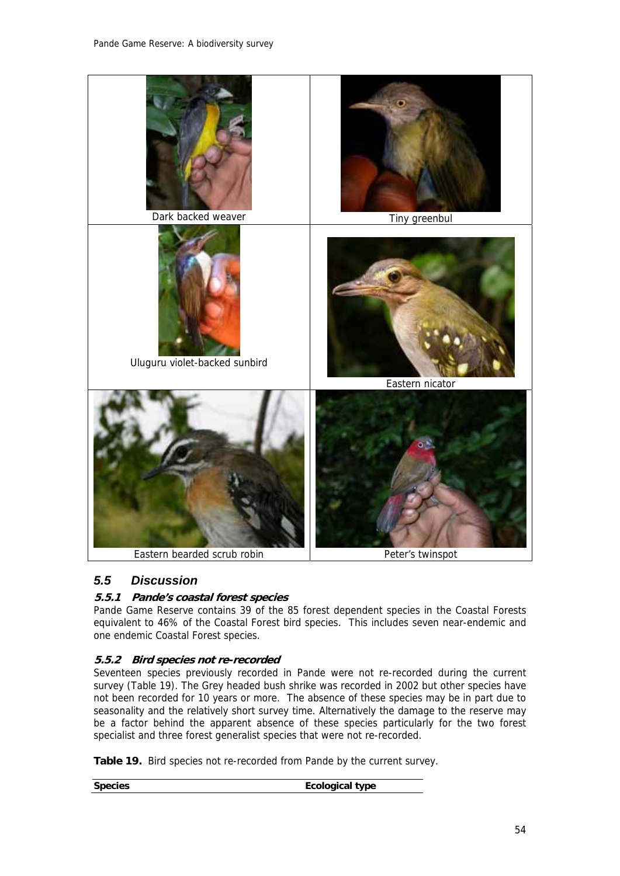

## *5.5 Discussion*

## **5.5.1 Pande's coastal forest species**

Pande Game Reserve contains 39 of the 85 forest dependent species in the Coastal Forests equivalent to 46% of the Coastal Forest bird species. This includes seven near-endemic and one endemic Coastal Forest species.

## **5.5.2 Bird species not re-recorded**

Seventeen species previously recorded in Pande were not re-recorded during the current survey (Table 19). The Grey headed bush shrike was recorded in 2002 but other species have not been recorded for 10 years or more. The absence of these species may be in part due to seasonality and the relatively short survey time. Alternatively the damage to the reserve may be a factor behind the apparent absence of these species particularly for the two forest specialist and three forest generalist species that were not re-recorded.

**Table 19.** Bird species not re-recorded from Pande by the current survey.

**Species** Ecological type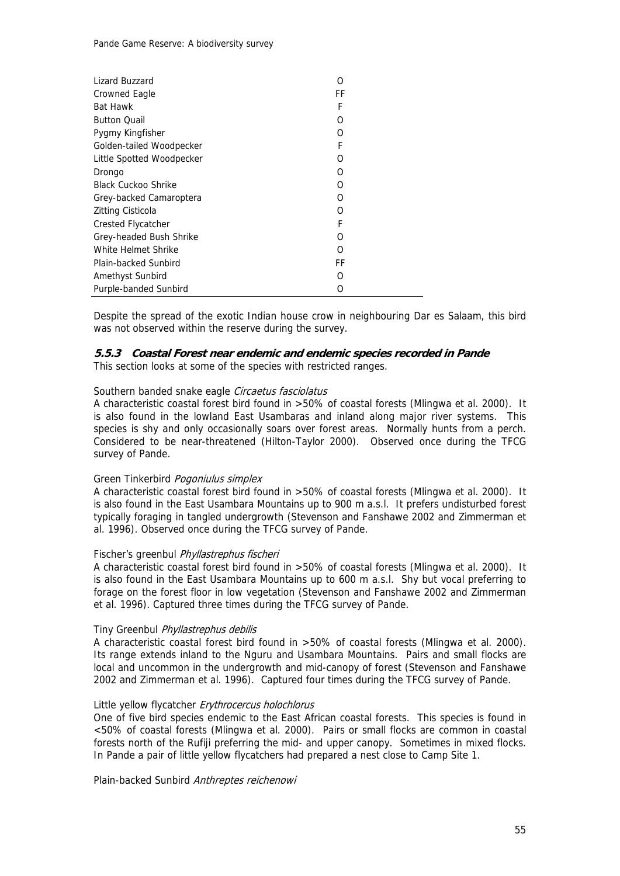| Lizard Buzzard             | O  |
|----------------------------|----|
| Crowned Eagle              | FF |
| <b>Bat Hawk</b>            | F  |
| <b>Button Quail</b>        | O  |
| Pygmy Kingfisher           | Ω  |
| Golden-tailed Woodpecker   | F  |
| Little Spotted Woodpecker  | O  |
| Drongo                     | O  |
| <b>Black Cuckoo Shrike</b> | O  |
| Grey-backed Camaroptera    | O  |
| Zitting Cisticola          | O  |
| Crested Flycatcher         | F  |
| Grey-headed Bush Shrike    | O  |
| White Helmet Shrike        | ∩  |
| Plain-backed Sunbird       | FF |
| Amethyst Sunbird           | Ω  |
| Purple-banded Sunbird      | 0  |

Despite the spread of the exotic Indian house crow in neighbouring Dar es Salaam, this bird was not observed within the reserve during the survey.

#### **5.5.3 Coastal Forest near endemic and endemic species recorded in Pande**

This section looks at some of the species with restricted ranges.

#### Southern banded snake eagle Circaetus fasciolatus

A characteristic coastal forest bird found in >50% of coastal forests (Mlingwa et al. 2000). It is also found in the lowland East Usambaras and inland along major river systems. This species is shy and only occasionally soars over forest areas. Normally hunts from a perch. Considered to be near-threatened (Hilton-Taylor 2000). Observed once during the TFCG survey of Pande.

#### Green Tinkerbird Pogoniulus simplex

A characteristic coastal forest bird found in >50% of coastal forests (Mlingwa et al. 2000). It is also found in the East Usambara Mountains up to 900 m a.s.l. It prefers undisturbed forest typically foraging in tangled undergrowth (Stevenson and Fanshawe 2002 and Zimmerman et al. 1996). Observed once during the TFCG survey of Pande.

#### Fischer's greenbul Phyllastrephus fischeri

A characteristic coastal forest bird found in >50% of coastal forests (Mlingwa et al. 2000). It is also found in the East Usambara Mountains up to 600 m a.s.l. Shy but vocal preferring to forage on the forest floor in low vegetation (Stevenson and Fanshawe 2002 and Zimmerman et al. 1996). Captured three times during the TFCG survey of Pande.

#### Tiny Greenbul Phyllastrephus debilis

A characteristic coastal forest bird found in >50% of coastal forests (Mlingwa et al. 2000). Its range extends inland to the Nguru and Usambara Mountains. Pairs and small flocks are local and uncommon in the undergrowth and mid-canopy of forest (Stevenson and Fanshawe 2002 and Zimmerman et al. 1996). Captured four times during the TFCG survey of Pande.

#### Little yellow flycatcher Erythrocercus holochlorus

One of five bird species endemic to the East African coastal forests. This species is found in <50% of coastal forests (Mlingwa et al. 2000). Pairs or small flocks are common in coastal forests north of the Rufiji preferring the mid- and upper canopy. Sometimes in mixed flocks. In Pande a pair of little yellow flycatchers had prepared a nest close to Camp Site 1.

Plain-backed Sunbird Anthreptes reichenowi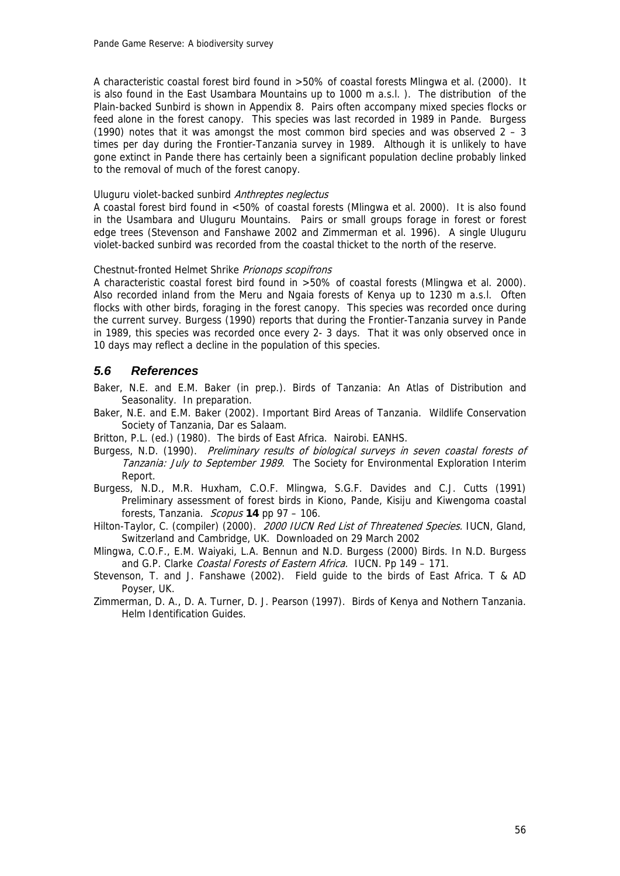A characteristic coastal forest bird found in >50% of coastal forests Mlingwa et al. (2000). It is also found in the East Usambara Mountains up to 1000 m a.s.l. ). The distribution of the Plain-backed Sunbird is shown in Appendix 8. Pairs often accompany mixed species flocks or feed alone in the forest canopy. This species was last recorded in 1989 in Pande. Burgess (1990) notes that it was amongst the most common bird species and was observed  $2 - 3$ times per day during the Frontier-Tanzania survey in 1989. Although it is unlikely to have gone extinct in Pande there has certainly been a significant population decline probably linked to the removal of much of the forest canopy.

#### Uluguru violet-backed sunbird Anthreptes neglectus

A coastal forest bird found in <50% of coastal forests (Mlingwa et al. 2000). It is also found in the Usambara and Uluguru Mountains. Pairs or small groups forage in forest or forest edge trees (Stevenson and Fanshawe 2002 and Zimmerman et al. 1996). A single Uluguru violet-backed sunbird was recorded from the coastal thicket to the north of the reserve.

#### Chestnut-fronted Helmet Shrike Prionops scopifrons

A characteristic coastal forest bird found in >50% of coastal forests (Mlingwa et al. 2000). Also recorded inland from the Meru and Ngaia forests of Kenya up to 1230 m a.s.l. Often flocks with other birds, foraging in the forest canopy. This species was recorded once during the current survey. Burgess (1990) reports that during the Frontier-Tanzania survey in Pande in 1989, this species was recorded once every 2- 3 days. That it was only observed once in 10 days may reflect a decline in the population of this species.

## *5.6 References*

Baker, N.E. and E.M. Baker (in prep.). Birds of Tanzania: An Atlas of Distribution and Seasonality. In preparation.

Baker, N.E. and E.M. Baker (2002). Important Bird Areas of Tanzania. Wildlife Conservation Society of Tanzania, Dar es Salaam.

Britton, P.L. (ed.) (1980). The birds of East Africa. Nairobi. EANHS.

- Burgess, N.D. (1990). Preliminary results of biological surveys in seven coastal forests of Tanzania: July to September 1989. The Society for Environmental Exploration Interim Report.
- Burgess, N.D., M.R. Huxham, C.O.F. Mlingwa, S.G.F. Davides and C.J. Cutts (1991) Preliminary assessment of forest birds in Kiono, Pande, Kisiju and Kiwengoma coastal forests, Tanzania. Scopus **14** pp 97 – 106.
- Hilton-Taylor, C. (compiler) (2000). 2000 IUCN Red List of Threatened Species. IUCN, Gland, Switzerland and Cambridge, UK. Downloaded on 29 March 2002
- Mlingwa, C.O.F., E.M. Waiyaki, L.A. Bennun and N.D. Burgess (2000) Birds. In N.D. Burgess and G.P. Clarke Coastal Forests of Eastern Africa. IUCN. Pp 149 - 171.
- Stevenson, T. and J. Fanshawe (2002). Field guide to the birds of East Africa. T & AD Poyser, UK.
- Zimmerman, D. A., D. A. Turner, D. J. Pearson (1997). Birds of Kenya and Nothern Tanzania. Helm Identification Guides.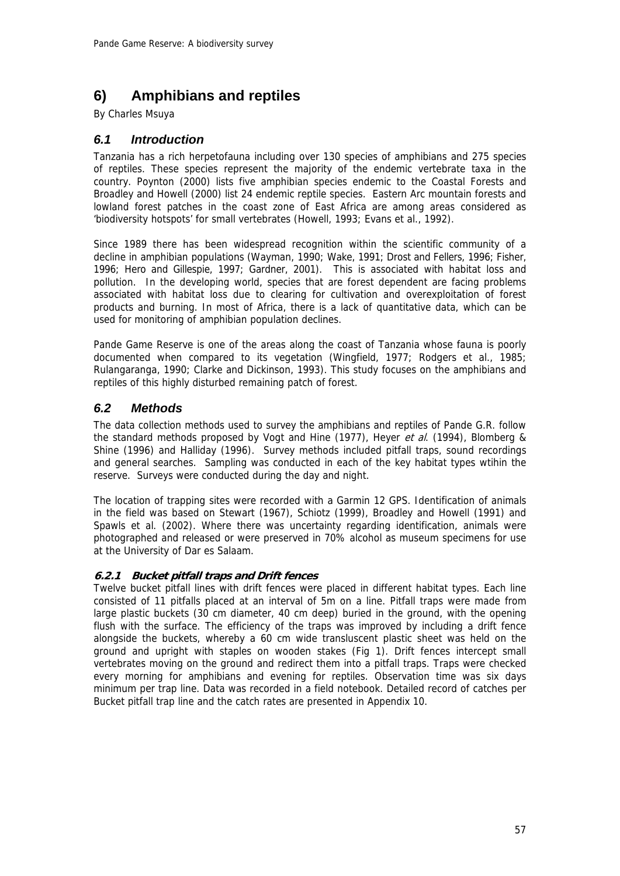# **6) Amphibians and reptiles**

By Charles Msuya

## *6.1 Introduction*

Tanzania has a rich herpetofauna including over 130 species of amphibians and 275 species of reptiles. These species represent the majority of the endemic vertebrate taxa in the country. Poynton (2000) lists five amphibian species endemic to the Coastal Forests and Broadley and Howell (2000) list 24 endemic reptile species. Eastern Arc mountain forests and lowland forest patches in the coast zone of East Africa are among areas considered as 'biodiversity hotspots' for small vertebrates (Howell, 1993; Evans et al., 1992).

Since 1989 there has been widespread recognition within the scientific community of a decline in amphibian populations (Wayman, 1990; Wake, 1991; Drost and Fellers, 1996; Fisher, 1996; Hero and Gillespie, 1997; Gardner, 2001). This is associated with habitat loss and pollution. In the developing world, species that are forest dependent are facing problems associated with habitat loss due to clearing for cultivation and overexploitation of forest products and burning. In most of Africa, there is a lack of quantitative data, which can be used for monitoring of amphibian population declines.

Pande Game Reserve is one of the areas along the coast of Tanzania whose fauna is poorly documented when compared to its vegetation (Wingfield, 1977; Rodgers et al., 1985; Rulangaranga, 1990; Clarke and Dickinson, 1993). This study focuses on the amphibians and reptiles of this highly disturbed remaining patch of forest.

## *6.2 Methods*

The data collection methods used to survey the amphibians and reptiles of Pande G.R. follow the standard methods proposed by Vogt and Hine (1977), Heyer et al. (1994), Blomberg & Shine (1996) and Halliday (1996). Survey methods included pitfall traps, sound recordings and general searches. Sampling was conducted in each of the key habitat types wtihin the reserve. Surveys were conducted during the day and night.

The location of trapping sites were recorded with a Garmin 12 GPS. Identification of animals in the field was based on Stewart (1967), Schiotz (1999), Broadley and Howell (1991) and Spawls et al. (2002). Where there was uncertainty regarding identification, animals were photographed and released or were preserved in 70% alcohol as museum specimens for use at the University of Dar es Salaam.

## **6.2.1 Bucket pitfall traps and Drift fences**

Twelve bucket pitfall lines with drift fences were placed in different habitat types. Each line consisted of 11 pitfalls placed at an interval of 5m on a line. Pitfall traps were made from large plastic buckets (30 cm diameter, 40 cm deep) buried in the ground, with the opening flush with the surface. The efficiency of the traps was improved by including a drift fence alongside the buckets, whereby a 60 cm wide transluscent plastic sheet was held on the ground and upright with staples on wooden stakes (Fig 1). Drift fences intercept small vertebrates moving on the ground and redirect them into a pitfall traps. Traps were checked every morning for amphibians and evening for reptiles. Observation time was six days minimum per trap line. Data was recorded in a field notebook. Detailed record of catches per Bucket pitfall trap line and the catch rates are presented in Appendix 10.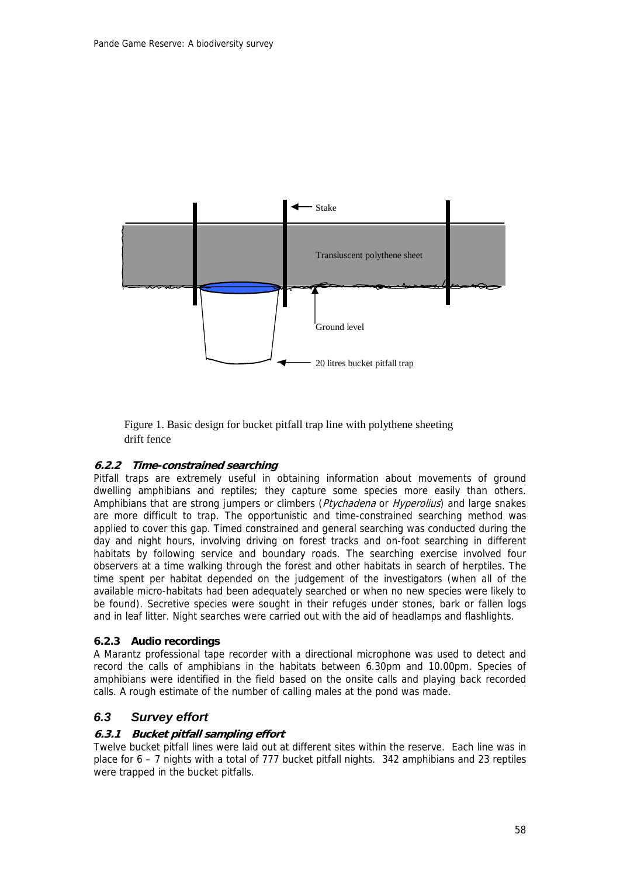

Figure 1. Basic design for bucket pitfall trap line with polythene sheeting drift fence

## **6.2.2 Time-constrained searching**

Pitfall traps are extremely useful in obtaining information about movements of ground dwelling amphibians and reptiles; they capture some species more easily than others. Amphibians that are strong jumpers or climbers (Ptychadena or Hyperolius) and large snakes are more difficult to trap. The opportunistic and time-constrained searching method was applied to cover this gap. Timed constrained and general searching was conducted during the day and night hours, involving driving on forest tracks and on-foot searching in different habitats by following service and boundary roads. The searching exercise involved four observers at a time walking through the forest and other habitats in search of herptiles. The time spent per habitat depended on the judgement of the investigators (when all of the available micro-habitats had been adequately searched or when no new species were likely to be found). Secretive species were sought in their refuges under stones, bark or fallen logs and in leaf litter. Night searches were carried out with the aid of headlamps and flashlights.

### **6.2.3 Audio recordings**

A Marantz professional tape recorder with a directional microphone was used to detect and record the calls of amphibians in the habitats between 6.30pm and 10.00pm. Species of amphibians were identified in the field based on the onsite calls and playing back recorded calls. A rough estimate of the number of calling males at the pond was made.

## *6.3 Survey effort*

### **6.3.1 Bucket pitfall sampling effort**

Twelve bucket pitfall lines were laid out at different sites within the reserve. Each line was in place for  $6 - 7$  nights with a total of 777 bucket pitfall nights. 342 amphibians and 23 reptiles were trapped in the bucket pitfalls.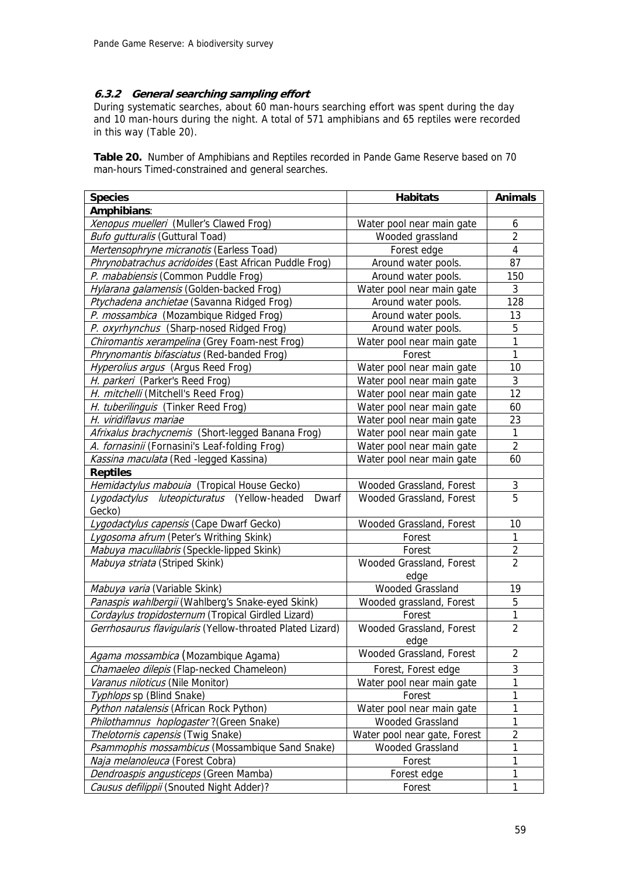### **6.3.2 General searching sampling effort**

During systematic searches, about 60 man-hours searching effort was spent during the day and 10 man-hours during the night. A total of 571 amphibians and 65 reptiles were recorded in this way (Table 20).

**Table 20.** Number of Amphibians and Reptiles recorded in Pande Game Reserve based on 70 man-hours Timed-constrained and general searches.

| Amphibians:<br>Xenopus muelleri (Muller's Clawed Frog)<br>Water pool near main gate<br>6<br>$\overline{2}$<br><b>Bufo gutturalis (Guttural Toad)</b><br>Wooded grassland<br>Mertensophryne micranotis (Earless Toad)<br>4<br>Forest edge<br>Phrynobatrachus acridoides (East African Puddle Frog)<br>87<br>Around water pools.<br>P. mababiensis (Common Puddle Frog)<br>Around water pools.<br>150<br>3<br>Hylarana galamensis (Golden-backed Frog)<br>Water pool near main gate<br>Ptychadena anchietae (Savanna Ridged Frog)<br>Around water pools.<br>128<br>P. mossambica (Mozambique Ridged Frog)<br>13<br>Around water pools.<br>5<br>P. oxyrhynchus (Sharp-nosed Ridged Frog)<br>Around water pools.<br>1<br>Chiromantis xerampelina (Grey Foam-nest Frog)<br>Water pool near main gate<br>1<br>Phrynomantis bifasciatus (Red-banded Frog)<br>Forest<br>Hyperolius argus (Argus Reed Frog)<br>Water pool near main gate<br>10<br>3<br>H. parkeri (Parker's Reed Frog)<br>Water pool near main gate<br>12<br>H. mitchelli (Mitchell's Reed Frog)<br>Water pool near main gate<br>H. tuberilinguis (Tinker Reed Frog)<br>Water pool near main gate<br>60<br>H. viridiflavus mariae<br>Water pool near main gate<br>23 |
|-----------------------------------------------------------------------------------------------------------------------------------------------------------------------------------------------------------------------------------------------------------------------------------------------------------------------------------------------------------------------------------------------------------------------------------------------------------------------------------------------------------------------------------------------------------------------------------------------------------------------------------------------------------------------------------------------------------------------------------------------------------------------------------------------------------------------------------------------------------------------------------------------------------------------------------------------------------------------------------------------------------------------------------------------------------------------------------------------------------------------------------------------------------------------------------------------------------------------------|
|                                                                                                                                                                                                                                                                                                                                                                                                                                                                                                                                                                                                                                                                                                                                                                                                                                                                                                                                                                                                                                                                                                                                                                                                                             |
|                                                                                                                                                                                                                                                                                                                                                                                                                                                                                                                                                                                                                                                                                                                                                                                                                                                                                                                                                                                                                                                                                                                                                                                                                             |
|                                                                                                                                                                                                                                                                                                                                                                                                                                                                                                                                                                                                                                                                                                                                                                                                                                                                                                                                                                                                                                                                                                                                                                                                                             |
|                                                                                                                                                                                                                                                                                                                                                                                                                                                                                                                                                                                                                                                                                                                                                                                                                                                                                                                                                                                                                                                                                                                                                                                                                             |
|                                                                                                                                                                                                                                                                                                                                                                                                                                                                                                                                                                                                                                                                                                                                                                                                                                                                                                                                                                                                                                                                                                                                                                                                                             |
|                                                                                                                                                                                                                                                                                                                                                                                                                                                                                                                                                                                                                                                                                                                                                                                                                                                                                                                                                                                                                                                                                                                                                                                                                             |
|                                                                                                                                                                                                                                                                                                                                                                                                                                                                                                                                                                                                                                                                                                                                                                                                                                                                                                                                                                                                                                                                                                                                                                                                                             |
|                                                                                                                                                                                                                                                                                                                                                                                                                                                                                                                                                                                                                                                                                                                                                                                                                                                                                                                                                                                                                                                                                                                                                                                                                             |
|                                                                                                                                                                                                                                                                                                                                                                                                                                                                                                                                                                                                                                                                                                                                                                                                                                                                                                                                                                                                                                                                                                                                                                                                                             |
|                                                                                                                                                                                                                                                                                                                                                                                                                                                                                                                                                                                                                                                                                                                                                                                                                                                                                                                                                                                                                                                                                                                                                                                                                             |
|                                                                                                                                                                                                                                                                                                                                                                                                                                                                                                                                                                                                                                                                                                                                                                                                                                                                                                                                                                                                                                                                                                                                                                                                                             |
|                                                                                                                                                                                                                                                                                                                                                                                                                                                                                                                                                                                                                                                                                                                                                                                                                                                                                                                                                                                                                                                                                                                                                                                                                             |
|                                                                                                                                                                                                                                                                                                                                                                                                                                                                                                                                                                                                                                                                                                                                                                                                                                                                                                                                                                                                                                                                                                                                                                                                                             |
|                                                                                                                                                                                                                                                                                                                                                                                                                                                                                                                                                                                                                                                                                                                                                                                                                                                                                                                                                                                                                                                                                                                                                                                                                             |
|                                                                                                                                                                                                                                                                                                                                                                                                                                                                                                                                                                                                                                                                                                                                                                                                                                                                                                                                                                                                                                                                                                                                                                                                                             |
|                                                                                                                                                                                                                                                                                                                                                                                                                                                                                                                                                                                                                                                                                                                                                                                                                                                                                                                                                                                                                                                                                                                                                                                                                             |
|                                                                                                                                                                                                                                                                                                                                                                                                                                                                                                                                                                                                                                                                                                                                                                                                                                                                                                                                                                                                                                                                                                                                                                                                                             |
| $\mathbf{1}$<br>Water pool near main gate<br>Afrixalus brachycnemis (Short-legged Banana Frog)                                                                                                                                                                                                                                                                                                                                                                                                                                                                                                                                                                                                                                                                                                                                                                                                                                                                                                                                                                                                                                                                                                                              |
| $\overline{2}$<br>A. fornasinii (Fornasini's Leaf-folding Frog)<br>Water pool near main gate                                                                                                                                                                                                                                                                                                                                                                                                                                                                                                                                                                                                                                                                                                                                                                                                                                                                                                                                                                                                                                                                                                                                |
| Kassina maculata (Red - legged Kassina)<br>Water pool near main gate<br>60                                                                                                                                                                                                                                                                                                                                                                                                                                                                                                                                                                                                                                                                                                                                                                                                                                                                                                                                                                                                                                                                                                                                                  |
| <b>Reptiles</b>                                                                                                                                                                                                                                                                                                                                                                                                                                                                                                                                                                                                                                                                                                                                                                                                                                                                                                                                                                                                                                                                                                                                                                                                             |
| Hemidactylus mabouia (Tropical House Gecko)<br>Wooded Grassland, Forest<br>3                                                                                                                                                                                                                                                                                                                                                                                                                                                                                                                                                                                                                                                                                                                                                                                                                                                                                                                                                                                                                                                                                                                                                |
| 5<br>Lygodactylus luteopicturatus (Yellow-headed<br>Wooded Grassland, Forest<br>Dwarf                                                                                                                                                                                                                                                                                                                                                                                                                                                                                                                                                                                                                                                                                                                                                                                                                                                                                                                                                                                                                                                                                                                                       |
| Gecko)                                                                                                                                                                                                                                                                                                                                                                                                                                                                                                                                                                                                                                                                                                                                                                                                                                                                                                                                                                                                                                                                                                                                                                                                                      |
| Lygodactylus capensis (Cape Dwarf Gecko)<br>Wooded Grassland, Forest<br>10                                                                                                                                                                                                                                                                                                                                                                                                                                                                                                                                                                                                                                                                                                                                                                                                                                                                                                                                                                                                                                                                                                                                                  |
| 1<br>Lygosoma afrum (Peter's Writhing Skink)<br>Forest                                                                                                                                                                                                                                                                                                                                                                                                                                                                                                                                                                                                                                                                                                                                                                                                                                                                                                                                                                                                                                                                                                                                                                      |
| $\overline{2}$<br>Mabuya maculilabris (Speckle-lipped Skink)<br>Forest                                                                                                                                                                                                                                                                                                                                                                                                                                                                                                                                                                                                                                                                                                                                                                                                                                                                                                                                                                                                                                                                                                                                                      |
| $\overline{2}$<br>Mabuya striata (Striped Skink)<br>Wooded Grassland, Forest                                                                                                                                                                                                                                                                                                                                                                                                                                                                                                                                                                                                                                                                                                                                                                                                                                                                                                                                                                                                                                                                                                                                                |
| edge                                                                                                                                                                                                                                                                                                                                                                                                                                                                                                                                                                                                                                                                                                                                                                                                                                                                                                                                                                                                                                                                                                                                                                                                                        |
| <b>Wooded Grassland</b><br>Mabuya varia (Variable Skink)<br>19                                                                                                                                                                                                                                                                                                                                                                                                                                                                                                                                                                                                                                                                                                                                                                                                                                                                                                                                                                                                                                                                                                                                                              |
| 5<br>Panaspis wahlbergii (Wahlberg's Snake-eyed Skink)<br>Wooded grassland, Forest                                                                                                                                                                                                                                                                                                                                                                                                                                                                                                                                                                                                                                                                                                                                                                                                                                                                                                                                                                                                                                                                                                                                          |
| 1<br>Cordaylus tropidosternum (Tropical Girdled Lizard)<br>Forest                                                                                                                                                                                                                                                                                                                                                                                                                                                                                                                                                                                                                                                                                                                                                                                                                                                                                                                                                                                                                                                                                                                                                           |
| Gerrhosaurus flavigularis (Yellow-throated Plated Lizard)<br>Wooded Grassland, Forest<br>$\overline{2}$<br>edge                                                                                                                                                                                                                                                                                                                                                                                                                                                                                                                                                                                                                                                                                                                                                                                                                                                                                                                                                                                                                                                                                                             |
| $\overline{2}$<br>Wooded Grassland, Forest<br>Agama mossambica (Mozambique Agama)                                                                                                                                                                                                                                                                                                                                                                                                                                                                                                                                                                                                                                                                                                                                                                                                                                                                                                                                                                                                                                                                                                                                           |
| 3<br>Chamaeleo dilepis (Flap-necked Chameleon)<br>Forest, Forest edge                                                                                                                                                                                                                                                                                                                                                                                                                                                                                                                                                                                                                                                                                                                                                                                                                                                                                                                                                                                                                                                                                                                                                       |
| 1<br>Varanus niloticus (Nile Monitor)<br>Water pool near main gate                                                                                                                                                                                                                                                                                                                                                                                                                                                                                                                                                                                                                                                                                                                                                                                                                                                                                                                                                                                                                                                                                                                                                          |
| 1<br>Typhlops sp (Blind Snake)<br>Forest                                                                                                                                                                                                                                                                                                                                                                                                                                                                                                                                                                                                                                                                                                                                                                                                                                                                                                                                                                                                                                                                                                                                                                                    |
| 1<br>Python natalensis (African Rock Python)<br>Water pool near main gate                                                                                                                                                                                                                                                                                                                                                                                                                                                                                                                                                                                                                                                                                                                                                                                                                                                                                                                                                                                                                                                                                                                                                   |
| Wooded Grassland<br>1<br>Philothamnus hoplogaster? (Green Snake)                                                                                                                                                                                                                                                                                                                                                                                                                                                                                                                                                                                                                                                                                                                                                                                                                                                                                                                                                                                                                                                                                                                                                            |
| $\overline{c}$<br>Thelotornis capensis (Twig Snake)<br>Water pool near gate, Forest                                                                                                                                                                                                                                                                                                                                                                                                                                                                                                                                                                                                                                                                                                                                                                                                                                                                                                                                                                                                                                                                                                                                         |
| Psammophis mossambicus (Mossambique Sand Snake)<br>1<br>Wooded Grassland                                                                                                                                                                                                                                                                                                                                                                                                                                                                                                                                                                                                                                                                                                                                                                                                                                                                                                                                                                                                                                                                                                                                                    |
| Naja melanoleuca (Forest Cobra)<br>Forest<br>1                                                                                                                                                                                                                                                                                                                                                                                                                                                                                                                                                                                                                                                                                                                                                                                                                                                                                                                                                                                                                                                                                                                                                                              |
| Dendroaspis angusticeps (Green Mamba)<br>1<br>Forest edge                                                                                                                                                                                                                                                                                                                                                                                                                                                                                                                                                                                                                                                                                                                                                                                                                                                                                                                                                                                                                                                                                                                                                                   |
| 1<br>Causus defilippii (Snouted Night Adder)?<br>Forest                                                                                                                                                                                                                                                                                                                                                                                                                                                                                                                                                                                                                                                                                                                                                                                                                                                                                                                                                                                                                                                                                                                                                                     |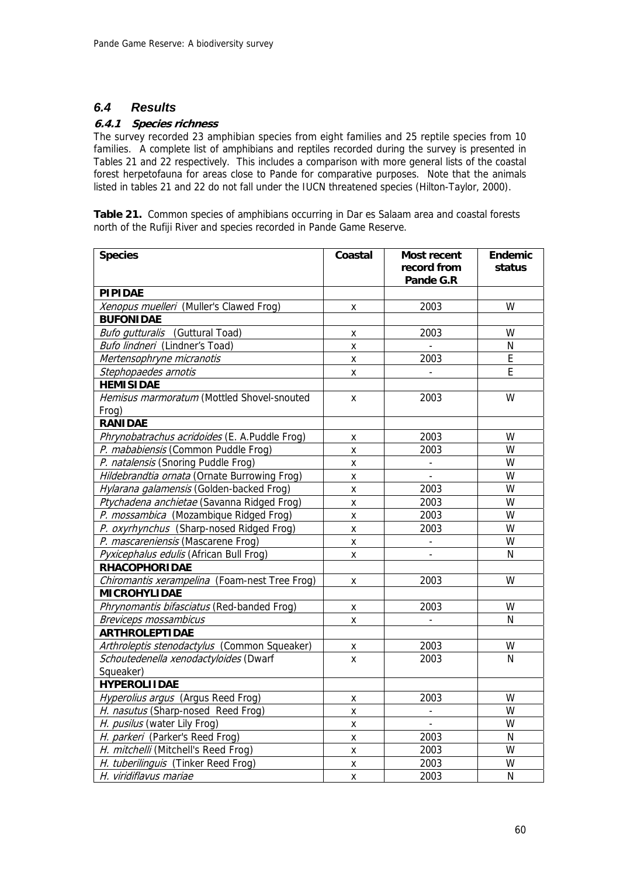## *6.4 Results*

## **6.4.1 Species richness**

The survey recorded 23 amphibian species from eight families and 25 reptile species from 10 families. A complete list of amphibians and reptiles recorded during the survey is presented in Tables 21 and 22 respectively. This includes a comparison with more general lists of the coastal forest herpetofauna for areas close to Pande for comparative purposes. Note that the animals listed in tables 21 and 22 do not fall under the IUCN threatened species (Hilton-Taylor, 2000).

**Table 21.** Common species of amphibians occurring in Dar es Salaam area and coastal forests north of the Rufiji River and species recorded in Pande Game Reserve.

| <b>Species</b>                                | Coastal            | <b>Most recent</b><br>record from | <b>Endemic</b><br>status |
|-----------------------------------------------|--------------------|-----------------------------------|--------------------------|
|                                               |                    | Pande G.R                         |                          |
| <b>PIPIDAE</b>                                |                    |                                   |                          |
| Xenopus muelleri (Muller's Clawed Frog)       | X                  | 2003                              | W                        |
| <b>BUFONIDAE</b>                              |                    |                                   |                          |
| Bufo gutturalis (Guttural Toad)               | x                  | 2003                              | W                        |
| Bufo lindneri (Lindner's Toad)                | X                  |                                   | N                        |
| Mertensophryne micranotis                     | X                  | 2003                              | E                        |
| Stephopaedes arnotis                          | X                  |                                   | E                        |
| <b>HEMISIDAE</b>                              |                    |                                   |                          |
| Hemisus marmoratum (Mottled Shovel-snouted    | X                  | 2003                              | W                        |
| Frog)                                         |                    |                                   |                          |
| <b>RANIDAE</b>                                |                    |                                   |                          |
| Phrynobatrachus acridoides (E. A.Puddle Frog) | X                  | 2003                              | W                        |
| P. mababiensis (Common Puddle Frog)           | X                  | 2003                              | W                        |
| P. natalensis (Snoring Puddle Frog)           | X                  | $\overline{\phantom{a}}$          | W                        |
| Hildebrandtia ornata (Ornate Burrowing Frog)  | X                  |                                   | W                        |
| Hylarana galamensis (Golden-backed Frog)      | X                  | 2003                              | W                        |
| Ptychadena anchietae (Savanna Ridged Frog)    | X                  | 2003                              | W                        |
| P. mossambica (Mozambique Ridged Frog)        | x                  | 2003                              | W                        |
| P. oxyrhynchus (Sharp-nosed Ridged Frog)      | $\pmb{\mathsf{X}}$ | 2003                              | W                        |
| P. mascareniensis (Mascarene Frog)            | Χ                  | $\blacksquare$                    | W                        |
| Pyxicephalus edulis (African Bull Frog)       | x                  |                                   | N                        |
| <b>RHACOPHORIDAE</b>                          |                    |                                   |                          |
| Chiromantis xerampelina (Foam-nest Tree Frog) | X                  | 2003                              | W                        |
| <b>MICROHYLIDAE</b>                           |                    |                                   |                          |
| Phrynomantis bifasciatus (Red-banded Frog)    | X                  | 2003                              | W                        |
| Breviceps mossambicus                         | X                  |                                   | N                        |
| <b>ARTHROLEPTIDAE</b>                         |                    |                                   |                          |
| Arthroleptis stenodactylus (Common Squeaker)  | x                  | 2003                              | W                        |
| Schoutedenella xenodactyloides (Dwarf         | X                  | 2003                              | N                        |
| Squeaker)                                     |                    |                                   |                          |
| <b>HYPEROLIIDAE</b>                           |                    |                                   |                          |
| Hyperolius argus (Argus Reed Frog)            | x                  | 2003                              | W                        |
| H. nasutus (Sharp-nosed Reed Frog)            | X                  |                                   | W                        |
| H. pusilus (water Lily Frog)                  | X                  | $\Box$                            | W                        |
| H. parkeri (Parker's Reed Frog)               | X                  | 2003                              | ${\sf N}$                |
| H. mitchelli (Mitchell's Reed Frog)           | X                  | 2003                              | W                        |
| H. tuberilinguis (Tinker Reed Frog)           | X                  | 2003                              | W                        |
| H. viridiflavus mariae                        | X                  | 2003                              | N                        |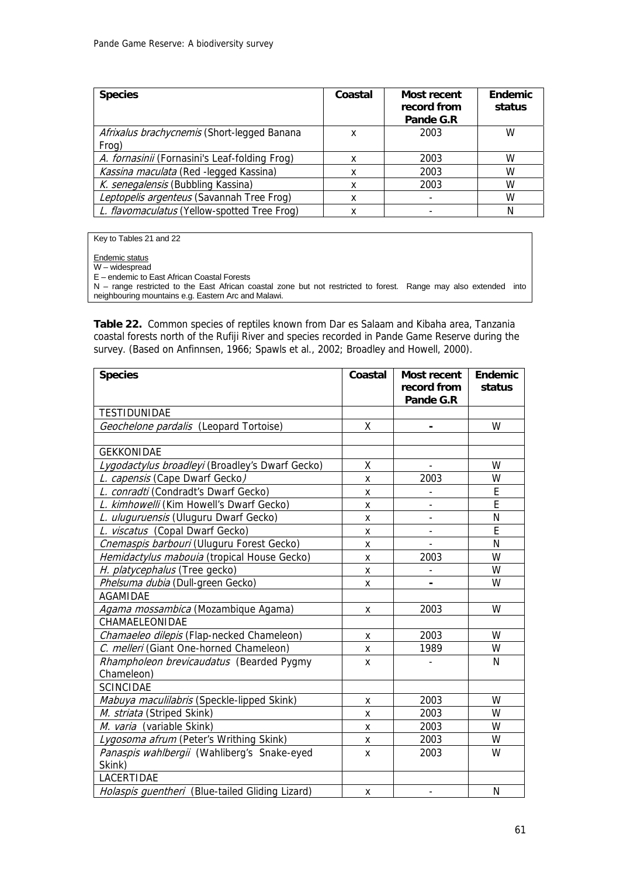| <b>Species</b>                                       | Coastal | Most recent<br>record from<br>Pande G.R | <b>Endemic</b><br>status |
|------------------------------------------------------|---------|-----------------------------------------|--------------------------|
| Afrixalus brachycnemis (Short-legged Banana<br>Frog) | x       | 2003                                    | W                        |
| A. fornasinii (Fornasini's Leaf-folding Frog)        | x       | 2003                                    | W                        |
| Kassina maculata (Red - legged Kassina)              | x       | 2003                                    | W                        |
| K. senegalensis (Bubbling Kassina)                   | x       | 2003                                    | W                        |
| Leptopelis argenteus (Savannah Tree Frog)            | x       |                                         | W                        |
| L. flavomaculatus (Yellow-spotted Tree Froq)         | x       |                                         |                          |

Key to Tables 21 and 22

Endemic status

W – widespread

E – endemic to East African Coastal Forests

N – range restricted to the East African coastal zone but not restricted to forest. Range may also extended into neighbouring mountains e.g. Eastern Arc and Malawi.

**Table 22.** Common species of reptiles known from Dar es Salaam and Kibaha area, Tanzania coastal forests north of the Rufiji River and species recorded in Pande Game Reserve during the survey. (Based on Anfinnsen, 1966; Spawls et al., 2002; Broadley and Howell, 2000).

| <b>Species</b>                                  | Coastal | <b>Most recent</b><br>record from | <b>Endemic</b><br>status |
|-------------------------------------------------|---------|-----------------------------------|--------------------------|
|                                                 |         | Pande G.R                         |                          |
| <b>TESTIDUNIDAE</b>                             |         |                                   |                          |
| Geochelone pardalis (Leopard Tortoise)          | Χ       | $\blacksquare$                    | W                        |
|                                                 |         |                                   |                          |
| <b>GEKKONIDAE</b>                               |         |                                   |                          |
| Lygodactylus broadleyi (Broadley's Dwarf Gecko) | X       |                                   | W                        |
| L. capensis (Cape Dwarf Gecko)                  | x       | 2003                              | W                        |
| L. conradti (Condradt's Dwarf Gecko)            | X       |                                   | E                        |
| L. kimhowelli (Kim Howell's Dwarf Gecko)        | X       |                                   | E                        |
| L. uluguruensis (Uluguru Dwarf Gecko)           | Χ       | $\qquad \qquad \blacksquare$      | N                        |
| L. viscatus (Copal Dwarf Gecko)                 | X       |                                   | E                        |
| Cnemaspis barbouri (Uluguru Forest Gecko)       | x       |                                   | N                        |
| Hemidactylus mabouia (tropical House Gecko)     | X       | 2003                              | W                        |
| H. platycephalus (Tree gecko)                   | x       |                                   | W                        |
| Phelsuma dubia (Dull-green Gecko)               | x       |                                   | W                        |
| <b>AGAMIDAE</b>                                 |         |                                   |                          |
| Agama mossambica (Mozambique Agama)             | X       | 2003                              | W                        |
| CHAMAELEONIDAE                                  |         |                                   |                          |
| Chamaeleo dilepis (Flap-necked Chameleon)       | X       | 2003                              | W                        |
| C. melleri (Giant One-horned Chameleon)         | Χ       | 1989                              | W                        |
| Rhampholeon brevicaudatus (Bearded Pygmy        | X       |                                   | N                        |
| Chameleon)                                      |         |                                   |                          |
| <b>SCINCIDAE</b>                                |         |                                   |                          |
| Mabuya maculilabris (Speckle-lipped Skink)      | X       | 2003                              | W                        |
| M. striata (Striped Skink)                      | X       | 2003                              | W                        |
| M. varia (variable Skink)                       | X       | 2003                              | W                        |
| Lygosoma afrum (Peter's Writhing Skink)         | x       | 2003                              | W                        |
| Panaspis wahlbergii (Wahliberg's Snake-eyed     | x       | 2003                              | W                        |
| Skink)                                          |         |                                   |                          |
| LACERTIDAE                                      |         |                                   |                          |
| Holaspis guentheri (Blue-tailed Gliding Lizard) | X       |                                   | N                        |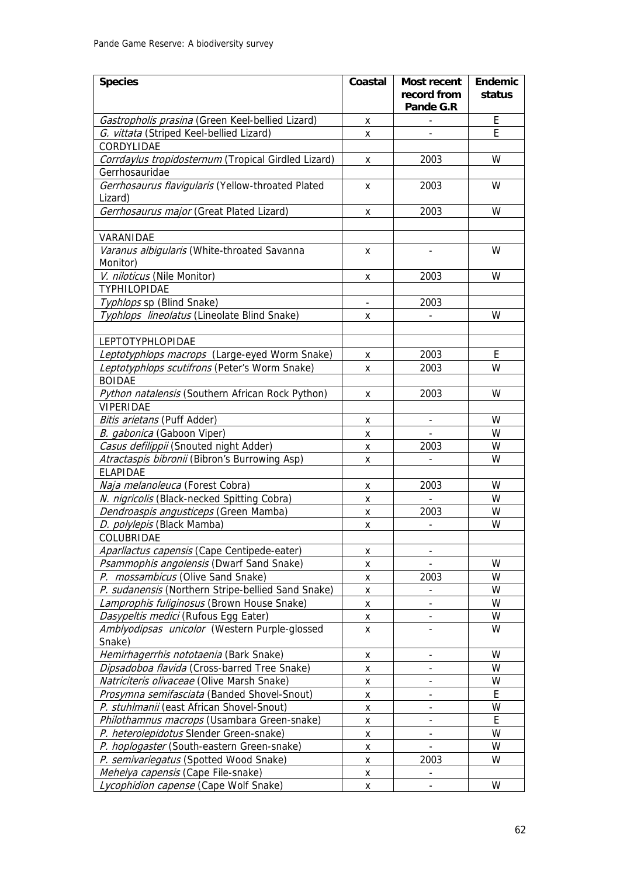| <b>Species</b>                                               | Coastal                  | <b>Most recent</b>           | <b>Endemic</b> |
|--------------------------------------------------------------|--------------------------|------------------------------|----------------|
|                                                              |                          | record from<br>Pande G.R     | status         |
| Gastropholis prasina (Green Keel-bellied Lizard)             | X                        |                              | E              |
| G. vittata (Striped Keel-bellied Lizard)                     | X                        | $\overline{a}$               | E              |
| CORDYLIDAE                                                   |                          |                              |                |
| Corrdaylus tropidosternum (Tropical Girdled Lizard)          | X                        | 2003                         | W              |
| Gerrhosauridae                                               |                          |                              |                |
| Gerrhosaurus flavigularis (Yellow-throated Plated<br>Lizard) | X                        | 2003                         | W              |
| Gerrhosaurus major (Great Plated Lizard)                     | X                        | 2003                         | W              |
|                                                              |                          |                              |                |
| VARANIDAE                                                    |                          |                              |                |
| Varanus albigularis (White-throated Savanna                  | X                        |                              | W              |
| Monitor)                                                     |                          |                              |                |
| V. niloticus (Nile Monitor)                                  | X                        | 2003                         | W              |
| TYPHILOPIDAE                                                 |                          |                              |                |
| Typhlops sp (Blind Snake)                                    | $\overline{\phantom{a}}$ | 2003                         |                |
| Typhlops lineolatus (Lineolate Blind Snake)                  | X                        |                              | W              |
|                                                              |                          |                              |                |
| <b>LEPTOTYPHLOPIDAE</b>                                      |                          |                              |                |
| Leptotyphlops macrops (Large-eyed Worm Snake)                | X                        | 2003                         | E              |
| Leptotyphlops scutifrons (Peter's Worm Snake)                | X                        | 2003                         | W              |
| <b>BOIDAE</b>                                                |                          |                              |                |
| Python natalensis (Southern African Rock Python)             | X                        | 2003                         | W              |
| VIPERIDAE                                                    |                          |                              |                |
| Bitis arietans (Puff Adder)                                  | X                        | $\overline{\phantom{a}}$     | W              |
| B. gabonica (Gaboon Viper)                                   | X                        |                              | W              |
| Casus defilippii (Snouted night Adder)                       | x                        | 2003                         | W              |
| Atractaspis bibronii (Bibron's Burrowing Asp)                | X                        |                              | W              |
| <b>ELAPIDAE</b>                                              |                          |                              |                |
| Naja melanoleuca (Forest Cobra)                              | X                        | 2003                         | W              |
| N. nigricolis (Black-necked Spitting Cobra)                  | х                        |                              | W              |
| Dendroaspis angusticeps (Green Mamba)                        | x                        | 2003                         | W              |
| D. polylepis (Black Mamba)                                   | X                        |                              | W              |
| COLUBRIDAE                                                   |                          |                              |                |
| Aparllactus capensis (Cape Centipede-eater)                  | x                        | $\overline{\phantom{a}}$     |                |
| Psammophis angolensis (Dwarf Sand Snake)                     | x                        |                              | W              |
| P. mossambicus (Olive Sand Snake)                            | X                        | 2003                         | W              |
| P. sudanensis (Northern Stripe-bellied Sand Snake)           | X                        |                              | W              |
| Lamprophis fuliginosus (Brown House Snake)                   | x                        |                              | W              |
| Dasypeltis medici (Rufous Egg Eater)                         | X                        |                              | W              |
| Amblyodipsas unicolor (Western Purple-glossed<br>Snake)      | x                        |                              | W              |
| Hemirhagerrhis nototaenia (Bark Snake)                       | X                        |                              | W              |
| Dipsadoboa flavida (Cross-barred Tree Snake)                 | X                        |                              | W              |
| Natriciteris olivaceae (Olive Marsh Snake)                   | X                        | -                            | W              |
| Prosymna semifasciata (Banded Shovel-Snout)                  | X                        | $\overline{\phantom{m}}$     | Ε              |
| P. stuhlmanii (east African Shovel-Snout)                    | X                        | $\qquad \qquad \blacksquare$ | W              |
| Philothamnus macrops (Usambara Green-snake)                  | X                        |                              | E              |
| P. heterolepidotus Slender Green-snake)                      | X                        |                              | W              |
| P. hoplogaster (South-eastern Green-snake)                   | x                        |                              | W              |
| P. semivariegatus (Spotted Wood Snake)                       | X                        | 2003                         | W              |
| Mehelya capensis (Cape File-snake)                           | X                        |                              |                |
| Lycophidion capense (Cape Wolf Snake)                        | X                        |                              | W              |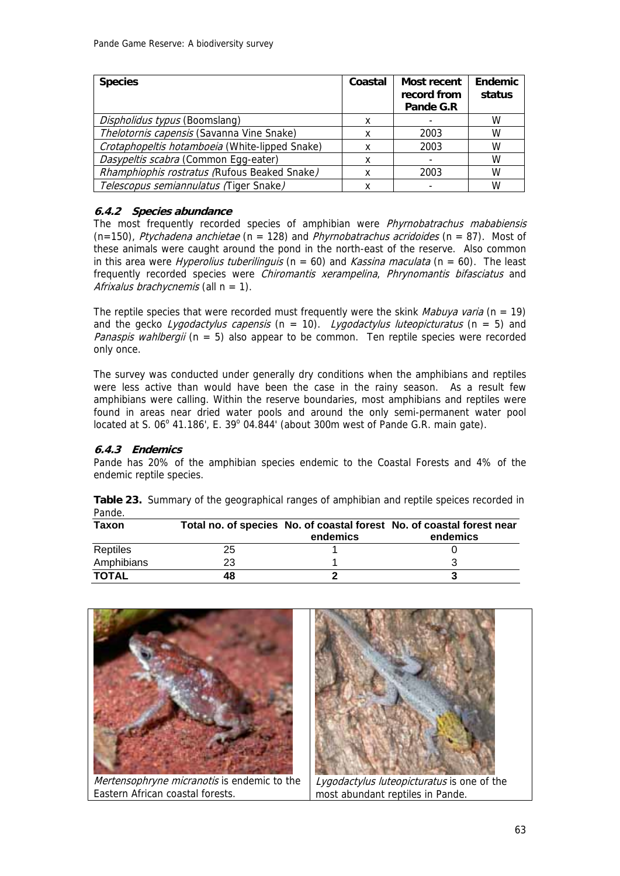| <b>Species</b>                                 | Coastal | Most recent<br>record from<br>Pande G.R | <b>Endemic</b><br>status |
|------------------------------------------------|---------|-----------------------------------------|--------------------------|
| Dispholidus typus (Boomslang)                  |         |                                         | W                        |
| Thelotornis capensis (Savanna Vine Snake)      |         | 2003                                    | W                        |
| Crotaphopeltis hotamboeia (White-lipped Snake) |         | 2003                                    | W                        |
| Dasypeltis scabra (Common Egg-eater)           | x       |                                         | W                        |
| Rhamphiophis rostratus (Rufous Beaked Snake)   |         | 2003                                    | W                        |
| Telescopus semiannulatus (Tiger Snake)         |         |                                         | W                        |

## **6.4.2 Species abundance**

The most frequently recorded species of amphibian were *Phyrnobatrachus mababiensis*  $(n=150)$ , Ptychadena anchietae (n = 128) and Phyrnobatrachus acridoides (n = 87). Most of these animals were caught around the pond in the north-east of the reserve. Also common in this area were *Hyperolius tuberilinguis* ( $n = 60$ ) and *Kassina maculata* ( $n = 60$ ). The least frequently recorded species were Chiromantis xerampelina, Phrynomantis bifasciatus and Afrixalus brachycnemis (all  $n = 1$ ).

The reptile species that were recorded must frequently were the skink *Mabuya varia* ( $n = 19$ ) and the gecko Lygodactylus capensis ( $n = 10$ ). Lygodactylus luteopicturatus ( $n = 5$ ) and *Panaspis wahlbergii* ( $n = 5$ ) also appear to be common. Ten reptile species were recorded only once.

The survey was conducted under generally dry conditions when the amphibians and reptiles were less active than would have been the case in the rainy season. As a result few amphibians were calling. Within the reserve boundaries, most amphibians and reptiles were found in areas near dried water pools and around the only semi-permanent water pool located at S.  $06^{\circ}$  41.186', E. 39 $^{\circ}$  04.844' (about 300m west of Pande G.R. main gate).

## **6.4.3 Endemics**

Pande has 20% of the amphibian species endemic to the Coastal Forests and 4% of the endemic reptile species.

| Pande.       |    |          |                                                                                   |
|--------------|----|----------|-----------------------------------------------------------------------------------|
| Taxon        |    | endemics | Total no. of species No. of coastal forest No. of coastal forest near<br>endemics |
| Reptiles     | 25 |          |                                                                                   |
| Amphibians   | 23 |          |                                                                                   |
| <b>TOTAL</b> | 48 |          |                                                                                   |

**Table 23.** Summary of the geographical ranges of amphibian and reptile speices recorded in Pande.

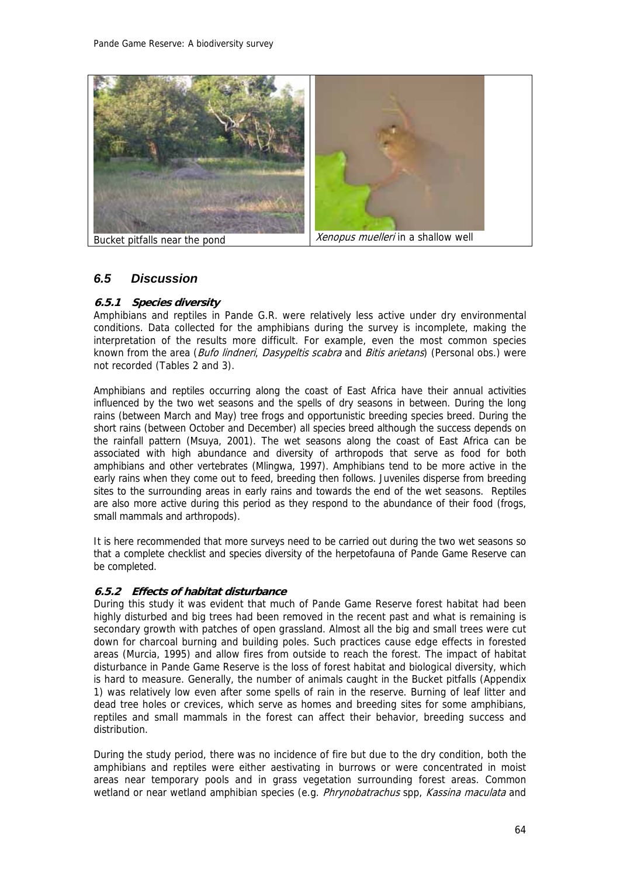

Bucket pitfalls near the pond **Xenopus** Metallon Xenopus muelleri in a shallow well

## *6.5 Discussion*

## **6.5.1 Species diversity**

Amphibians and reptiles in Pande G.R. were relatively less active under dry environmental conditions. Data collected for the amphibians during the survey is incomplete, making the interpretation of the results more difficult. For example, even the most common species known from the area (Bufo lindneri, Dasypeltis scabra and Bitis arietans) (Personal obs.) were not recorded (Tables 2 and 3).

Amphibians and reptiles occurring along the coast of East Africa have their annual activities influenced by the two wet seasons and the spells of dry seasons in between. During the long rains (between March and May) tree frogs and opportunistic breeding species breed. During the short rains (between October and December) all species breed although the success depends on the rainfall pattern (Msuya, 2001). The wet seasons along the coast of East Africa can be associated with high abundance and diversity of arthropods that serve as food for both amphibians and other vertebrates (Mlingwa, 1997). Amphibians tend to be more active in the early rains when they come out to feed, breeding then follows. Juveniles disperse from breeding sites to the surrounding areas in early rains and towards the end of the wet seasons. Reptiles are also more active during this period as they respond to the abundance of their food (frogs, small mammals and arthropods).

It is here recommended that more surveys need to be carried out during the two wet seasons so that a complete checklist and species diversity of the herpetofauna of Pande Game Reserve can be completed.

### **6.5.2 Effects of habitat disturbance**

During this study it was evident that much of Pande Game Reserve forest habitat had been highly disturbed and big trees had been removed in the recent past and what is remaining is secondary growth with patches of open grassland. Almost all the big and small trees were cut down for charcoal burning and building poles. Such practices cause edge effects in forested areas (Murcia, 1995) and allow fires from outside to reach the forest. The impact of habitat disturbance in Pande Game Reserve is the loss of forest habitat and biological diversity, which is hard to measure. Generally, the number of animals caught in the Bucket pitfalls (Appendix 1) was relatively low even after some spells of rain in the reserve. Burning of leaf litter and dead tree holes or crevices, which serve as homes and breeding sites for some amphibians, reptiles and small mammals in the forest can affect their behavior, breeding success and distribution.

During the study period, there was no incidence of fire but due to the dry condition, both the amphibians and reptiles were either aestivating in burrows or were concentrated in moist areas near temporary pools and in grass vegetation surrounding forest areas. Common wetland or near wetland amphibian species (e.g. Phrynobatrachus spp, Kassina maculata and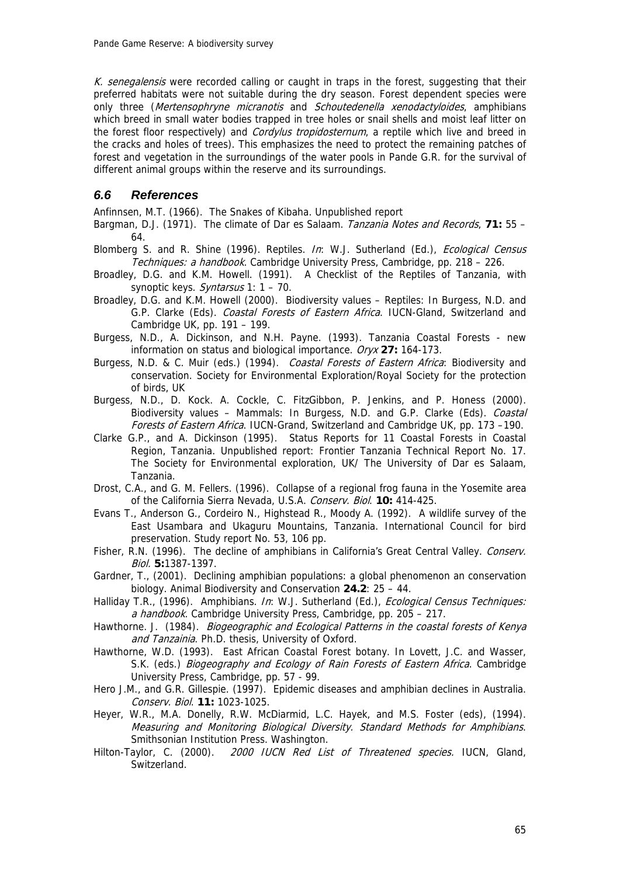K. senegalensis were recorded calling or caught in traps in the forest, suggesting that their preferred habitats were not suitable during the dry season. Forest dependent species were only three (Mertensophryne micranotis and Schoutedenella xenodactyloides, amphibians which breed in small water bodies trapped in tree holes or snail shells and moist leaf litter on the forest floor respectively) and *Cordylus tropidosternum*, a reptile which live and breed in the cracks and holes of trees). This emphasizes the need to protect the remaining patches of forest and vegetation in the surroundings of the water pools in Pande G.R. for the survival of different animal groups within the reserve and its surroundings.

## *6.6 References*

Anfinnsen, M.T. (1966). The Snakes of Kibaha. Unpublished report

- Bargman, D.J. (1971). The climate of Dar es Salaam. Tanzania Notes and Records, **71:** 55 64.
- Blomberg S. and R. Shine (1996). Reptiles. In: W.J. Sutherland (Ed.), Ecological Census Techniques: a handbook. Cambridge University Press, Cambridge, pp. 218 - 226.
- Broadley, D.G. and K.M. Howell. (1991). A Checklist of the Reptiles of Tanzania, with synoptic keys. Syntarsus 1: 1 – 70.
- Broadley, D.G. and K.M. Howell (2000). Biodiversity values Reptiles: In Burgess, N.D. and G.P. Clarke (Eds). Coastal Forests of Eastern Africa. IUCN-Gland, Switzerland and Cambridge UK, pp. 191 – 199.
- Burgess, N.D., A. Dickinson, and N.H. Payne. (1993). Tanzania Coastal Forests new information on status and biological importance. Oryx **27:** 164-173.
- Burgess, N.D. & C. Muir (eds.) (1994). Coastal Forests of Eastern Africa: Biodiversity and conservation. Society for Environmental Exploration/Royal Society for the protection of birds, UK
- Burgess, N.D., D. Kock. A. Cockle, C. FitzGibbon, P. Jenkins, and P. Honess (2000). Biodiversity values – Mammals: In Burgess, N.D. and G.P. Clarke (Eds). Coastal Forests of Eastern Africa. IUCN-Grand, Switzerland and Cambridge UK, pp. 173 -190.
- Clarke G.P., and A. Dickinson (1995). Status Reports for 11 Coastal Forests in Coastal Region, Tanzania. Unpublished report: Frontier Tanzania Technical Report No. 17. The Society for Environmental exploration, UK/ The University of Dar es Salaam, Tanzania.
- Drost, C.A., and G. M. Fellers. (1996). Collapse of a regional frog fauna in the Yosemite area of the California Sierra Nevada, U.S.A. Conserv. Biol. **10:** 414-425.
- Evans T., Anderson G., Cordeiro N., Highstead R., Moody A. (1992). A wildlife survey of the East Usambara and Ukaguru Mountains, Tanzania. International Council for bird preservation. Study report No. 53, 106 pp.
- Fisher, R.N. (1996). The decline of amphibians in California's Great Central Valley. Conserv. Biol. **5:**1387-1397.
- Gardner, T., (2001). Declining amphibian populations: a global phenomenon an conservation biology. Animal Biodiversity and Conservation **24.2**: 25 – 44.
- Halliday T.R., (1996). Amphibians. In: W.J. Sutherland (Ed.), *Ecological Census Techniques:* a handbook. Cambridge University Press, Cambridge, pp. 205 - 217.
- Hawthorne. J. (1984). Biogeographic and Ecological Patterns in the coastal forests of Kenya and Tanzainia. Ph.D. thesis, University of Oxford.
- Hawthorne, W.D. (1993). East African Coastal Forest botany. In Lovett, J.C. and Wasser, S.K. (eds.) Biogeography and Ecology of Rain Forests of Eastern Africa. Cambridge University Press, Cambridge, pp. 57 - 99.
- Hero J.M., and G.R. Gillespie. (1997). Epidemic diseases and amphibian declines in Australia. Conserv. Biol. **11:** 1023-1025.
- Heyer, W.R., M.A. Donelly, R.W. McDiarmid, L.C. Hayek, and M.S. Foster (eds), (1994). Measuring and Monitoring Biological Diversity. Standard Methods for Amphibians. Smithsonian Institution Press. Washington.
- Hilton-Taylor, C. (2000). 2000 IUCN Red List of Threatened species. IUCN, Gland, Switzerland.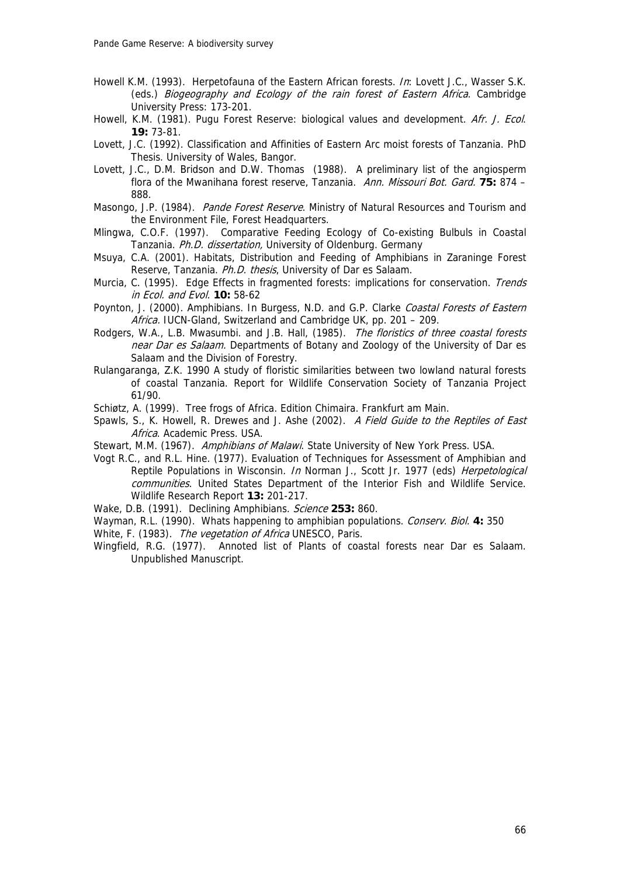- Howell K.M. (1993). Herpetofauna of the Eastern African forests. In: Lovett J.C., Wasser S.K. (eds.) Biogeography and Ecology of the rain forest of Eastern Africa. Cambridge University Press: 173-201.
- Howell, K.M. (1981). Pugu Forest Reserve: biological values and development. Afr. J. Ecol. **19:** 73-81.
- Lovett, J.C. (1992). Classification and Affinities of Eastern Arc moist forests of Tanzania. PhD Thesis. University of Wales, Bangor.
- Lovett, J.C., D.M. Bridson and D.W. Thomas (1988). A preliminary list of the angiosperm flora of the Mwanihana forest reserve, Tanzania. Ann. Missouri Bot. Gard. **75:** 874 – 888.
- Masongo, J.P. (1984). *Pande Forest Reserve*. Ministry of Natural Resources and Tourism and the Environment File, Forest Headquarters.
- Mlingwa, C.O.F. (1997). Comparative Feeding Ecology of Co-existing Bulbuls in Coastal Tanzania. Ph.D. dissertation, University of Oldenburg. Germany
- Msuya, C.A. (2001). Habitats, Distribution and Feeding of Amphibians in Zaraninge Forest Reserve, Tanzania. Ph.D. thesis, University of Dar es Salaam.
- Murcia, C. (1995). Edge Effects in fragmented forests: implications for conservation. Trends in Ecol. and Evol. **10:** 58-62
- Poynton, J. (2000). Amphibians. In Burgess, N.D. and G.P. Clarke Coastal Forests of Eastern Africa. IUCN-Gland, Switzerland and Cambridge UK, pp. 201 - 209.
- Rodgers, W.A., L.B. Mwasumbi. and J.B. Hall, (1985). The floristics of three coastal forests near Dar es Salaam. Departments of Botany and Zoology of the University of Dar es Salaam and the Division of Forestry.
- Rulangaranga, Z.K. 1990 A study of floristic similarities between two lowland natural forests of coastal Tanzania. Report for Wildlife Conservation Society of Tanzania Project 61/90.
- Schiøtz, A. (1999). Tree frogs of Africa. Edition Chimaira. Frankfurt am Main.
- Spawls, S., K. Howell, R. Drewes and J. Ashe (2002). A Field Guide to the Reptiles of East Africa. Academic Press. USA.
- Stewart, M.M. (1967). Amphibians of Malawi. State University of New York Press. USA.
- Vogt R.C., and R.L. Hine. (1977). Evaluation of Techniques for Assessment of Amphibian and Reptile Populations in Wisconsin. In Norman J., Scott Jr. 1977 (eds) Herpetological communities. United States Department of the Interior Fish and Wildlife Service. Wildlife Research Report **13:** 201-217.
- Wake, D.B. (1991). Declining Amphibians. Science **253:** 860.
- Wayman, R.L. (1990). Whats happening to amphibian populations. Conserv. Biol. 4: 350
- White, F. (1983). The vegetation of Africa UNESCO, Paris.
- Wingfield, R.G. (1977). Annoted list of Plants of coastal forests near Dar es Salaam. Unpublished Manuscript.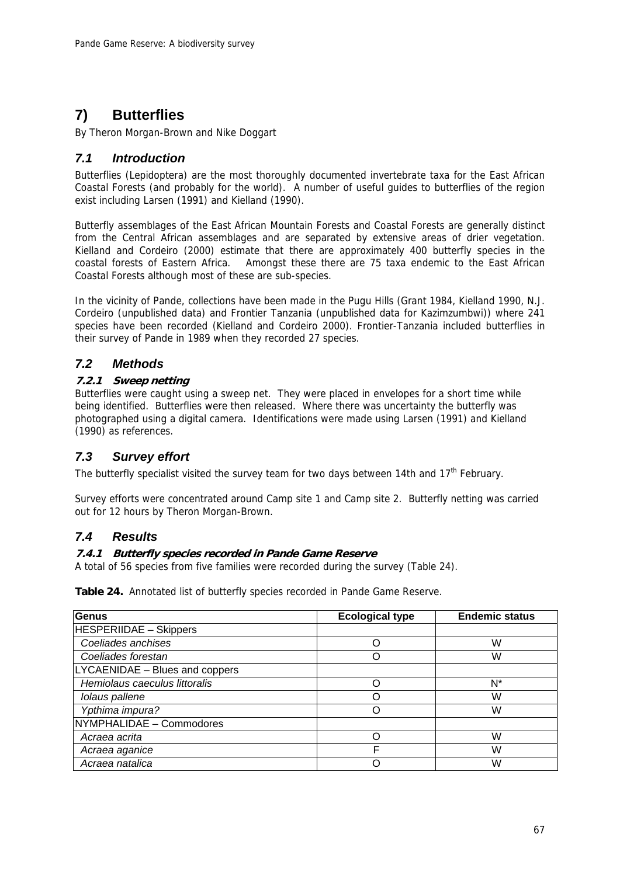# **7) Butterflies**

By Theron Morgan-Brown and Nike Doggart

## *7.1 Introduction*

Butterflies (Lepidoptera) are the most thoroughly documented invertebrate taxa for the East African Coastal Forests (and probably for the world). A number of useful guides to butterflies of the region exist including Larsen (1991) and Kielland (1990).

Butterfly assemblages of the East African Mountain Forests and Coastal Forests are generally distinct from the Central African assemblages and are separated by extensive areas of drier vegetation. Kielland and Cordeiro (2000) estimate that there are approximately 400 butterfly species in the coastal forests of Eastern Africa. Amongst these there are 75 taxa endemic to the East African Coastal Forests although most of these are sub-species.

In the vicinity of Pande, collections have been made in the Pugu Hills (Grant 1984, Kielland 1990, N.J. Cordeiro (unpublished data) and Frontier Tanzania (unpublished data for Kazimzumbwi)) where 241 species have been recorded (Kielland and Cordeiro 2000). Frontier-Tanzania included butterflies in their survey of Pande in 1989 when they recorded 27 species.

## *7.2 Methods*

## **7.2.1 Sweep netting**

Butterflies were caught using a sweep net. They were placed in envelopes for a short time while being identified. Butterflies were then released. Where there was uncertainty the butterfly was photographed using a digital camera. Identifications were made using Larsen (1991) and Kielland (1990) as references.

## *7.3 Survey effort*

The butterfly specialist visited the survey team for two days between 14th and 17<sup>th</sup> February.

Survey efforts were concentrated around Camp site 1 and Camp site 2. Butterfly netting was carried out for 12 hours by Theron Morgan-Brown.

## *7.4 Results*

## **7.4.1 Butterfly species recorded in Pande Game Reserve**

A total of 56 species from five families were recorded during the survey (Table 24).

**Table 24.** Annotated list of butterfly species recorded in Pande Game Reserve.

| Genus                          | <b>Ecological type</b> | <b>Endemic status</b> |
|--------------------------------|------------------------|-----------------------|
| <b>HESPERIIDAE - Skippers</b>  |                        |                       |
| Coeliades anchises             |                        | W                     |
| Coeliades forestan             |                        | W                     |
| LYCAENIDAE - Blues and coppers |                        |                       |
| Hemiolaus caeculus littoralis  |                        | N*                    |
| Iolaus pallene                 |                        | W                     |
| Ypthima impura?                |                        | W                     |
| NYMPHALIDAE - Commodores       |                        |                       |
| Acraea acrita                  |                        | W                     |
| Acraea aganice                 | F                      | W                     |
| Acraea natalica                |                        | W                     |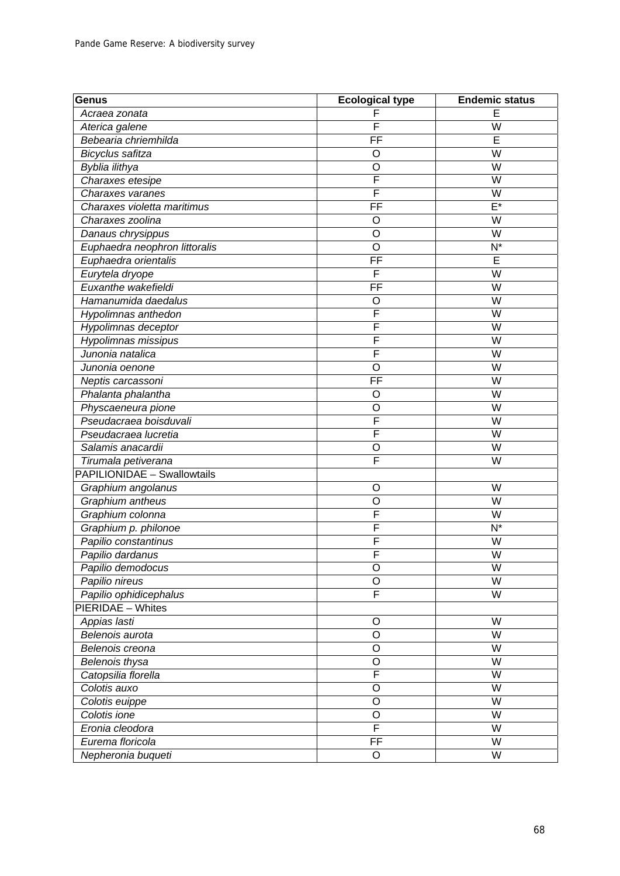| Genus                              | <b>Ecological type</b>  | <b>Endemic status</b>   |
|------------------------------------|-------------------------|-------------------------|
| Acraea zonata                      | F                       | E                       |
| Aterica galene                     | F                       | W                       |
| Bebearia chriemhilda               | FF                      | E                       |
| Bicyclus safitza                   | O                       | W                       |
| Byblia ilithya                     | O                       | W                       |
| Charaxes etesipe                   | F                       | W                       |
| Charaxes varanes                   | F                       | $\overline{\mathsf{W}}$ |
| Charaxes violetta maritimus        | FF                      | $E^*$                   |
| Charaxes zoolina                   | O                       | W                       |
| Danaus chrysippus                  | $\circ$                 | $\overline{\mathsf{W}}$ |
| Euphaedra neophron littoralis      | O                       | $N^*$                   |
| Euphaedra orientalis               | FF                      | E                       |
| Eurytela dryope                    | F                       | W                       |
| Euxanthe wakefieldi                | $\overline{FF}$         | W                       |
| Hamanumida daedalus                | O                       | W                       |
| Hypolimnas anthedon                | $\overline{F}$          | W                       |
| Hypolimnas deceptor                | F                       | W                       |
| Hypolimnas missipus                | F                       | W                       |
| Junonia natalica                   | F                       | W                       |
| Junonia oenone                     | O                       | $\overline{\mathsf{W}}$ |
| Neptis carcassoni                  | $\overline{FF}$         | $\overline{\mathsf{W}}$ |
| Phalanta phalantha                 | O                       | W                       |
| Physcaeneura pione                 | O                       | W                       |
| Pseudacraea boisduvali             | $\mathsf{F}$            | W                       |
| Pseudacraea lucretia               | $\overline{\mathsf{F}}$ | $\overline{\mathsf{W}}$ |
| Salamis anacardii                  | O                       | W                       |
| Tirumala petiverana                | F                       | W                       |
| <b>PAPILIONIDAE - Swallowtails</b> |                         |                         |
| Graphium angolanus                 | O                       | W                       |
| Graphium antheus                   | $\circ$                 | W                       |
| Graphium colonna                   | $\mathsf{F}$            | W                       |
| Graphium p. philonoe               | F                       | $N^*$                   |
| Papilio constantinus               | F                       | W                       |
| Papilio dardanus                   | F                       | $\overline{\mathsf{W}}$ |
| Papilio demodocus                  | O                       | W                       |
| Papilio nireus                     | O                       | W                       |
| Papilio ophidicephalus             | F                       | $\overline{\mathsf{W}}$ |
| <b>PIERIDAE - Whites</b>           |                         |                         |
| Appias lasti                       | O                       | W                       |
| Belenois aurota                    | O                       | W                       |
| Belenois creona                    | O                       | $\overline{\mathsf{W}}$ |
| Belenois thysa                     | O                       | W                       |
| Catopsilia florella                | F                       | $\overline{\mathsf{W}}$ |
| Colotis auxo                       | O                       | $\overline{\mathsf{W}}$ |
| Colotis euippe                     | O                       | W                       |
| Colotis ione                       | O                       | W                       |
| Eronia cleodora                    | $\overline{\mathsf{F}}$ | W                       |
| Eurema floricola                   | FF                      | $\overline{\mathsf{W}}$ |
| Nepheronia buqueti                 | O                       | W                       |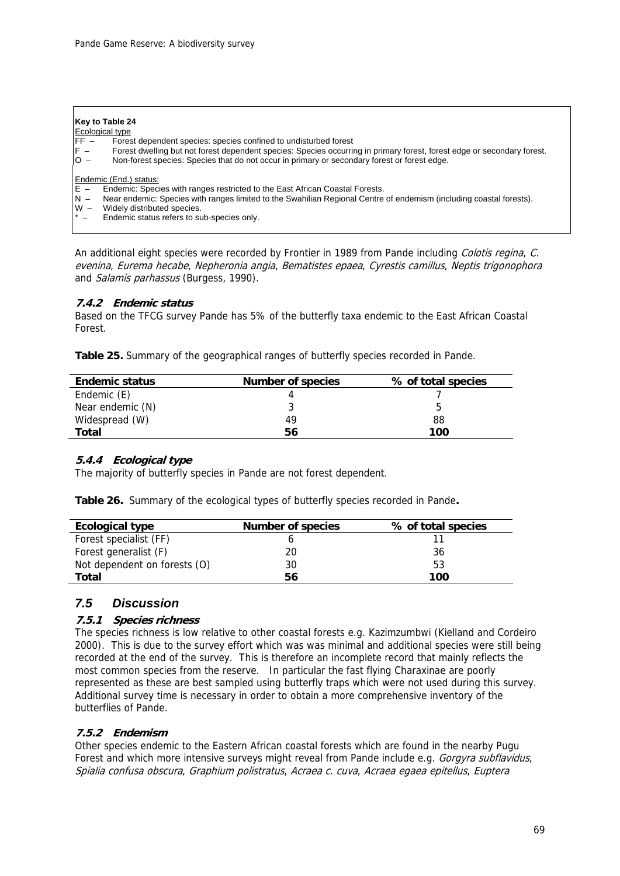#### **Key to Table 24**

# $Ecological type$ <br> $EF - Fores$

- Forest dependent species: species confined to undisturbed forest
- F Forest dwelling but not forest dependent species: Species occurring in primary forest, forest edge or secondary forest.<br>O Non-forest species: Species that do not occur in primary or secondary forest or forest edge.
- Non-forest species: Species that do not occur in primary or secondary forest or forest edge.

#### Endemic (End.) status:

- $E -$  Endemic: Species with ranges restricted to the East African Coastal Forests.<br>N Near endemic: Species with ranges limited to the Swahilian Regional Centre
- Near endemic: Species with ranges limited to the Swahilian Regional Centre of endemism (including coastal forests).
- W Widely distributed species.
- Endemic status refers to sub-species only.

An additional eight species were recorded by Frontier in 1989 from Pande including Colotis regina, C. evenina, Eurema hecabe, Nepheronia angia, Bematistes epaea, Cyrestis camillus, Neptis trigonophora and Salamis parhassus (Burgess, 1990).

### **7.4.2 Endemic status**

Based on the TFCG survey Pande has 5% of the butterfly taxa endemic to the East African Coastal Forest.

**Table 25.** Summary of the geographical ranges of butterfly species recorded in Pande.

| <b>Endemic status</b> | <b>Number of species</b> | % of total species |
|-----------------------|--------------------------|--------------------|
| Endemic (E)           |                          |                    |
| Near endemic (N)      |                          | h                  |
| Widespread (W)        | 49                       | 88                 |
| Total                 | 56                       | 100                |

### **5.4.4 Ecological type**

The majority of butterfly species in Pande are not forest dependent.

**Table 26.** Summary of the ecological types of butterfly species recorded in Pande**.** 

| <b>Ecological type</b>       | <b>Number of species</b> | % of total species |
|------------------------------|--------------------------|--------------------|
| Forest specialist (FF)       |                          |                    |
| Forest generalist (F)        | 20                       | 36                 |
| Not dependent on forests (O) | 30                       | 53                 |
| Total                        | 56                       | 100                |

## *7.5 Discussion*

#### **7.5.1 Species richness**

The species richness is low relative to other coastal forests e.g. Kazimzumbwi (Kielland and Cordeiro 2000). This is due to the survey effort which was was minimal and additional species were still being recorded at the end of the survey. This is therefore an incomplete record that mainly reflects the most common species from the reserve. In particular the fast flying Charaxinae are poorly represented as these are best sampled using butterfly traps which were not used during this survey. Additional survey time is necessary in order to obtain a more comprehensive inventory of the butterflies of Pande.

#### **7.5.2 Endemism**

Other species endemic to the Eastern African coastal forests which are found in the nearby Pugu Forest and which more intensive surveys might reveal from Pande include e.g. Gorgyra subflavidus, Spialia confusa obscura, Graphium polistratus, Acraea c. cuva, Acraea egaea epitellus, Euptera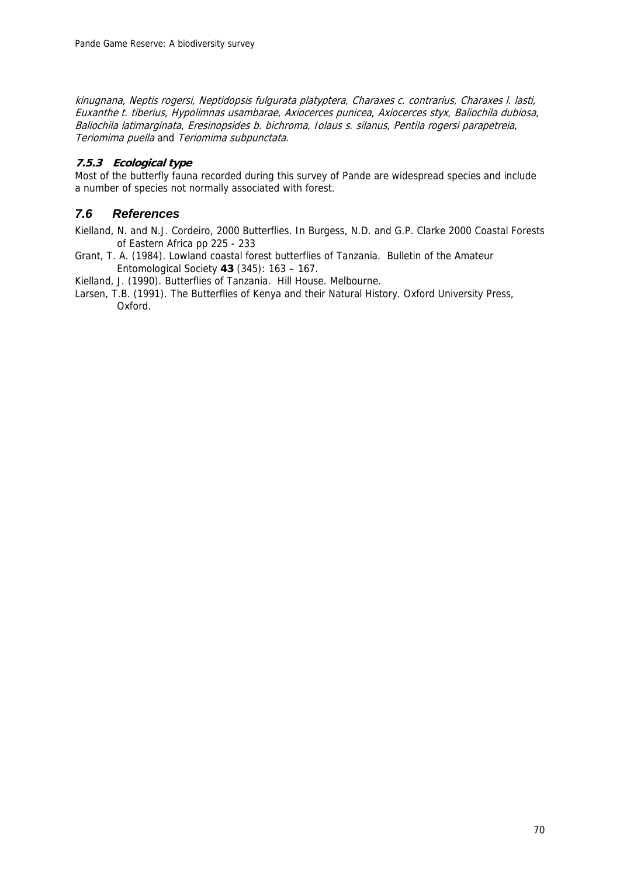kinugnana, Neptis rogersi, Neptidopsis fulgurata platyptera, Charaxes c. contrarius, Charaxes l. lasti, Euxanthe t. tiberius, Hypolimnas usambarae, Axiocerces punicea, Axiocerces styx, Baliochila dubiosa, Baliochila latimarginata, Eresinopsides b. bichroma, Iolaus s. silanus, Pentila rogersi parapetreia, Teriomima puella and Teriomima subpunctata.

### **7.5.3 Ecological type**

Most of the butterfly fauna recorded during this survey of Pande are widespread species and include a number of species not normally associated with forest.

## *7.6 References*

Kielland, N. and N.J. Cordeiro, 2000 Butterflies. In Burgess, N.D. and G.P. Clarke 2000 Coastal Forests of Eastern Africa pp 225 - 233

Grant, T. A. (1984). Lowland coastal forest butterflies of Tanzania. Bulletin of the Amateur Entomological Society **43** (345): 163 – 167.

Kielland, J. (1990). Butterflies of Tanzania. Hill House. Melbourne.

Larsen, T.B. (1991). The Butterflies of Kenya and their Natural History. Oxford University Press, Oxford.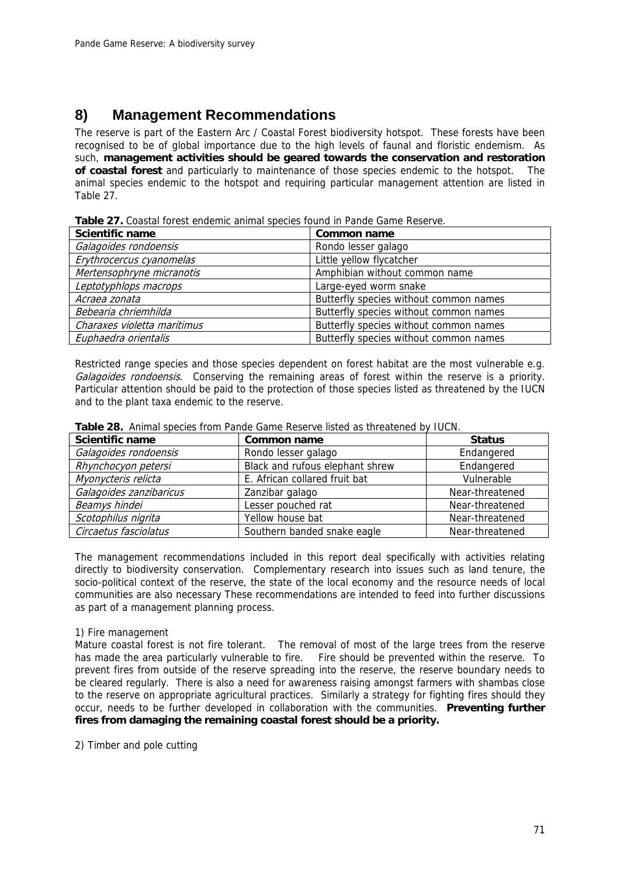# **8) Management Recommendations**

The reserve is part of the Eastern Arc / Coastal Forest biodiversity hotspot. These forests have been recognised to be of global importance due to the high levels of faunal and floristic endemism. As such, **management activities should be geared towards the conservation and restoration of coastal forest** and particularly to maintenance of those species endemic to the hotspot. The animal species endemic to the hotspot and requiring particular management attention are listed in Table 27.

| <b>Table 27.</b> Coastal forest endemic animal species found in Pande Game Reserve. |  |
|-------------------------------------------------------------------------------------|--|
|-------------------------------------------------------------------------------------|--|

| Scientific name             | Common name                            |
|-----------------------------|----------------------------------------|
| Galagoides rondoensis       | Rondo lesser galago                    |
| Erythrocercus cyanomelas    | Little yellow flycatcher               |
| Mertensophryne micranotis   | Amphibian without common name          |
| Leptotyphlops macrops       | Large-eyed worm snake                  |
| Acraea zonata               | Butterfly species without common names |
| Bebearia chriemhilda        | Butterfly species without common names |
| Charaxes violetta maritimus | Butterfly species without common names |
| Euphaedra orientalis        | Butterfly species without common names |

Restricted range species and those species dependent on forest habitat are the most vulnerable e.g. Galagoides rondoensis. Conserving the remaining areas of forest within the reserve is a priority. Particular attention should be paid to the protection of those species listed as threatened by the IUCN and to the plant taxa endemic to the reserve.

| <b>Scientific name</b>  | Common name                     | <b>Status</b>   |
|-------------------------|---------------------------------|-----------------|
| Galagoides rondoensis   | Rondo lesser galago             | Endangered      |
| Rhynchocyon petersi     | Black and rufous elephant shrew | Endangered      |
| Myonycteris relicta     | E. African collared fruit bat   | Vulnerable      |
| Galagoides zanzibaricus | Zanzibar galago                 | Near-threatened |
| Beamys hindei           | Lesser pouched rat              | Near-threatened |
| Scotophilus nigrita     | Yellow house bat                | Near-threatened |
| Circaetus fasciolatus   | Southern banded snake eagle     | Near-threatened |

#### **Table 28.** Animal species from Pande Game Reserve listed as threatened by IUCN.

The management recommendations included in this report deal specifically with activities relating directly to biodiversity conservation. Complementary research into issues such as land tenure, the socio-political context of the reserve, the state of the local economy and the resource needs of local communities are also necessary These recommendations are intended to feed into further discussions as part of a management planning process.

### 1) Fire management

Mature coastal forest is not fire tolerant. The removal of most of the large trees from the reserve has made the area particularly vulnerable to fire. Fire should be prevented within the reserve. To prevent fires from outside of the reserve spreading into the reserve, the reserve boundary needs to be cleared regularly. There is also a need for awareness raising amongst farmers with shambas close to the reserve on appropriate agricultural practices. Similarly a strategy for fighting fires should they occur, needs to be further developed in collaboration with the communities. **Preventing further fires from damaging the remaining coastal forest should be a priority.**

2) Timber and pole cutting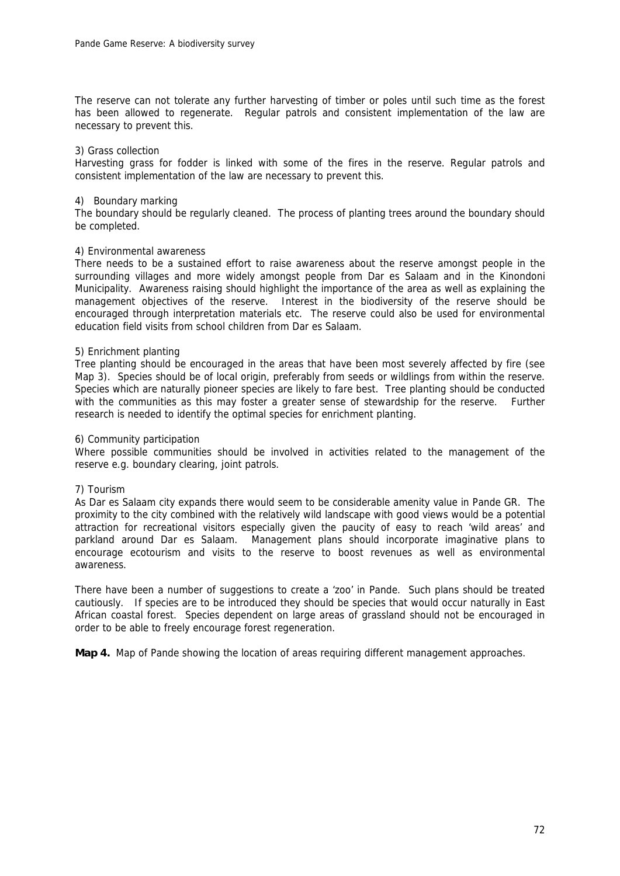The reserve can not tolerate any further harvesting of timber or poles until such time as the forest has been allowed to regenerate. Regular patrols and consistent implementation of the law are necessary to prevent this.

#### 3) Grass collection

Harvesting grass for fodder is linked with some of the fires in the reserve. Regular patrols and consistent implementation of the law are necessary to prevent this.

#### 4) Boundary marking

The boundary should be regularly cleaned. The process of planting trees around the boundary should be completed.

#### 4) Environmental awareness

There needs to be a sustained effort to raise awareness about the reserve amongst people in the surrounding villages and more widely amongst people from Dar es Salaam and in the Kinondoni Municipality. Awareness raising should highlight the importance of the area as well as explaining the management objectives of the reserve. Interest in the biodiversity of the reserve should be encouraged through interpretation materials etc. The reserve could also be used for environmental education field visits from school children from Dar es Salaam.

#### 5) Enrichment planting

Tree planting should be encouraged in the areas that have been most severely affected by fire (see Map 3). Species should be of local origin, preferably from seeds or wildlings from within the reserve. Species which are naturally pioneer species are likely to fare best. Tree planting should be conducted with the communities as this may foster a greater sense of stewardship for the reserve. Further research is needed to identify the optimal species for enrichment planting.

#### 6) Community participation

Where possible communities should be involved in activities related to the management of the reserve e.g. boundary clearing, joint patrols.

#### 7) Tourism

As Dar es Salaam city expands there would seem to be considerable amenity value in Pande GR. The proximity to the city combined with the relatively wild landscape with good views would be a potential attraction for recreational visitors especially given the paucity of easy to reach 'wild areas' and parkland around Dar es Salaam. Management plans should incorporate imaginative plans to encourage ecotourism and visits to the reserve to boost revenues as well as environmental awareness.

There have been a number of suggestions to create a 'zoo' in Pande. Such plans should be treated cautiously. If species are to be introduced they should be species that would occur naturally in East African coastal forest. Species dependent on large areas of grassland should not be encouraged in order to be able to freely encourage forest regeneration.

**Map 4.** Map of Pande showing the location of areas requiring different management approaches.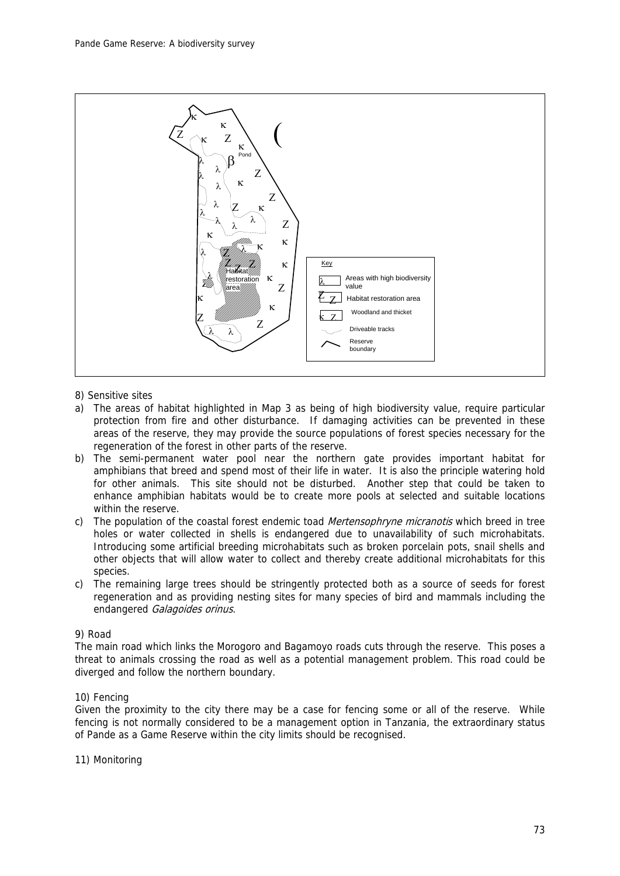

- 8) Sensitive sites
- a) The areas of habitat highlighted in Map 3 as being of high biodiversity value, require particular protection from fire and other disturbance. If damaging activities can be prevented in these areas of the reserve, they may provide the source populations of forest species necessary for the regeneration of the forest in other parts of the reserve.
- b) The semi-permanent water pool near the northern gate provides important habitat for amphibians that breed and spend most of their life in water. It is also the principle watering hold for other animals. This site should not be disturbed. Another step that could be taken to enhance amphibian habitats would be to create more pools at selected and suitable locations within the reserve.
- c) The population of the coastal forest endemic toad *Mertensophryne micranotis* which breed in tree holes or water collected in shells is endangered due to unavailability of such microhabitats. Introducing some artificial breeding microhabitats such as broken porcelain pots, snail shells and other objects that will allow water to collect and thereby create additional microhabitats for this species.
- c) The remaining large trees should be stringently protected both as a source of seeds for forest regeneration and as providing nesting sites for many species of bird and mammals including the endangered Galagoides orinus.

## 9) Road

The main road which links the Morogoro and Bagamoyo roads cuts through the reserve. This poses a threat to animals crossing the road as well as a potential management problem. This road could be diverged and follow the northern boundary.

#### 10) Fencing

Given the proximity to the city there may be a case for fencing some or all of the reserve. While fencing is not normally considered to be a management option in Tanzania, the extraordinary status of Pande as a Game Reserve within the city limits should be recognised.

#### 11) Monitoring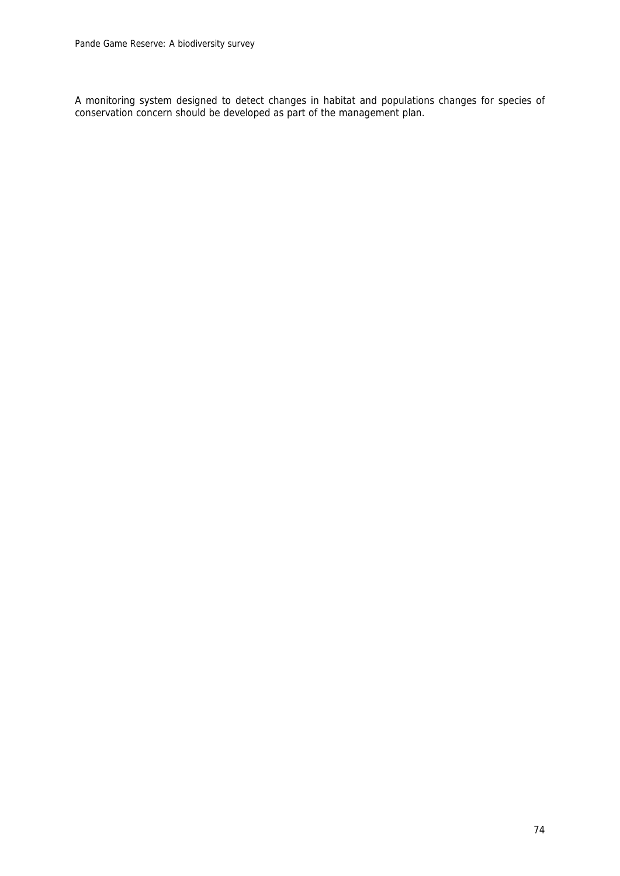A monitoring system designed to detect changes in habitat and populations changes for species of conservation concern should be developed as part of the management plan.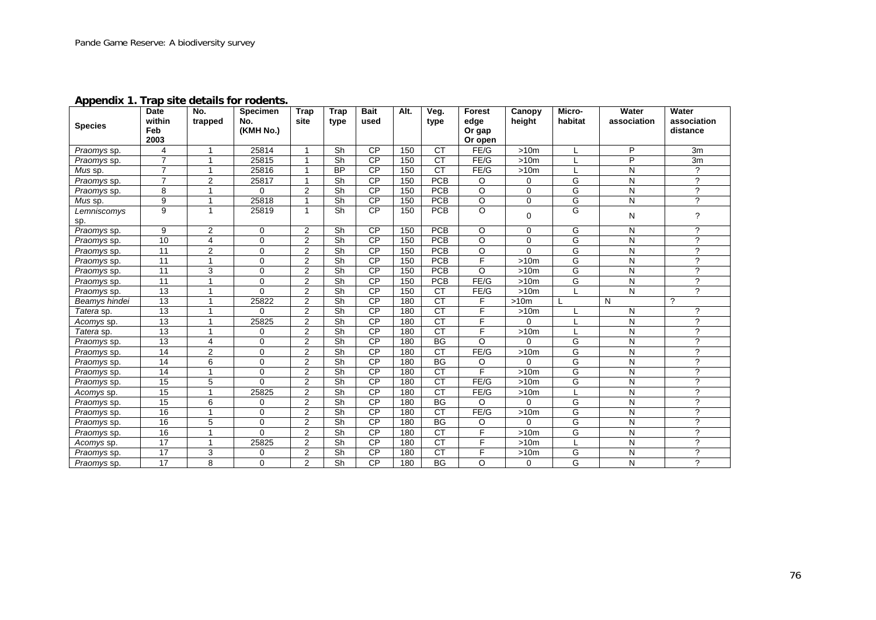**Appendix 1. Trap site details for rodents.** 

| <b>Species</b> | Date<br>within  | No.<br>trapped | <b>Specimen</b><br>No. | <b>Trap</b><br>site | Trap<br>type             | <b>Bait</b><br>used | Alt. | Veg.<br>type    | Forest<br>edge    | Canopy<br>height | Micro-<br>habitat | Water<br>association    | Water<br>association     |
|----------------|-----------------|----------------|------------------------|---------------------|--------------------------|---------------------|------|-----------------|-------------------|------------------|-------------------|-------------------------|--------------------------|
|                | Feb<br>2003     |                | (KMH No.)              |                     |                          |                     |      |                 | Or gap<br>Or open |                  |                   |                         | distance                 |
| Praomys sp.    | 4               | $\mathbf{1}$   | 25814                  |                     | Sh                       | <b>CP</b>           | 150  | <b>CT</b>       | FE/G              | >10m             |                   | P                       | 3m                       |
| Praomys sp.    | $\overline{7}$  | 1              | 25815                  |                     | Sh                       | <b>CP</b>           | 150  | <b>CT</b>       | FE/G              | >10m             |                   | P                       | 3m                       |
| Mus sp.        | $\overline{7}$  | $\mathbf{1}$   | 25816                  |                     | <b>BP</b>                | <b>CP</b>           | 150  | $\overline{CT}$ | FE/G              | >10m             |                   | ${\sf N}$               | $\tilde{?}$              |
| Praomys sp.    | $\overline{7}$  | $\overline{2}$ | 25817                  | 1                   | $\overline{\mathsf{Sh}}$ | CP                  | 150  | PCB             | O                 | 0                | G                 | ${\sf N}$               | $\overline{\mathcal{L}}$ |
| Praomys sp.    | 8               | 1              | $\Omega$               | $\overline{2}$      | $\overline{\mathsf{Sh}}$ | $\overline{CP}$     | 150  | <b>PCB</b>      | $\circ$           | 0                | G                 | N                       | $\overline{?}$           |
| Mus sp.        | 9               | $\mathbf{1}$   | 25818                  | 1                   | $\overline{\mathsf{Sh}}$ | $\overline{CP}$     | 150  | <b>PCB</b>      | $\overline{0}$    | 0                | G                 | N                       | $\overline{?}$           |
| Lemniscomys    | 9               | $\mathbf{1}$   | 25819                  | 1                   | Sh                       | CP                  | 150  | <b>PCB</b>      | $\Omega$          | $\mathbf 0$      | G                 | N                       | ?                        |
| sp.            |                 |                |                        |                     |                          |                     |      |                 |                   |                  |                   |                         |                          |
| Praomys sp.    | 9               | $\overline{2}$ | $\Omega$               | 2                   | Sh                       | <b>CP</b>           | 150  | <b>PCB</b>      | $\Omega$          | $\Omega$         | G                 | N                       | $\gamma$                 |
| Praomys sp.    | $\overline{10}$ | $\overline{4}$ | $\Omega$               | $\overline{2}$      | $\overline{\mathsf{Sh}}$ | CP                  | 150  | PCB             | $\overline{O}$    | 0                | G                 | $\overline{\mathsf{N}}$ | $\overline{\mathcal{L}}$ |
| Praomys sp.    | 11              | $\overline{2}$ | $\Omega$               | $\overline{2}$      | Sh                       | $\overline{CP}$     | 150  | <b>PCB</b>      | $\circ$           | $\Omega$         | G                 | N                       | $\overline{?}$           |
| Praomys sp.    | $\overline{11}$ | $\overline{1}$ | $\mathbf 0$            | $\overline{2}$      | $\overline{\mathsf{Sh}}$ | CP                  | 150  | PCB             | F                 | >10m             | G                 | $\overline{N}$          | 7                        |
| Praomys sp.    | $\overline{11}$ | 3              | $\mathbf 0$            | $\overline{2}$      | $\overline{\mathsf{Sh}}$ | $\overline{CP}$     | 150  | PCB             | $\Omega$          | >10m             | G                 | ${\sf N}$               | $\overline{\phantom{0}}$ |
| Praomys sp.    | 11              | $\mathbf{1}$   | $\mathbf 0$            | 2                   | $\overline{\mathsf{Sh}}$ | CP                  | 150  | <b>PCB</b>      | FE/G              | >10m             | G                 | N                       | $\overline{?}$           |
| Praomys sp.    | 13              | $\overline{ }$ | $\Omega$               | 2                   | Sh                       | <b>CP</b>           | 150  | <b>CT</b>       | FE/G              | >10m             |                   | ${\sf N}$               | $\overline{2}$           |
| Beamys hindei  | 13              | 1              | 25822                  | $\overline{2}$      | Sh                       | <b>CP</b>           | 180  | <b>CT</b>       | F                 | >10m             |                   | N                       | $\gamma$                 |
| Tatera sp.     | $\overline{13}$ | $\mathbf{1}$   | 0                      | $\overline{2}$      | $\overline{\mathsf{Sh}}$ | $\overline{CP}$     | 180  | $\overline{CT}$ | F                 | >10m             |                   | N                       | ?                        |
| Acomys sp.     | $\overline{13}$ | 1              | 25825                  | $\overline{2}$      | Sh                       | $\overline{CP}$     | 180  | $\overline{CT}$ | E                 | 0                |                   | N                       | $\boldsymbol{\gamma}$    |
| Tatera sp.     | $\overline{13}$ | $\mathbf{1}$   | 0                      | $\overline{2}$      | $\overline{\mathsf{Sh}}$ | CP                  | 180  | CT              | F                 | >10m             |                   | N                       | $\overline{\phantom{0}}$ |
| Praomys sp.    | $\overline{13}$ | $\overline{4}$ | $\Omega$               | $\overline{2}$      | $\overline{\mathsf{Sh}}$ | $\overline{CP}$     | 180  | $\overline{BG}$ | $\overline{O}$    | 0                | G                 | $\overline{N}$          | $\overline{\mathcal{L}}$ |
| Praomys sp.    | 14              | $\overline{2}$ | $\Omega$               | 2                   | $\overline{\mathsf{Sh}}$ | CP                  | 180  | CT              | FE/G              | >10m             | G                 | N                       | $\overline{\mathcal{L}}$ |
| Praomys sp.    | 14              | $\overline{6}$ | 0                      | $\overline{2}$      | $\overline{\mathsf{Sh}}$ | $\overline{CP}$     | 180  | $\overline{BG}$ | O                 | $\Omega$         | G                 | ${\sf N}$               | $\overline{\mathcal{L}}$ |
| Praomys sp.    | 14              | $\mathbf{1}$   | $\Omega$               | $\overline{2}$      | $\overline{\mathsf{Sh}}$ | <b>CP</b>           | 180  | $\overline{CT}$ | $\overline{F}$    | >10m             | G                 | N                       | ?                        |
| Praomys sp.    | 15              | 5              | $\Omega$               | $\overline{2}$      | Sh                       | <b>CP</b>           | 180  | $\overline{CT}$ | FE/G              | >10m             | G                 | N                       | ?                        |
| Acomys sp.     | 15              | $\mathbf{1}$   | 25825                  | $\overline{2}$      | Sh                       | <b>CP</b>           | 180  | $\overline{CT}$ | FE/G              | >10m             |                   | ${\sf N}$               | $\gamma$                 |
| Praomys sp.    | 15              | 6              | 0                      | 2                   | Sh                       | CP                  | 180  | $\overline{BG}$ | O                 | $\Omega$         | G                 | N                       | $\overline{\mathcal{C}}$ |
| Praomys sp.    | 16              | $\mathbf{1}$   | $\Omega$               | $\overline{2}$      | $\overline{\mathsf{Sh}}$ | CP                  | 180  | CT              | FE/G              | >10m             | G                 | ${\sf N}$               | $\overline{\mathcal{L}}$ |
| Praomys sp.    | $\overline{16}$ | 5              | $\Omega$               | $\overline{2}$      | $\overline{\mathsf{Sh}}$ | $\overline{CP}$     | 180  | $\overline{BG}$ | O                 | $\Omega$         | G                 | N                       | $\overline{\mathcal{L}}$ |
| Praomys sp.    | 16              | 1              | $\Omega$               | 2                   | $\overline{\mathsf{Sh}}$ | $\overline{CP}$     | 180  | $\overline{CT}$ | E                 | >10m             | G                 | ${\sf N}$               | $\gamma$                 |
| Acomys sp.     | 17              | $\overline{1}$ | 25825                  | $\overline{c}$      | Sh                       | <b>CP</b>           | 180  | <b>CT</b>       | F                 | >10m             |                   | ${\sf N}$               | ?                        |
| Praomys sp.    | 17              | 3              | 0                      | $\overline{2}$      | Sh                       | <b>CP</b>           | 180  | <b>CT</b>       | E                 | >10m             | G                 | N                       | $\gamma$                 |
| Praomys sp.    | 17              | 8              | $\Omega$               | $\overline{2}$      | Sh                       | <b>CP</b>           | 180  | <b>BG</b>       | O                 | 0                | G                 | N                       | $\mathcal{P}$            |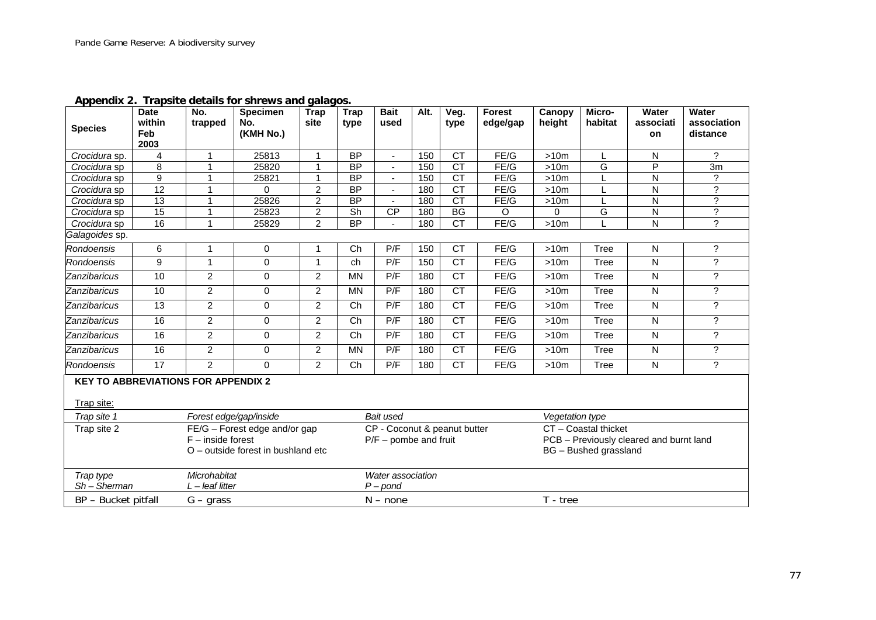| <b>Species</b>                                                  | <b>Date</b><br>within<br>Feb<br>2003 | No.<br>trapped                    | <b>Specimen</b><br>No.<br>(KMH No.)                                 | <b>Trap</b><br>site | <b>Trap</b><br>type | <b>Bait</b><br>used                                     | Alt. | Veg.<br>type    | <b>Forest</b><br>edge/gap | Canopy<br>height                                                                                            | Micro-<br>habitat | <b>Water</b><br>associati<br><b>on</b> | <b>Water</b><br>association<br>distance |  |  |
|-----------------------------------------------------------------|--------------------------------------|-----------------------------------|---------------------------------------------------------------------|---------------------|---------------------|---------------------------------------------------------|------|-----------------|---------------------------|-------------------------------------------------------------------------------------------------------------|-------------------|----------------------------------------|-----------------------------------------|--|--|
| Crocidura sp.                                                   | 4                                    | 1                                 | 25813                                                               | $\overline{1}$      | <b>BP</b>           | $\sim$                                                  | 150  | <b>CT</b>       | FE/G                      | >10m                                                                                                        |                   | N                                      | ?                                       |  |  |
| Crocidura sp                                                    | 8                                    | 1                                 | 25820                                                               | 1                   | $\overline{BP}$     | $\blacksquare$                                          | 150  | $\overline{CT}$ | FE/G                      | >10m                                                                                                        | G                 | P                                      | 3m                                      |  |  |
| Crocidura sp                                                    | $\overline{9}$                       |                                   | 25821                                                               | 1                   | <b>BP</b>           | $\mathbf{r}$                                            | 150  | <b>CT</b>       | FE/G                      | >10m                                                                                                        |                   | N                                      | ?                                       |  |  |
| Crocidura sp                                                    | 12                                   |                                   | 0                                                                   | $\overline{2}$      | <b>BP</b>           | $\blacksquare$                                          | 180  | CT              | FE/G                      | >10m                                                                                                        |                   | N                                      | $\overline{\cdot}$                      |  |  |
| Crocidura sp                                                    | $\overline{13}$                      | 1                                 | 25826                                                               | $\overline{2}$      | $\overline{BP}$     |                                                         | 180  | CT              | FE/G                      | >10m                                                                                                        |                   | N                                      | $\overline{\phantom{a}}$                |  |  |
| Crocidura sp                                                    | 15                                   |                                   | 25823                                                               | $\overline{2}$      | Sh                  | CP                                                      | 180  | $\overline{BG}$ | O                         | $\Omega$                                                                                                    | G                 | $\overline{\mathsf{N}}$                | $\overline{\phantom{a}}$                |  |  |
| Crocidura sp                                                    | 16                                   | 1                                 | 25829                                                               | $\overline{2}$      | $\overline{BP}$     | $\mathbf{r}$                                            | 180  | $\overline{CT}$ | FE/G                      | >10m                                                                                                        |                   | ${\sf N}$                              | $\overline{\cdot}$                      |  |  |
| Galagoides sp.                                                  |                                      |                                   |                                                                     |                     |                     |                                                         |      |                 |                           |                                                                                                             |                   |                                        |                                         |  |  |
| Rondoensis                                                      | 6                                    | $\mathbf{1}$                      | 0                                                                   | 1                   | $\overline{Ch}$     | P/F                                                     | 150  | $\overline{CT}$ | FE/G                      | >10m                                                                                                        | Tree              | ${\sf N}$                              | $\overline{\phantom{a}}$                |  |  |
| <b>Rondoensis</b>                                               | 9                                    | $\mathbf{1}$                      | 0                                                                   | $\overline{1}$      | ch                  | P/F                                                     | 150  | <b>CT</b>       | FE/G                      | >10m                                                                                                        | <b>Tree</b>       | N                                      | ?                                       |  |  |
| Zanzibaricus                                                    | 10                                   | $\overline{2}$                    | 0                                                                   | $\overline{2}$      | <b>MN</b>           | P/F                                                     | 180  | $\overline{CT}$ | FE/G                      | >10m                                                                                                        | <b>Tree</b>       | N                                      | $\overline{\mathcal{C}}$                |  |  |
| Zanzibaricus                                                    | 10                                   | $\overline{c}$                    | 0                                                                   | 2                   | <b>MN</b>           | P/F                                                     | 180  | <b>CT</b>       | FE/G                      | ?<br><b>Tree</b><br>$\mathsf{N}$<br>>10m                                                                    |                   |                                        |                                         |  |  |
| Zanzibaricus                                                    | 13                                   | $\overline{2}$                    | 0                                                                   | 2                   | Ch                  | P/F                                                     | 180  | <b>CT</b>       | FE/G                      | >10m                                                                                                        | <b>Tree</b>       | N                                      | $\tilde{?}$                             |  |  |
| Zanzibaricus                                                    | 16                                   | 2                                 | 0                                                                   | 2                   | Ch                  | P/F                                                     | 180  | <b>CT</b>       | FE/G                      | >10m                                                                                                        | Tree              | $\mathsf{N}$                           | $\tilde{?}$                             |  |  |
| Zanzibaricus                                                    | 16                                   | $\overline{2}$                    | $\mathbf 0$                                                         | 2                   | Ch                  | P/F                                                     | 180  | <b>CT</b>       | FE/G                      | >10m                                                                                                        | Tree              | $\mathsf{N}$                           | $\tilde{?}$                             |  |  |
| Zanzibaricus                                                    | 16                                   | $\overline{a}$                    | 0                                                                   | 2                   | <b>MN</b>           | P/F                                                     | 180  | $\overline{CT}$ | FE/G                      | >10m                                                                                                        | Tree              | $\overline{N}$                         | $\overline{\cdot}$                      |  |  |
| Rondoensis                                                      | $\overline{17}$                      | $\overline{2}$                    | 0                                                                   | 2                   | Ch                  | P/F                                                     | 180  | <b>CT</b>       | FE/G                      | >10m                                                                                                        | Tree              | ${\sf N}$                              | $\overline{?}$                          |  |  |
| <b>KEY TO ABBREVIATIONS FOR APPENDIX 2</b><br><b>Trap site:</b> |                                      |                                   |                                                                     |                     |                     |                                                         |      |                 |                           |                                                                                                             |                   |                                        |                                         |  |  |
| Trap site 1                                                     |                                      |                                   | Forest edge/gap/inside                                              |                     |                     | Bait used                                               |      |                 |                           |                                                                                                             |                   |                                        |                                         |  |  |
| Trap site 2                                                     |                                      | $F$ – inside forest               | FE/G - Forest edge and/or gap<br>O – outside forest in bushland etc |                     |                     | CP - Coconut & peanut butter<br>$P/F$ – pombe and fruit |      |                 |                           | Vegetation type<br>CT - Coastal thicket<br>PCB - Previously cleared and burnt land<br>BG - Bushed grassland |                   |                                        |                                         |  |  |
| Trap type<br>$Sh-Sherman$                                       |                                      | Microhabitat<br>$L$ – leaf litter |                                                                     |                     |                     | Water association<br>$P$ – pond                         |      |                 |                           |                                                                                                             |                   |                                        |                                         |  |  |
| BP - Bucket pitfall                                             |                                      | $G - grass$                       |                                                                     |                     |                     | $N - none$                                              |      |                 |                           | T - tree                                                                                                    |                   |                                        |                                         |  |  |

**Appendix 2. Trapsite details for shrews and galagos.**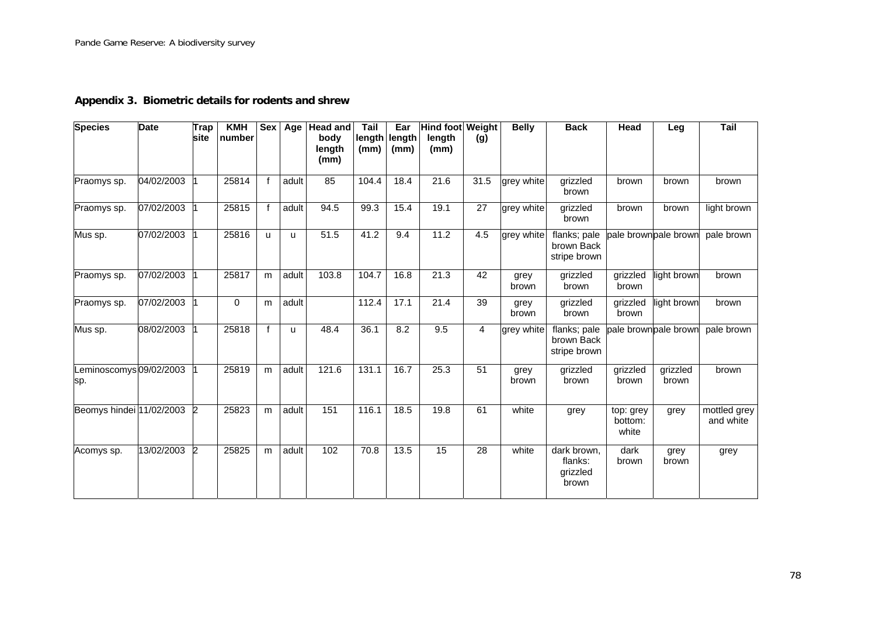**Appendix 3. Biometric details for rodents and shrew** 

| <b>Species</b>                 | <b>Date</b> | <b>Trap</b><br><b>site</b> | KMH<br>number | <b>Sex</b>   | Age   | <b>Head and</b><br>body<br>length<br>(mm) | Tail<br>length<br>(mm) | Ear<br>length<br>(mm) | <b>Hind foot Weight</b><br>length<br>(mm) | (g)             | <b>Belly</b>  | <b>Back</b>                                 | Head                          | Leg                   | Tail                      |
|--------------------------------|-------------|----------------------------|---------------|--------------|-------|-------------------------------------------|------------------------|-----------------------|-------------------------------------------|-----------------|---------------|---------------------------------------------|-------------------------------|-----------------------|---------------------------|
| Praomys sp.                    | 04/02/2003  |                            | 25814         | $\mathbf f$  | adult | 85                                        | 104.4                  | 18.4                  | 21.6                                      | 31.5            | grey white    | grizzled<br>brown                           | brown                         | brown                 | brown                     |
| Praomys sp.                    | 07/02/2003  |                            | 25815         | $\mathsf{f}$ | adult | 94.5                                      | 99.3                   | 15.4                  | 19.1                                      | 27              | grey white    | grizzled<br>brown                           | brown                         | brown                 | light brown               |
| Mus sp.                        | 07/02/2003  |                            | 25816         | $\mathbf{u}$ | u.    | 51.5                                      | 41.2                   | 9.4                   | 11.2                                      | 4.5             | grey white    | flanks; pale<br>brown Back<br>stripe brown  | pale brownpale brown          |                       | pale brown                |
| Praomys sp.                    | 07/02/2003  |                            | 25817         | m            | adult | 103.8                                     | 104.7                  | 16.8                  | $\overline{21.3}$                         | $\overline{42}$ | grey<br>brown | grizzled<br>brown                           | grizzled<br>brown             | light brown           | brown                     |
| Praomys sp.                    | 07/02/2003  |                            | $\mathbf 0$   | m            | adult |                                           | 112.4                  | 17.1                  | 21.4                                      | 39              | grey<br>brown | grizzled<br>brown                           | grizzled<br>brown             | light brown           | brown                     |
| Mus sp.                        | 08/02/2003  |                            | 25818         | $\mathsf{f}$ | u     | 48.4                                      | 36.1                   | 8.2                   | 9.5                                       | 4               | grey white    | flanks; pale<br>brown Back<br>stripe brown  |                               | pale brown pale brown | pale brown                |
| Leminoscomys 09/02/2003<br>sp. |             |                            | 25819         | m            | adult | 121.6                                     | 131.1                  | 16.7                  | 25.3                                      | 51              | grey<br>brown | grizzled<br>brown                           | grizzled<br>brown             | grizzled<br>brown     | brown                     |
| Beomys hindei 11/02/2003       |             | $\mathbf{2}$               | 25823         | m            | adult | 151                                       | 116.1                  | 18.5                  | 19.8                                      | 61              | white         | grey                                        | top: grey<br>bottom:<br>white | grey                  | mottled grey<br>and white |
| Acomys sp.                     | 13/02/2003  | Þ                          | 25825         | m            | adult | 102                                       | 70.8                   | 13.5                  | 15                                        | 28              | white         | dark brown,<br>flanks:<br>grizzled<br>brown | dark<br>brown                 | grey<br>brown         | grey                      |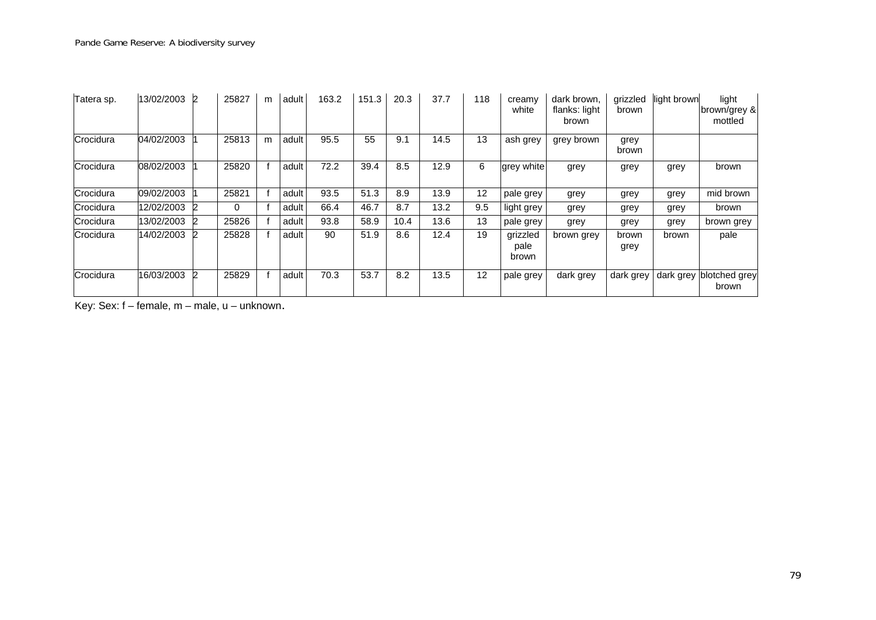| Tatera sp. | 13/02/2003 | $\overline{2}$ | 25827 | m | adult | 163.2 | 151.3 | 20.3 | 37.7 | 118 | creamy<br>white           | dark brown,<br>flanks: light<br>brown | grizzled<br>brown | light brown | light<br>brown/grey &<br>mottled |
|------------|------------|----------------|-------|---|-------|-------|-------|------|------|-----|---------------------------|---------------------------------------|-------------------|-------------|----------------------------------|
| Crocidura  | 04/02/2003 |                | 25813 | m | adult | 95.5  | 55    | 9.1  | 14.5 | 13  | ash grey                  | grey brown                            | grey<br>brown     |             |                                  |
| Crocidura  | 08/02/2003 |                | 25820 |   | adult | 72.2  | 39.4  | 8.5  | 12.9 | 6   | grey white                | grey                                  | grey              | grey        | brown                            |
| Crocidura  | 09/02/2003 |                | 25821 |   | adult | 93.5  | 51.3  | 8.9  | 13.9 | 12  | pale grey                 | grey                                  | grey              | grey        | mid brown                        |
| Crocidura  | 12/02/2003 | $\overline{2}$ | 0     |   | adult | 66.4  | 46.7  | 8.7  | 13.2 | 9.5 | light grey                | grey                                  | grey              | grey        | brown                            |
| Crocidura  | 13/02/2003 | 12             | 25826 |   | adult | 93.8  | 58.9  | 10.4 | 13.6 | 13  | pale grey                 | grey                                  | grey              | grey        | brown grey                       |
| Crocidura  | 14/02/2003 | 2              | 25828 |   | adult | 90    | 51.9  | 8.6  | 12.4 | 19  | grizzled<br>pale<br>brown | brown grey                            | brown<br>grey     | brown       | pale                             |
| Crocidura  | 16/03/2003 | 2              | 25829 |   | adult | 70.3  | 53.7  | 8.2  | 13.5 | 12  | pale grey                 | dark grey                             | dark grey         | dark grey   | blotched grey<br>brown           |

Key: Sex: f – female, m – male, u – unknown.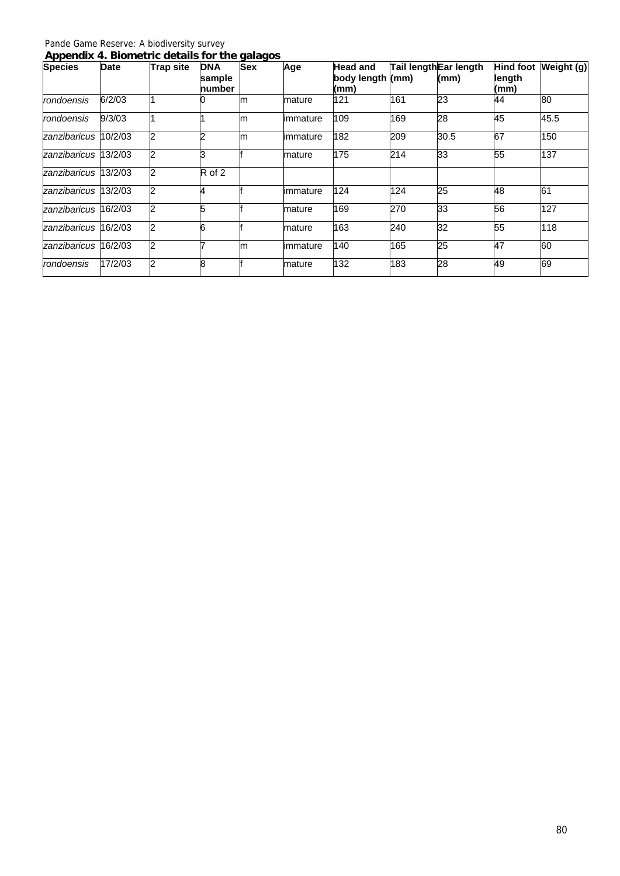| Appendix 4. Biometric details for the galagos |  |  |  |
|-----------------------------------------------|--|--|--|
|                                               |  |  |  |

| <b>Species</b>       | <b>Date</b> | <b>Trap site</b> | <b>DNA</b><br>sample<br>number | <b>Sex</b> | Age       | <b>Head and</b><br>body length (mm)<br>(mm) |     | Tail lengthEar length<br>(mm) | length<br>(mm) | Hind foot Weight (g) |
|----------------------|-------------|------------------|--------------------------------|------------|-----------|---------------------------------------------|-----|-------------------------------|----------------|----------------------|
| rondoensis           | 6/2/03      |                  |                                | m          | mature    | 121                                         | 161 | 23                            | 44             | 80                   |
| rondoensis           | 9/3/03      |                  |                                | m          | limmature | 109                                         | 169 | 28                            | 45             | 45.5                 |
| zanzibaricus 10/2/03 |             |                  |                                | lm         | limmature | 182                                         | 209 | 30.5                          | 67             | 150                  |
| zanzibaricus 13/2/03 |             |                  | k                              |            | mature    | 175                                         | 214 | 33                            | 55             | 137                  |
| zanzibaricus 13/2/03 |             |                  | R of 2                         |            |           |                                             |     |                               |                |                      |
| zanzibaricus 13/2/03 |             |                  | 4                              |            | limmature | 124                                         | 124 | 25                            | 48             | 61                   |
| zanzibaricus 16/2/03 |             |                  | 5                              |            | mature    | 169                                         | 270 | 33                            | 56             | 127                  |
| zanzibaricus 16/2/03 |             |                  |                                |            | mature    | 163                                         | 240 | 32                            | 55             | 118                  |
| zanzibaricus 16/2/03 |             |                  |                                | m          | limmature | 140                                         | 165 | 25                            | 47             | 60                   |
| rondoensis           | 17/2/03     |                  | 8                              |            | mature    | 132                                         | 183 | 28                            | 49             | 69                   |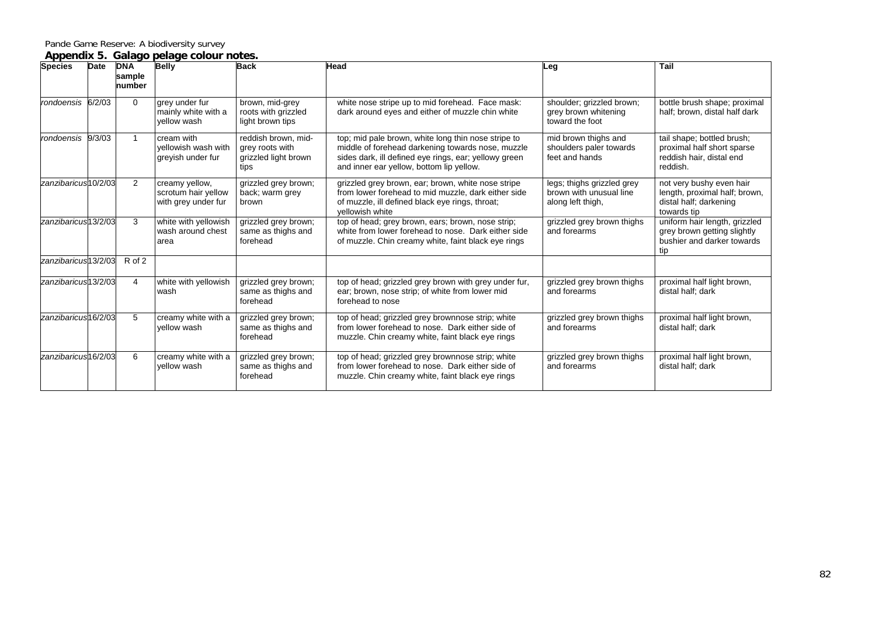#### **Appendix 5. Galago pelage colour notes.**

| <b>Species</b>                   | Date | <b>DNA</b><br>sample<br>number | <b>Belly</b>                                                 | <b>Back</b>                                                            | Head                                                                                                                                                                                                          | Leg                                                                        | Tail                                                                                               |
|----------------------------------|------|--------------------------------|--------------------------------------------------------------|------------------------------------------------------------------------|---------------------------------------------------------------------------------------------------------------------------------------------------------------------------------------------------------------|----------------------------------------------------------------------------|----------------------------------------------------------------------------------------------------|
| rondoensis 6/2/03                |      | $\Omega$                       | grey under fur<br>mainly white with a<br>vellow wash         | brown, mid-grey<br>roots with grizzled<br>light brown tips             | white nose stripe up to mid forehead. Face mask:<br>dark around eyes and either of muzzle chin white                                                                                                          | shoulder; grizzled brown;<br>grey brown whitening<br>toward the foot       | bottle brush shape; proximal<br>half; brown, distal half dark                                      |
| rondoensis 9/3/03                |      | $\mathbf{1}$                   | cream with<br>vellowish wash with<br>greyish under fur       | reddish brown, mid-<br>grey roots with<br>grizzled light brown<br>tips | top; mid pale brown, white long thin nose stripe to<br>middle of forehead darkening towards nose, muzzle<br>sides dark, ill defined eye rings, ear; yellowy green<br>and inner ear yellow, bottom lip yellow. | mid brown thighs and<br>shoulders paler towards<br>feet and hands          | tail shape; bottled brush;<br>proximal half short sparse<br>reddish hair, distal end<br>reddish.   |
| zanzibaricus10/2/03              |      | 2                              | creamy yellow,<br>scrotum hair yellow<br>with grey under fur | grizzled grey brown;<br>back; warm grey<br>brown                       | grizzled grey brown, ear; brown, white nose stripe<br>from lower forehead to mid muzzle, dark either side<br>of muzzle, ill defined black eye rings, throat;<br>vellowish white                               | legs; thighs grizzled grey<br>brown with unusual line<br>along left thigh, | not very bushy even hair<br>length, proximal half; brown,<br>distal half; darkening<br>towards tip |
| zanzibaricus <sup>13</sup> /2/03 |      | 3                              | white with yellowish<br>wash around chest<br>area            | grizzled grey brown;<br>same as thighs and<br>forehead                 | top of head; grey brown, ears; brown, nose strip;<br>white from lower forehead to nose. Dark either side<br>of muzzle. Chin creamy white, faint black eye rings                                               | grizzled grey brown thighs<br>and forearms                                 | uniform hair length, grizzled<br>grey brown getting slightly<br>bushier and darker towards<br>tip  |
| zanzibaricus13/2/03              |      | R of 2                         |                                                              |                                                                        |                                                                                                                                                                                                               |                                                                            |                                                                                                    |
| zanzibaricus <sup>13</sup> /2/03 |      | 4                              | white with yellowish<br>wash                                 | grizzled grey brown;<br>same as thighs and<br>forehead                 | top of head; grizzled grey brown with grey under fur,<br>ear; brown, nose strip; of white from lower mid<br>forehead to nose                                                                                  | grizzled grey brown thighs<br>and forearms                                 | proximal half light brown,<br>distal half: dark                                                    |
| zanzibaricus <sup>16</sup> /2/03 |      | 5                              | creamy white with a<br>yellow wash                           | grizzled grey brown;<br>same as thighs and<br>forehead                 | top of head; grizzled grey brownnose strip; white<br>from lower forehead to nose. Dark either side of<br>muzzle. Chin creamy white, faint black eye rings                                                     | grizzled grey brown thighs<br>and forearms                                 | proximal half light brown,<br>distal half; dark                                                    |
| zanzibaricus <sup>16</sup> /2/03 |      | 6                              | creamy white with a<br>yellow wash                           | grizzled grey brown;<br>same as thighs and<br>forehead                 | top of head; grizzled grey brownnose strip; white<br>from lower forehead to nose. Dark either side of<br>muzzle. Chin creamy white, faint black eye rings                                                     | grizzled grey brown thighs<br>and forearms                                 | proximal half light brown,<br>distal half; dark                                                    |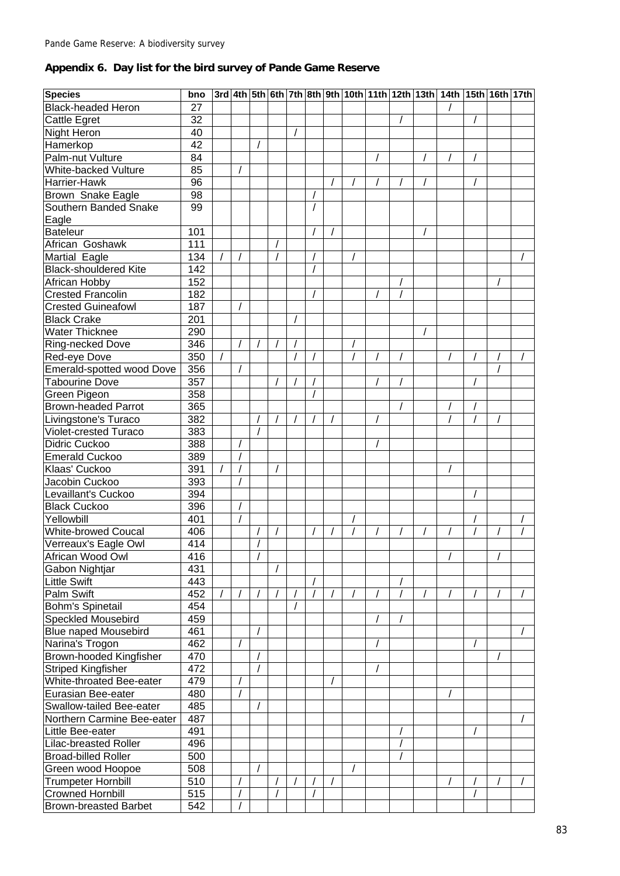# **Appendix 6. Day list for the bird survey of Pande Game Reserve**

| <b>Species</b>                                       | bno             |  |  |          |  |  | 3rd 4th 5th 6th 7th 8th 9th 10th 11th 12th 13th 14th 15th 16th 17th |  |  |
|------------------------------------------------------|-----------------|--|--|----------|--|--|---------------------------------------------------------------------|--|--|
| <b>Black-headed Heron</b>                            | 27              |  |  |          |  |  |                                                                     |  |  |
| <b>Cattle Egret</b>                                  | 32              |  |  |          |  |  |                                                                     |  |  |
| Night Heron                                          | 40              |  |  |          |  |  |                                                                     |  |  |
| Hamerkop                                             | $\overline{42}$ |  |  |          |  |  |                                                                     |  |  |
| Palm-nut Vulture                                     | 84              |  |  |          |  |  |                                                                     |  |  |
| White-backed Vulture                                 | 85              |  |  |          |  |  |                                                                     |  |  |
| Harrier-Hawk                                         | $\overline{96}$ |  |  |          |  |  |                                                                     |  |  |
| Brown Snake Eagle                                    | 98              |  |  | $\prime$ |  |  |                                                                     |  |  |
| Southern Banded Snake                                | 99              |  |  | $\prime$ |  |  |                                                                     |  |  |
| Eagle                                                |                 |  |  |          |  |  |                                                                     |  |  |
| <b>Bateleur</b>                                      | 101             |  |  |          |  |  |                                                                     |  |  |
| African Goshawk                                      | 111             |  |  |          |  |  |                                                                     |  |  |
| Martial Eagle                                        | 134             |  |  |          |  |  |                                                                     |  |  |
| <b>Black-shouldered Kite</b>                         | 142             |  |  |          |  |  |                                                                     |  |  |
|                                                      |                 |  |  |          |  |  |                                                                     |  |  |
| African Hobby                                        | 152             |  |  |          |  |  |                                                                     |  |  |
| <b>Crested Francolin</b>                             | 182             |  |  |          |  |  |                                                                     |  |  |
| <b>Crested Guineafowl</b>                            | 187             |  |  |          |  |  |                                                                     |  |  |
| <b>Black Crake</b>                                   | 201             |  |  |          |  |  |                                                                     |  |  |
| <b>Water Thicknee</b>                                | 290             |  |  |          |  |  |                                                                     |  |  |
| Ring-necked Dove                                     | 346             |  |  |          |  |  |                                                                     |  |  |
| Red-eye Dove                                         | 350             |  |  |          |  |  |                                                                     |  |  |
| Emerald-spotted wood Dove                            | 356             |  |  |          |  |  |                                                                     |  |  |
| <b>Tabourine Dove</b>                                | 357             |  |  |          |  |  |                                                                     |  |  |
| Green Pigeon                                         | 358             |  |  |          |  |  |                                                                     |  |  |
| <b>Brown-headed Parrot</b>                           | 365             |  |  |          |  |  |                                                                     |  |  |
| Livingstone's Turaco                                 | 382             |  |  |          |  |  |                                                                     |  |  |
| Violet-crested Turaco                                | 383             |  |  |          |  |  |                                                                     |  |  |
| Didric Cuckoo                                        | 388             |  |  |          |  |  |                                                                     |  |  |
| <b>Emerald Cuckoo</b>                                | 389             |  |  |          |  |  |                                                                     |  |  |
| Klaas' Cuckoo                                        | 391             |  |  |          |  |  |                                                                     |  |  |
| Jacobin Cuckoo                                       | 393             |  |  |          |  |  |                                                                     |  |  |
| Levaillant's Cuckoo                                  | 394             |  |  |          |  |  |                                                                     |  |  |
| <b>Black Cuckoo</b>                                  | 396             |  |  |          |  |  |                                                                     |  |  |
| Yellowbill                                           | 401             |  |  |          |  |  |                                                                     |  |  |
| White-browed Coucal                                  | 406             |  |  |          |  |  |                                                                     |  |  |
| Verreaux's Eagle Owl                                 | 414             |  |  |          |  |  |                                                                     |  |  |
| African Wood Owl                                     | 416             |  |  |          |  |  | $\prime$                                                            |  |  |
| Gabon Nightjar                                       | 431             |  |  |          |  |  |                                                                     |  |  |
| <b>Little Swift</b>                                  | 443             |  |  |          |  |  |                                                                     |  |  |
| <b>Palm Swift</b>                                    | 452             |  |  |          |  |  |                                                                     |  |  |
| Bohm's Spinetail                                     | 454             |  |  |          |  |  |                                                                     |  |  |
| <b>Speckled Mousebird</b>                            | 459             |  |  |          |  |  |                                                                     |  |  |
| <b>Blue naped Mousebird</b>                          | 461             |  |  |          |  |  |                                                                     |  |  |
| Narina's Trogon                                      | 462             |  |  |          |  |  |                                                                     |  |  |
| <b>Brown-hooded Kingfisher</b>                       | 470             |  |  |          |  |  |                                                                     |  |  |
| <b>Striped Kingfisher</b>                            | 472             |  |  |          |  |  |                                                                     |  |  |
| White-throated Bee-eater                             | 479             |  |  |          |  |  |                                                                     |  |  |
| Eurasian Bee-eater                                   | 480             |  |  |          |  |  |                                                                     |  |  |
| Swallow-tailed Bee-eater                             | 485             |  |  |          |  |  |                                                                     |  |  |
| Northern Carmine Bee-eater                           | 487             |  |  |          |  |  |                                                                     |  |  |
| Little Bee-eater                                     | 491             |  |  |          |  |  |                                                                     |  |  |
| <b>Lilac-breasted Roller</b>                         | 496             |  |  |          |  |  |                                                                     |  |  |
| <b>Broad-billed Roller</b>                           | 500             |  |  |          |  |  |                                                                     |  |  |
| Green wood Hoopoe                                    | 508             |  |  |          |  |  |                                                                     |  |  |
|                                                      | 510             |  |  |          |  |  |                                                                     |  |  |
| <b>Trumpeter Hornbill</b><br><b>Crowned Hornbill</b> |                 |  |  |          |  |  |                                                                     |  |  |
|                                                      | 515             |  |  |          |  |  |                                                                     |  |  |
| <b>Brown-breasted Barbet</b>                         | 542             |  |  |          |  |  |                                                                     |  |  |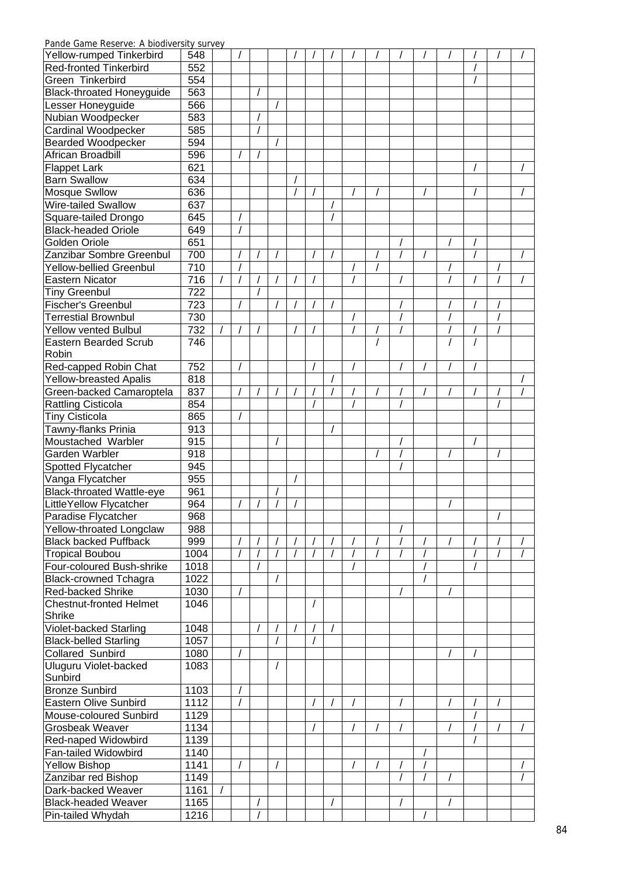| Yellow-rumped Tinkerbird         | 548              |  |  |  |  |  |  |  |  |
|----------------------------------|------------------|--|--|--|--|--|--|--|--|
| <b>Red-fronted Tinkerbird</b>    | 552              |  |  |  |  |  |  |  |  |
| Green Tinkerbird                 | 554              |  |  |  |  |  |  |  |  |
| <b>Black-throated Honeyguide</b> | 563              |  |  |  |  |  |  |  |  |
| Lesser Honeyguide                | 566              |  |  |  |  |  |  |  |  |
| Nubian Woodpecker                | 583              |  |  |  |  |  |  |  |  |
|                                  | 585              |  |  |  |  |  |  |  |  |
| Cardinal Woodpecker              |                  |  |  |  |  |  |  |  |  |
| <b>Bearded Woodpecker</b>        | 594              |  |  |  |  |  |  |  |  |
| African Broadbill                | 596              |  |  |  |  |  |  |  |  |
| <b>Flappet Lark</b>              | 621              |  |  |  |  |  |  |  |  |
| <b>Barn Swallow</b>              | 634              |  |  |  |  |  |  |  |  |
| <b>Mosque Swllow</b>             | 636              |  |  |  |  |  |  |  |  |
| Wire-tailed Swallow              | 637              |  |  |  |  |  |  |  |  |
| Square-tailed Drongo             | 645              |  |  |  |  |  |  |  |  |
| <b>Black-headed Oriole</b>       | 649              |  |  |  |  |  |  |  |  |
| Golden Oriole                    | 651              |  |  |  |  |  |  |  |  |
| Zanzibar Sombre Greenbul         | 700              |  |  |  |  |  |  |  |  |
| <b>Yellow-bellied Greenbul</b>   | $\overline{710}$ |  |  |  |  |  |  |  |  |
| <b>Eastern Nicator</b>           | 716              |  |  |  |  |  |  |  |  |
| <b>Tiny Greenbul</b>             | 722              |  |  |  |  |  |  |  |  |
| <b>Fischer's Greenbul</b>        | 723              |  |  |  |  |  |  |  |  |
| <b>Terrestial Brownbul</b>       | 730              |  |  |  |  |  |  |  |  |
| <b>Yellow vented Bulbul</b>      | 732              |  |  |  |  |  |  |  |  |
| <b>Eastern Bearded Scrub</b>     | 746              |  |  |  |  |  |  |  |  |
| Robin                            |                  |  |  |  |  |  |  |  |  |
| Red-capped Robin Chat            | 752              |  |  |  |  |  |  |  |  |
| <b>Yellow-breasted Apalis</b>    | 818              |  |  |  |  |  |  |  |  |
| Green-backed Camaroptela         | 837              |  |  |  |  |  |  |  |  |
| <b>Rattling Cisticola</b>        | 854              |  |  |  |  |  |  |  |  |
| <b>Tiny Cisticola</b>            | 865              |  |  |  |  |  |  |  |  |
|                                  | 913              |  |  |  |  |  |  |  |  |
| Tawny-flanks Prinia              |                  |  |  |  |  |  |  |  |  |
| Moustached Warbler               | 915              |  |  |  |  |  |  |  |  |
| Garden Warbler                   | 918              |  |  |  |  |  |  |  |  |
| Spotted Flycatcher               | 945              |  |  |  |  |  |  |  |  |
| Vanga Flycatcher                 | 955              |  |  |  |  |  |  |  |  |
| <b>Black-throated Wattle-eye</b> | 961              |  |  |  |  |  |  |  |  |
| LittleYellow Flycatcher          | 964              |  |  |  |  |  |  |  |  |
| Paradise Flycatcher              | 968              |  |  |  |  |  |  |  |  |
| Yellow-throated Longclaw         | 988              |  |  |  |  |  |  |  |  |
| <b>Black backed Puffback</b>     | 999              |  |  |  |  |  |  |  |  |
| <b>Tropical Boubou</b>           | 1004             |  |  |  |  |  |  |  |  |
| Four-coloured Bush-shrike        | 1018             |  |  |  |  |  |  |  |  |
| <b>Black-crowned Tchagra</b>     | 1022             |  |  |  |  |  |  |  |  |
| Red-backed Shrike                | 1030             |  |  |  |  |  |  |  |  |
| <b>Chestnut-fronted Helmet</b>   | 1046             |  |  |  |  |  |  |  |  |
| Shrike                           |                  |  |  |  |  |  |  |  |  |
| Violet-backed Starling           | 1048             |  |  |  |  |  |  |  |  |
| <b>Black-belled Starling</b>     | 1057             |  |  |  |  |  |  |  |  |
| <b>Collared Sunbird</b>          | 1080             |  |  |  |  |  |  |  |  |
| Uluguru Violet-backed            | 1083             |  |  |  |  |  |  |  |  |
| Sunbird                          |                  |  |  |  |  |  |  |  |  |
| <b>Bronze Sunbird</b>            | 1103             |  |  |  |  |  |  |  |  |
| <b>Eastern Olive Sunbird</b>     | 1112             |  |  |  |  |  |  |  |  |
| Mouse-coloured Sunbird           | 1129             |  |  |  |  |  |  |  |  |
| Grosbeak Weaver                  | 1134             |  |  |  |  |  |  |  |  |
| Red-naped Widowbird              | 1139             |  |  |  |  |  |  |  |  |
| Fan-tailed Widowbird             | 1140             |  |  |  |  |  |  |  |  |
| <b>Yellow Bishop</b>             | 1141             |  |  |  |  |  |  |  |  |
| Zanzibar red Bishop              | 1149             |  |  |  |  |  |  |  |  |
| Dark-backed Weaver               | 1161             |  |  |  |  |  |  |  |  |
| <b>Black-headed Weaver</b>       | 1165             |  |  |  |  |  |  |  |  |
|                                  |                  |  |  |  |  |  |  |  |  |
| Pin-tailed Whydah                | 1216             |  |  |  |  |  |  |  |  |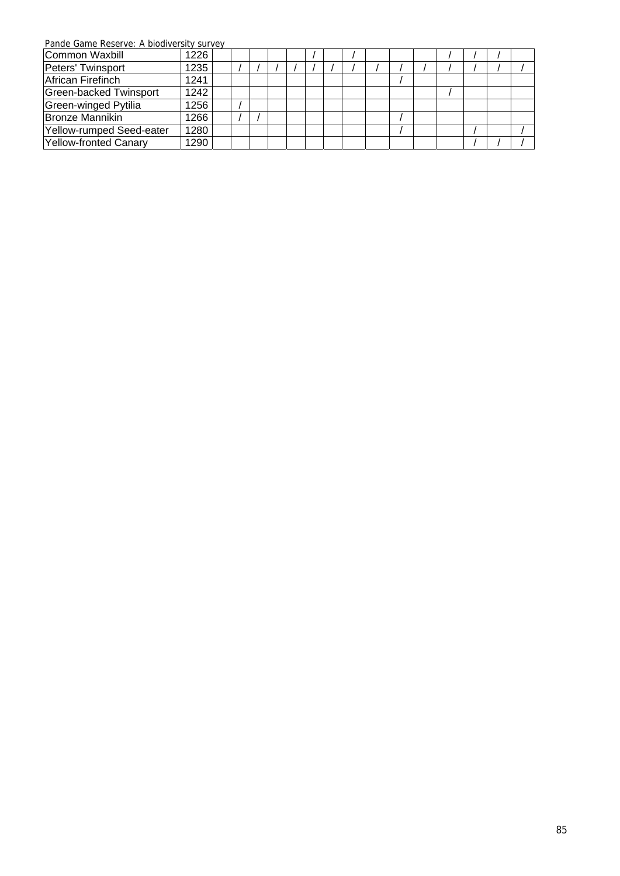| , ando oanno nobon voi hibidanio bili barvo |      |  |  |  |  |  |  |  |  |
|---------------------------------------------|------|--|--|--|--|--|--|--|--|
| Common Waxbill                              | 1226 |  |  |  |  |  |  |  |  |
| Peters' Twinsport                           | 1235 |  |  |  |  |  |  |  |  |
| African Firefinch                           | 1241 |  |  |  |  |  |  |  |  |
| Green-backed Twinsport                      | 1242 |  |  |  |  |  |  |  |  |
| Green-winged Pytilia                        | 1256 |  |  |  |  |  |  |  |  |
| Bronze Mannikin                             | 1266 |  |  |  |  |  |  |  |  |
| Yellow-rumped Seed-eater                    | 1280 |  |  |  |  |  |  |  |  |
| Yellow-fronted Canary                       | 1290 |  |  |  |  |  |  |  |  |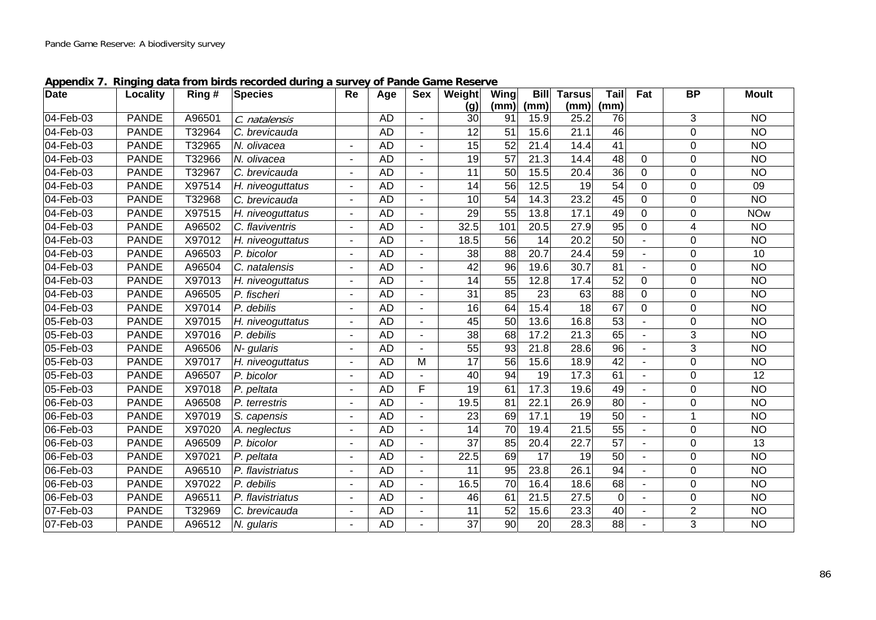| <b>Date</b> | Locality     | Ring#  | <b>Species</b>   | <b>Re</b>                | Age       | <b>Sex</b>     | Weight          | Wing            | <b>Bill</b>       | <b>Tarsus</b>   | Tail            | Fat            | <b>BP</b>      | <b>Moult</b>    |
|-------------|--------------|--------|------------------|--------------------------|-----------|----------------|-----------------|-----------------|-------------------|-----------------|-----------------|----------------|----------------|-----------------|
|             |              |        |                  |                          |           |                | (g)             | (mm)            | (mm)              | (mm)            | (mm)            |                |                |                 |
| 04-Feb-03   | <b>PANDE</b> | A96501 | C. natalensis    |                          | <b>AD</b> |                | 30              | 91              | 15.9              | 25.2            | 76              |                | 3              | N <sub>O</sub>  |
| 04-Feb-03   | <b>PANDE</b> | T32964 | C. brevicauda    |                          | <b>AD</b> |                | 12              | 51              | 15.6              | 21.1            | 46              |                | 0              | <b>NO</b>       |
| 04-Feb-03   | <b>PANDE</b> | T32965 | N. olivacea      |                          | <b>AD</b> |                | 15              | $\overline{52}$ | 21.4              | 14.4            | 41              |                | 0              | N <sub>O</sub>  |
| 04-Feb-03   | <b>PANDE</b> | T32966 | N. olivacea      |                          | <b>AD</b> |                | 19              | $\overline{57}$ | $21.\overline{3}$ | 14.4            | $\overline{48}$ | $\Omega$       | 0              | <b>NO</b>       |
| 04-Feb-03   | <b>PANDE</b> | T32967 | C. brevicauda    |                          | <b>AD</b> |                | 11              | 50              | 15.5              | 20.4            | $\overline{36}$ | $\Omega$       | 0              | <b>NO</b>       |
| 04-Feb-03   | <b>PANDE</b> | X97514 | H. niveoguttatus |                          | <b>AD</b> |                | 14              | 56              | 12.5              | 19              | 54              | 0              | $\Omega$       | 09              |
| 04-Feb-03   | <b>PANDE</b> | T32968 | C. brevicauda    | $\blacksquare$           | AD        | $\blacksquare$ | 10              | $\overline{54}$ | 14.3              | 23.2            | 45              | $\mathbf 0$    | 0              | $\overline{NO}$ |
| 04-Feb-03   | <b>PANDE</b> | X97515 | H. niveoguttatus |                          | <b>AD</b> |                | 29              | 55              | 13.8              | 17.1            | 49              | $\mathbf 0$    | 0              | <b>NOw</b>      |
| 04-Feb-03   | <b>PANDE</b> | A96502 | C. flaviventris  | $\blacksquare$           | <b>AD</b> |                | 32.5            | 101             | 20.5              | 27.9            | 95              | 0              | 4              | <b>NO</b>       |
| 04-Feb-03   | <b>PANDE</b> | X97012 | H. niveoguttatus |                          | <b>AD</b> |                | 18.5            | 56              | 14                | 20.2            | 50              |                | 0              | N <sub>O</sub>  |
| 04-Feb-03   | <b>PANDE</b> | A96503 | P. bicolor       |                          | <b>AD</b> |                | 38              | 88              | 20.7              | 24.4            | 59              |                | $\Omega$       | 10              |
| 04-Feb-03   | <b>PANDE</b> | A96504 | C. natalensis    |                          | <b>AD</b> |                | 42              | 96              | 19.6              | 30.7            | 81              |                | 0              | N <sub>O</sub>  |
| 04-Feb-03   | <b>PANDE</b> | X97013 | H. niveoguttatus |                          | <b>AD</b> |                | 14              | 55              | 12.8              | 17.4            | 52              | $\Omega$       | 0              | <b>NO</b>       |
| 04-Feb-03   | <b>PANDE</b> | A96505 | P. fischeri      |                          | <b>AD</b> |                | 31              | 85              | $\overline{23}$   | 63              | $\overline{88}$ | $\mathbf 0$    | 0              | <b>NO</b>       |
| 04-Feb-03   | <b>PANDE</b> | X97014 | P. debilis       |                          | <b>AD</b> |                | $\overline{16}$ | 64              | 15.4              | $\overline{18}$ | 67              | $\Omega$       | $\Omega$       | N <sub>O</sub>  |
| 05-Feb-03   | <b>PANDE</b> | X97015 | H. niveoguttatus |                          | <b>AD</b> |                | 45              | 50              | 13.6              | 16.8            | 53              |                | 0              | <b>NO</b>       |
| 05-Feb-03   | <b>PANDE</b> | X97016 | P. debilis       |                          | <b>AD</b> |                | 38              | 68              | 17.2              | 21.3            | 65              |                | 3              | <b>NO</b>       |
| 05-Feb-03   | <b>PANDE</b> | A96506 | N- gularis       | $\blacksquare$           | <b>AD</b> |                | 55              | 93              | 21.8              | 28.6            | 96              | ÷.             | 3              | <b>NO</b>       |
| 05-Feb-03   | <b>PANDE</b> | X97017 | H. niveoguttatus |                          | <b>AD</b> | M              | 17              | 56              | 15.6              | 18.9            | 42              |                | $\mathbf 0$    | $\overline{NO}$ |
| 05-Feb-03   | <b>PANDE</b> | A96507 | P. bicolor       | $\overline{\phantom{a}}$ | <b>AD</b> |                | 40              | 94              | 19                | 17.3            | 61              | $\blacksquare$ | 0              | 12              |
| 05-Feb-03   | <b>PANDE</b> | X97018 | P. peltata       |                          | <b>AD</b> | F              | 19              | 61              | 17.3              | 19.6            | 49              | ä,             | 0              | <b>NO</b>       |
| 06-Feb-03   | <b>PANDE</b> | A96508 | P. terrestris    |                          | <b>AD</b> |                | 19.5            | 81              | 22.1              | 26.9            | $\overline{80}$ | ÷.             | 0              | N <sub>O</sub>  |
| 06-Feb-03   | <b>PANDE</b> | X97019 | S. capensis      |                          | <b>AD</b> |                | 23              | 69              | 17.1              | 19              | 50              |                |                | N <sub>O</sub>  |
| 06-Feb-03   | <b>PANDE</b> | X97020 | A. neglectus     |                          | <b>AD</b> |                | 14              | 70              | 19.4              | 21.5            | $\overline{55}$ | $\blacksquare$ | $\Omega$       | <b>NO</b>       |
| 06-Feb-03   | <b>PANDE</b> | A96509 | P. bicolor       |                          | AD        |                | $\overline{37}$ | 85              | 20.4              | 22.7            | $\overline{57}$ | $\blacksquare$ | $\Omega$       | $\overline{13}$ |
| 06-Feb-03   | <b>PANDE</b> | X97021 | P. peltata       |                          | <b>AD</b> |                | 22.5            | 69              | 17                | 19              | $\overline{50}$ |                | $\Omega$       | $\overline{NO}$ |
| 06-Feb-03   | <b>PANDE</b> | A96510 | P. flavistriatus |                          | <b>AD</b> |                | 11              | 95              | 23.8              | 26.1            | 94              |                | 0              | <b>NO</b>       |
| 06-Feb-03   | <b>PANDE</b> | X97022 | P. debilis       |                          | <b>AD</b> |                | 16.5            | $\overline{70}$ | 16.4              | 18.6            | 68              | $\blacksquare$ | 0              | N <sub>O</sub>  |
| 06-Feb-03   | <b>PANDE</b> | A96511 | P. flavistriatus | $\blacksquare$           | <b>AD</b> | $\blacksquare$ | 46              | 61              | 21.5              | 27.5            | $\mathbf 0$     | $\blacksquare$ | 0              | $\overline{NO}$ |
| 07-Feb-03   | <b>PANDE</b> | T32969 | C. brevicauda    |                          | <b>AD</b> |                | 11              | 52              | 15.6              | 23.3            | 40              |                | $\overline{2}$ | <b>NO</b>       |
| 07-Feb-03   | <b>PANDE</b> | A96512 | N. gularis       |                          | AD        |                | $\overline{37}$ | $\overline{90}$ | $\overline{20}$   | 28.3            | 88              | $\blacksquare$ | 3              | N <sub>O</sub>  |

**Appendix 7. Ringing data from birds recorded during a survey of Pande Game Reserve**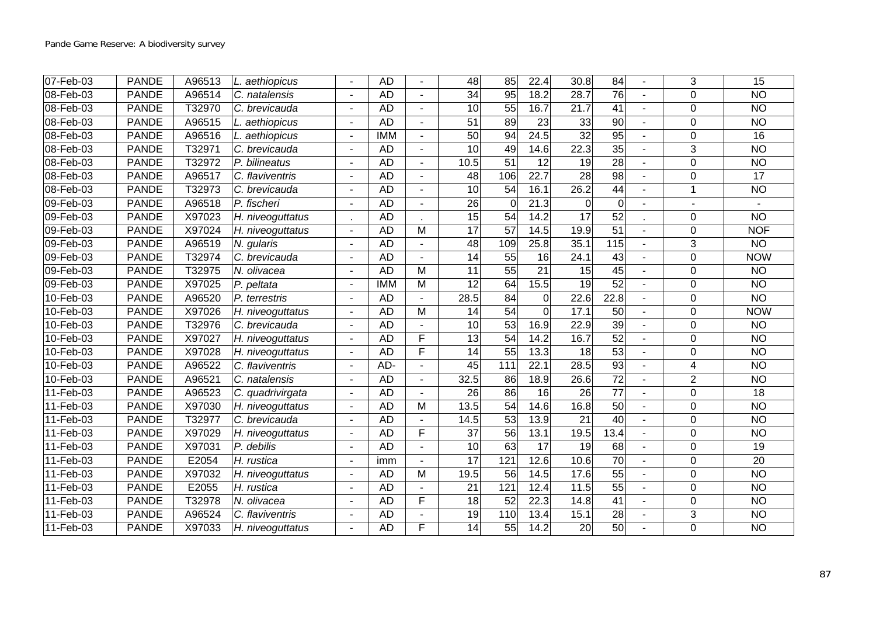| 07-Feb-03               | <b>PANDE</b> | A96513 | L. aethiopicus              |                | <b>AD</b>  |   | $\overline{48}$ | 85              | 22.4              | 30.8              | $\overline{84}$ |                | 3              | $\overline{15}$ |
|-------------------------|--------------|--------|-----------------------------|----------------|------------|---|-----------------|-----------------|-------------------|-------------------|-----------------|----------------|----------------|-----------------|
| 08-Feb-03               | <b>PANDE</b> | A96514 | C. natalensis               |                | <b>AD</b>  |   | 34              | 95              | 18.2              | 28.7              | 76              |                | $\Omega$       | <b>NO</b>       |
| 08-Feb-03               | <b>PANDE</b> | T32970 | C. brevicauda               |                | <b>AD</b>  |   | $\overline{10}$ | $\overline{55}$ | 16.7              | 21.7              | $\overline{41}$ |                | $\mathbf 0$    | N <sub>O</sub>  |
| 08-Feb-03               | <b>PANDE</b> | A96515 | L. aethiopicus              | $\blacksquare$ | <b>AD</b>  |   | $\overline{51}$ | 89              | 23                | $\overline{33}$   | $\overline{90}$ |                | $\Omega$       | N <sub>O</sub>  |
| 08-Feb-03               | <b>PANDE</b> | A96516 | L. aethiopicus              |                | <b>IMM</b> |   | 50              | 94              | $\overline{24.5}$ | $\overline{32}$   | $\overline{95}$ |                | $\Omega$       | 16              |
| 08-Feb-03               | <b>PANDE</b> | T32971 | C. brevicauda               |                | <b>AD</b>  |   | $\overline{10}$ | 49              | 14.6              | $\overline{22.3}$ | 35              |                | 3              | <b>NO</b>       |
| 08-Feb-03               | <b>PANDE</b> | T32972 | P. bilineatus               | $\blacksquare$ | <b>AD</b>  |   | 10.5            | 51              | $\overline{12}$   | 19                | $\overline{28}$ |                | $\mathbf 0$    | N <sub>O</sub>  |
| 08-Feb-03               | <b>PANDE</b> | A96517 | C. flaviventris             |                | <b>AD</b>  |   | 48              | 106             | 22.7              | $\overline{28}$   | 98              |                | $\mathbf 0$    | 17              |
| 08-Feb-03               | <b>PANDE</b> | T32973 | C. brevicauda               |                | <b>AD</b>  |   | $\overline{10}$ | $\overline{54}$ | 16.1              | 26.2              | $\overline{44}$ | $\blacksquare$ |                | N <sub>O</sub>  |
| 09-Feb-03               | <b>PANDE</b> | A96518 | $\overline{P}$ . fischeri   |                | <b>AD</b>  |   | $\overline{26}$ | $\mathbf 0$     | $\overline{21.3}$ | $\mathbf 0$       | $\overline{0}$  |                |                |                 |
| 09-Feb-03               | <b>PANDE</b> | X97023 | H. niveoguttatus            |                | <b>AD</b>  |   | $\overline{15}$ | 54              | 14.2              | $\overline{17}$   | 52              |                | $\Omega$       | N <sub>O</sub>  |
| $09-Feb-03$             | <b>PANDE</b> | X97024 | H. niveoguttatus            |                | <b>AD</b>  | M | 17              | $\overline{57}$ | 14.5              | 19.9              | 51              |                | $\Omega$       | <b>NOF</b>      |
| 09-Feb-03               | <b>PANDE</b> | A96519 | N. gularis                  |                | <b>AD</b>  |   | $\overline{48}$ | 109             | 25.8              | 35.1              | 115             |                | 3              | <b>NO</b>       |
| 09-Feb-03               | <b>PANDE</b> | T32974 | C. brevicauda               |                | <b>AD</b>  |   | $\overline{14}$ | $\overline{55}$ | $\overline{16}$   | 24.1              | $\overline{43}$ |                | $\mathbf 0$    | <b>NOW</b>      |
| 09-Feb-03               | <b>PANDE</b> | T32975 | N. olivacea                 |                | <b>AD</b>  | M | 11              | 55              | 21                | 15                | 45              |                | $\Omega$       | <b>NO</b>       |
| 09-Feb-03               | <b>PANDE</b> | X97025 | P. peltata                  |                | <b>IMM</b> | M | $\overline{12}$ | 64              | 15.5              | $\overline{19}$   | $\overline{52}$ |                | $\mathbf 0$    | N <sub>O</sub>  |
| $10-Feb-03$             | <b>PANDE</b> | A96520 | P. terrestris               |                | <b>AD</b>  |   | 28.5            | $\overline{84}$ | 0                 | 22.6              | 22.8            |                | 0              | N <sub>O</sub>  |
| 10-Feb-03               | <b>PANDE</b> | X97026 | H. niveoguttatus            | ä,             | <b>AD</b>  | M | 14              | $\overline{54}$ | $\overline{0}$    | 17.1              | 50              |                | $\mathbf 0$    | <b>NOW</b>      |
| 10-Feb-03               | <b>PANDE</b> | T32976 | C. brevicauda               |                | <b>AD</b>  |   | $\overline{10}$ | 53              | 16.9              | 22.9              | 39              |                | $\mathbf 0$    | N <sub>O</sub>  |
| 10-Feb-03               | <b>PANDE</b> | X97027 | H. niveoguttatus            | $\blacksquare$ | <b>AD</b>  | F | $\overline{13}$ | $\overline{54}$ | 14.2              | 16.7              | 52              |                | $\Omega$       | N <sub>O</sub>  |
| 10-Feb-03               | <b>PANDE</b> | X97028 | H. niveoguttatus            |                | <b>AD</b>  | F | 14              | 55              | 13.3              | 18                | 53              |                | $\Omega$       | <b>NO</b>       |
| 10-Feb-03               | <b>PANDE</b> | A96522 | C. flaviventris             |                | AD-        |   | $\overline{45}$ | 111             | 22.1              | 28.5              | 93              |                | 4              | N <sub>O</sub>  |
| 10-Feb-03               | <b>PANDE</b> | A96521 | $\overline{C}$ . natalensis |                | <b>AD</b>  |   | 32.5            | 86              | 18.9              | 26.6              | $\overline{72}$ |                | $\overline{2}$ | <b>NO</b>       |
| 11-Feb-03               | <b>PANDE</b> | A96523 | C. quadrivirgata            |                | <b>AD</b>  |   | $\overline{26}$ | 86              | $\overline{16}$   | 26                | $\overline{77}$ |                | $\mathbf 0$    | $\overline{18}$ |
| $\overline{11}$ -Feb-03 | <b>PANDE</b> | X97030 | H. niveoguttatus            | ÷,             | <b>AD</b>  | M | 13.5            | $\overline{54}$ | 14.6              | 16.8              | 50              |                | $\mathbf 0$    | $\overline{NO}$ |
| 11-Feb-03               | <b>PANDE</b> | T32977 | C. brevicauda               | $\blacksquare$ | <b>AD</b>  |   | 14.5            | 53              | 13.9              | 21                | $\overline{40}$ |                | $\Omega$       | <b>NO</b>       |
| 11-Feb-03               | <b>PANDE</b> | X97029 | H. niveoguttatus            |                | <b>AD</b>  | E | 37              | 56              | 13.1              | 19.5              | 13.4            |                | $\mathbf 0$    | <b>NO</b>       |
| 11-Feb-03               | <b>PANDE</b> | X97031 | P. debilis                  | $\blacksquare$ | <b>AD</b>  |   | 10              | 63              | $\overline{17}$   | 19                | 68              |                | 0              | 19              |
| 11-Feb-03               | <b>PANDE</b> | E2054  | H. rustica                  | ÷,             | imm        |   | 17              | 121             | 12.6              | 10.6              | $\overline{70}$ |                | $\Omega$       | 20              |
| 11-Feb-03               | <b>PANDE</b> | X97032 | H. niveoguttatus            | ä,             | <b>AD</b>  | M | 19.5            | 56              | 14.5              | 17.6              | $\overline{55}$ |                | $\mathbf 0$    | <b>NO</b>       |
| 11-Feb-03               | <b>PANDE</b> | E2055  | H. rustica                  | $\blacksquare$ | <b>AD</b>  |   | 21              | 121             | 12.4              | 11.5              | 55              |                | $\mathbf 0$    | <b>NO</b>       |
| 11-Feb-03               | <b>PANDE</b> | T32978 | N. olivacea                 |                | <b>AD</b>  | F | 18              | 52              | 22.3              | 14.8              | $\overline{41}$ |                | $\mathbf 0$    | $\overline{NO}$ |
| 11-Feb-03               | <b>PANDE</b> | A96524 | C. flaviventris             |                | <b>AD</b>  |   | 19              | 110             | 13.4              | 15.1              | $\overline{28}$ |                | 3              | <b>NO</b>       |
| 11-Feb-03               | <b>PANDE</b> | X97033 | H. niveoguttatus            |                | <b>AD</b>  | F | 14              | 55              | 14.2              | 20                | 50              |                | $\Omega$       | <b>NO</b>       |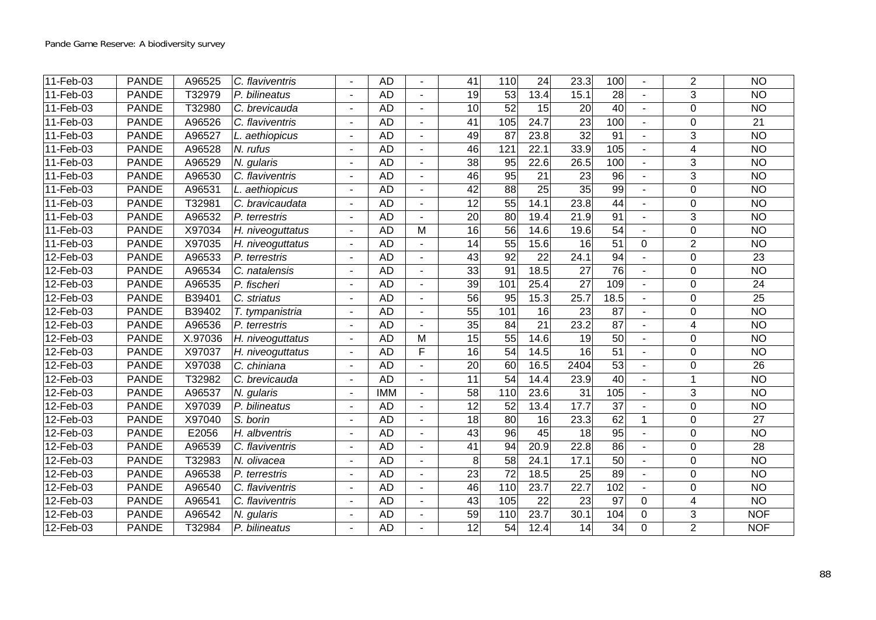| $11-Feb-03$ | <b>PANDE</b> | A96525  | C. flaviventris  |                          | <b>AD</b>  |                | $\overline{41}$ | 110             | $\overline{24}$ | 23.3            | 100             |          | $\overline{2}$ | $\overline{NO}$ |
|-------------|--------------|---------|------------------|--------------------------|------------|----------------|-----------------|-----------------|-----------------|-----------------|-----------------|----------|----------------|-----------------|
| 11-Feb-03   | <b>PANDE</b> | T32979  | P. bilineatus    |                          | <b>AD</b>  |                | 19              | 53              | 13.4            | 15.1            | 28              |          | 3              | <b>NO</b>       |
| 11-Feb-03   | <b>PANDE</b> | T32980  | C. brevicauda    |                          | <b>AD</b>  |                | $\overline{10}$ | 52              | $\overline{15}$ | 20              | $\overline{40}$ |          | $\mathbf 0$    | $\overline{NO}$ |
| 11-Feb-03   | <b>PANDE</b> | A96526  | C. flaviventris  | $\overline{a}$           | <b>AD</b>  | $\overline{a}$ | $\overline{41}$ | 105             | 24.7            | 23              | 100             |          | $\mathbf 0$    | $\overline{21}$ |
| 11-Feb-03   | <b>PANDE</b> | A96527  | L. aethiopicus   |                          | <b>AD</b>  |                | 49              | 87              | 23.8            | $\overline{32}$ | 91              |          | 3              | $\overline{NO}$ |
| 11-Feb-03   | <b>PANDE</b> | A96528  | N. rufus         |                          | <b>AD</b>  |                | 46              | 121             | 22.1            | 33.9            | 105             |          | 4              | $\overline{NO}$ |
| 11-Feb-03   | <b>PANDE</b> | A96529  | N. gularis       | $\overline{\phantom{a}}$ | <b>AD</b>  |                | $\overline{38}$ | $\overline{95}$ | 22.6            | 26.5            | 100             |          | $\mathfrak{S}$ | $\overline{NO}$ |
| 11-Feb-03   | <b>PANDE</b> | A96530  | C. flaviventris  |                          | <b>AD</b>  |                | 46              | 95              | 21              | $\overline{23}$ | $\overline{96}$ |          | $\overline{3}$ | N <sub>O</sub>  |
| 11-Feb-03   | <b>PANDE</b> | A96531  | L. aethiopicus   |                          | <b>AD</b>  |                | $\overline{42}$ | $\overline{88}$ | $\overline{25}$ | $\overline{35}$ | 99              |          | $\mathbf 0$    | $\overline{NO}$ |
| 11-Feb-03   | <b>PANDE</b> | T32981  | C. bravicaudata  | $\blacksquare$           | <b>AD</b>  | $\overline{a}$ | 12              | $\overline{55}$ | 14.1            | 23.8            | $\overline{44}$ | $\sim$   | $\mathbf 0$    | $\overline{NO}$ |
| 11-Feb-03   | <b>PANDE</b> | A96532  | P. terrestris    |                          | <b>AD</b>  |                | $\overline{20}$ | 80              | 19.4            | 21.9            | 91              |          | 3              | $\overline{NO}$ |
| 11-Feb-03   | <b>PANDE</b> | X97034  | H. niveoguttatus |                          | <b>AD</b>  | M              | 16              | $\overline{56}$ | 14.6            | 19.6            | $\overline{54}$ |          | $\Omega$       | <b>NO</b>       |
| 11-Feb-03   | <b>PANDE</b> | X97035  | H. niveoguttatus |                          | <b>AD</b>  |                | $\overline{14}$ | $\overline{55}$ | 15.6            | 16              | $\overline{51}$ | 0        | $\overline{2}$ | <b>NO</b>       |
| 12-Feb-03   | <b>PANDE</b> | A96533  | P. terrestris    |                          | <b>AD</b>  |                | 43              | $\overline{92}$ | $\overline{22}$ | 24.1            | $\overline{94}$ |          | $\mathbf 0$    | $\overline{23}$ |
| 12-Feb-03   | <b>PANDE</b> | A96534  | C. natalensis    | $\blacksquare$           | <b>AD</b>  | $\blacksquare$ | 33              | 91              | 18.5            | 27              | 76              | $\sim$   | $\Omega$       | <b>NO</b>       |
| 12-Feb-03   | <b>PANDE</b> | A96535  | P. fischeri      |                          | <b>AD</b>  |                | 39              | 101             | 25.4            | $\overline{27}$ | 109             |          | $\mathbf 0$    | $\overline{24}$ |
| 12-Feb-03   | <b>PANDE</b> | B39401  | C. striatus      |                          | <b>AD</b>  |                | $\overline{56}$ | 95              | 15.3            | 25.7            | 18.5            |          | 0              | 25              |
| 12-Feb-03   | <b>PANDE</b> | B39402  | T. tympanistria  | ä,                       | <b>AD</b>  |                | $\overline{55}$ | 101             | 16              | 23              | 87              |          | $\mathbf 0$    | N <sub>O</sub>  |
| 12-Feb-03   | <b>PANDE</b> | A96536  | $P.$ terrestris  |                          | <b>AD</b>  |                | 35              | $\overline{84}$ | 21              | 23.2            | 87              |          | 4              | N <sub>O</sub>  |
| 12-Feb-03   | <b>PANDE</b> | X.97036 | H. niveoguttatus | $\blacksquare$           | <b>AD</b>  | M              | 15              | 55              | 14.6            | 19              | $\overline{50}$ |          | $\mathbf 0$    | $\overline{NO}$ |
| 12-Feb-03   | <b>PANDE</b> | X97037  | H. niveoguttatus |                          | <b>AD</b>  | E              | $\overline{16}$ | 54              | 14.5            | 16              | 51              |          | $\mathbf 0$    | <b>NO</b>       |
| 12-Feb-03   | <b>PANDE</b> | X97038  | C. chiniana      |                          | <b>AD</b>  |                | $\overline{20}$ | 60              | 16.5            | 2404            | 53              |          | $\mathbf 0$    | $\overline{26}$ |
| 12-Feb-03   | <b>PANDE</b> | T32982  | C. brevicauda    | $\overline{\phantom{a}}$ | <b>AD</b>  |                | $\overline{11}$ | $\overline{54}$ | 14.4            | 23.9            | $\overline{40}$ |          | 1              | $\overline{NO}$ |
| 12-Feb-03   | <b>PANDE</b> | A96537  | N. gularis       |                          | <b>IMM</b> |                | 58              | 110             | 23.6            | $\overline{31}$ | 105             |          | 3              | N <sub>O</sub>  |
| 12-Feb-03   | <b>PANDE</b> | X97039  | P. bilineatus    |                          | <b>AD</b>  | $\overline{a}$ | $\overline{12}$ | $\overline{52}$ | 13.4            | 17.7            | $\overline{37}$ |          | $\mathbf 0$    | $\overline{NO}$ |
| 12-Feb-03   | <b>PANDE</b> | X97040  | S. borin         |                          | <b>AD</b>  |                | $\overline{18}$ | 80              | 16              | 23.3            | 62              | 1        | $\Omega$       | 27              |
| 12-Feb-03   | <b>PANDE</b> | E2056   | H. albventris    |                          | <b>AD</b>  |                | 43              | 96              | $\overline{45}$ | 18              | $\overline{95}$ |          | $\mathbf 0$    | $\overline{NO}$ |
| 12-Feb-03   | <b>PANDE</b> | A96539  | C. flaviventris  |                          | <b>AD</b>  |                | $\overline{41}$ | 94              | 20.9            | 22.8            | 86              |          | $\mathbf 0$    | $\overline{28}$ |
| 12-Feb-03   | <b>PANDE</b> | T32983  | N. olivacea      |                          | <b>AD</b>  |                | 8               | $\overline{58}$ | 24.1            | 17.1            | $\overline{50}$ |          | $\Omega$       | <b>NO</b>       |
| 12-Feb-03   | <b>PANDE</b> | A96538  | P. terrestris    |                          | <b>AD</b>  |                | $\overline{23}$ | $\overline{72}$ | 18.5            | 25              | 89              |          | $\mathbf 0$    | <b>NO</b>       |
| 12-Feb-03   | <b>PANDE</b> | A96540  | C. flaviventris  | $\blacksquare$           | <b>AD</b>  | $\blacksquare$ | 46              | 110             | 23.7            | 22.7            | 102             |          | $\mathbf 0$    | <b>NO</b>       |
| 12-Feb-03   | <b>PANDE</b> | A96541  | C. flaviventris  |                          | <b>AD</b>  |                | $\overline{43}$ | 105             | 22              | 23              | 97              | $\Omega$ | 4              | $\overline{NO}$ |
| 12-Feb-03   | <b>PANDE</b> | A96542  | N. gularis       |                          | <b>AD</b>  |                | 59              | 110             | 23.7            | 30.1            | 104             | $\Omega$ | $\mathbf{3}$   | <b>NOF</b>      |
| 12-Feb-03   | <b>PANDE</b> | T32984  | P. bilineatus    |                          | <b>AD</b>  |                | 12              | 54              | 12.4            | 14              | 34              | 0        | $\overline{2}$ | <b>NOF</b>      |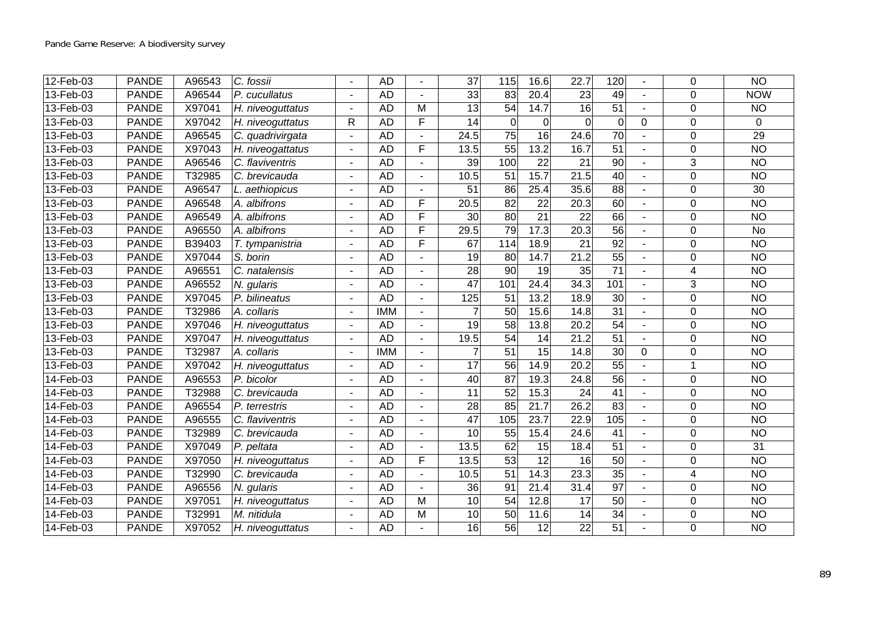| 12-Feb-03           | <b>PANDE</b> | A96543 | C. fossii        |                | <b>AD</b>  |                          | $\overline{37}$ | 115             | 16.6            | 22.7              | 120             |             | $\Omega$       | $\overline{NO}$ |
|---------------------|--------------|--------|------------------|----------------|------------|--------------------------|-----------------|-----------------|-----------------|-------------------|-----------------|-------------|----------------|-----------------|
| 13-Feb-03           | <b>PANDE</b> | A96544 | P. cucullatus    |                | <b>AD</b>  |                          | 33              | 83              | 20.4            | 23                | 49              |             | $\Omega$       | <b>NOW</b>      |
| 13-Feb-03           | <b>PANDE</b> | X97041 | H. niveoguttatus |                | <b>AD</b>  | M                        | $\overline{13}$ | $\overline{54}$ | 14.7            | 16                | 51              |             | $\Omega$       | <b>NO</b>       |
| $13$ -Feb-03        | <b>PANDE</b> | X97042 | H. niveoguttatus | R              | <b>AD</b>  | F                        | $\overline{14}$ | $\Omega$        | $\Omega$        | $\Omega$          | $\overline{0}$  | $\mathbf 0$ | $\mathbf 0$    | $\mathbf{0}$    |
| 13-Feb-03           | <b>PANDE</b> | A96545 | C. quadrivirgata | $\blacksquare$ | <b>AD</b>  |                          | 24.5            | $\overline{75}$ | $\overline{16}$ | 24.6              | $\overline{70}$ | $\sim$      | 0              | 29              |
| $13-Feb-03$         | <b>PANDE</b> | X97043 | H. niveogattatus |                | <b>AD</b>  | F                        | 13.5            | 55              | 13.2            | 16.7              | $\overline{51}$ |             | $\Omega$       | $\overline{NO}$ |
| 13-Feb-03           | <b>PANDE</b> | A96546 | C. flaviventris  |                | <b>AD</b>  |                          | $\overline{39}$ | 100             | $\overline{22}$ | 21                | $\overline{90}$ |             | 3              | N <sub>O</sub>  |
| 13-Feb-03           | <b>PANDE</b> | T32985 | C. brevicauda    |                | <b>AD</b>  |                          | 10.5            | 51              | 15.7            | 21.5              | 40              |             | 0              | <b>NO</b>       |
| 13-Feb-03           | <b>PANDE</b> | A96547 | L. aethiopicus   | $\blacksquare$ | <b>AD</b>  |                          | $\overline{51}$ | 86              | 25.4            | 35.6              | 88              |             | $\mathbf 0$    | $\overline{30}$ |
| 13-Feb-03           | <b>PANDE</b> | A96548 | A. albifrons     | $\blacksquare$ | <b>AD</b>  | F                        | 20.5            | $\overline{82}$ | $\overline{22}$ | 20.3              | 60              |             | $\mathbf 0$    | $\overline{NO}$ |
| 13-Feb-03           | <b>PANDE</b> | A96549 | A. albifrons     |                | <b>AD</b>  | F                        | 30              | $\overline{80}$ | $\overline{21}$ | $\overline{22}$   | 66              |             | $\mathbf 0$    | $\overline{NO}$ |
| 13-Feb-03           | <b>PANDE</b> | A96550 | A. albifrons     |                | <b>AD</b>  | F                        | 29.5            | 79              | 17.3            | 20.3              | 56              |             | $\mathbf 0$    | <b>No</b>       |
| 13-Feb-03           | <b>PANDE</b> | B39403 | T. tympanistria  | $\blacksquare$ | <b>AD</b>  | F                        | 67              | 114             | 18.9            | 21                | $\overline{92}$ |             | 0              | <b>NO</b>       |
| 13-Feb-03           | <b>PANDE</b> | X97044 | S. borin         |                | <b>AD</b>  |                          | $\overline{19}$ | $\overline{80}$ | 14.7            | 21.2              | $\overline{55}$ |             | $\mathbf 0$    | $\overline{NO}$ |
| 13-Feb-03           | <b>PANDE</b> | A96551 | C. natalensis    | $\blacksquare$ | <b>AD</b>  | $\blacksquare$           | 28              | 90              | 19              | 35                | $\overline{71}$ |             | $\overline{4}$ | <b>NO</b>       |
| 13-Feb-03           | <b>PANDE</b> | A96552 | N. gularis       |                | <b>AD</b>  |                          | $\overline{47}$ | 101             | 24.4            | 34.3              | 101             |             | 3              | <b>NO</b>       |
| 13-Feb-03           | <b>PANDE</b> | X97045 | P. bilineatus    |                | <b>AD</b>  |                          | 125             | 51              | 13.2            | 18.9              | $\overline{30}$ |             | $\mathbf 0$    | $\overline{NO}$ |
| 13-Feb-03           | <b>PANDE</b> | T32986 | A. collaris      | $\blacksquare$ | <b>IMM</b> |                          | $\overline{7}$  | $\overline{50}$ | 15.6            | 14.8              | 31              |             | 0              | <b>NO</b>       |
| 13-Feb-03           | <b>PANDE</b> | X97046 | H. niveoguttatus |                | <b>AD</b>  |                          | $\overline{19}$ | $\overline{58}$ | 13.8            | $\overline{20.2}$ | 54              |             | $\mathbf 0$    | $\overline{NO}$ |
| 13-Feb-03           | <b>PANDE</b> | X97047 | H. niveoguttatus | $\blacksquare$ | <b>AD</b>  | $\blacksquare$           | 19.5            | $\overline{54}$ | $\overline{14}$ | 21.2              | $\overline{51}$ |             | $\mathbf 0$    | $\overline{NO}$ |
| 13-Feb-03           | <b>PANDE</b> | T32987 | A. collaris      |                | <b>IMM</b> |                          | 7               | 51              | 15              | 14.8              | 30              | 0           | 0              | <b>NO</b>       |
| 13-Feb-03           | <b>PANDE</b> | X97042 | H. niveoguttatus |                | <b>AD</b>  |                          | $\overline{17}$ | 56              | 14.9            | $\overline{20.2}$ | 55              |             | 1              | $\overline{NO}$ |
| 14-Feb-03           | <b>PANDE</b> | A96553 | P. bicolor       |                | <b>AD</b>  |                          | 40              | 87              | 19.3            | 24.8              | 56              |             | $\Omega$       | $\overline{NO}$ |
| 14-Feb-03           | <b>PANDE</b> | T32988 | C. brevicauda    |                | <b>AD</b>  |                          | 11              | 52              | 15.3            | 24                | 41              |             | 0              | <b>NO</b>       |
| $\sqrt{14}$ -Feb-03 | <b>PANDE</b> | A96554 | P. terrestris    |                | <b>AD</b>  | ÷                        | 28              | 85              | 21.7            | 26.2              | 83              |             | $\mathbf 0$    | $\overline{NO}$ |
| 14-Feb-03           | <b>PANDE</b> | A96555 | C. flaviventris  | $\blacksquare$ | <b>AD</b>  | $\overline{\phantom{a}}$ | $\overline{47}$ | 105             | 23.7            | 22.9              | 105             | $\sim$      | $\mathbf 0$    | $\overline{NO}$ |
| 14-Feb-03           | <b>PANDE</b> | T32989 | C. brevicauda    |                | <b>AD</b>  |                          | 10              | 55              | 15.4            | 24.6              | 41              |             | $\mathbf 0$    | <b>NO</b>       |
| 14-Feb-03           | <b>PANDE</b> | X97049 | P. peltata       |                | <b>AD</b>  |                          | 13.5            | 62              | 15              | 18.4              | 51              |             | $\mathbf 0$    | $\overline{31}$ |
| 14-Feb-03           | <b>PANDE</b> | X97050 | H. niveoguttatus |                | <b>AD</b>  | F                        | 13.5            | $\overline{53}$ | $\overline{12}$ | 16                | 50              |             | 0              | <b>NO</b>       |
| 14-Feb-03           | <b>PANDE</b> | T32990 | C. brevicauda    | $\blacksquare$ | <b>AD</b>  |                          | 10.5            | $\overline{51}$ | 14.3            | 23.3              | $\overline{35}$ |             | 4              | N <sub>O</sub>  |
| 14-Feb-03           | <b>PANDE</b> | A96556 | N. gularis       | $\blacksquare$ | <b>AD</b>  | $\overline{\phantom{a}}$ | 36              | 91              | 21.4            | 31.4              | $\overline{97}$ |             | $\mathbf 0$    | <b>NO</b>       |
| 14-Feb-03           | <b>PANDE</b> | X97051 | H. niveoguttatus |                | <b>AD</b>  | M                        | 10              | $\overline{54}$ | 12.8            | $\overline{17}$   | $\overline{50}$ |             | $\mathbf 0$    | $\overline{NO}$ |
| 14-Feb-03           | <b>PANDE</b> | T32991 | M. nitidula      |                | <b>AD</b>  | M                        | 10              | $\overline{50}$ | 11.6            | 14                | $\overline{34}$ |             | $\mathbf 0$    | <b>NO</b>       |
| 14-Feb-03           | <b>PANDE</b> | X97052 | H. niveoguttatus |                | <b>AD</b>  |                          | 16              | 56              | 12              | 22                | $\overline{51}$ |             | 0              | <b>NO</b>       |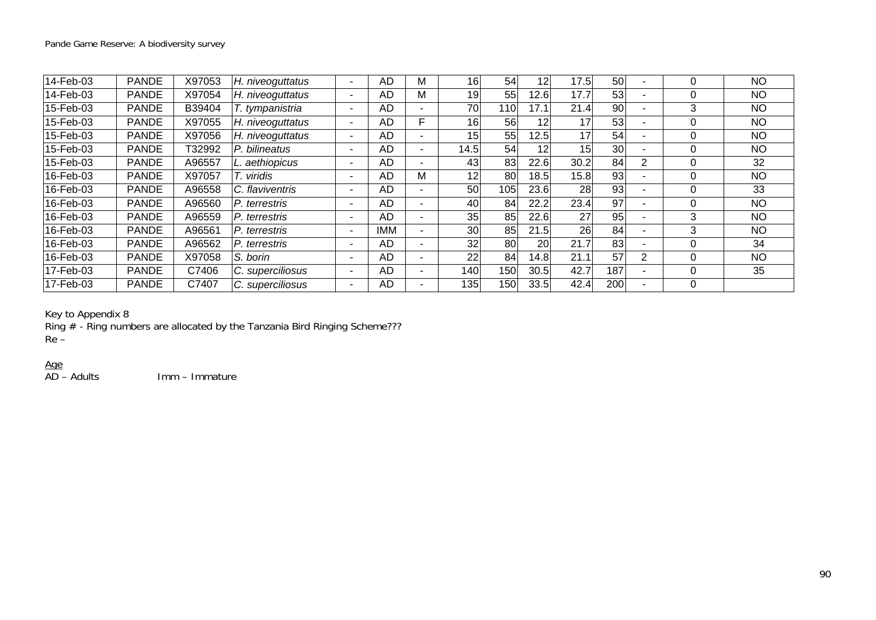| 14-Feb-03 | <b>PANDE</b> | X97053 | H. niveoguttatus |                          | AD        | М | 16   | 54               | 12   | 17.5            | 50              |                | C | <b>NO</b> |
|-----------|--------------|--------|------------------|--------------------------|-----------|---|------|------------------|------|-----------------|-----------------|----------------|---|-----------|
| 14-Feb-03 | <b>PANDE</b> | X97054 | H. niveoguttatus |                          | AD        | м | 19   | 55               | 12.6 | 17.7            | 53              |                | C | NO.       |
| 15-Feb-03 | <b>PANDE</b> | B39404 | T. tympanistria  |                          | AD        |   | 70   | 110              | 17.1 | 21.4            | 90              |                | 3 | <b>NO</b> |
| 15-Feb-03 | <b>PANDE</b> | X97055 | H. niveoguttatus |                          | AD        | F | 16   | 56               | 12   | 17              | 53              |                | C | <b>NO</b> |
| 15-Feb-03 | <b>PANDE</b> | X97056 | H. niveoguttatus |                          | AD        |   | 15   | 55               | 12.5 | 17              | 54              |                | C | NO.       |
| 15-Feb-03 | <b>PANDE</b> | Г32992 | P. bilineatus    |                          | AD        |   | 14.5 | 54               | 12   | 15 <sub>l</sub> | 30 <sup>°</sup> |                | 0 | <b>NO</b> |
| 15-Feb-03 | <b>PANDE</b> | A96557 | L. aethiopicus   |                          | AD        |   | 43   | 83               | 22.6 | 30.2            | 84              | 2              | 0 | 32        |
| 16-Feb-03 | <b>PANDE</b> | X97057 | viridis          | $\overline{\phantom{0}}$ | AD        | м | 12   | 80               | 18.5 | 15.8            | 93              |                | C | <b>NO</b> |
| 16-Feb-03 | <b>PANDE</b> | A96558 | C. flaviventris  |                          | AD        |   | 50   | 105              | 23.6 | 28              | 93              |                | 0 | 33        |
| 16-Feb-03 | <b>PANDE</b> | A96560 | P. terrestris    |                          | AD        |   | 40   | 84               | 22.2 | 23.4            | 97              |                | C | <b>NO</b> |
| 16-Feb-03 | <b>PANDE</b> | A96559 | P. terrestris    | -                        | <b>AD</b> |   | 35   | 85               | 22.6 | 27              | 95              |                | 3 | <b>NO</b> |
| 16-Feb-03 | <b>PANDE</b> | A96561 | P. terrestris    |                          | <b>MM</b> |   | 30   | 85               | 21.5 | 26              | 84              |                | 3 | <b>NO</b> |
| 16-Feb-03 | <b>PANDE</b> | A96562 | P. terrestris    |                          | AD        |   | 32   | 80               | 20   | 21.7            | 83              |                | C | 34        |
| 16-Feb-03 | <b>PANDE</b> | X97058 | S. borin         | $\overline{\phantom{0}}$ | <b>AD</b> |   | 22   | 84               | 14.8 | 21.1            | 57              | $\overline{2}$ | 0 | <b>NO</b> |
| 17-Feb-03 | <b>PANDE</b> | C7406  | C. superciliosus |                          | AD        |   | 140  | 150              | 30.5 | 42.7            | 187             |                | C | 35        |
| 17-Feb-03 | <b>PANDE</b> | C7407  | C. superciliosus | $\overline{\phantom{0}}$ | AD        |   | 135  | 150 <sub>1</sub> | 33.5 | 42.4            | 200             |                | 0 |           |

Key to Appendix 8

Ring # - Ring numbers are allocated by the Tanzania Bird Ringing Scheme??? Re –

<u>Age</u><br>AD – Adults

Imm – Immature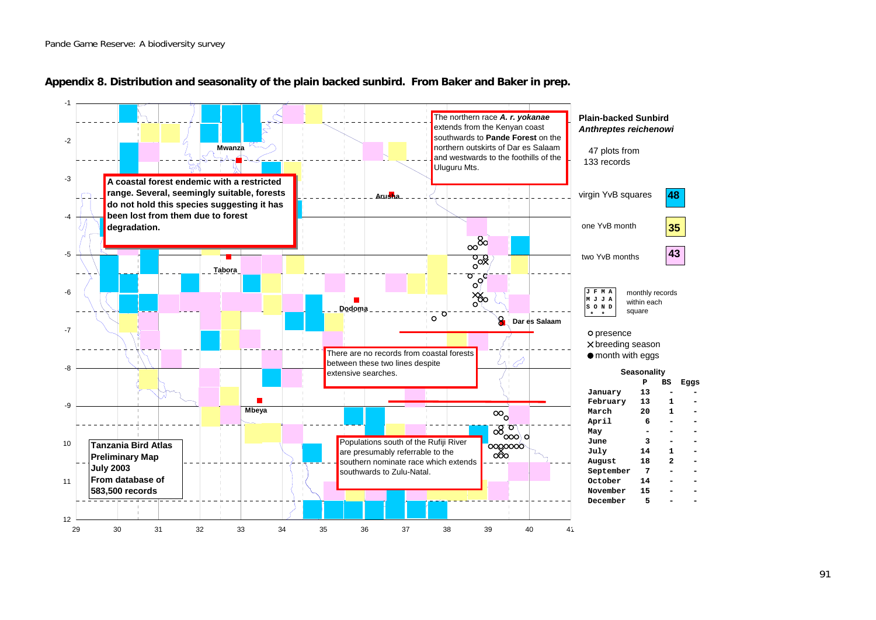

#### **Appendix 8. Distribution and seasonality of the plain backed sunbird. From Baker and Baker in prep.**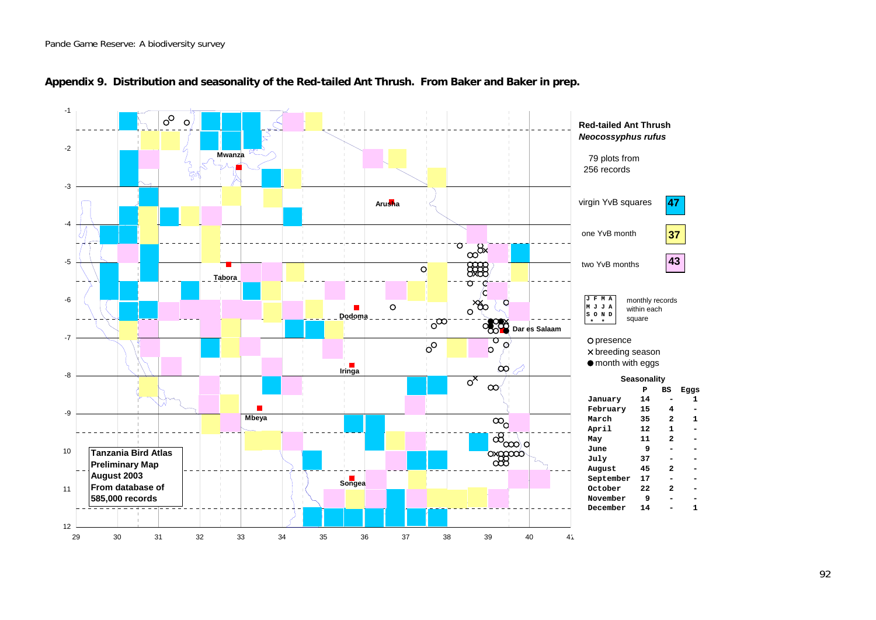

#### **Appendix 9. Distribution and seasonality of the Red-tailed Ant Thrush. From Baker and Baker in prep.**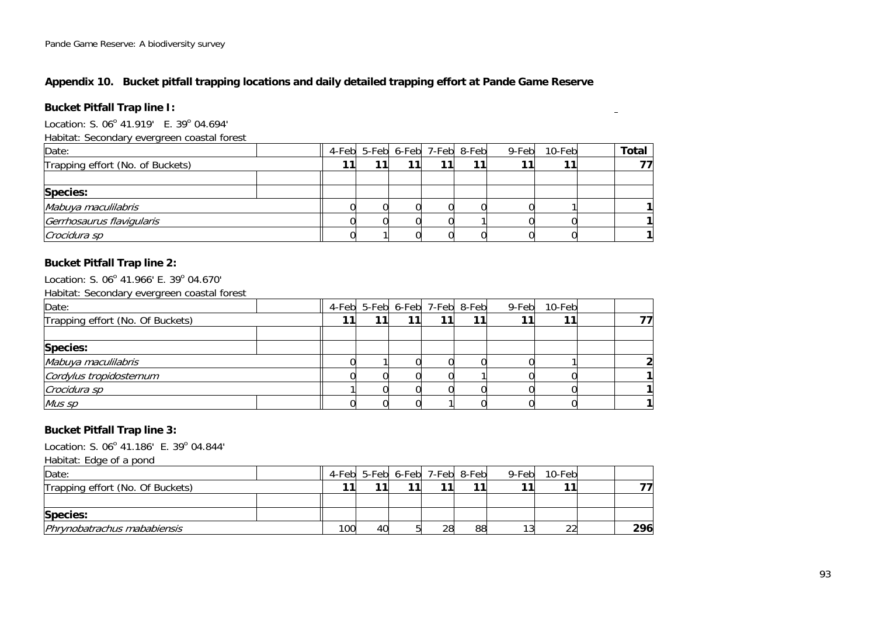## **Appendix 10. Bucket pitfall trapping locations and daily detailed trapping effort at Pande Game Reserve**

## **Bucket Pitfall Trap line I:**

Location: S. 06 $^{\circ}$  41.919' E. 39 $^{\circ}$  04.694'

Habitat: Secondary evergreen coastal forest

| Date:                            | 4-Feb 5-Feb 6-Feb 7-Feb 8-Feb |  | 9-Feb | 10-Feb | <b>Total</b> |  |
|----------------------------------|-------------------------------|--|-------|--------|--------------|--|
| Trapping effort (No. of Buckets) |                               |  |       | 11     |              |  |
|                                  |                               |  |       |        |              |  |
| <b>Species:</b>                  |                               |  |       |        |              |  |
| Mabuya maculilabris              |                               |  |       |        |              |  |
| Gerrhosaurus flavigularis        |                               |  |       |        |              |  |
| Crocidura sp                     |                               |  |       |        |              |  |

 $\equiv$ 

#### **Bucket Pitfall Trap line 2:**

Location: S. 06<sup>°</sup> 41.966' E. 39<sup>°</sup> 04.670'

Habitat: Secondary evergreen coastal forest

| Date:                            | 4-Feb 5-Feb 6-Feb 7-Feb 8-Feb |  | 9-Feb | 10-Feb |  |
|----------------------------------|-------------------------------|--|-------|--------|--|
| Trapping effort (No. Of Buckets) |                               |  |       | 11     |  |
|                                  |                               |  |       |        |  |
| Species:                         |                               |  |       |        |  |
| Mabuya maculilabris              |                               |  |       |        |  |
| Cordylus tropidosternum          |                               |  |       |        |  |
| Crocidura sp                     |                               |  |       |        |  |
| Mus sp                           |                               |  |       |        |  |

## **Bucket Pitfall Trap line 3:**

Location: S. 06 $^{\circ}$  41.186' E. 39 $^{\circ}$  04.844'

Habitat: Edge of a pond

| Date:                            |     |    | 4-Feb 5-Feb 6-Feb 7-Feb 8-Feb |    | 9-Feb | 10-Feb |     |
|----------------------------------|-----|----|-------------------------------|----|-------|--------|-----|
| Trapping effort (No. Of Buckets) |     |    |                               |    |       |        |     |
|                                  |     |    |                               |    |       |        |     |
| Species:                         |     |    |                               |    |       |        |     |
| Phrynobatrachus mababiensis      | 100 | 40 | 28                            | 88 |       | $\sim$ | 296 |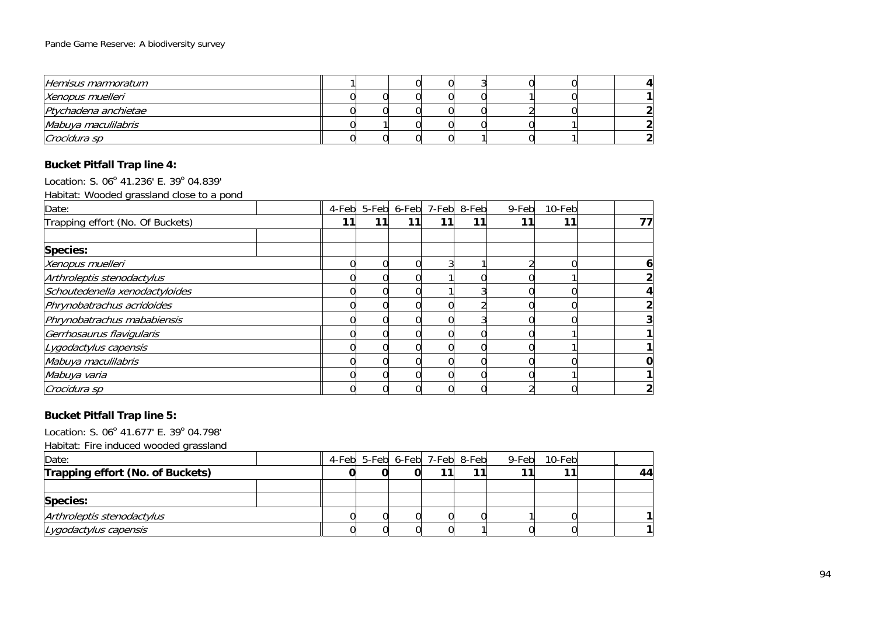| Hemisus marmoratum   |  |  |  |  |  |
|----------------------|--|--|--|--|--|
| Xenopus muelleri     |  |  |  |  |  |
| Ptychadena anchietae |  |  |  |  |  |
| Mabuya maculilabris  |  |  |  |  |  |
| Crocidura sp         |  |  |  |  |  |

## **Bucket Pitfall Trap line 4:**

Location: S. 06<sup>°</sup> 41.236' E. 39<sup>°</sup> 04.839'

Habitat: Wooded grassland close to a pond

| Date:                            | 4-Feb |    |    | 5-Feb 6-Feb 7-Feb 8-Feb |    | 9-Feb | 10-Feb |    |
|----------------------------------|-------|----|----|-------------------------|----|-------|--------|----|
| Trapping effort (No. Of Buckets) | 11    | 11 | 11 |                         | 11 | 1.    | 11     | 77 |
|                                  |       |    |    |                         |    |       |        |    |
| Species:                         |       |    |    |                         |    |       |        |    |
| Xenopus muelleri                 |       |    |    |                         |    |       |        |    |
| Arthroleptis stenodactylus       |       |    |    |                         |    |       |        |    |
| Schoutedenella xenodactyloides   |       |    |    |                         |    |       |        |    |
| Phrynobatrachus acridoides       |       |    |    |                         |    |       |        |    |
| Phrynobatrachus mababiensis      |       |    |    |                         |    |       |        |    |
| Gerrhosaurus flavigularis        |       |    |    |                         |    |       |        |    |
| Lygodactylus capensis            |       |    |    |                         |    |       |        |    |
| Mabuya maculilabris              |       |    |    |                         |    |       |        |    |
| Mabuya varia                     |       |    |    |                         |    |       |        |    |
| Crocidura sp                     |       |    |    |                         |    |       |        |    |

## **Bucket Pitfall Trap line 5:**

Location: S. 06<sup>°</sup> 41.677' E. 39<sup>°</sup> 04.798'

Habitat: Fire induced wooded grassland

| Date:                            |  | 4-Feb 5-Feb 6-Feb 7-Feb 8-Feb |  | 9-Feb 10-Feb |    |
|----------------------------------|--|-------------------------------|--|--------------|----|
| Trapping effort (No. of Buckets) |  |                               |  |              | 44 |
|                                  |  |                               |  |              |    |
| <b>Species:</b>                  |  |                               |  |              |    |
| Arthroleptis stenodactylus       |  |                               |  |              |    |
| Lygodactylus capensis            |  |                               |  |              |    |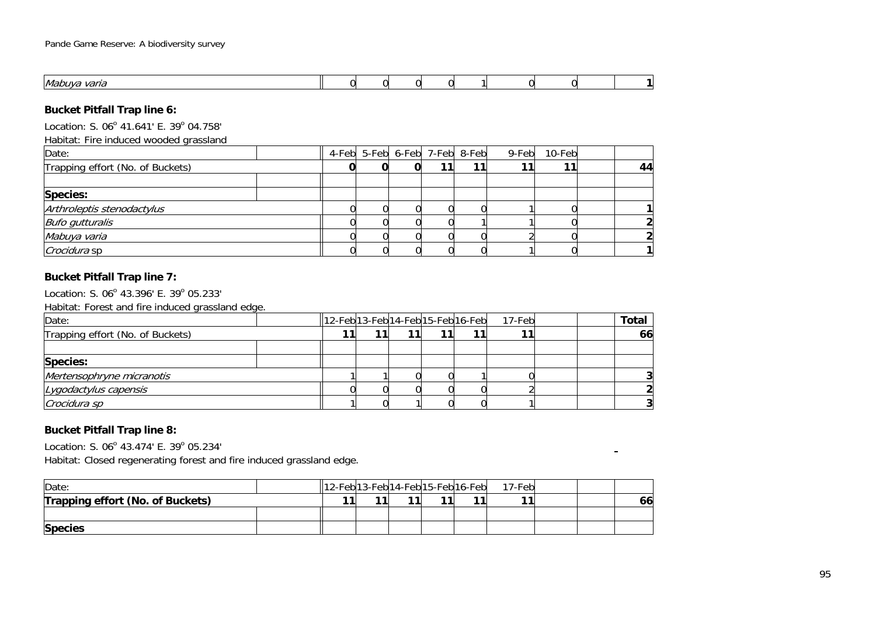| Mal<br>' IL<br>.,, |  |  |  |  |  |
|--------------------|--|--|--|--|--|

## **Bucket Pitfall Trap line 6:**

Location: S. 06 $^{\circ}$  41.641' E. 39 $^{\circ}$  04.758'

Habitat: Fire induced wooded grassland

| Date:                            | 4-Feb 5-Feb 6-Feb 7-Feb 8-Feb |  | 9-Feb | 10-Feb |    |
|----------------------------------|-------------------------------|--|-------|--------|----|
| Trapping effort (No. of Buckets) |                               |  |       | 11     | 44 |
|                                  |                               |  |       |        |    |
| Species:                         |                               |  |       |        |    |
| Arthroleptis stenodactylus       |                               |  |       |        |    |
| <b>Bufo gutturalis</b>           |                               |  |       |        |    |
| Mabuya varia                     |                               |  |       |        |    |
| <i>Crocidura</i> sp              |                               |  |       |        |    |

## **Bucket Pitfall Trap line 7:**

Location: S. 06 $^{\circ}$  43.396' E. 39 $^{\circ}$  05.233'

Habitat: Forest and fire induced grassland edge.

| Date:                            | $\left  \frac{1}{2}Feb\right $ 13-Feb $\left  14-Feb\right $ 15-Feb $\left  16-Feb\right $ |  |  | 17-Febl | <b>Total</b> |
|----------------------------------|--------------------------------------------------------------------------------------------|--|--|---------|--------------|
| Trapping effort (No. of Buckets) |                                                                                            |  |  |         | 66           |
|                                  |                                                                                            |  |  |         |              |
| <b>Species:</b>                  |                                                                                            |  |  |         |              |
| Mertensophryne micranotis        |                                                                                            |  |  |         |              |
| Lygodactylus capensis            |                                                                                            |  |  |         |              |
| Crocidura sp                     |                                                                                            |  |  |         |              |

## **Bucket Pitfall Trap line 8:**

Location: S. 06 $^{\circ}$  43.474' E. 39 $^{\circ}$  05.234'

Habitat: Closed regenerating forest and fire induced grassland edge.

| Date:                            |  | $\left 12\text{-} \text{Feb}\right 13\text{-} \text{Feb}\right 14\text{-} \text{Feb}\right 15\text{-} \text{Feb}\right 16\text{-} \text{Feb}\right $ |  |    | 17-Feb |  |    |
|----------------------------------|--|------------------------------------------------------------------------------------------------------------------------------------------------------|--|----|--------|--|----|
| Trapping effort (No. of Buckets) |  |                                                                                                                                                      |  | 44 |        |  | 66 |
|                                  |  |                                                                                                                                                      |  |    |        |  |    |
| <b>Species</b>                   |  |                                                                                                                                                      |  |    |        |  |    |

 $\blacksquare$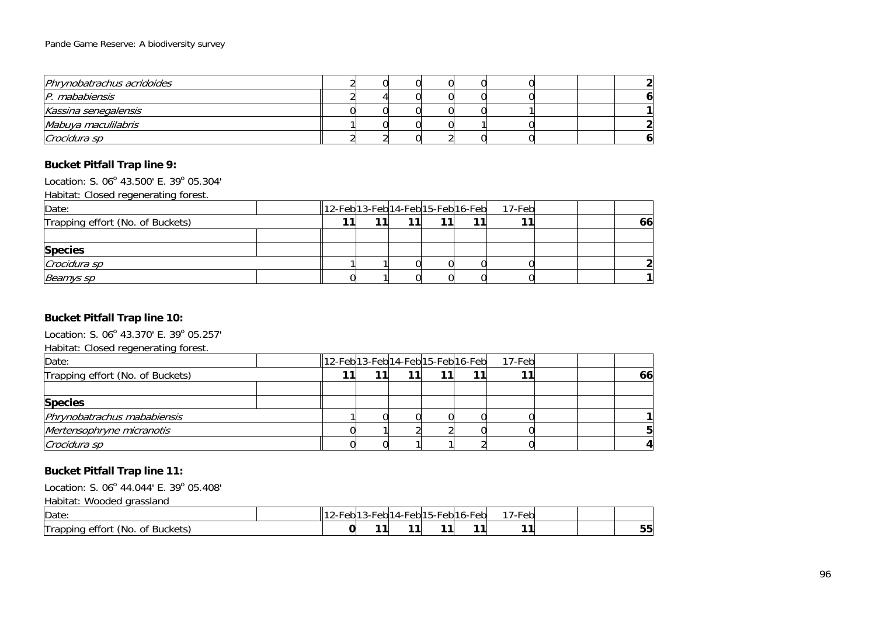| Phrynobatrachus acridoides |  |  |  |  |  |
|----------------------------|--|--|--|--|--|
| P. mababiensis             |  |  |  |  |  |
| Kassina senegalensis       |  |  |  |  |  |
| Mabuya maculilabris        |  |  |  |  |  |
| Crocidura sp               |  |  |  |  |  |

## **Bucket Pitfall Trap line 9:**

Location: S. 06 $^{\circ}$  43.500' E. 39 $^{\circ}$  05.304'

Habitat: Closed regenerating forest.

| Date:                            | $\left  \frac{1}{2}Feb\right $ 13-Feb $\left  14-Feb\right $ 15-Feb $\left  16-Feb\right $ |  |    | 17-Feb |  |    |
|----------------------------------|--------------------------------------------------------------------------------------------|--|----|--------|--|----|
| Trapping effort (No. of Buckets) |                                                                                            |  | 11 |        |  | 66 |
|                                  |                                                                                            |  |    |        |  |    |
| <b>Species</b>                   |                                                                                            |  |    |        |  |    |
| Crocidura sp                     |                                                                                            |  |    |        |  |    |
| Beamys sp                        |                                                                                            |  |    |        |  |    |

## **Bucket Pitfall Trap line 10:**

Location: S. 06<sup>°</sup> 43.370' E. 39<sup>°</sup> 05.257'

Habitat: Closed regenerating forest.

| Date:                            | $\left  \frac{1}{2}Feb\right $ 13-Feb $\left  14-Feb\right $ 15-Feb $\left  16-Feb\right $ |  |  | 17-Febl |  |    |
|----------------------------------|--------------------------------------------------------------------------------------------|--|--|---------|--|----|
| Trapping effort (No. of Buckets) |                                                                                            |  |  |         |  | 66 |
|                                  |                                                                                            |  |  |         |  |    |
| <b>Species</b>                   |                                                                                            |  |  |         |  |    |
| Phrynobatrachus mababiensis      |                                                                                            |  |  |         |  |    |
| Mertensophryne micranotis        |                                                                                            |  |  |         |  |    |
| Crocidura sp                     |                                                                                            |  |  |         |  |    |

## **Bucket Pitfall Trap line 11:**

Location: S. 06 $^{\circ}$  44.044' E. 39 $^{\circ}$  05.408'

Habitat: Wooded grassland

| Date                                                                                  | rebl <sup>11</sup> | -ahl<br>cn | eb 1<br>- 14 | --<br>-ohl1.<br>ำ h - H :<br>. | $\sim$<br>∙⊦eb<br>∵⊩ه∟ ب | $\sim$<br>--<br>∙eb<br>$1 - F$ |  |  |
|---------------------------------------------------------------------------------------|--------------------|------------|--------------|--------------------------------|--------------------------|--------------------------------|--|--|
| -<br>$\overline{\phantom{a}}$<br><b>Buckets</b><br>KNO.<br>effort<br>II rapping<br>0t |                    | 44         |              |                                | . .                      |                                |  |  |